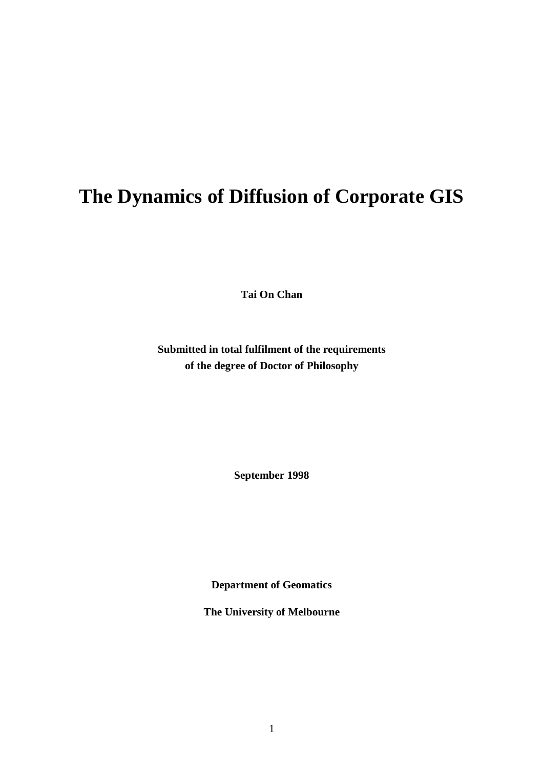# <span id="page-0-0"></span>**The Dynamics of Diffusion of Corporate GIS**

**Tai On Chan**

**Submitted in total fulfilment of the requirements of the degree of Doctor of Philosophy**

**September 1998**

**Department of Geomatics**

**The University of Melbourne**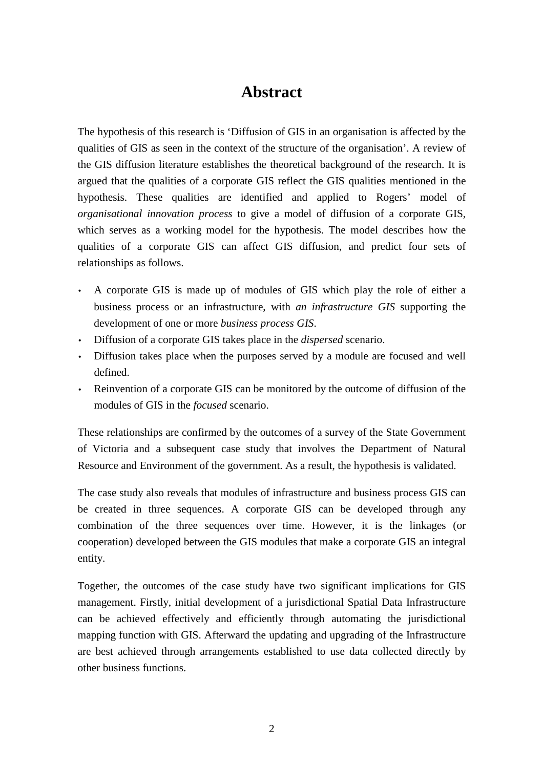## **Abstract**

<span id="page-1-0"></span>The hypothesis of this research is 'Diffusion of GIS in an organisation is affected by the qualities of GIS as seen in the context of the structure of the organisation'. A review of the GIS diffusion literature establishes the theoretical background of the research. It is argued that the qualities of a corporate GIS reflect the GIS qualities mentioned in the hypothesis. These qualities are identified and applied to Rogers' model of *organisational innovation process* to give a model of diffusion of a corporate GIS, which serves as a working model for the hypothesis. The model describes how the qualities of a corporate GIS can affect GIS diffusion, and predict four sets of relationships as follows.

- A corporate GIS is made up of modules of GIS which play the role of either a business process or an infrastructure, with *an infrastructure GIS* supporting the development of one or more *business process GIS*.
- Diffusion of a corporate GIS takes place in the *dispersed* scenario.
- Diffusion takes place when the purposes served by a module are focused and well defined.
- Reinvention of a corporate GIS can be monitored by the outcome of diffusion of the modules of GIS in the *focused* scenario.

These relationships are confirmed by the outcomes of a survey of the State Government of Victoria and a subsequent case study that involves the Department of Natural Resource and Environment of the government. As a result, the hypothesis is validated.

The case study also reveals that modules of infrastructure and business process GIS can be created in three sequences. A corporate GIS can be developed through any combination of the three sequences over time. However, it is the linkages (or cooperation) developed between the GIS modules that make a corporate GIS an integral entity.

Together, the outcomes of the case study have two significant implications for GIS management. Firstly, initial development of a jurisdictional Spatial Data Infrastructure can be achieved effectively and efficiently through automating the jurisdictional mapping function with GIS. Afterward the updating and upgrading of the Infrastructure are best achieved through arrangements established to use data collected directly by other business functions.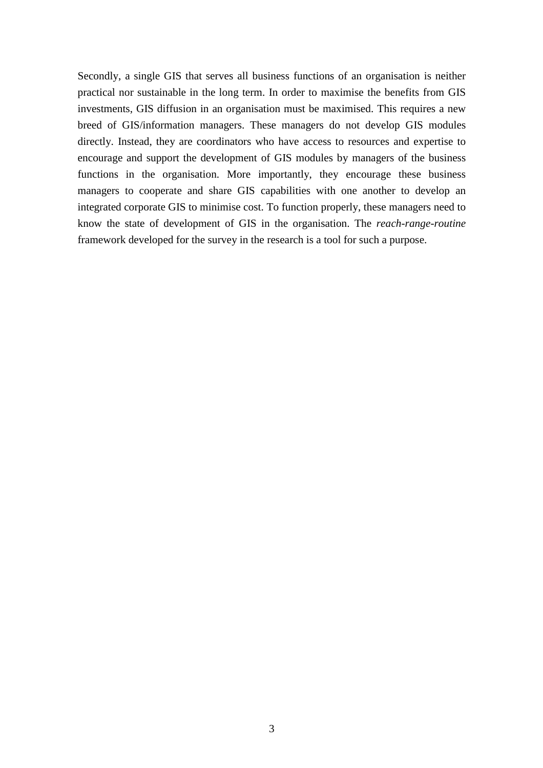Secondly, a single GIS that serves all business functions of an organisation is neither practical nor sustainable in the long term. In order to maximise the benefits from GIS investments, GIS diffusion in an organisation must be maximised. This requires a new breed of GIS/information managers. These managers do not develop GIS modules directly. Instead, they are coordinators who have access to resources and expertise to encourage and support the development of GIS modules by managers of the business functions in the organisation. More importantly, they encourage these business managers to cooperate and share GIS capabilities with one another to develop an integrated corporate GIS to minimise cost. To function properly, these managers need to know the state of development of GIS in the organisation. The *reach-range-routine* framework developed for the survey in the research is a tool for such a purpose.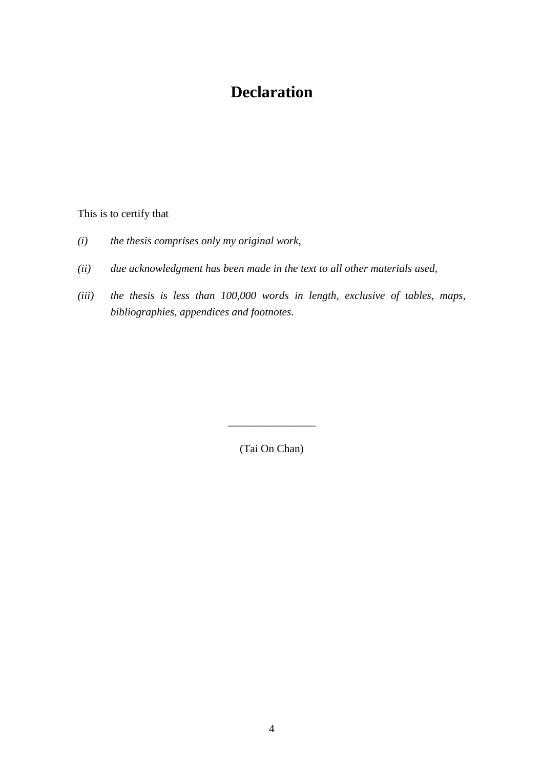## **Declaration**

<span id="page-3-0"></span>This is to certify that

- *(i) the thesis comprises only my original work,*
- *(ii) due acknowledgment has been made in the text to all other materials used,*
- *(iii) the thesis is less than 100,000 words in length, exclusive of tables, maps, bibliographies, appendices and footnotes.*

(Tai On Chan)

\_\_\_\_\_\_\_\_\_\_\_\_\_\_\_\_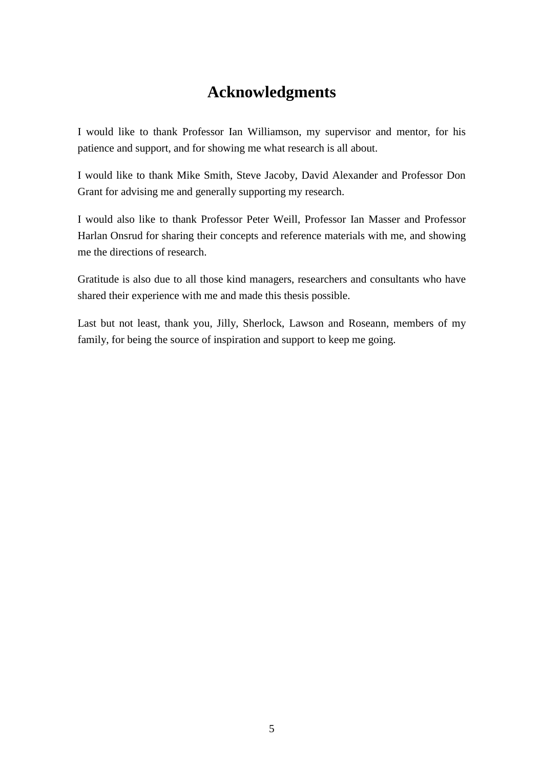## **Acknowledgments**

<span id="page-4-0"></span>I would like to thank Professor Ian Williamson, my supervisor and mentor, for his patience and support, and for showing me what research is all about.

I would like to thank Mike Smith, Steve Jacoby, David Alexander and Professor Don Grant for advising me and generally supporting my research.

I would also like to thank Professor Peter Weill, Professor Ian Masser and Professor Harlan Onsrud for sharing their concepts and reference materials with me, and showing me the directions of research.

Gratitude is also due to all those kind managers, researchers and consultants who have shared their experience with me and made this thesis possible.

Last but not least, thank you, Jilly, Sherlock, Lawson and Roseann, members of my family, for being the source of inspiration and support to keep me going.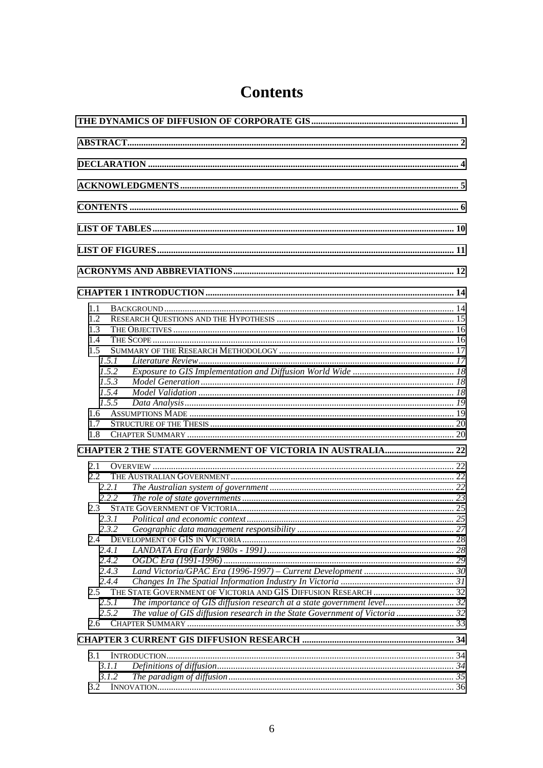| 1.1                                                                                  |  |  |
|--------------------------------------------------------------------------------------|--|--|
| 1.2                                                                                  |  |  |
| 1.3                                                                                  |  |  |
| 1.4                                                                                  |  |  |
| 1.5                                                                                  |  |  |
| 1.5.1                                                                                |  |  |
| 1.5.2                                                                                |  |  |
| 1.5.3                                                                                |  |  |
| 1.5.4                                                                                |  |  |
| 1.5.5                                                                                |  |  |
| 1.6                                                                                  |  |  |
| 1.7                                                                                  |  |  |
| 1.8                                                                                  |  |  |
|                                                                                      |  |  |
| <b>CHAPTER 2 THE STATE GOVERNMENT OF VICTORIA IN AUSTRALIA 22</b>                    |  |  |
| 2.1                                                                                  |  |  |
| $2.2^{\circ}$                                                                        |  |  |
| 2.2.1                                                                                |  |  |
| 222                                                                                  |  |  |
| 2.3                                                                                  |  |  |
|                                                                                      |  |  |
| 2.3.2                                                                                |  |  |
| 2.4                                                                                  |  |  |
| 2.4.1                                                                                |  |  |
| 2.4.2                                                                                |  |  |
| 2.4.3                                                                                |  |  |
| 2.4.4                                                                                |  |  |
| 2.5                                                                                  |  |  |
| The importance of GIS diffusion research at a state government level 32<br>2.5.1     |  |  |
| The value of GIS diffusion research in the State Government of Victoria  32<br>2.5.2 |  |  |
| 2.6                                                                                  |  |  |
|                                                                                      |  |  |
|                                                                                      |  |  |
| 3.1                                                                                  |  |  |
| 3.1.1                                                                                |  |  |
| 3.1.2                                                                                |  |  |
| 3.2                                                                                  |  |  |

## **Contents**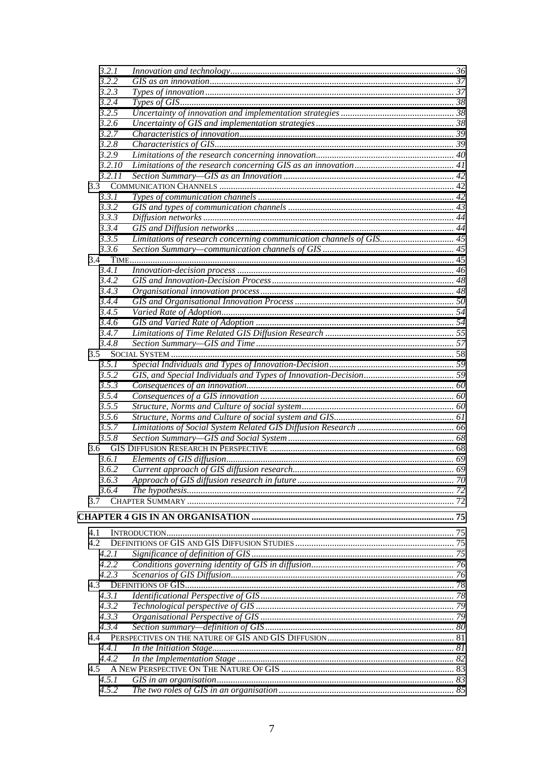| 3.2.1  |                                                                     |  |
|--------|---------------------------------------------------------------------|--|
| 3.2.2  |                                                                     |  |
| 3.2.3  |                                                                     |  |
| 3.2.4  |                                                                     |  |
| 3.2.5  |                                                                     |  |
| 3.2.6  |                                                                     |  |
| 3.2.7  |                                                                     |  |
| 3.2.8  |                                                                     |  |
| 3.2.9  |                                                                     |  |
| 3.2.10 |                                                                     |  |
| 3.2.11 |                                                                     |  |
|        |                                                                     |  |
|        |                                                                     |  |
| 3.3.1  |                                                                     |  |
| 3.3.2  |                                                                     |  |
| 3.3.3  |                                                                     |  |
| 3.3.4  |                                                                     |  |
| 3.3.5  | Limitations of research concerning communication channels of GIS 45 |  |
| 3.3.6  |                                                                     |  |
|        |                                                                     |  |
| 3.4.1  |                                                                     |  |
| 3.4.2  |                                                                     |  |
| 3.4.3  |                                                                     |  |
| 3.4.4  |                                                                     |  |
| 3.4.5  |                                                                     |  |
| 3.4.6  |                                                                     |  |
| 3.4.7  |                                                                     |  |
| 3.4.8  |                                                                     |  |
|        |                                                                     |  |
| 3.5    |                                                                     |  |
| 3.5.1  |                                                                     |  |
| 3.5.2  |                                                                     |  |
| 3.5.3  |                                                                     |  |
| 3.5.4  |                                                                     |  |
| 3.5.5  |                                                                     |  |
| 3.5.6  |                                                                     |  |
| 3.5.7  |                                                                     |  |
| 3.5.8  |                                                                     |  |
| 3.6    |                                                                     |  |
| 3.6.1  |                                                                     |  |
| 3.6.2  |                                                                     |  |
| 3.6.3  |                                                                     |  |
| 3.6.4  |                                                                     |  |
| 3.7    |                                                                     |  |
|        |                                                                     |  |
|        |                                                                     |  |
|        |                                                                     |  |
| 4.1    |                                                                     |  |
| 4.2    |                                                                     |  |
| 4.2.1  |                                                                     |  |
| 4.2.2  |                                                                     |  |
| 4.2.3  |                                                                     |  |
| 4.3    |                                                                     |  |
| 4.3.1  |                                                                     |  |
| 4.3.2  |                                                                     |  |
| 4.3.3  |                                                                     |  |
| 4.3.4  |                                                                     |  |
| 4.4    |                                                                     |  |
| 4.4.1  |                                                                     |  |
| 4.4.2  |                                                                     |  |
| 4.5    |                                                                     |  |
| 4.5.1  |                                                                     |  |
|        |                                                                     |  |
| 4.5.2  |                                                                     |  |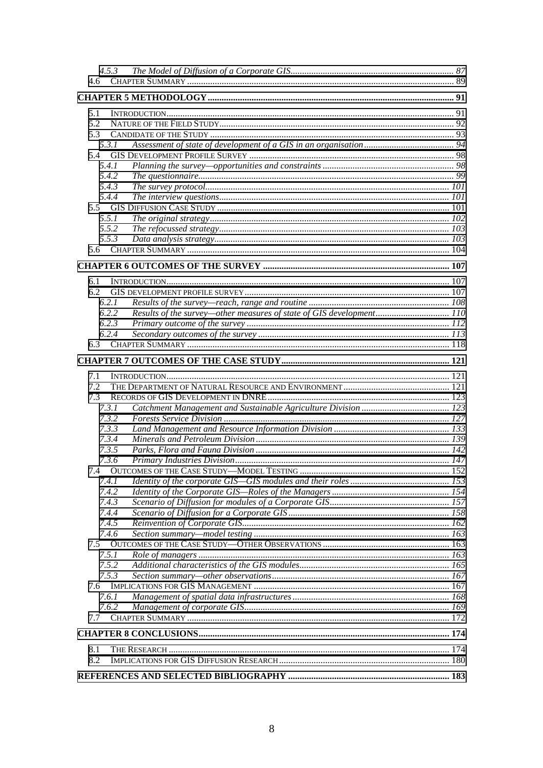| 4.6          |                                                                      |  |
|--------------|----------------------------------------------------------------------|--|
|              |                                                                      |  |
|              |                                                                      |  |
| 5.1          |                                                                      |  |
| 5.2          |                                                                      |  |
| 5.3          |                                                                      |  |
| 5.3.1        |                                                                      |  |
| 5.4          |                                                                      |  |
| 5.4.1        |                                                                      |  |
| 5.4.2        |                                                                      |  |
| 5.4.3        |                                                                      |  |
| 5.4.4        |                                                                      |  |
|              |                                                                      |  |
| 5.5.1        |                                                                      |  |
| 5.5.2        |                                                                      |  |
| 5.5.3        |                                                                      |  |
|              |                                                                      |  |
|              |                                                                      |  |
| 6.1          |                                                                      |  |
| 6.2          |                                                                      |  |
| 6.2.1        |                                                                      |  |
| 6.2.2        | Results of the survey—other measures of state of GIS development 110 |  |
| 6.2.3        |                                                                      |  |
| 6.2.4        |                                                                      |  |
|              |                                                                      |  |
|              |                                                                      |  |
|              |                                                                      |  |
| 7.1          |                                                                      |  |
| 7.2          |                                                                      |  |
| 7.3          |                                                                      |  |
| 7.3.1        |                                                                      |  |
|              |                                                                      |  |
| 7.3.2        |                                                                      |  |
| 7.3.3        |                                                                      |  |
| 7.3.4        |                                                                      |  |
| 7.3.5        |                                                                      |  |
|              |                                                                      |  |
| 7.3.6        |                                                                      |  |
| 7.4.1        |                                                                      |  |
| 7.4.2        |                                                                      |  |
| 7.4.3        |                                                                      |  |
| 7.4.4        |                                                                      |  |
| 7.4.5        |                                                                      |  |
|              |                                                                      |  |
| 7.4.6<br>7.5 |                                                                      |  |
| 7.5.1        |                                                                      |  |
| 7.5.2        |                                                                      |  |
| 7.5.3        |                                                                      |  |
| 7.6          |                                                                      |  |
| 7.6.1        |                                                                      |  |
| 7.6.2        |                                                                      |  |
| 7.7          |                                                                      |  |
|              |                                                                      |  |
|              |                                                                      |  |
| 8.1          |                                                                      |  |
| 8.2          |                                                                      |  |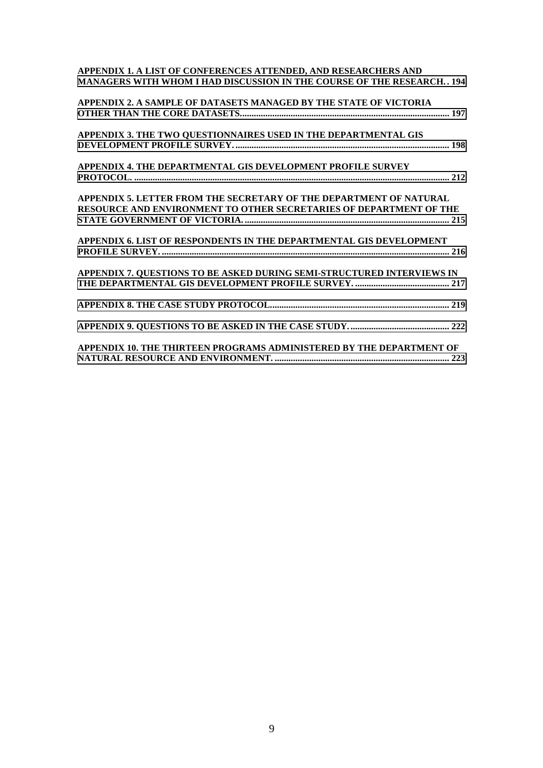| APPENDIX 1. A LIST OF CONFERENCES ATTENDED, AND RESEARCHERS AND<br><b>MANAGERS WITH WHOM I HAD DISCUSSION IN THE COURSE OF THE RESEARCH194</b> |
|------------------------------------------------------------------------------------------------------------------------------------------------|
| APPENDIX 2. A SAMPLE OF DATASETS MANAGED BY THE STATE OF VICTORIA                                                                              |
| APPENDIX 3. THE TWO QUESTIONNAIRES USED IN THE DEPARTMENTAL GIS                                                                                |
| APPENDIX 4. THE DEPARTMENTAL GIS DEVELOPMENT PROFILE SURVEY                                                                                    |
| APPENDIX 5. LETTER FROM THE SECRETARY OF THE DEPARTMENT OF NATURAL                                                                             |
| RESOURCE AND ENVIRONMENT TO OTHER SECRETARIES OF DEPARTMENT OF THE                                                                             |
| APPENDIX 6. LIST OF RESPONDENTS IN THE DEPARTMENTAL GIS DEVELOPMENT                                                                            |
| APPENDIX 7. QUESTIONS TO BE ASKED DURING SEMI-STRUCTURED INTERVIEWS IN                                                                         |
|                                                                                                                                                |
|                                                                                                                                                |
| APPENDIX 10. THE THIRTEEN PROGRAMS ADMINISTERED BY THE DEPARTMENT OF                                                                           |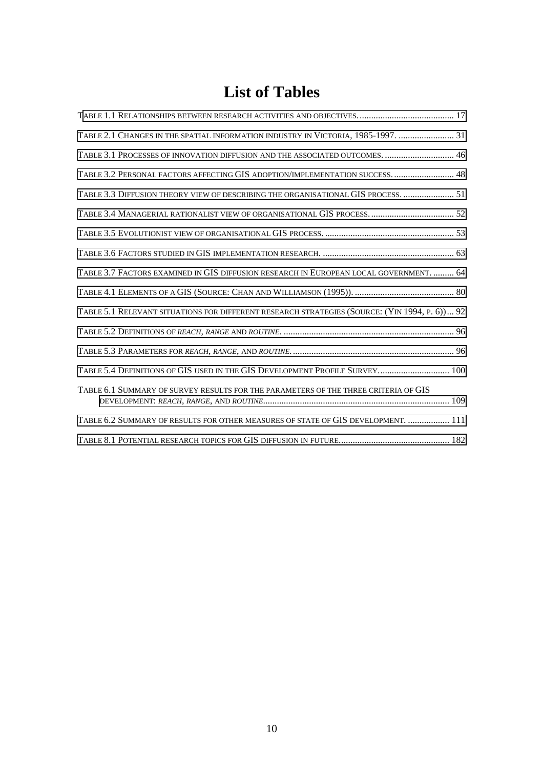## **List of Tables**

<span id="page-9-0"></span>

| TABLE 2.1 CHANGES IN THE SPATIAL INFORMATION INDUSTRY IN VICTORIA, 1985-1997.  31             |
|-----------------------------------------------------------------------------------------------|
| TABLE 3.1 PROCESSES OF INNOVATION DIFFUSION AND THE ASSOCIATED OUTCOMES.  46                  |
| TABLE 3.2 PERSONAL FACTORS AFFECTING GIS ADOPTION/IMPLEMENTATION SUCCESS.  48                 |
| TABLE 3.3 DIFFUSION THEORY VIEW OF DESCRIBING THE ORGANISATIONAL GIS PROCESS.  51             |
|                                                                                               |
|                                                                                               |
|                                                                                               |
| TABLE 3.7 FACTORS EXAMINED IN GIS DIFFUSION RESEARCH IN EUROPEAN LOCAL GOVERNMENT.  64        |
|                                                                                               |
| TABLE 5.1 RELEVANT SITUATIONS FOR DIFFERENT RESEARCH STRATEGIES (SOURCE: (YIN 1994, P. 6)) 92 |
|                                                                                               |
|                                                                                               |
| TABLE 5.4 DEFINITIONS OF GIS USED IN THE GIS DEVELOPMENT PROFILE SURVEY 100                   |
| TABLE 6.1 SUMMARY OF SURVEY RESULTS FOR THE PARAMETERS OF THE THREE CRITERIA OF GIS           |
| TABLE 6.2 SUMMARY OF RESULTS FOR OTHER MEASURES OF STATE OF GIS DEVELOPMENT.  111             |
|                                                                                               |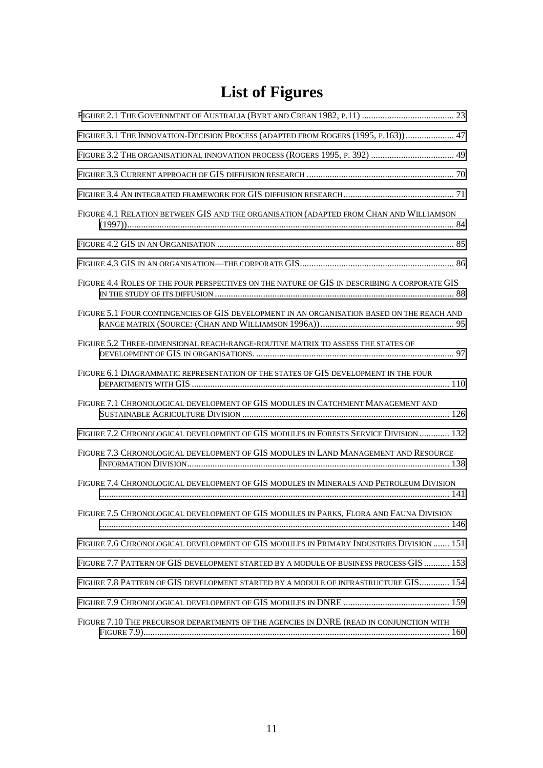# **List of Figures**

<span id="page-10-0"></span>

| FIGURE 3.1 THE INNOVATION-DECISION PROCESS (ADAPTED FROM ROGERS (1995, P.163)) 47            |
|----------------------------------------------------------------------------------------------|
| FIGURE 3.2 THE ORGANISATIONAL INNOVATION PROCESS (ROGERS 1995, P. 392)  49                   |
|                                                                                              |
|                                                                                              |
| FIGURE 4.1 RELATION BETWEEN GIS AND THE ORGANISATION (ADAPTED FROM CHAN AND WILLIAMSON       |
|                                                                                              |
|                                                                                              |
| FIGURE 4.4 ROLES OF THE FOUR PERSPECTIVES ON THE NATURE OF GIS IN DESCRIBING A CORPORATE GIS |
| FIGURE 5.1 FOUR CONTINGENCIES OF GIS DEVELOPMENT IN AN ORGANISATION BASED ON THE REACH AND   |
| FIGURE 5.2 THREE-DIMENSIONAL REACH-RANGE-ROUTINE MATRIX TO ASSESS THE STATES OF              |
| FIGURE 6.1 DIAGRAMMATIC REPRESENTATION OF THE STATES OF GIS DEVELOPMENT IN THE FOUR          |
| FIGURE 7.1 CHRONOLOGICAL DEVELOPMENT OF GIS MODULES IN CATCHMENT MANAGEMENT AND              |
| FIGURE 7.2 CHRONOLOGICAL DEVELOPMENT OF GIS MODULES IN FORESTS SERVICE DIVISION  132         |
| FIGURE 7.3 CHRONOLOGICAL DEVELOPMENT OF GIS MODULES IN LAND MANAGEMENT AND RESOURCE          |
| FIGURE 7.4 CHRONOLOGICAL DEVELOPMENT OF GIS MODULES IN MINERALS AND PETROLEUM DIVISION       |
| FIGURE 7.5 CHRONOLOGICAL DEVELOPMENT OF GIS MODULES IN PARKS, FLORA AND FAUNA DIVISION       |
| FIGURE 7.6 CHRONOLOGICAL DEVELOPMENT OF GIS MODULES IN PRIMARY INDUSTRIES DIVISION  151      |
| FIGURE 7.7 PATTERN OF GIS DEVELOPMENT STARTED BY A MODULE OF BUSINESS PROCESS GIS  153       |
| FIGURE 7.8 PATTERN OF GIS DEVELOPMENT STARTED BY A MODULE OF INFRASTRUCTURE GIS 154          |
|                                                                                              |
| FIGURE 7.10 THE PRECURSOR DEPARTMENTS OF THE AGENCIES IN DNRE (READ IN CONJUNCTION WITH      |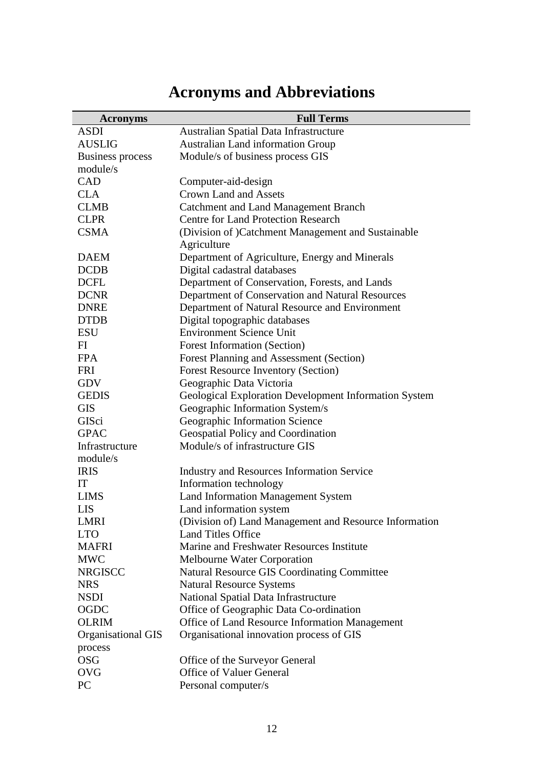## **Acronyms and Abbreviations**

<span id="page-11-0"></span>

| <b>Acronyms</b>         | <b>Full Terms</b>                                      |
|-------------------------|--------------------------------------------------------|
| <b>ASDI</b>             | Australian Spatial Data Infrastructure                 |
| <b>AUSLIG</b>           | <b>Australian Land information Group</b>               |
| <b>Business process</b> | Module/s of business process GIS                       |
| module/s                |                                                        |
| CAD                     | Computer-aid-design                                    |
| <b>CLA</b>              | <b>Crown Land and Assets</b>                           |
| <b>CLMB</b>             | <b>Catchment and Land Management Branch</b>            |
| <b>CLPR</b>             | <b>Centre for Land Protection Research</b>             |
| <b>CSMA</b>             | (Division of) Catchment Management and Sustainable     |
|                         | Agriculture                                            |
| <b>DAEM</b>             | Department of Agriculture, Energy and Minerals         |
| <b>DCDB</b>             | Digital cadastral databases                            |
| <b>DCFL</b>             | Department of Conservation, Forests, and Lands         |
| <b>DCNR</b>             | Department of Conservation and Natural Resources       |
| <b>DNRE</b>             | Department of Natural Resource and Environment         |
| <b>DTDB</b>             | Digital topographic databases                          |
| <b>ESU</b>              | <b>Environment Science Unit</b>                        |
| FI                      | <b>Forest Information (Section)</b>                    |
| <b>FPA</b>              | Forest Planning and Assessment (Section)               |
| <b>FRI</b>              | <b>Forest Resource Inventory (Section)</b>             |
| <b>GDV</b>              | Geographic Data Victoria                               |
| <b>GEDIS</b>            | Geological Exploration Development Information System  |
| <b>GIS</b>              | Geographic Information System/s                        |
| GISci                   | Geographic Information Science                         |
| <b>GPAC</b>             | Geospatial Policy and Coordination                     |
| Infrastructure          | Module/s of infrastructure GIS                         |
| module/s                |                                                        |
| <b>IRIS</b>             | <b>Industry and Resources Information Service</b>      |
| IT                      | Information technology                                 |
| <b>LIMS</b>             | <b>Land Information Management System</b>              |
| <b>LIS</b>              | Land information system                                |
| <b>LMRI</b>             | (Division of) Land Management and Resource Information |
| <b>LTO</b>              | <b>Land Titles Office</b>                              |
| <b>MAFRI</b>            | Marine and Freshwater Resources Institute              |
| <b>MWC</b>              | <b>Melbourne Water Corporation</b>                     |
| <b>NRGISCC</b>          | <b>Natural Resource GIS Coordinating Committee</b>     |
| <b>NRS</b>              | <b>Natural Resource Systems</b>                        |
| <b>NSDI</b>             | National Spatial Data Infrastructure                   |
| <b>OGDC</b>             | Office of Geographic Data Co-ordination                |
| <b>OLRIM</b>            | Office of Land Resource Information Management         |
| Organisational GIS      | Organisational innovation process of GIS               |
| process                 |                                                        |
| <b>OSG</b>              | Office of the Surveyor General                         |
| <b>OVG</b>              | Office of Valuer General                               |
| PC                      | Personal computer/s                                    |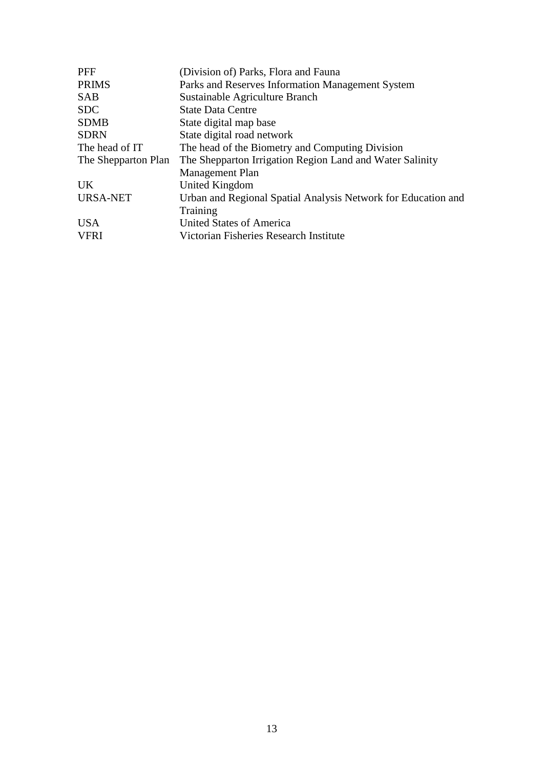| <b>PFF</b>          | (Division of) Parks, Flora and Fauna                          |
|---------------------|---------------------------------------------------------------|
| <b>PRIMS</b>        | Parks and Reserves Information Management System              |
| <b>SAB</b>          | Sustainable Agriculture Branch                                |
| <b>SDC</b>          | <b>State Data Centre</b>                                      |
| <b>SDMB</b>         | State digital map base                                        |
| <b>SDRN</b>         | State digital road network                                    |
| The head of IT      | The head of the Biometry and Computing Division               |
| The Shepparton Plan | The Shepparton Irrigation Region Land and Water Salinity      |
|                     | <b>Management Plan</b>                                        |
| UK.                 | United Kingdom                                                |
| <b>URSA-NET</b>     | Urban and Regional Spatial Analysis Network for Education and |
|                     | Training                                                      |
| <b>USA</b>          | <b>United States of America</b>                               |
| <b>VFRI</b>         | Victorian Fisheries Research Institute                        |
|                     |                                                               |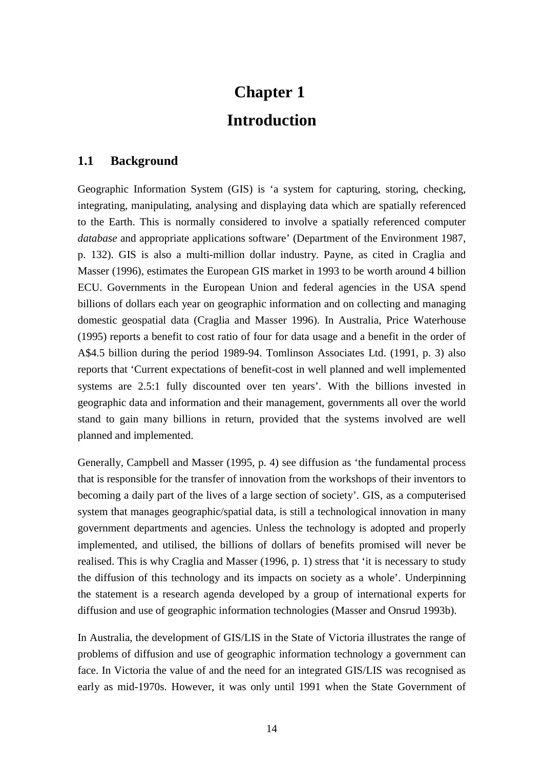# **Chapter 1 Introduction**

#### <span id="page-13-0"></span>**1.1 Background**

Geographic Information System (GIS) is 'a system for capturing, storing, checking, integrating, manipulating, analysing and displaying data which are spatially referenced to the Earth. This is normally considered to involve a spatially referenced computer *database* and appropriate applications software' (Department of the Environment 1987, p. 132). GIS is also a multi-million dollar industry. Payne, as cited in Craglia and Masser (1996), estimates the European GIS market in 1993 to be worth around 4 billion ECU. Governments in the European Union and federal agencies in the USA spend billions of dollars each year on geographic information and on collecting and managing domestic geospatial data (Craglia and Masser 1996). In Australia, Price Waterhouse (1995) reports a benefit to cost ratio of four for data usage and a benefit in the order of A\$4.5 billion during the period 1989-94. Tomlinson Associates Ltd. (1991, p. 3) also reports that 'Current expectations of benefit-cost in well planned and well implemented systems are 2.5:1 fully discounted over ten years'. With the billions invested in geographic data and information and their management, governments all over the world stand to gain many billions in return, provided that the systems involved are well planned and implemented.

Generally, Campbell and Masser (1995, p. 4) see diffusion as 'the fundamental process that is responsible for the transfer of innovation from the workshops of their inventors to becoming a daily part of the lives of a large section of society'. GIS, as a computerised system that manages geographic/spatial data, is still a technological innovation in many government departments and agencies. Unless the technology is adopted and properly implemented, and utilised, the billions of dollars of benefits promised will never be realised. This is why Craglia and Masser (1996, p. 1) stress that 'it is necessary to study the diffusion of this technology and its impacts on society as a whole'. Underpinning the statement is a research agenda developed by a group of international experts for diffusion and use of geographic information technologies (Masser and Onsrud 1993b).

In Australia, the development of GIS/LIS in the State of Victoria illustrates the range of problems of diffusion and use of geographic information technology a government can face. In Victoria the value of and the need for an integrated GIS/LIS was recognised as early as mid-1970s. However, it was only until 1991 when the State Government of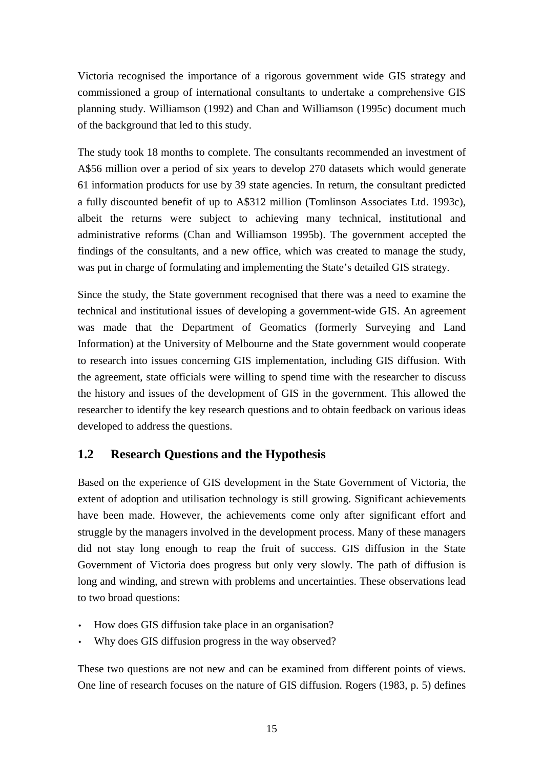<span id="page-14-0"></span>Victoria recognised the importance of a rigorous government wide GIS strategy and commissioned a group of international consultants to undertake a comprehensive GIS planning study. Williamson (1992) and Chan and Williamson (1995c) document much of the background that led to this study.

The study took 18 months to complete. The consultants recommended an investment of A\$56 million over a period of six years to develop 270 datasets which would generate 61 information products for use by 39 state agencies. In return, the consultant predicted a fully discounted benefit of up to A\$312 million (Tomlinson Associates Ltd. 1993c), albeit the returns were subject to achieving many technical, institutional and administrative reforms (Chan and Williamson 1995b). The government accepted the findings of the consultants, and a new office, which was created to manage the study, was put in charge of formulating and implementing the State's detailed GIS strategy.

Since the study, the State government recognised that there was a need to examine the technical and institutional issues of developing a government-wide GIS. An agreement was made that the Department of Geomatics (formerly Surveying and Land Information) at the University of Melbourne and the State government would cooperate to research into issues concerning GIS implementation, including GIS diffusion. With the agreement, state officials were willing to spend time with the researcher to discuss the history and issues of the development of GIS in the government. This allowed the researcher to identify the key research questions and to obtain feedback on various ideas developed to address the questions.

### **1.2 Research Questions and the Hypothesis**

Based on the experience of GIS development in the State Government of Victoria, the extent of adoption and utilisation technology is still growing. Significant achievements have been made. However, the achievements come only after significant effort and struggle by the managers involved in the development process. Many of these managers did not stay long enough to reap the fruit of success. GIS diffusion in the State Government of Victoria does progress but only very slowly. The path of diffusion is long and winding, and strewn with problems and uncertainties. These observations lead to two broad questions:

- How does GIS diffusion take place in an organisation?
- Why does GIS diffusion progress in the way observed?

These two questions are not new and can be examined from different points of views. One line of research focuses on the nature of GIS diffusion. Rogers (1983, p. 5) defines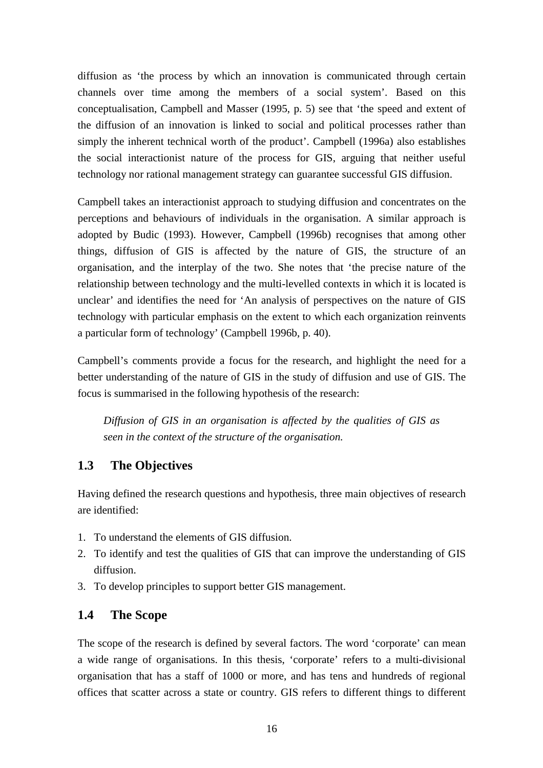<span id="page-15-0"></span>diffusion as 'the process by which an innovation is communicated through certain channels over time among the members of a social system'. Based on this conceptualisation, Campbell and Masser (1995, p. 5) see that 'the speed and extent of the diffusion of an innovation is linked to social and political processes rather than simply the inherent technical worth of the product'. Campbell (1996a) also establishes the social interactionist nature of the process for GIS, arguing that neither useful technology nor rational management strategy can guarantee successful GIS diffusion.

Campbell takes an interactionist approach to studying diffusion and concentrates on the perceptions and behaviours of individuals in the organisation. A similar approach is adopted by Budic (1993). However, Campbell (1996b) recognises that among other things, diffusion of GIS is affected by the nature of GIS, the structure of an organisation, and the interplay of the two. She notes that 'the precise nature of the relationship between technology and the multi-levelled contexts in which it is located is unclear' and identifies the need for 'An analysis of perspectives on the nature of GIS technology with particular emphasis on the extent to which each organization reinvents a particular form of technology' (Campbell 1996b, p. 40).

Campbell's comments provide a focus for the research, and highlight the need for a better understanding of the nature of GIS in the study of diffusion and use of GIS. The focus is summarised in the following hypothesis of the research:

*Diffusion of GIS in an organisation is affected by the qualities of GIS as seen in the context of the structure of the organisation.*

#### **1.3 The Objectives**

Having defined the research questions and hypothesis, three main objectives of research are identified:

- 1. To understand the elements of GIS diffusion.
- 2. To identify and test the qualities of GIS that can improve the understanding of GIS diffusion.
- 3. To develop principles to support better GIS management.

#### **1.4 The Scope**

The scope of the research is defined by several factors. The word 'corporate' can mean a wide range of organisations. In this thesis, 'corporate' refers to a multi-divisional organisation that has a staff of 1000 or more, and has tens and hundreds of regional offices that scatter across a state or country. GIS refers to different things to different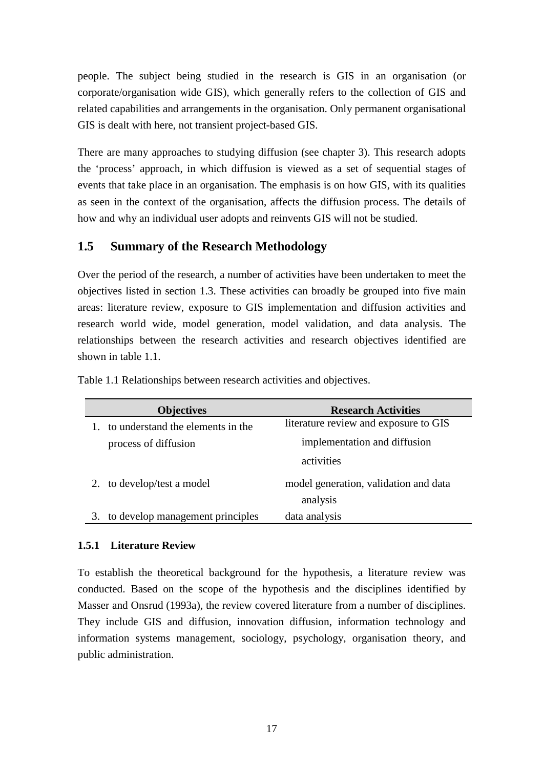<span id="page-16-0"></span>people. The subject being studied in the research is GIS in an organisation (or corporate/organisation wide GIS), which generally refers to the collection of GIS and related capabilities and arrangements in the organisation. Only permanent organisational GIS is dealt with here, not transient project-based GIS.

There are many approaches to studying diffusion (see chapter 3). This research adopts the 'process' approach, in which diffusion is viewed as a set of sequential stages of events that take place in an organisation. The emphasis is on how GIS, with its qualities as seen in the context of the organisation, affects the diffusion process. The details of how and why an individual user adopts and reinvents GIS will not be studied.

#### **1.5 Summary of the Research Methodology**

Over the period of the research, a number of activities have been undertaken to meet the objectives listed in section 1.3. These activities can broadly be grouped into five main areas: literature review, exposure to GIS implementation and diffusion activities and research world wide, model generation, model validation, and data analysis. The relationships between the research activities and research objectives identified are shown in table 1.1.

| <b>Objectives</b>                 | <b>Research Activities</b>                        |
|-----------------------------------|---------------------------------------------------|
| to understand the elements in the | literature review and exposure to GIS             |
| process of diffusion              | implementation and diffusion                      |
|                                   | activities                                        |
| to develop/test a model           | model generation, validation and data<br>analysis |
| to develop management principles  | data analysis                                     |

Table 1.1 Relationships between research activities and objectives.

#### **1.5.1 Literature Review**

To establish the theoretical background for the hypothesis, a literature review was conducted. Based on the scope of the hypothesis and the disciplines identified by Masser and Onsrud (1993a), the review covered literature from a number of disciplines. They include GIS and diffusion, innovation diffusion, information technology and information systems management, sociology, psychology, organisation theory, and public administration.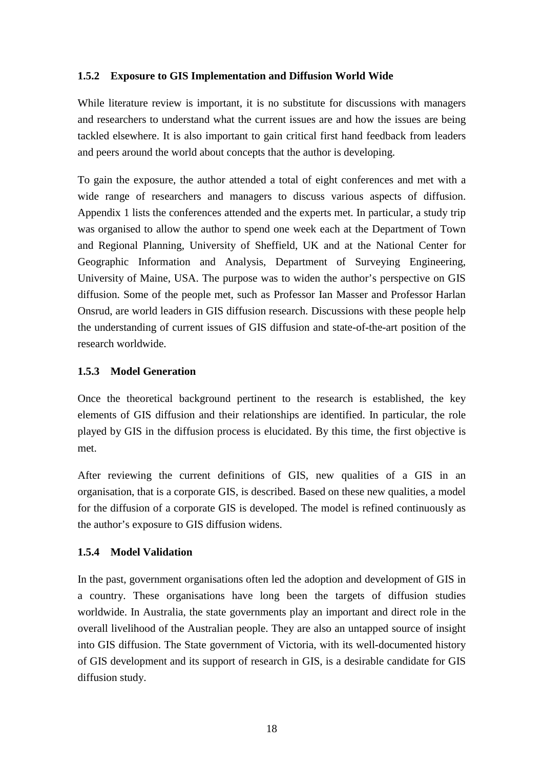#### <span id="page-17-0"></span>**1.5.2 Exposure to GIS Implementation and Diffusion World Wide**

While literature review is important, it is no substitute for discussions with managers and researchers to understand what the current issues are and how the issues are being tackled elsewhere. It is also important to gain critical first hand feedback from leaders and peers around the world about concepts that the author is developing.

To gain the exposure, the author attended a total of eight conferences and met with a wide range of researchers and managers to discuss various aspects of diffusion. Appendix 1 lists the conferences attended and the experts met. In particular, a study trip was organised to allow the author to spend one week each at the Department of Town and Regional Planning, University of Sheffield, UK and at the National Center for Geographic Information and Analysis, Department of Surveying Engineering, University of Maine, USA. The purpose was to widen the author's perspective on GIS diffusion. Some of the people met, such as Professor Ian Masser and Professor Harlan Onsrud, are world leaders in GIS diffusion research. Discussions with these people help the understanding of current issues of GIS diffusion and state-of-the-art position of the research worldwide.

#### **1.5.3 Model Generation**

Once the theoretical background pertinent to the research is established, the key elements of GIS diffusion and their relationships are identified. In particular, the role played by GIS in the diffusion process is elucidated. By this time, the first objective is met.

After reviewing the current definitions of GIS, new qualities of a GIS in an organisation, that is a corporate GIS, is described. Based on these new qualities, a model for the diffusion of a corporate GIS is developed. The model is refined continuously as the author's exposure to GIS diffusion widens.

#### **1.5.4 Model Validation**

In the past, government organisations often led the adoption and development of GIS in a country. These organisations have long been the targets of diffusion studies worldwide. In Australia, the state governments play an important and direct role in the overall livelihood of the Australian people. They are also an untapped source of insight into GIS diffusion. The State government of Victoria, with its well-documented history of GIS development and its support of research in GIS, is a desirable candidate for GIS diffusion study.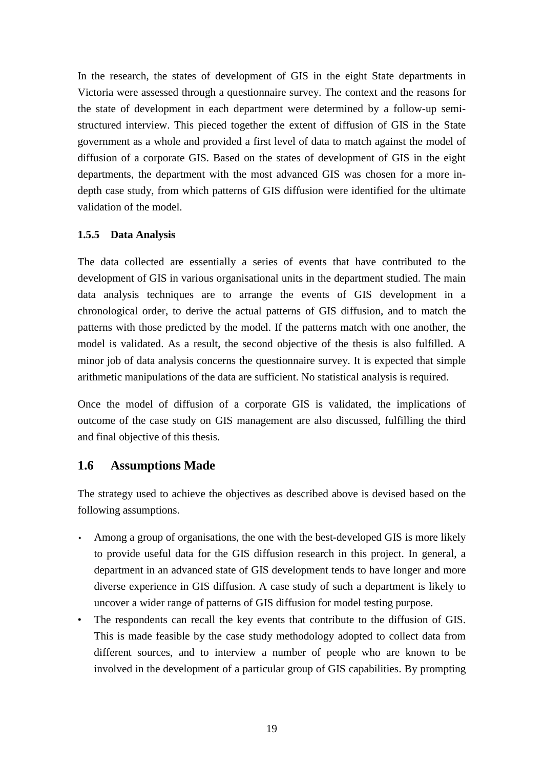<span id="page-18-0"></span>In the research, the states of development of GIS in the eight State departments in Victoria were assessed through a questionnaire survey. The context and the reasons for the state of development in each department were determined by a follow-up semistructured interview. This pieced together the extent of diffusion of GIS in the State government as a whole and provided a first level of data to match against the model of diffusion of a corporate GIS. Based on the states of development of GIS in the eight departments, the department with the most advanced GIS was chosen for a more indepth case study, from which patterns of GIS diffusion were identified for the ultimate validation of the model.

#### **1.5.5 Data Analysis**

The data collected are essentially a series of events that have contributed to the development of GIS in various organisational units in the department studied. The main data analysis techniques are to arrange the events of GIS development in a chronological order, to derive the actual patterns of GIS diffusion, and to match the patterns with those predicted by the model. If the patterns match with one another, the model is validated. As a result, the second objective of the thesis is also fulfilled. A minor job of data analysis concerns the questionnaire survey. It is expected that simple arithmetic manipulations of the data are sufficient. No statistical analysis is required.

Once the model of diffusion of a corporate GIS is validated, the implications of outcome of the case study on GIS management are also discussed, fulfilling the third and final objective of this thesis.

#### **1.6 Assumptions Made**

The strategy used to achieve the objectives as described above is devised based on the following assumptions.

- Among a group of organisations, the one with the best-developed GIS is more likely to provide useful data for the GIS diffusion research in this project. In general, a department in an advanced state of GIS development tends to have longer and more diverse experience in GIS diffusion. A case study of such a department is likely to uncover a wider range of patterns of GIS diffusion for model testing purpose.
- The respondents can recall the key events that contribute to the diffusion of GIS. This is made feasible by the case study methodology adopted to collect data from different sources, and to interview a number of people who are known to be involved in the development of a particular group of GIS capabilities. By prompting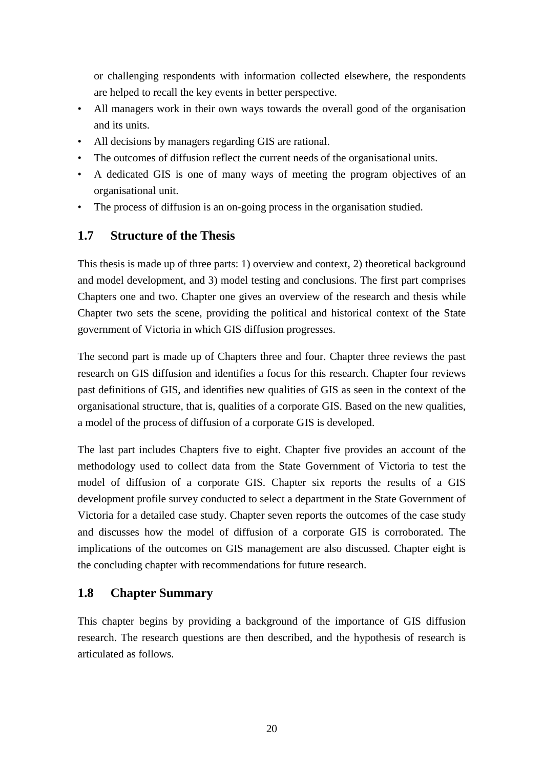<span id="page-19-0"></span>or challenging respondents with information collected elsewhere, the respondents are helped to recall the key events in better perspective.

- All managers work in their own ways towards the overall good of the organisation and its units.
- All decisions by managers regarding GIS are rational.
- The outcomes of diffusion reflect the current needs of the organisational units.
- A dedicated GIS is one of many ways of meeting the program objectives of an organisational unit.
- The process of diffusion is an on-going process in the organisation studied.

### **1.7 Structure of the Thesis**

This thesis is made up of three parts: 1) overview and context, 2) theoretical background and model development, and 3) model testing and conclusions. The first part comprises Chapters one and two. Chapter one gives an overview of the research and thesis while Chapter two sets the scene, providing the political and historical context of the State government of Victoria in which GIS diffusion progresses.

The second part is made up of Chapters three and four. Chapter three reviews the past research on GIS diffusion and identifies a focus for this research. Chapter four reviews past definitions of GIS, and identifies new qualities of GIS as seen in the context of the organisational structure, that is, qualities of a corporate GIS. Based on the new qualities, a model of the process of diffusion of a corporate GIS is developed.

The last part includes Chapters five to eight. Chapter five provides an account of the methodology used to collect data from the State Government of Victoria to test the model of diffusion of a corporate GIS. Chapter six reports the results of a GIS development profile survey conducted to select a department in the State Government of Victoria for a detailed case study. Chapter seven reports the outcomes of the case study and discusses how the model of diffusion of a corporate GIS is corroborated. The implications of the outcomes on GIS management are also discussed. Chapter eight is the concluding chapter with recommendations for future research.

#### **1.8 Chapter Summary**

This chapter begins by providing a background of the importance of GIS diffusion research. The research questions are then described, and the hypothesis of research is articulated as follows.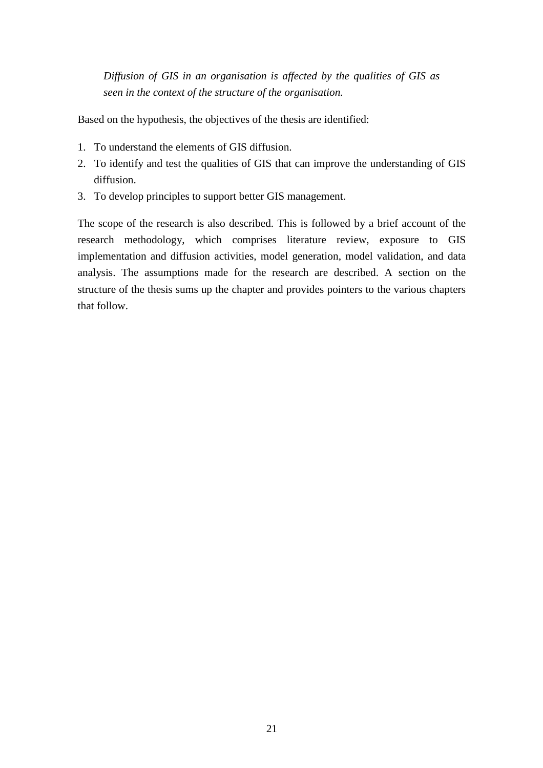*Diffusion of GIS in an organisation is affected by the qualities of GIS as seen in the context of the structure of the organisation.*

Based on the hypothesis, the objectives of the thesis are identified:

- 1. To understand the elements of GIS diffusion.
- 2. To identify and test the qualities of GIS that can improve the understanding of GIS diffusion.
- 3. To develop principles to support better GIS management.

The scope of the research is also described. This is followed by a brief account of the research methodology, which comprises literature review, exposure to GIS implementation and diffusion activities, model generation, model validation, and data analysis. The assumptions made for the research are described. A section on the structure of the thesis sums up the chapter and provides pointers to the various chapters that follow.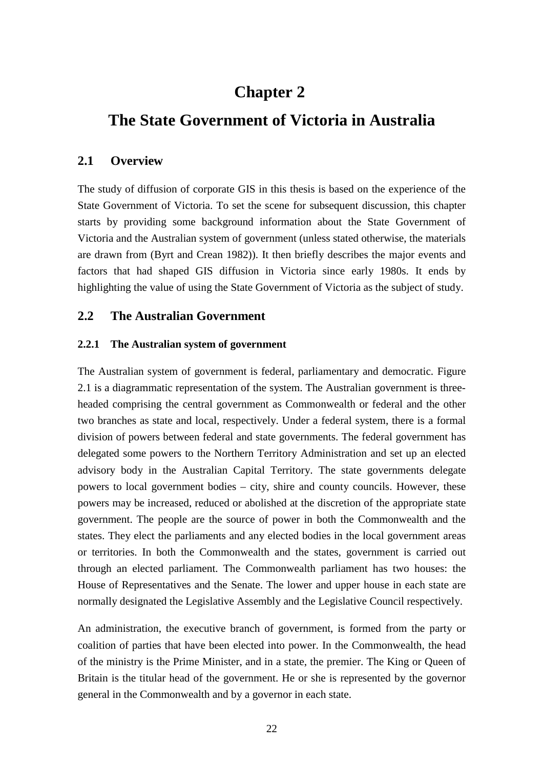### **Chapter 2**

### <span id="page-21-0"></span>**The State Government of Victoria in Australia**

#### **2.1 Overview**

The study of diffusion of corporate GIS in this thesis is based on the experience of the State Government of Victoria. To set the scene for subsequent discussion, this chapter starts by providing some background information about the State Government of Victoria and the Australian system of government (unless stated otherwise, the materials are drawn from (Byrt and Crean 1982)). It then briefly describes the major events and factors that had shaped GIS diffusion in Victoria since early 1980s. It ends by highlighting the value of using the State Government of Victoria as the subject of study.

#### **2.2 The Australian Government**

#### **2.2.1 The Australian system of government**

The Australian system of government is federal, parliamentary and democratic. Figure 2.1 is a diagrammatic representation of the system. The Australian government is threeheaded comprising the central government as Commonwealth or federal and the other two branches as state and local, respectively. Under a federal system, there is a formal division of powers between federal and state governments. The federal government has delegated some powers to the Northern Territory Administration and set up an elected advisory body in the Australian Capital Territory. The state governments delegate powers to local government bodies – city, shire and county councils. However, these powers may be increased, reduced or abolished at the discretion of the appropriate state government. The people are the source of power in both the Commonwealth and the states. They elect the parliaments and any elected bodies in the local government areas or territories. In both the Commonwealth and the states, government is carried out through an elected parliament. The Commonwealth parliament has two houses: the House of Representatives and the Senate. The lower and upper house in each state are normally designated the Legislative Assembly and the Legislative Council respectively.

An administration, the executive branch of government, is formed from the party or coalition of parties that have been elected into power. In the Commonwealth, the head of the ministry is the Prime Minister, and in a state, the premier. The King or Queen of Britain is the titular head of the government. He or she is represented by the governor general in the Commonwealth and by a governor in each state.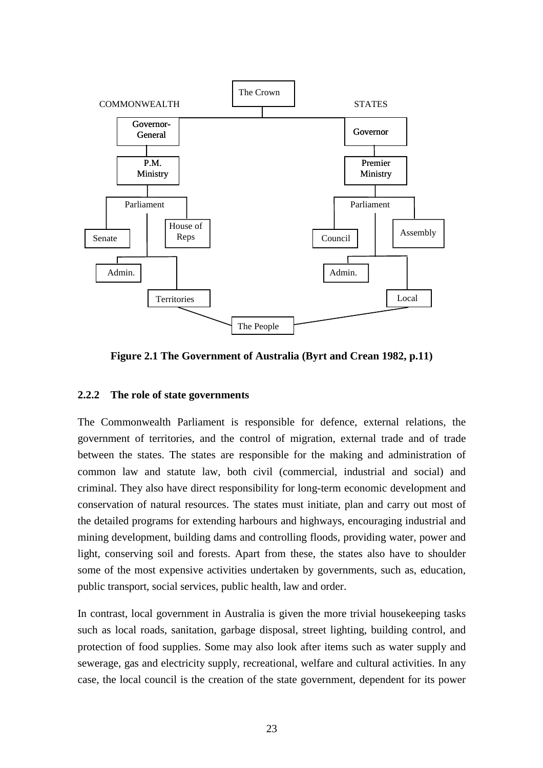<span id="page-22-0"></span>

**Figure 2.1 The Government of Australia (Byrt and Crean 1982, p.11)**

#### **2.2.2 The role of state governments**

The Commonwealth Parliament is responsible for defence, external relations, the government of territories, and the control of migration, external trade and of trade between the states. The states are responsible for the making and administration of common law and statute law, both civil (commercial, industrial and social) and criminal. They also have direct responsibility for long-term economic development and conservation of natural resources. The states must initiate, plan and carry out most of the detailed programs for extending harbours and highways, encouraging industrial and mining development, building dams and controlling floods, providing water, power and light, conserving soil and forests. Apart from these, the states also have to shoulder some of the most expensive activities undertaken by governments, such as, education, public transport, social services, public health, law and order.

In contrast, local government in Australia is given the more trivial housekeeping tasks such as local roads, sanitation, garbage disposal, street lighting, building control, and protection of food supplies. Some may also look after items such as water supply and sewerage, gas and electricity supply, recreational, welfare and cultural activities. In any case, the local council is the creation of the state government, dependent for its power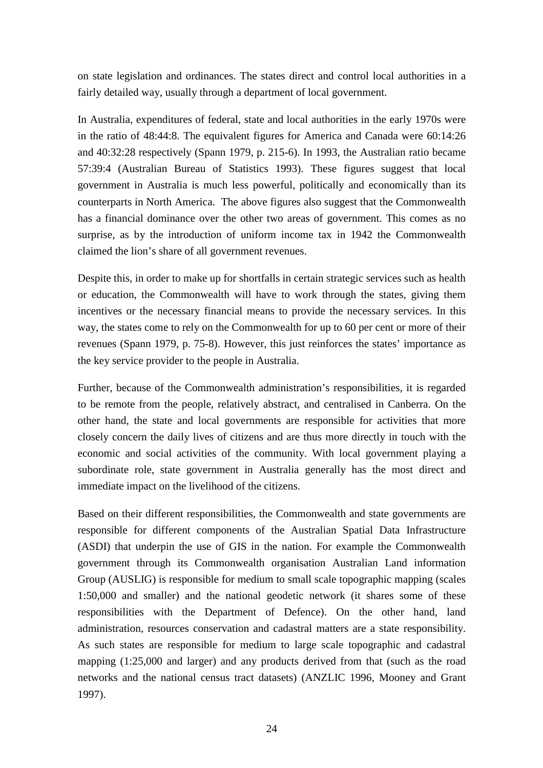on state legislation and ordinances. The states direct and control local authorities in a fairly detailed way, usually through a department of local government.

In Australia, expenditures of federal, state and local authorities in the early 1970s were in the ratio of 48:44:8. The equivalent figures for America and Canada were 60:14:26 and 40:32:28 respectively (Spann 1979, p. 215-6). In 1993, the Australian ratio became 57:39:4 (Australian Bureau of Statistics 1993). These figures suggest that local government in Australia is much less powerful, politically and economically than its counterparts in North America. The above figures also suggest that the Commonwealth has a financial dominance over the other two areas of government. This comes as no surprise, as by the introduction of uniform income tax in 1942 the Commonwealth claimed the lion's share of all government revenues.

Despite this, in order to make up for shortfalls in certain strategic services such as health or education, the Commonwealth will have to work through the states, giving them incentives or the necessary financial means to provide the necessary services. In this way, the states come to rely on the Commonwealth for up to 60 per cent or more of their revenues (Spann 1979, p. 75-8). However, this just reinforces the states' importance as the key service provider to the people in Australia.

Further, because of the Commonwealth administration's responsibilities, it is regarded to be remote from the people, relatively abstract, and centralised in Canberra. On the other hand, the state and local governments are responsible for activities that more closely concern the daily lives of citizens and are thus more directly in touch with the economic and social activities of the community. With local government playing a subordinate role, state government in Australia generally has the most direct and immediate impact on the livelihood of the citizens.

Based on their different responsibilities, the Commonwealth and state governments are responsible for different components of the Australian Spatial Data Infrastructure (ASDI) that underpin the use of GIS in the nation. For example the Commonwealth government through its Commonwealth organisation Australian Land information Group (AUSLIG) is responsible for medium to small scale topographic mapping (scales 1:50,000 and smaller) and the national geodetic network (it shares some of these responsibilities with the Department of Defence). On the other hand, land administration, resources conservation and cadastral matters are a state responsibility. As such states are responsible for medium to large scale topographic and cadastral mapping (1:25,000 and larger) and any products derived from that (such as the road networks and the national census tract datasets) (ANZLIC 1996, Mooney and Grant 1997).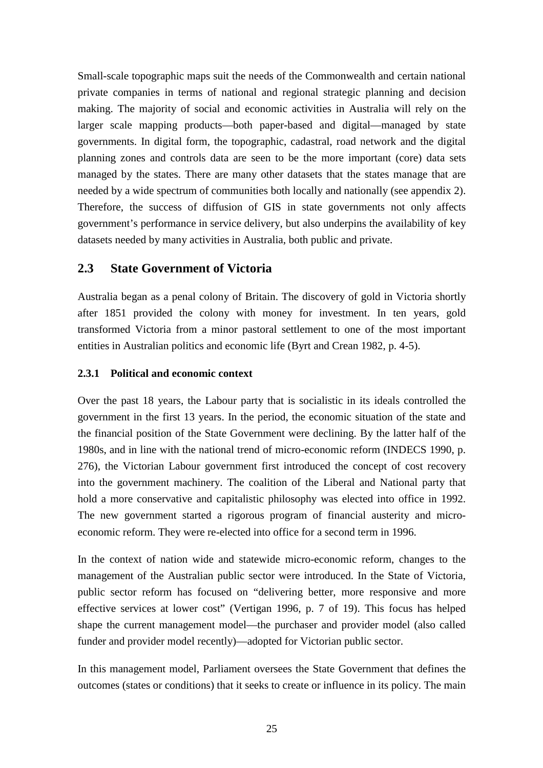<span id="page-24-0"></span>Small-scale topographic maps suit the needs of the Commonwealth and certain national private companies in terms of national and regional strategic planning and decision making. The majority of social and economic activities in Australia will rely on the larger scale mapping products—both paper-based and digital—managed by state governments. In digital form, the topographic, cadastral, road network and the digital planning zones and controls data are seen to be the more important (core) data sets managed by the states. There are many other datasets that the states manage that are needed by a wide spectrum of communities both locally and nationally (see appendix 2). Therefore, the success of diffusion of GIS in state governments not only affects government's performance in service delivery, but also underpins the availability of key datasets needed by many activities in Australia, both public and private.

#### **2.3 State Government of Victoria**

Australia began as a penal colony of Britain. The discovery of gold in Victoria shortly after 1851 provided the colony with money for investment. In ten years, gold transformed Victoria from a minor pastoral settlement to one of the most important entities in Australian politics and economic life (Byrt and Crean 1982, p. 4-5).

#### **2.3.1 Political and economic context**

Over the past 18 years, the Labour party that is socialistic in its ideals controlled the government in the first 13 years. In the period, the economic situation of the state and the financial position of the State Government were declining. By the latter half of the 1980s, and in line with the national trend of micro-economic reform (INDECS 1990, p. 276), the Victorian Labour government first introduced the concept of cost recovery into the government machinery. The coalition of the Liberal and National party that hold a more conservative and capitalistic philosophy was elected into office in 1992. The new government started a rigorous program of financial austerity and microeconomic reform. They were re-elected into office for a second term in 1996.

In the context of nation wide and statewide micro-economic reform, changes to the management of the Australian public sector were introduced. In the State of Victoria, public sector reform has focused on "delivering better, more responsive and more effective services at lower cost" (Vertigan 1996, p. 7 of 19). This focus has helped shape the current management model—the purchaser and provider model (also called funder and provider model recently)—adopted for Victorian public sector.

In this management model, Parliament oversees the State Government that defines the outcomes (states or conditions) that it seeks to create or influence in its policy. The main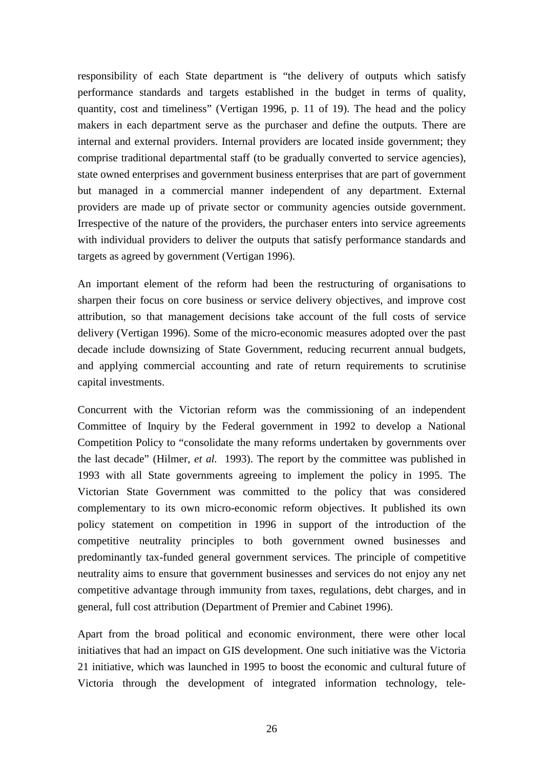responsibility of each State department is "the delivery of outputs which satisfy performance standards and targets established in the budget in terms of quality, quantity, cost and timeliness" (Vertigan 1996, p. 11 of 19). The head and the policy makers in each department serve as the purchaser and define the outputs. There are internal and external providers. Internal providers are located inside government; they comprise traditional departmental staff (to be gradually converted to service agencies), state owned enterprises and government business enterprises that are part of government but managed in a commercial manner independent of any department. External providers are made up of private sector or community agencies outside government. Irrespective of the nature of the providers, the purchaser enters into service agreements with individual providers to deliver the outputs that satisfy performance standards and targets as agreed by government (Vertigan 1996).

An important element of the reform had been the restructuring of organisations to sharpen their focus on core business or service delivery objectives, and improve cost attribution, so that management decisions take account of the full costs of service delivery (Vertigan 1996). Some of the micro-economic measures adopted over the past decade include downsizing of State Government, reducing recurrent annual budgets, and applying commercial accounting and rate of return requirements to scrutinise capital investments.

Concurrent with the Victorian reform was the commissioning of an independent Committee of Inquiry by the Federal government in 1992 to develop a National Competition Policy to "consolidate the many reforms undertaken by governments over the last decade" (Hilmer*, et al.* 1993). The report by the committee was published in 1993 with all State governments agreeing to implement the policy in 1995. The Victorian State Government was committed to the policy that was considered complementary to its own micro-economic reform objectives. It published its own policy statement on competition in 1996 in support of the introduction of the competitive neutrality principles to both government owned businesses and predominantly tax-funded general government services. The principle of competitive neutrality aims to ensure that government businesses and services do not enjoy any net competitive advantage through immunity from taxes, regulations, debt charges, and in general, full cost attribution (Department of Premier and Cabinet 1996).

Apart from the broad political and economic environment, there were other local initiatives that had an impact on GIS development. One such initiative was the Victoria 21 initiative, which was launched in 1995 to boost the economic and cultural future of Victoria through the development of integrated information technology, tele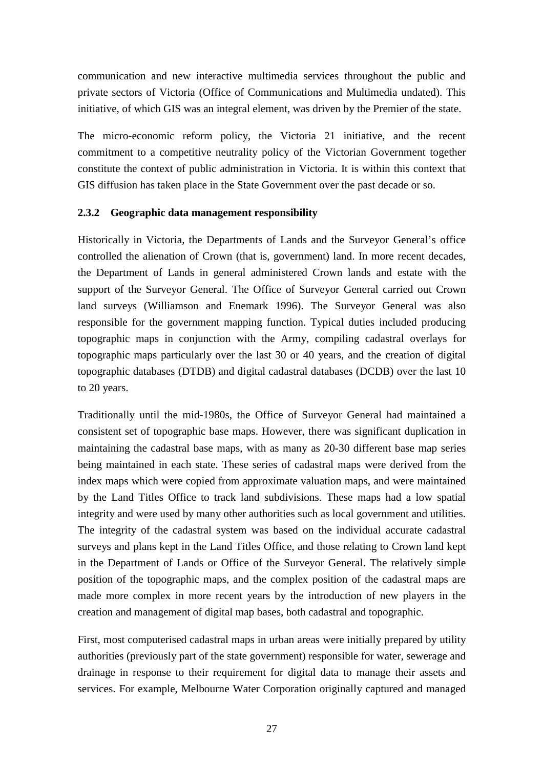<span id="page-26-0"></span>communication and new interactive multimedia services throughout the public and private sectors of Victoria (Office of Communications and Multimedia undated). This initiative, of which GIS was an integral element, was driven by the Premier of the state.

The micro-economic reform policy, the Victoria 21 initiative, and the recent commitment to a competitive neutrality policy of the Victorian Government together constitute the context of public administration in Victoria. It is within this context that GIS diffusion has taken place in the State Government over the past decade or so.

#### **2.3.2 Geographic data management responsibility**

Historically in Victoria, the Departments of Lands and the Surveyor General's office controlled the alienation of Crown (that is, government) land. In more recent decades, the Department of Lands in general administered Crown lands and estate with the support of the Surveyor General. The Office of Surveyor General carried out Crown land surveys (Williamson and Enemark 1996). The Surveyor General was also responsible for the government mapping function. Typical duties included producing topographic maps in conjunction with the Army, compiling cadastral overlays for topographic maps particularly over the last 30 or 40 years, and the creation of digital topographic databases (DTDB) and digital cadastral databases (DCDB) over the last 10 to 20 years.

Traditionally until the mid-1980s, the Office of Surveyor General had maintained a consistent set of topographic base maps. However, there was significant duplication in maintaining the cadastral base maps, with as many as 20-30 different base map series being maintained in each state. These series of cadastral maps were derived from the index maps which were copied from approximate valuation maps, and were maintained by the Land Titles Office to track land subdivisions. These maps had a low spatial integrity and were used by many other authorities such as local government and utilities. The integrity of the cadastral system was based on the individual accurate cadastral surveys and plans kept in the Land Titles Office, and those relating to Crown land kept in the Department of Lands or Office of the Surveyor General. The relatively simple position of the topographic maps, and the complex position of the cadastral maps are made more complex in more recent years by the introduction of new players in the creation and management of digital map bases, both cadastral and topographic.

First, most computerised cadastral maps in urban areas were initially prepared by utility authorities (previously part of the state government) responsible for water, sewerage and drainage in response to their requirement for digital data to manage their assets and services. For example, Melbourne Water Corporation originally captured and managed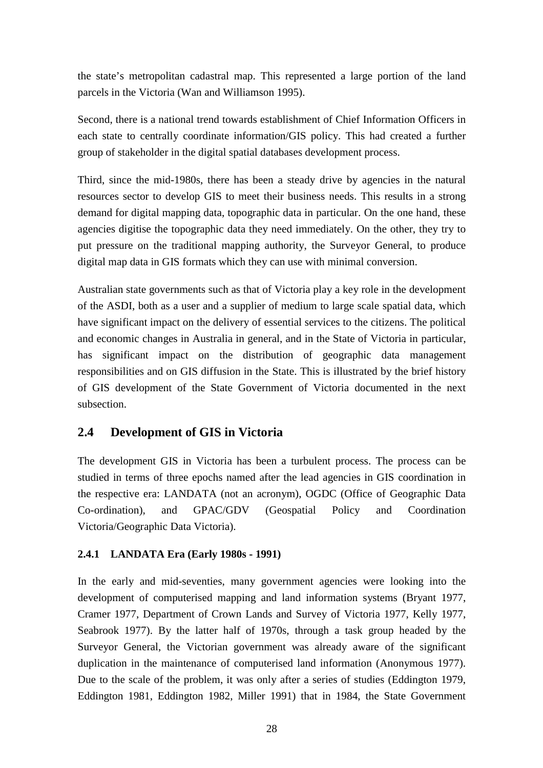<span id="page-27-0"></span>the state's metropolitan cadastral map. This represented a large portion of the land parcels in the Victoria (Wan and Williamson 1995).

Second, there is a national trend towards establishment of Chief Information Officers in each state to centrally coordinate information/GIS policy. This had created a further group of stakeholder in the digital spatial databases development process.

Third, since the mid-1980s, there has been a steady drive by agencies in the natural resources sector to develop GIS to meet their business needs. This results in a strong demand for digital mapping data, topographic data in particular. On the one hand, these agencies digitise the topographic data they need immediately. On the other, they try to put pressure on the traditional mapping authority, the Surveyor General, to produce digital map data in GIS formats which they can use with minimal conversion.

Australian state governments such as that of Victoria play a key role in the development of the ASDI, both as a user and a supplier of medium to large scale spatial data, which have significant impact on the delivery of essential services to the citizens. The political and economic changes in Australia in general, and in the State of Victoria in particular, has significant impact on the distribution of geographic data management responsibilities and on GIS diffusion in the State. This is illustrated by the brief history of GIS development of the State Government of Victoria documented in the next subsection.

#### **2.4 Development of GIS in Victoria**

The development GIS in Victoria has been a turbulent process. The process can be studied in terms of three epochs named after the lead agencies in GIS coordination in the respective era: LANDATA (not an acronym), OGDC (Office of Geographic Data Co-ordination), and GPAC/GDV (Geospatial Policy and Coordination Victoria/Geographic Data Victoria).

#### **2.4.1 LANDATA Era (Early 1980s - 1991)**

In the early and mid-seventies, many government agencies were looking into the development of computerised mapping and land information systems (Bryant 1977, Cramer 1977, Department of Crown Lands and Survey of Victoria 1977, Kelly 1977, Seabrook 1977). By the latter half of 1970s, through a task group headed by the Surveyor General, the Victorian government was already aware of the significant duplication in the maintenance of computerised land information (Anonymous 1977). Due to the scale of the problem, it was only after a series of studies (Eddington 1979, Eddington 1981, Eddington 1982, Miller 1991) that in 1984, the State Government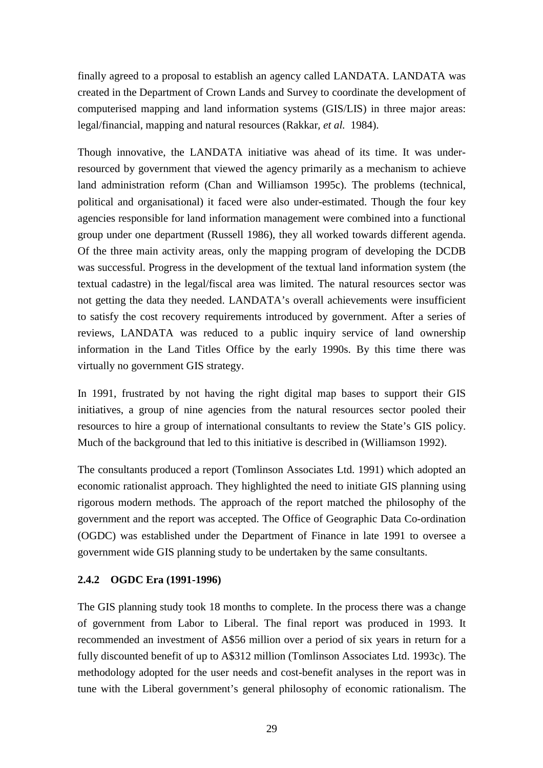<span id="page-28-0"></span>finally agreed to a proposal to establish an agency called LANDATA. LANDATA was created in the Department of Crown Lands and Survey to coordinate the development of computerised mapping and land information systems (GIS/LIS) in three major areas: legal/financial, mapping and natural resources (Rakkar*, et al.* 1984).

Though innovative, the LANDATA initiative was ahead of its time. It was underresourced by government that viewed the agency primarily as a mechanism to achieve land administration reform (Chan and Williamson 1995c). The problems (technical, political and organisational) it faced were also under-estimated. Though the four key agencies responsible for land information management were combined into a functional group under one department (Russell 1986), they all worked towards different agenda. Of the three main activity areas, only the mapping program of developing the DCDB was successful. Progress in the development of the textual land information system (the textual cadastre) in the legal/fiscal area was limited. The natural resources sector was not getting the data they needed. LANDATA's overall achievements were insufficient to satisfy the cost recovery requirements introduced by government. After a series of reviews, LANDATA was reduced to a public inquiry service of land ownership information in the Land Titles Office by the early 1990s. By this time there was virtually no government GIS strategy.

In 1991, frustrated by not having the right digital map bases to support their GIS initiatives, a group of nine agencies from the natural resources sector pooled their resources to hire a group of international consultants to review the State's GIS policy. Much of the background that led to this initiative is described in (Williamson 1992).

The consultants produced a report (Tomlinson Associates Ltd. 1991) which adopted an economic rationalist approach. They highlighted the need to initiate GIS planning using rigorous modern methods. The approach of the report matched the philosophy of the government and the report was accepted. The Office of Geographic Data Co-ordination (OGDC) was established under the Department of Finance in late 1991 to oversee a government wide GIS planning study to be undertaken by the same consultants.

#### **2.4.2 OGDC Era (1991-1996)**

The GIS planning study took 18 months to complete. In the process there was a change of government from Labor to Liberal. The final report was produced in 1993. It recommended an investment of A\$56 million over a period of six years in return for a fully discounted benefit of up to A\$312 million (Tomlinson Associates Ltd. 1993c). The methodology adopted for the user needs and cost-benefit analyses in the report was in tune with the Liberal government's general philosophy of economic rationalism. The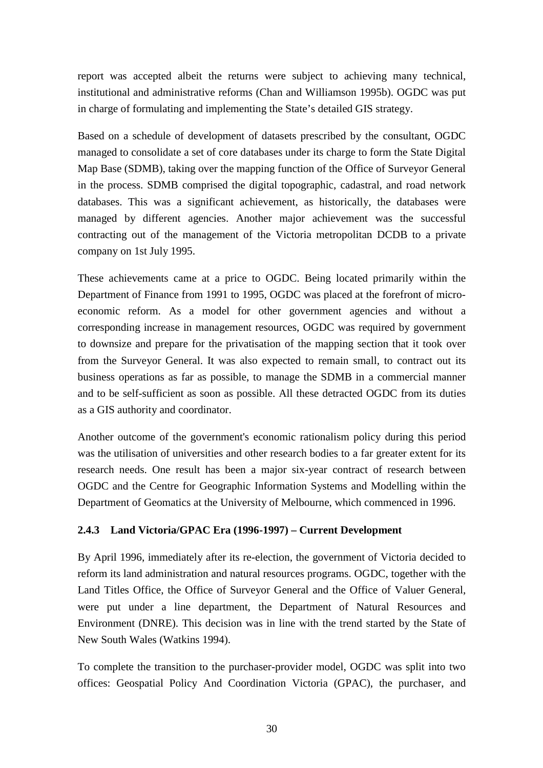<span id="page-29-0"></span>report was accepted albeit the returns were subject to achieving many technical, institutional and administrative reforms (Chan and Williamson 1995b). OGDC was put in charge of formulating and implementing the State's detailed GIS strategy.

Based on a schedule of development of datasets prescribed by the consultant, OGDC managed to consolidate a set of core databases under its charge to form the State Digital Map Base (SDMB), taking over the mapping function of the Office of Surveyor General in the process. SDMB comprised the digital topographic, cadastral, and road network databases. This was a significant achievement, as historically, the databases were managed by different agencies. Another major achievement was the successful contracting out of the management of the Victoria metropolitan DCDB to a private company on 1st July 1995.

These achievements came at a price to OGDC. Being located primarily within the Department of Finance from 1991 to 1995, OGDC was placed at the forefront of microeconomic reform. As a model for other government agencies and without a corresponding increase in management resources, OGDC was required by government to downsize and prepare for the privatisation of the mapping section that it took over from the Surveyor General. It was also expected to remain small, to contract out its business operations as far as possible, to manage the SDMB in a commercial manner and to be self-sufficient as soon as possible. All these detracted OGDC from its duties as a GIS authority and coordinator.

Another outcome of the government's economic rationalism policy during this period was the utilisation of universities and other research bodies to a far greater extent for its research needs. One result has been a major six-year contract of research between OGDC and the Centre for Geographic Information Systems and Modelling within the Department of Geomatics at the University of Melbourne, which commenced in 1996.

#### **2.4.3 Land Victoria/GPAC Era (1996-1997) – Current Development**

By April 1996, immediately after its re-election, the government of Victoria decided to reform its land administration and natural resources programs. OGDC, together with the Land Titles Office, the Office of Surveyor General and the Office of Valuer General, were put under a line department, the Department of Natural Resources and Environment (DNRE). This decision was in line with the trend started by the State of New South Wales (Watkins 1994).

To complete the transition to the purchaser-provider model, OGDC was split into two offices: Geospatial Policy And Coordination Victoria (GPAC), the purchaser, and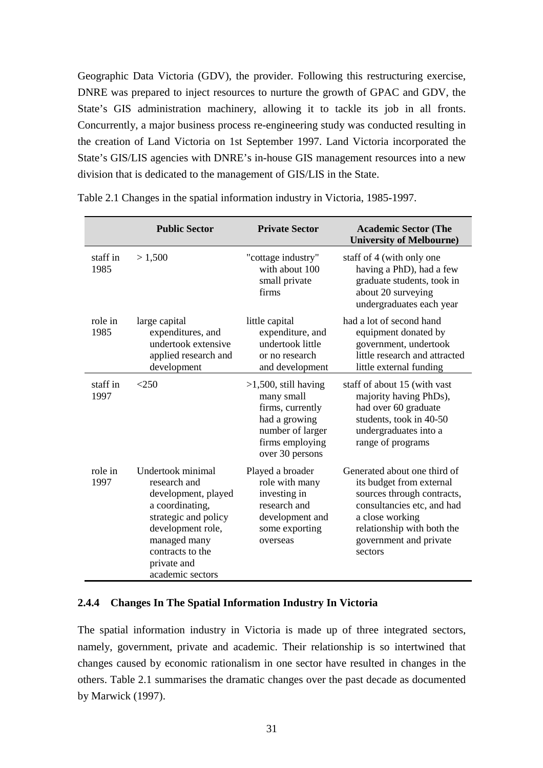<span id="page-30-0"></span>Geographic Data Victoria (GDV), the provider. Following this restructuring exercise, DNRE was prepared to inject resources to nurture the growth of GPAC and GDV, the State's GIS administration machinery, allowing it to tackle its job in all fronts. Concurrently, a major business process re-engineering study was conducted resulting in the creation of Land Victoria on 1st September 1997. Land Victoria incorporated the State's GIS/LIS agencies with DNRE's in-house GIS management resources into a new division that is dedicated to the management of GIS/LIS in the State.

|                  | <b>Public Sector</b>                                                                                                                                                                            | <b>Private Sector</b>                                                                                                                | <b>Academic Sector (The</b><br><b>University of Melbourne)</b>                                                                                                                                             |
|------------------|-------------------------------------------------------------------------------------------------------------------------------------------------------------------------------------------------|--------------------------------------------------------------------------------------------------------------------------------------|------------------------------------------------------------------------------------------------------------------------------------------------------------------------------------------------------------|
| staff in<br>1985 | >1,500                                                                                                                                                                                          | "cottage industry"<br>with about 100<br>small private<br>firms                                                                       | staff of 4 (with only one<br>having a PhD), had a few<br>graduate students, took in<br>about 20 surveying<br>undergraduates each year                                                                      |
| role in<br>1985  | large capital<br>expenditures, and<br>undertook extensive<br>applied research and<br>development                                                                                                | little capital<br>expenditure, and<br>undertook little<br>or no research<br>and development                                          | had a lot of second hand<br>equipment donated by<br>government, undertook<br>little research and attracted<br>little external funding                                                                      |
| staff in<br>1997 | $<$ 250                                                                                                                                                                                         | $>1,500$ , still having<br>many small<br>firms, currently<br>had a growing<br>number of larger<br>firms employing<br>over 30 persons | staff of about 15 (with vast<br>majority having PhDs),<br>had over 60 graduate<br>students, took in 40-50<br>undergraduates into a<br>range of programs                                                    |
| role in<br>1997  | Undertook minimal<br>research and<br>development, played<br>a coordinating,<br>strategic and policy<br>development role,<br>managed many<br>contracts to the<br>private and<br>academic sectors | Played a broader<br>role with many<br>investing in<br>research and<br>development and<br>some exporting<br>overseas                  | Generated about one third of<br>its budget from external<br>sources through contracts,<br>consultancies etc, and had<br>a close working<br>relationship with both the<br>government and private<br>sectors |

Table 2.1 Changes in the spatial information industry in Victoria, 1985-1997.

#### **2.4.4 Changes In The Spatial Information Industry In Victoria**

The spatial information industry in Victoria is made up of three integrated sectors, namely, government, private and academic. Their relationship is so intertwined that changes caused by economic rationalism in one sector have resulted in changes in the others. Table 2.1 summarises the dramatic changes over the past decade as documented by Marwick (1997).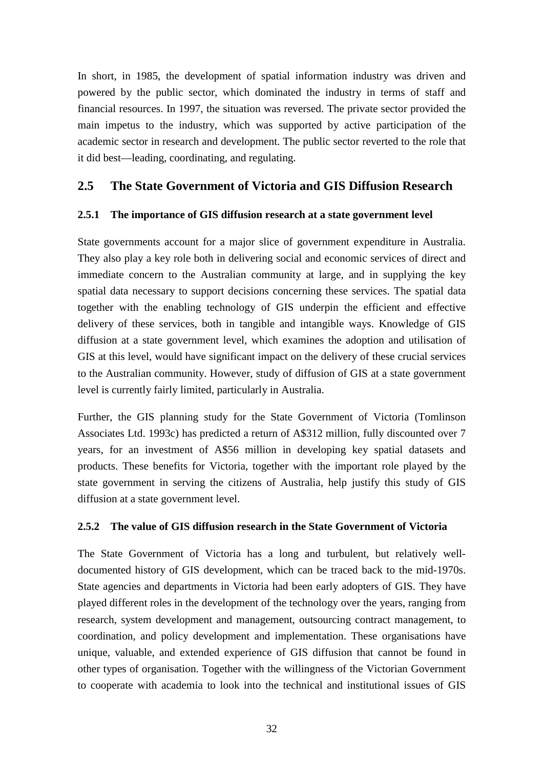<span id="page-31-0"></span>In short, in 1985, the development of spatial information industry was driven and powered by the public sector, which dominated the industry in terms of staff and financial resources. In 1997, the situation was reversed. The private sector provided the main impetus to the industry, which was supported by active participation of the academic sector in research and development. The public sector reverted to the role that it did best—leading, coordinating, and regulating.

#### **2.5 The State Government of Victoria and GIS Diffusion Research**

#### **2.5.1 The importance of GIS diffusion research at a state government level**

State governments account for a major slice of government expenditure in Australia. They also play a key role both in delivering social and economic services of direct and immediate concern to the Australian community at large, and in supplying the key spatial data necessary to support decisions concerning these services. The spatial data together with the enabling technology of GIS underpin the efficient and effective delivery of these services, both in tangible and intangible ways. Knowledge of GIS diffusion at a state government level, which examines the adoption and utilisation of GIS at this level, would have significant impact on the delivery of these crucial services to the Australian community. However, study of diffusion of GIS at a state government level is currently fairly limited, particularly in Australia.

Further, the GIS planning study for the State Government of Victoria (Tomlinson Associates Ltd. 1993c) has predicted a return of A\$312 million, fully discounted over 7 years, for an investment of A\$56 million in developing key spatial datasets and products. These benefits for Victoria, together with the important role played by the state government in serving the citizens of Australia, help justify this study of GIS diffusion at a state government level.

#### **2.5.2 The value of GIS diffusion research in the State Government of Victoria**

The State Government of Victoria has a long and turbulent, but relatively welldocumented history of GIS development, which can be traced back to the mid-1970s. State agencies and departments in Victoria had been early adopters of GIS. They have played different roles in the development of the technology over the years, ranging from research, system development and management, outsourcing contract management, to coordination, and policy development and implementation. These organisations have unique, valuable, and extended experience of GIS diffusion that cannot be found in other types of organisation. Together with the willingness of the Victorian Government to cooperate with academia to look into the technical and institutional issues of GIS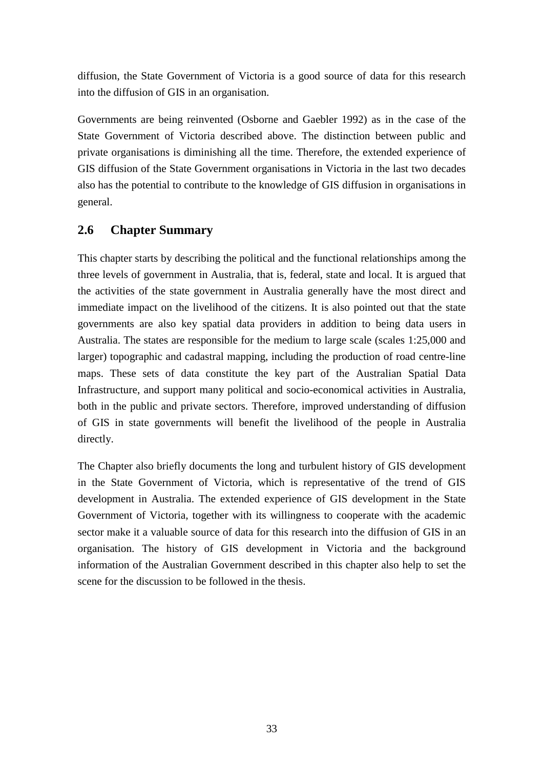<span id="page-32-0"></span>diffusion, the State Government of Victoria is a good source of data for this research into the diffusion of GIS in an organisation.

Governments are being reinvented (Osborne and Gaebler 1992) as in the case of the State Government of Victoria described above. The distinction between public and private organisations is diminishing all the time. Therefore, the extended experience of GIS diffusion of the State Government organisations in Victoria in the last two decades also has the potential to contribute to the knowledge of GIS diffusion in organisations in general.

### **2.6 Chapter Summary**

This chapter starts by describing the political and the functional relationships among the three levels of government in Australia, that is, federal, state and local. It is argued that the activities of the state government in Australia generally have the most direct and immediate impact on the livelihood of the citizens. It is also pointed out that the state governments are also key spatial data providers in addition to being data users in Australia. The states are responsible for the medium to large scale (scales 1:25,000 and larger) topographic and cadastral mapping, including the production of road centre-line maps. These sets of data constitute the key part of the Australian Spatial Data Infrastructure, and support many political and socio-economical activities in Australia, both in the public and private sectors. Therefore, improved understanding of diffusion of GIS in state governments will benefit the livelihood of the people in Australia directly.

The Chapter also briefly documents the long and turbulent history of GIS development in the State Government of Victoria, which is representative of the trend of GIS development in Australia. The extended experience of GIS development in the State Government of Victoria, together with its willingness to cooperate with the academic sector make it a valuable source of data for this research into the diffusion of GIS in an organisation. The history of GIS development in Victoria and the background information of the Australian Government described in this chapter also help to set the scene for the discussion to be followed in the thesis.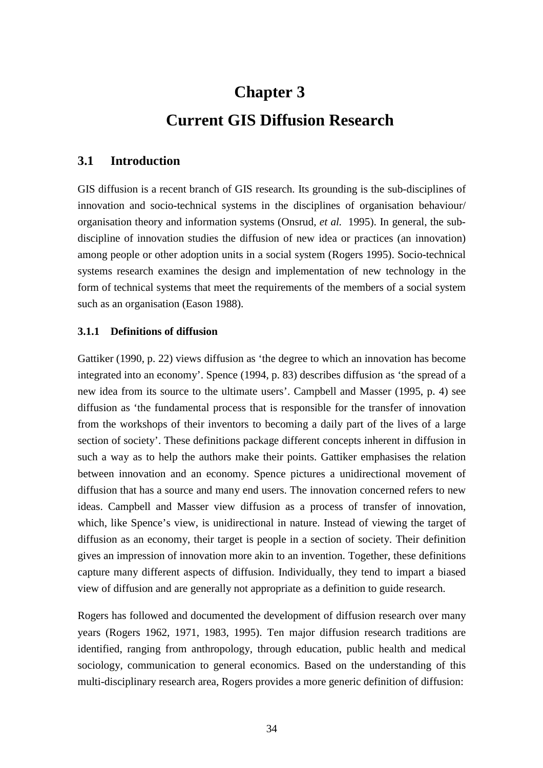# **Chapter 3 Current GIS Diffusion Research**

#### <span id="page-33-0"></span>**3.1 Introduction**

GIS diffusion is a recent branch of GIS research. Its grounding is the sub-disciplines of innovation and socio-technical systems in the disciplines of organisation behaviour/ organisation theory and information systems (Onsrud*, et al.* 1995). In general, the subdiscipline of innovation studies the diffusion of new idea or practices (an innovation) among people or other adoption units in a social system (Rogers 1995). Socio-technical systems research examines the design and implementation of new technology in the form of technical systems that meet the requirements of the members of a social system such as an organisation (Eason 1988).

#### **3.1.1 Definitions of diffusion**

Gattiker (1990, p. 22) views diffusion as 'the degree to which an innovation has become integrated into an economy'. Spence (1994, p. 83) describes diffusion as 'the spread of a new idea from its source to the ultimate users'. Campbell and Masser (1995, p. 4) see diffusion as 'the fundamental process that is responsible for the transfer of innovation from the workshops of their inventors to becoming a daily part of the lives of a large section of society'. These definitions package different concepts inherent in diffusion in such a way as to help the authors make their points. Gattiker emphasises the relation between innovation and an economy. Spence pictures a unidirectional movement of diffusion that has a source and many end users. The innovation concerned refers to new ideas. Campbell and Masser view diffusion as a process of transfer of innovation, which, like Spence's view, is unidirectional in nature. Instead of viewing the target of diffusion as an economy, their target is people in a section of society. Their definition gives an impression of innovation more akin to an invention. Together, these definitions capture many different aspects of diffusion. Individually, they tend to impart a biased view of diffusion and are generally not appropriate as a definition to guide research.

Rogers has followed and documented the development of diffusion research over many years (Rogers 1962, 1971, 1983, 1995). Ten major diffusion research traditions are identified, ranging from anthropology, through education, public health and medical sociology, communication to general economics. Based on the understanding of this multi-disciplinary research area, Rogers provides a more generic definition of diffusion: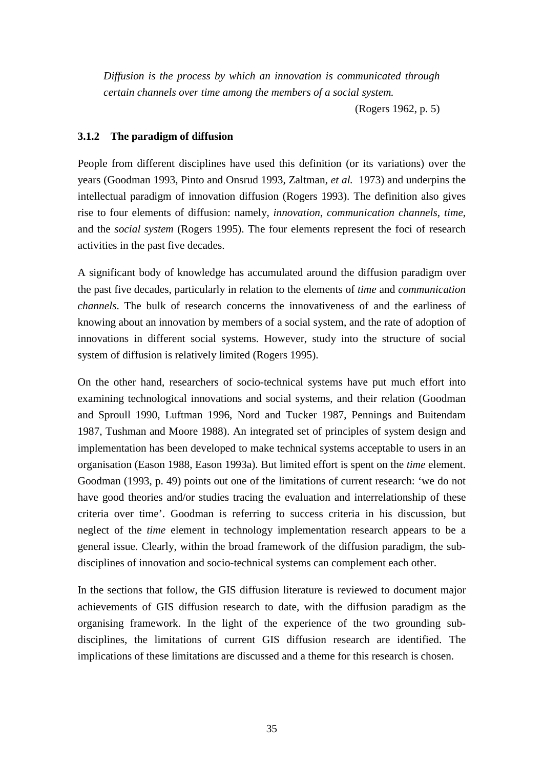<span id="page-34-0"></span>*Diffusion is the process by which an innovation is communicated through certain channels over time among the members of a social system.*

(Rogers 1962, p. 5)

#### **3.1.2 The paradigm of diffusion**

People from different disciplines have used this definition (or its variations) over the years (Goodman 1993, Pinto and Onsrud 1993, Zaltman*, et al.* 1973) and underpins the intellectual paradigm of innovation diffusion (Rogers 1993). The definition also gives rise to four elements of diffusion: namely, *innovation*, *communication channels*, *time*, and the *social system* (Rogers 1995). The four elements represent the foci of research activities in the past five decades.

A significant body of knowledge has accumulated around the diffusion paradigm over the past five decades, particularly in relation to the elements of *time* and *communication channels*. The bulk of research concerns the innovativeness of and the earliness of knowing about an innovation by members of a social system, and the rate of adoption of innovations in different social systems. However, study into the structure of social system of diffusion is relatively limited (Rogers 1995).

On the other hand, researchers of socio-technical systems have put much effort into examining technological innovations and social systems, and their relation (Goodman and Sproull 1990, Luftman 1996, Nord and Tucker 1987, Pennings and Buitendam 1987, Tushman and Moore 1988). An integrated set of principles of system design and implementation has been developed to make technical systems acceptable to users in an organisation (Eason 1988, Eason 1993a). But limited effort is spent on the *time* element. Goodman (1993, p. 49) points out one of the limitations of current research: 'we do not have good theories and/or studies tracing the evaluation and interrelationship of these criteria over time'. Goodman is referring to success criteria in his discussion, but neglect of the *time* element in technology implementation research appears to be a general issue. Clearly, within the broad framework of the diffusion paradigm, the subdisciplines of innovation and socio-technical systems can complement each other.

In the sections that follow, the GIS diffusion literature is reviewed to document major achievements of GIS diffusion research to date, with the diffusion paradigm as the organising framework. In the light of the experience of the two grounding subdisciplines, the limitations of current GIS diffusion research are identified. The implications of these limitations are discussed and a theme for this research is chosen.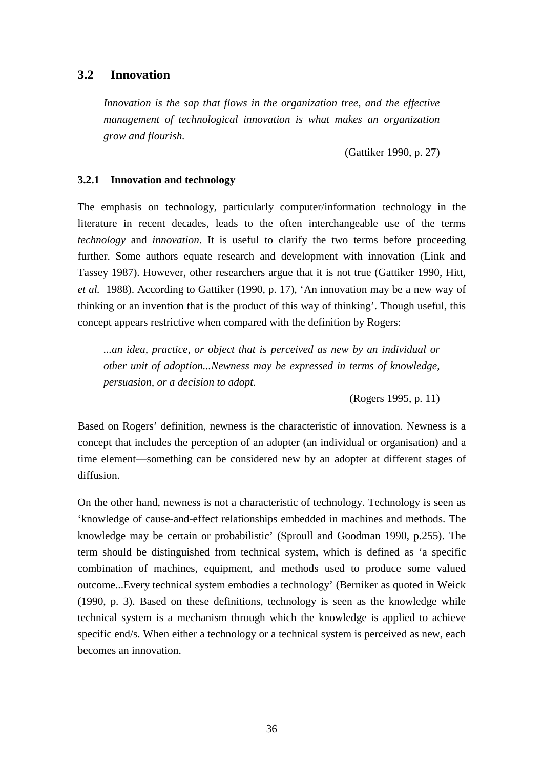#### <span id="page-35-0"></span>**3.2 Innovation**

*Innovation is the sap that flows in the organization tree, and the effective management of technological innovation is what makes an organization grow and flourish.*

(Gattiker 1990, p. 27)

#### **3.2.1 Innovation and technology**

The emphasis on technology, particularly computer/information technology in the literature in recent decades, leads to the often interchangeable use of the terms *technology* and *innovation*. It is useful to clarify the two terms before proceeding further. Some authors equate research and development with innovation (Link and Tassey 1987). However, other researchers argue that it is not true (Gattiker 1990, Hitt*, et al.* 1988). According to Gattiker (1990, p. 17), 'An innovation may be a new way of thinking or an invention that is the product of this way of thinking'. Though useful, this concept appears restrictive when compared with the definition by Rogers:

*...an idea, practice, or object that is perceived as new by an individual or other unit of adoption...Newness may be expressed in terms of knowledge, persuasion, or a decision to adopt.*

(Rogers 1995, p. 11)

Based on Rogers' definition, newness is the characteristic of innovation. Newness is a concept that includes the perception of an adopter (an individual or organisation) and a time element—something can be considered new by an adopter at different stages of diffusion.

On the other hand, newness is not a characteristic of technology. Technology is seen as 'knowledge of cause-and-effect relationships embedded in machines and methods. The knowledge may be certain or probabilistic' (Sproull and Goodman 1990, p.255). The term should be distinguished from technical system, which is defined as 'a specific combination of machines, equipment, and methods used to produce some valued outcome...Every technical system embodies a technology' (Berniker as quoted in Weick (1990, p. 3). Based on these definitions, technology is seen as the knowledge while technical system is a mechanism through which the knowledge is applied to achieve specific end/s. When either a technology or a technical system is perceived as new, each becomes an innovation.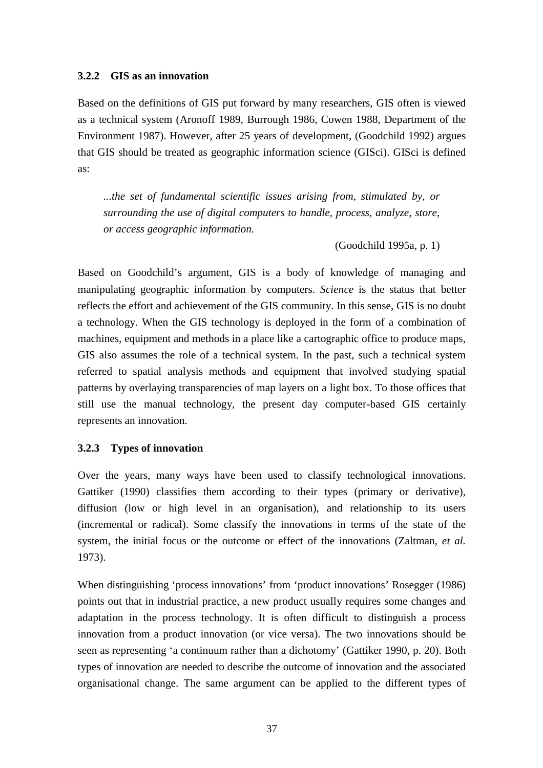#### **3.2.2 GIS as an innovation**

Based on the definitions of GIS put forward by many researchers, GIS often is viewed as a technical system (Aronoff 1989, Burrough 1986, Cowen 1988, Department of the Environment 1987). However, after 25 years of development, (Goodchild 1992) argues that GIS should be treated as geographic information science (GISci). GISci is defined as:

*...the set of fundamental scientific issues arising from, stimulated by, or surrounding the use of digital computers to handle, process, analyze, store, or access geographic information.*

(Goodchild 1995a, p. 1)

Based on Goodchild's argument, GIS is a body of knowledge of managing and manipulating geographic information by computers. *Science* is the status that better reflects the effort and achievement of the GIS community. In this sense, GIS is no doubt a technology. When the GIS technology is deployed in the form of a combination of machines, equipment and methods in a place like a cartographic office to produce maps, GIS also assumes the role of a technical system. In the past, such a technical system referred to spatial analysis methods and equipment that involved studying spatial patterns by overlaying transparencies of map layers on a light box. To those offices that still use the manual technology, the present day computer-based GIS certainly represents an innovation.

## **3.2.3 Types of innovation**

Over the years, many ways have been used to classify technological innovations. Gattiker (1990) classifies them according to their types (primary or derivative), diffusion (low or high level in an organisation), and relationship to its users (incremental or radical). Some classify the innovations in terms of the state of the system, the initial focus or the outcome or effect of the innovations (Zaltman*, et al.* 1973).

When distinguishing 'process innovations' from 'product innovations' Rosegger (1986) points out that in industrial practice, a new product usually requires some changes and adaptation in the process technology. It is often difficult to distinguish a process innovation from a product innovation (or vice versa). The two innovations should be seen as representing 'a continuum rather than a dichotomy' (Gattiker 1990, p. 20). Both types of innovation are needed to describe the outcome of innovation and the associated organisational change. The same argument can be applied to the different types of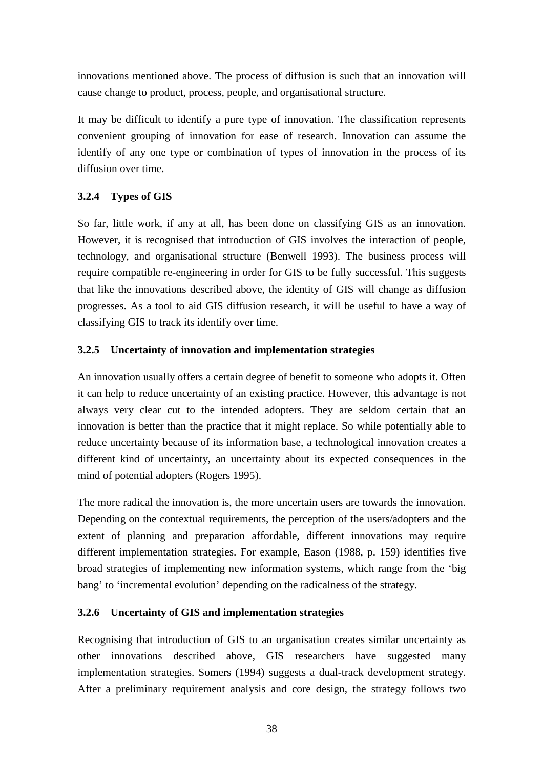innovations mentioned above. The process of diffusion is such that an innovation will cause change to product, process, people, and organisational structure.

It may be difficult to identify a pure type of innovation. The classification represents convenient grouping of innovation for ease of research. Innovation can assume the identify of any one type or combination of types of innovation in the process of its diffusion over time.

# **3.2.4 Types of GIS**

So far, little work, if any at all, has been done on classifying GIS as an innovation. However, it is recognised that introduction of GIS involves the interaction of people, technology, and organisational structure (Benwell 1993). The business process will require compatible re-engineering in order for GIS to be fully successful. This suggests that like the innovations described above, the identity of GIS will change as diffusion progresses. As a tool to aid GIS diffusion research, it will be useful to have a way of classifying GIS to track its identify over time.

## **3.2.5 Uncertainty of innovation and implementation strategies**

An innovation usually offers a certain degree of benefit to someone who adopts it. Often it can help to reduce uncertainty of an existing practice. However, this advantage is not always very clear cut to the intended adopters. They are seldom certain that an innovation is better than the practice that it might replace. So while potentially able to reduce uncertainty because of its information base, a technological innovation creates a different kind of uncertainty, an uncertainty about its expected consequences in the mind of potential adopters (Rogers 1995).

The more radical the innovation is, the more uncertain users are towards the innovation. Depending on the contextual requirements, the perception of the users/adopters and the extent of planning and preparation affordable, different innovations may require different implementation strategies. For example, Eason (1988, p. 159) identifies five broad strategies of implementing new information systems, which range from the 'big bang' to 'incremental evolution' depending on the radicalness of the strategy.

## **3.2.6 Uncertainty of GIS and implementation strategies**

Recognising that introduction of GIS to an organisation creates similar uncertainty as other innovations described above, GIS researchers have suggested many implementation strategies. Somers (1994) suggests a dual-track development strategy. After a preliminary requirement analysis and core design, the strategy follows two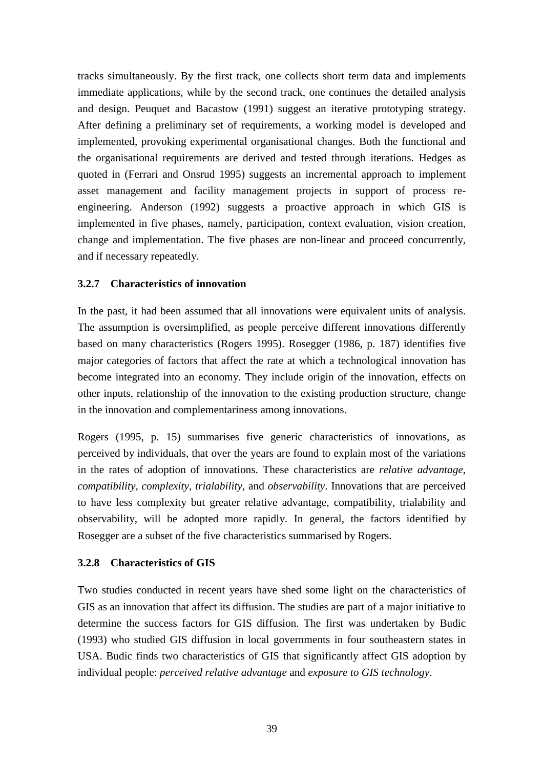tracks simultaneously. By the first track, one collects short term data and implements immediate applications, while by the second track, one continues the detailed analysis and design. Peuquet and Bacastow (1991) suggest an iterative prototyping strategy. After defining a preliminary set of requirements, a working model is developed and implemented, provoking experimental organisational changes. Both the functional and the organisational requirements are derived and tested through iterations. Hedges as quoted in (Ferrari and Onsrud 1995) suggests an incremental approach to implement asset management and facility management projects in support of process reengineering. Anderson (1992) suggests a proactive approach in which GIS is implemented in five phases, namely, participation, context evaluation, vision creation, change and implementation. The five phases are non-linear and proceed concurrently, and if necessary repeatedly.

## **3.2.7 Characteristics of innovation**

In the past, it had been assumed that all innovations were equivalent units of analysis. The assumption is oversimplified, as people perceive different innovations differently based on many characteristics (Rogers 1995). Rosegger (1986, p. 187) identifies five major categories of factors that affect the rate at which a technological innovation has become integrated into an economy. They include origin of the innovation, effects on other inputs, relationship of the innovation to the existing production structure, change in the innovation and complementariness among innovations.

Rogers (1995, p. 15) summarises five generic characteristics of innovations, as perceived by individuals, that over the years are found to explain most of the variations in the rates of adoption of innovations. These characteristics are *relative advantage*, *compatibility*, *complexity*, *trialability*, and *observability*. Innovations that are perceived to have less complexity but greater relative advantage, compatibility, trialability and observability, will be adopted more rapidly. In general, the factors identified by Rosegger are a subset of the five characteristics summarised by Rogers.

## **3.2.8 Characteristics of GIS**

Two studies conducted in recent years have shed some light on the characteristics of GIS as an innovation that affect its diffusion. The studies are part of a major initiative to determine the success factors for GIS diffusion. The first was undertaken by Budic (1993) who studied GIS diffusion in local governments in four southeastern states in USA. Budic finds two characteristics of GIS that significantly affect GIS adoption by individual people: *perceived relative advantage* and *exposure to GIS technology*.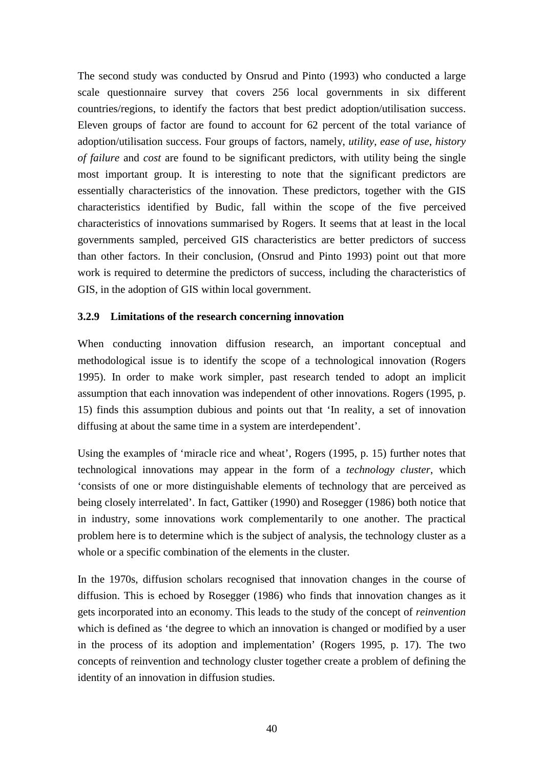The second study was conducted by Onsrud and Pinto (1993) who conducted a large scale questionnaire survey that covers 256 local governments in six different countries/regions, to identify the factors that best predict adoption/utilisation success. Eleven groups of factor are found to account for 62 percent of the total variance of adoption/utilisation success. Four groups of factors, namely, *utility*, *ease of use*, *history of failure* and *cost* are found to be significant predictors, with utility being the single most important group. It is interesting to note that the significant predictors are essentially characteristics of the innovation. These predictors, together with the GIS characteristics identified by Budic, fall within the scope of the five perceived characteristics of innovations summarised by Rogers. It seems that at least in the local governments sampled, perceived GIS characteristics are better predictors of success than other factors. In their conclusion, (Onsrud and Pinto 1993) point out that more work is required to determine the predictors of success, including the characteristics of GIS, in the adoption of GIS within local government.

## **3.2.9 Limitations of the research concerning innovation**

When conducting innovation diffusion research, an important conceptual and methodological issue is to identify the scope of a technological innovation (Rogers 1995). In order to make work simpler, past research tended to adopt an implicit assumption that each innovation was independent of other innovations. Rogers (1995, p. 15) finds this assumption dubious and points out that 'In reality, a set of innovation diffusing at about the same time in a system are interdependent'.

Using the examples of 'miracle rice and wheat', Rogers (1995, p. 15) further notes that technological innovations may appear in the form of a *technology cluster*, which 'consists of one or more distinguishable elements of technology that are perceived as being closely interrelated'. In fact, Gattiker (1990) and Rosegger (1986) both notice that in industry, some innovations work complementarily to one another. The practical problem here is to determine which is the subject of analysis, the technology cluster as a whole or a specific combination of the elements in the cluster.

In the 1970s, diffusion scholars recognised that innovation changes in the course of diffusion. This is echoed by Rosegger (1986) who finds that innovation changes as it gets incorporated into an economy. This leads to the study of the concept of *reinvention* which is defined as 'the degree to which an innovation is changed or modified by a user in the process of its adoption and implementation' (Rogers 1995, p. 17). The two concepts of reinvention and technology cluster together create a problem of defining the identity of an innovation in diffusion studies.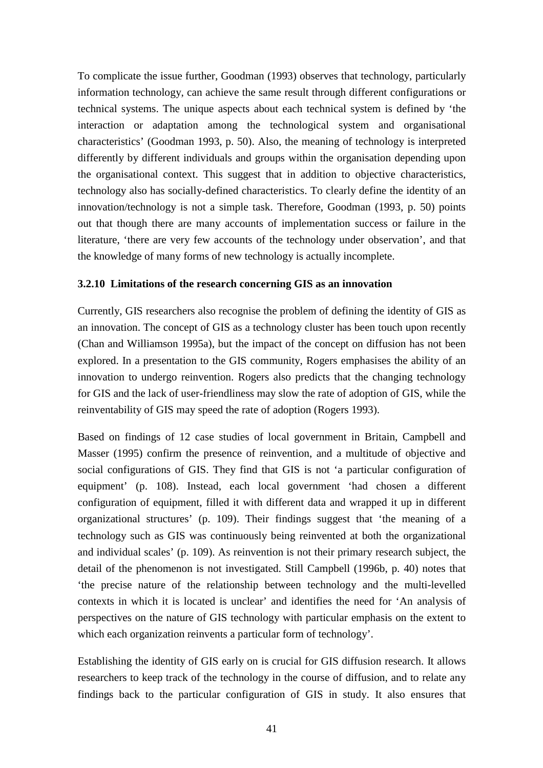To complicate the issue further, Goodman (1993) observes that technology, particularly information technology, can achieve the same result through different configurations or technical systems. The unique aspects about each technical system is defined by 'the interaction or adaptation among the technological system and organisational characteristics' (Goodman 1993, p. 50). Also, the meaning of technology is interpreted differently by different individuals and groups within the organisation depending upon the organisational context. This suggest that in addition to objective characteristics, technology also has socially-defined characteristics. To clearly define the identity of an innovation/technology is not a simple task. Therefore, Goodman (1993, p. 50) points out that though there are many accounts of implementation success or failure in the literature, 'there are very few accounts of the technology under observation', and that the knowledge of many forms of new technology is actually incomplete.

#### **3.2.10 Limitations of the research concerning GIS as an innovation**

Currently, GIS researchers also recognise the problem of defining the identity of GIS as an innovation. The concept of GIS as a technology cluster has been touch upon recently (Chan and Williamson 1995a), but the impact of the concept on diffusion has not been explored. In a presentation to the GIS community, Rogers emphasises the ability of an innovation to undergo reinvention. Rogers also predicts that the changing technology for GIS and the lack of user-friendliness may slow the rate of adoption of GIS, while the reinventability of GIS may speed the rate of adoption (Rogers 1993).

Based on findings of 12 case studies of local government in Britain, Campbell and Masser (1995) confirm the presence of reinvention, and a multitude of objective and social configurations of GIS. They find that GIS is not 'a particular configuration of equipment' (p. 108). Instead, each local government 'had chosen a different configuration of equipment, filled it with different data and wrapped it up in different organizational structures' (p. 109). Their findings suggest that 'the meaning of a technology such as GIS was continuously being reinvented at both the organizational and individual scales' (p. 109). As reinvention is not their primary research subject, the detail of the phenomenon is not investigated. Still Campbell (1996b, p. 40) notes that 'the precise nature of the relationship between technology and the multi-levelled contexts in which it is located is unclear' and identifies the need for 'An analysis of perspectives on the nature of GIS technology with particular emphasis on the extent to which each organization reinvents a particular form of technology'.

Establishing the identity of GIS early on is crucial for GIS diffusion research. It allows researchers to keep track of the technology in the course of diffusion, and to relate any findings back to the particular configuration of GIS in study. It also ensures that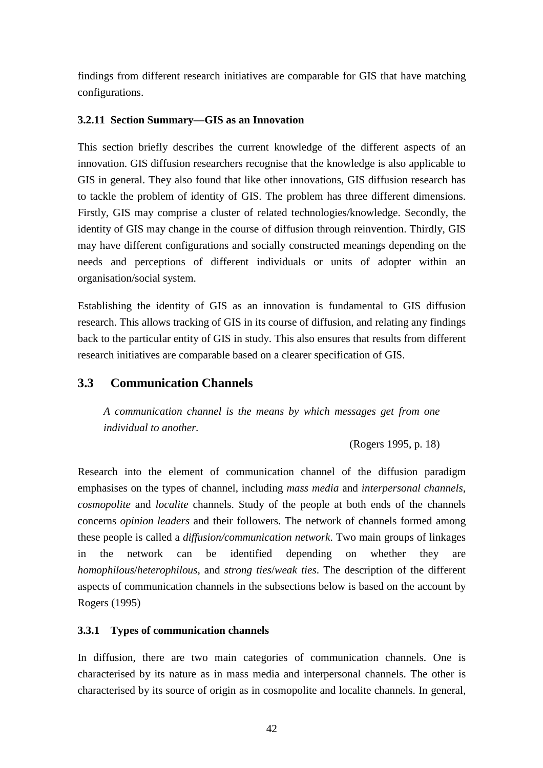findings from different research initiatives are comparable for GIS that have matching configurations.

## **3.2.11 Section Summary—GIS as an Innovation**

This section briefly describes the current knowledge of the different aspects of an innovation. GIS diffusion researchers recognise that the knowledge is also applicable to GIS in general. They also found that like other innovations, GIS diffusion research has to tackle the problem of identity of GIS. The problem has three different dimensions. Firstly, GIS may comprise a cluster of related technologies/knowledge. Secondly, the identity of GIS may change in the course of diffusion through reinvention. Thirdly, GIS may have different configurations and socially constructed meanings depending on the needs and perceptions of different individuals or units of adopter within an organisation/social system.

Establishing the identity of GIS as an innovation is fundamental to GIS diffusion research. This allows tracking of GIS in its course of diffusion, and relating any findings back to the particular entity of GIS in study. This also ensures that results from different research initiatives are comparable based on a clearer specification of GIS.

# **3.3 Communication Channels**

*A communication channel is the means by which messages get from one individual to another.*

(Rogers 1995, p. 18)

Research into the element of communication channel of the diffusion paradigm emphasises on the types of channel, including *mass media* and *interpersonal channels*, *cosmopolite* and *localite* channels. Study of the people at both ends of the channels concerns *opinion leaders* and their followers. The network of channels formed among these people is called a *diffusion/communication network*. Two main groups of linkages in the network can be identified depending on whether they are *homophilous*/*heterophilous*, and *strong ties*/*weak ties*. The description of the different aspects of communication channels in the subsections below is based on the account by Rogers (1995)

## **3.3.1 Types of communication channels**

In diffusion, there are two main categories of communication channels. One is characterised by its nature as in mass media and interpersonal channels. The other is characterised by its source of origin as in cosmopolite and localite channels. In general,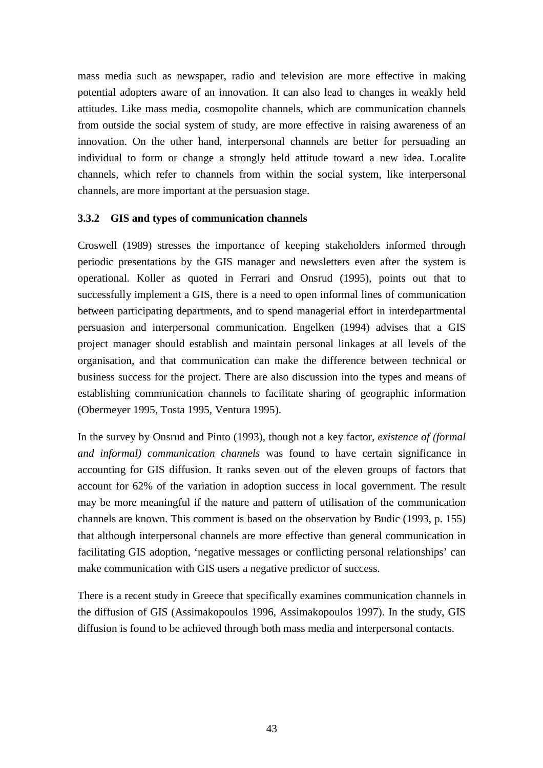mass media such as newspaper, radio and television are more effective in making potential adopters aware of an innovation. It can also lead to changes in weakly held attitudes. Like mass media, cosmopolite channels, which are communication channels from outside the social system of study, are more effective in raising awareness of an innovation. On the other hand, interpersonal channels are better for persuading an individual to form or change a strongly held attitude toward a new idea. Localite channels, which refer to channels from within the social system, like interpersonal channels, are more important at the persuasion stage.

#### **3.3.2 GIS and types of communication channels**

Croswell (1989) stresses the importance of keeping stakeholders informed through periodic presentations by the GIS manager and newsletters even after the system is operational. Koller as quoted in Ferrari and Onsrud (1995), points out that to successfully implement a GIS, there is a need to open informal lines of communication between participating departments, and to spend managerial effort in interdepartmental persuasion and interpersonal communication. Engelken (1994) advises that a GIS project manager should establish and maintain personal linkages at all levels of the organisation, and that communication can make the difference between technical or business success for the project. There are also discussion into the types and means of establishing communication channels to facilitate sharing of geographic information (Obermeyer 1995, Tosta 1995, Ventura 1995).

In the survey by Onsrud and Pinto (1993), though not a key factor, *existence of (formal and informal) communication channels* was found to have certain significance in accounting for GIS diffusion. It ranks seven out of the eleven groups of factors that account for 62% of the variation in adoption success in local government. The result may be more meaningful if the nature and pattern of utilisation of the communication channels are known. This comment is based on the observation by Budic (1993, p. 155) that although interpersonal channels are more effective than general communication in facilitating GIS adoption, 'negative messages or conflicting personal relationships' can make communication with GIS users a negative predictor of success.

There is a recent study in Greece that specifically examines communication channels in the diffusion of GIS (Assimakopoulos 1996, Assimakopoulos 1997). In the study, GIS diffusion is found to be achieved through both mass media and interpersonal contacts.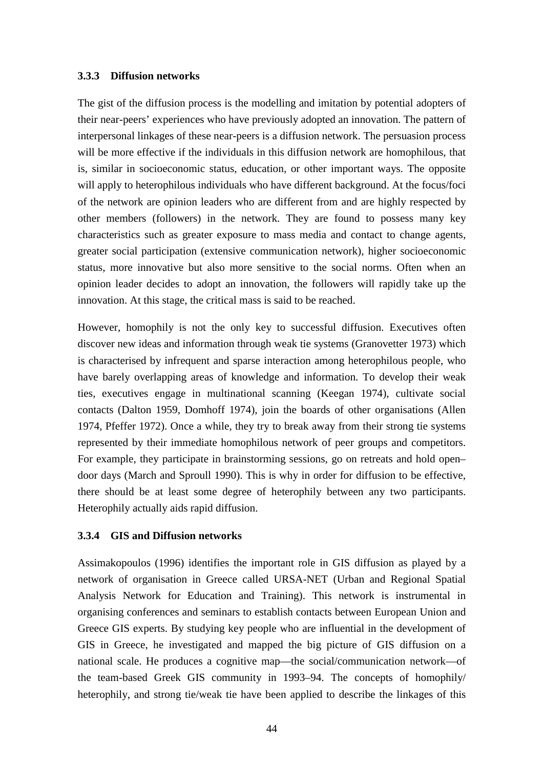#### **3.3.3 Diffusion networks**

The gist of the diffusion process is the modelling and imitation by potential adopters of their near-peers' experiences who have previously adopted an innovation. The pattern of interpersonal linkages of these near-peers is a diffusion network. The persuasion process will be more effective if the individuals in this diffusion network are homophilous, that is, similar in socioeconomic status, education, or other important ways. The opposite will apply to heterophilous individuals who have different background. At the focus/foci of the network are opinion leaders who are different from and are highly respected by other members (followers) in the network. They are found to possess many key characteristics such as greater exposure to mass media and contact to change agents, greater social participation (extensive communication network), higher socioeconomic status, more innovative but also more sensitive to the social norms. Often when an opinion leader decides to adopt an innovation, the followers will rapidly take up the innovation. At this stage, the critical mass is said to be reached.

However, homophily is not the only key to successful diffusion. Executives often discover new ideas and information through weak tie systems (Granovetter 1973) which is characterised by infrequent and sparse interaction among heterophilous people, who have barely overlapping areas of knowledge and information. To develop their weak ties, executives engage in multinational scanning (Keegan 1974), cultivate social contacts (Dalton 1959, Domhoff 1974), join the boards of other organisations (Allen 1974, Pfeffer 1972). Once a while, they try to break away from their strong tie systems represented by their immediate homophilous network of peer groups and competitors. For example, they participate in brainstorming sessions, go on retreats and hold open– door days (March and Sproull 1990). This is why in order for diffusion to be effective, there should be at least some degree of heterophily between any two participants. Heterophily actually aids rapid diffusion.

#### **3.3.4 GIS and Diffusion networks**

Assimakopoulos (1996) identifies the important role in GIS diffusion as played by a network of organisation in Greece called URSA-NET (Urban and Regional Spatial Analysis Network for Education and Training). This network is instrumental in organising conferences and seminars to establish contacts between European Union and Greece GIS experts. By studying key people who are influential in the development of GIS in Greece, he investigated and mapped the big picture of GIS diffusion on a national scale. He produces a cognitive map—the social/communication network—of the team-based Greek GIS community in 1993–94. The concepts of homophily/ heterophily, and strong tie/weak tie have been applied to describe the linkages of this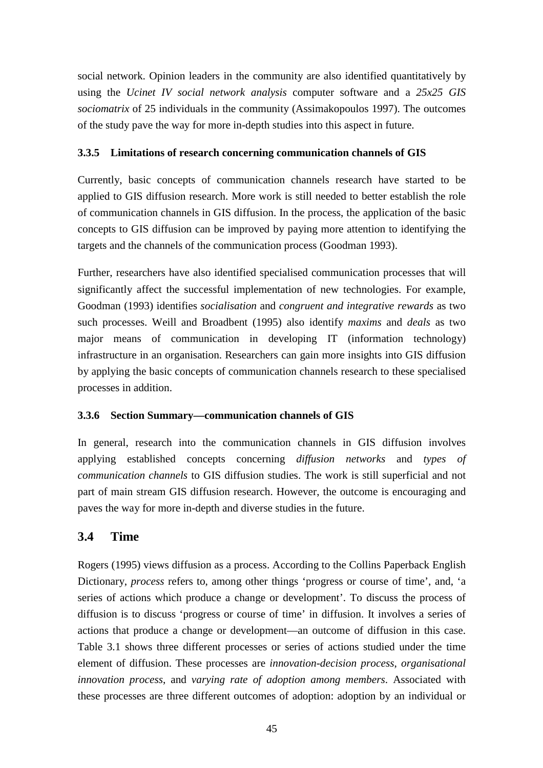social network. Opinion leaders in the community are also identified quantitatively by using the *Ucinet IV social network analysis* computer software and a *25x25 GIS sociomatrix* of 25 individuals in the community (Assimakopoulos 1997). The outcomes of the study pave the way for more in-depth studies into this aspect in future.

## **3.3.5 Limitations of research concerning communication channels of GIS**

Currently, basic concepts of communication channels research have started to be applied to GIS diffusion research. More work is still needed to better establish the role of communication channels in GIS diffusion. In the process, the application of the basic concepts to GIS diffusion can be improved by paying more attention to identifying the targets and the channels of the communication process (Goodman 1993).

Further, researchers have also identified specialised communication processes that will significantly affect the successful implementation of new technologies. For example, Goodman (1993) identifies *socialisation* and *congruent and integrative rewards* as two such processes. Weill and Broadbent (1995) also identify *maxims* and *deals* as two major means of communication in developing IT (information technology) infrastructure in an organisation. Researchers can gain more insights into GIS diffusion by applying the basic concepts of communication channels research to these specialised processes in addition.

## **3.3.6 Section Summary—communication channels of GIS**

In general, research into the communication channels in GIS diffusion involves applying established concepts concerning *diffusion networks* and *types of communication channels* to GIS diffusion studies. The work is still superficial and not part of main stream GIS diffusion research. However, the outcome is encouraging and paves the way for more in-depth and diverse studies in the future.

# **3.4 Time**

Rogers (1995) views diffusion as a process. According to the Collins Paperback English Dictionary, *process* refers to, among other things 'progress or course of time', and, 'a series of actions which produce a change or development'. To discuss the process of diffusion is to discuss 'progress or course of time' in diffusion. It involves a series of actions that produce a change or development—an outcome of diffusion in this case. Table 3.1 shows three different processes or series of actions studied under the time element of diffusion. These processes are *innovation-decision process*, *organisational innovation process*, and *varying rate of adoption among members*. Associated with these processes are three different outcomes of adoption: adoption by an individual or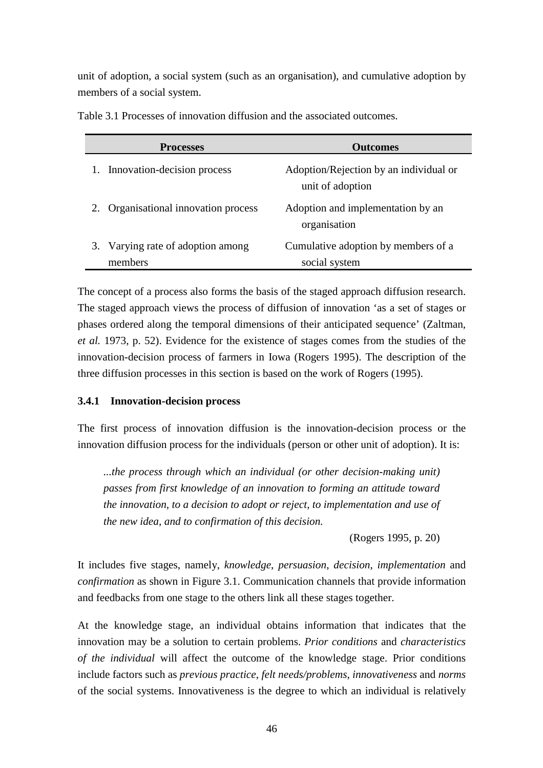unit of adoption, a social system (such as an organisation), and cumulative adoption by members of a social system.

|    | <b>Processes</b>                             | <b>Outcomes</b>                                            |
|----|----------------------------------------------|------------------------------------------------------------|
|    | 1. Innovation-decision process               | Adoption/Rejection by an individual or<br>unit of adoption |
| 2. | Organisational innovation process            | Adoption and implementation by an<br>organisation          |
|    | 3. Varying rate of adoption among<br>members | Cumulative adoption by members of a<br>social system       |

Table 3.1 Processes of innovation diffusion and the associated outcomes.

The concept of a process also forms the basis of the staged approach diffusion research. The staged approach views the process of diffusion of innovation 'as a set of stages or phases ordered along the temporal dimensions of their anticipated sequence' (Zaltman*, et al.* 1973, p. 52). Evidence for the existence of stages comes from the studies of the innovation-decision process of farmers in Iowa (Rogers 1995). The description of the three diffusion processes in this section is based on the work of Rogers (1995).

## **3.4.1 Innovation-decision process**

The first process of innovation diffusion is the innovation-decision process or the innovation diffusion process for the individuals (person or other unit of adoption). It is:

*...the process through which an individual (or other decision-making unit) passes from first knowledge of an innovation to forming an attitude toward the innovation, to a decision to adopt or reject, to implementation and use of the new idea, and to confirmation of this decision.*

(Rogers 1995, p. 20)

It includes five stages, namely, *knowledge*, *persuasion*, *decision*, *implementation* and *confirmation* as shown in Figure 3.1. Communication channels that provide information and feedbacks from one stage to the others link all these stages together.

At the knowledge stage, an individual obtains information that indicates that the innovation may be a solution to certain problems. *Prior conditions* and *characteristics of the individual* will affect the outcome of the knowledge stage. Prior conditions include factors such as *previous practice*, *felt needs/problems*, *innovativeness* and *norms* of the social systems. Innovativeness is the degree to which an individual is relatively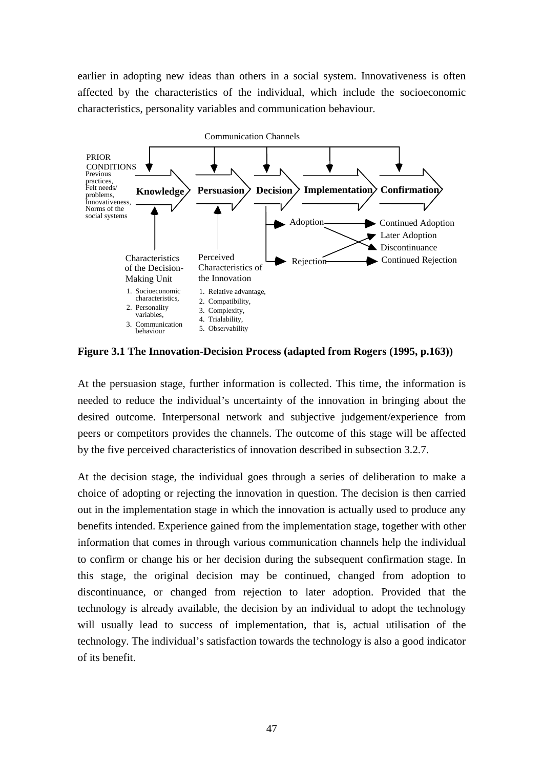earlier in adopting new ideas than others in a social system. Innovativeness is often affected by the characteristics of the individual, which include the socioeconomic characteristics, personality variables and communication behaviour.



**Figure 3.1 The Innovation-Decision Process (adapted from Rogers (1995, p.163))**

At the persuasion stage, further information is collected. This time, the information is needed to reduce the individual's uncertainty of the innovation in bringing about the desired outcome. Interpersonal network and subjective judgement/experience from peers or competitors provides the channels. The outcome of this stage will be affected by the five perceived characteristics of innovation described in subsection 3.2.7.

At the decision stage, the individual goes through a series of deliberation to make a choice of adopting or rejecting the innovation in question. The decision is then carried out in the implementation stage in which the innovation is actually used to produce any benefits intended. Experience gained from the implementation stage, together with other information that comes in through various communication channels help the individual to confirm or change his or her decision during the subsequent confirmation stage. In this stage, the original decision may be continued, changed from adoption to discontinuance, or changed from rejection to later adoption. Provided that the technology is already available, the decision by an individual to adopt the technology will usually lead to success of implementation, that is, actual utilisation of the technology. The individual's satisfaction towards the technology is also a good indicator of its benefit.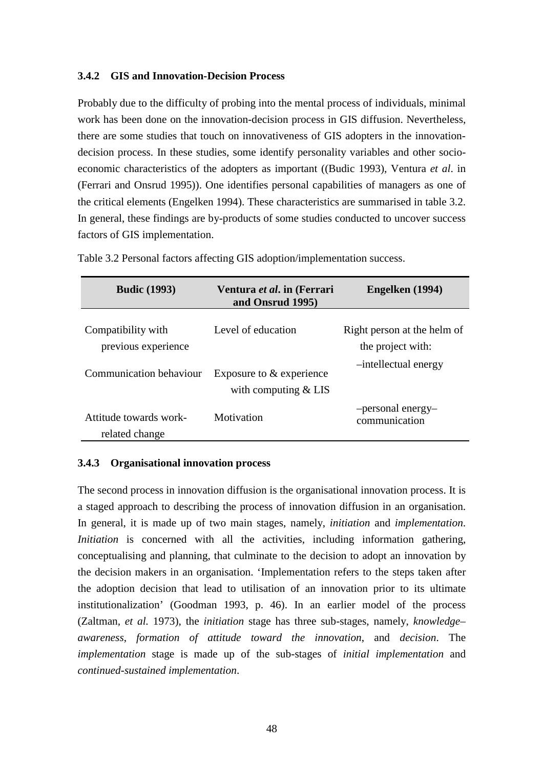#### **3.4.2 GIS and Innovation-Decision Process**

Probably due to the difficulty of probing into the mental process of individuals, minimal work has been done on the innovation-decision process in GIS diffusion. Nevertheless, there are some studies that touch on innovativeness of GIS adopters in the innovationdecision process. In these studies, some identify personality variables and other socioeconomic characteristics of the adopters as important ((Budic 1993), Ventura *et al*. in (Ferrari and Onsrud 1995)). One identifies personal capabilities of managers as one of the critical elements (Engelken 1994). These characteristics are summarised in table 3.2. In general, these findings are by-products of some studies conducted to uncover success factors of GIS implementation.

| <b>Budic</b> (1993)                       | Ventura et al. in (Ferrari<br>and Onsrud 1995)     | Engelken (1994)                                  |
|-------------------------------------------|----------------------------------------------------|--------------------------------------------------|
| Compatibility with<br>previous experience | Level of education                                 | Right person at the helm of<br>the project with: |
| Communication behaviour                   | Exposure to & experience<br>with computing $& LIS$ | -intellectual energy                             |
| Attitude towards work-<br>related change  | Motivation                                         | -personal energy-<br>communication               |

Table 3.2 Personal factors affecting GIS adoption/implementation success.

#### **3.4.3 Organisational innovation process**

The second process in innovation diffusion is the organisational innovation process. It is a staged approach to describing the process of innovation diffusion in an organisation. In general, it is made up of two main stages, namely, *initiation* and *implementation*. *Initiation* is concerned with all the activities, including information gathering, conceptualising and planning, that culminate to the decision to adopt an innovation by the decision makers in an organisation. 'Implementation refers to the steps taken after the adoption decision that lead to utilisation of an innovation prior to its ultimate institutionalization' (Goodman 1993, p. 46). In an earlier model of the process (Zaltman*, et al.* 1973), the *initiation* stage has three sub-stages, namely, *knowledge– awareness*, *formation of attitude toward the innovation*, and *decision*. The *implementation* stage is made up of the sub-stages of *initial implementation* and *continued-sustained implementation*.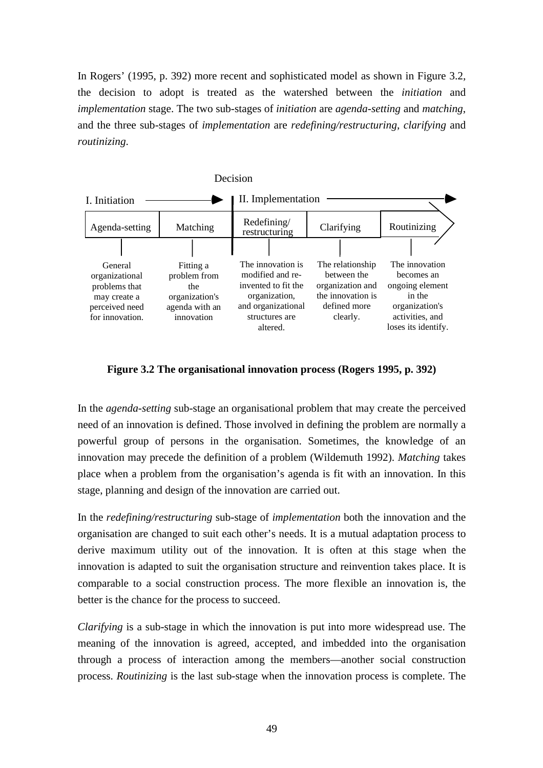In Rogers' (1995, p. 392) more recent and sophisticated model as shown in Figure 3.2, the decision to adopt is treated as the watershed between the *initiation* and *implementation* stage. The two sub-stages of *initiation* are *agenda-setting* and *matching*, and the three sub-stages of *implementation* are *redefining/restructuring*, *clarifying* and *routinizing*.



**Figure 3.2 The organisational innovation process (Rogers 1995, p. 392)**

In the *agenda-setting* sub-stage an organisational problem that may create the perceived need of an innovation is defined. Those involved in defining the problem are normally a powerful group of persons in the organisation. Sometimes, the knowledge of an innovation may precede the definition of a problem (Wildemuth 1992). *Matching* takes place when a problem from the organisation's agenda is fit with an innovation. In this stage, planning and design of the innovation are carried out.

In the *redefining/restructuring* sub-stage of *implementation* both the innovation and the organisation are changed to suit each other's needs. It is a mutual adaptation process to derive maximum utility out of the innovation. It is often at this stage when the innovation is adapted to suit the organisation structure and reinvention takes place. It is comparable to a social construction process. The more flexible an innovation is, the better is the chance for the process to succeed.

*Clarifying* is a sub-stage in which the innovation is put into more widespread use. The meaning of the innovation is agreed, accepted, and imbedded into the organisation through a process of interaction among the members—another social construction process. *Routinizing* is the last sub-stage when the innovation process is complete. The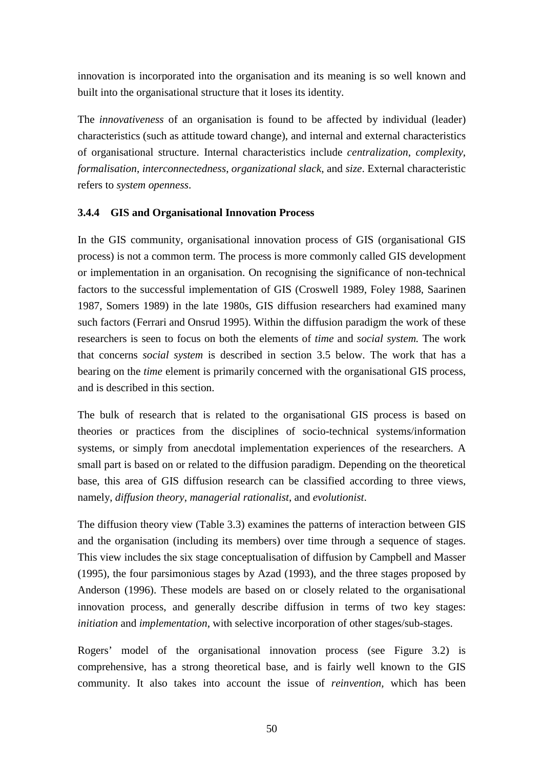innovation is incorporated into the organisation and its meaning is so well known and built into the organisational structure that it loses its identity.

The *innovativeness* of an organisation is found to be affected by individual (leader) characteristics (such as attitude toward change), and internal and external characteristics of organisational structure. Internal characteristics include *centralization*, *complexity*, *formalisation*, *interconnectedness*, *organizational slack*, and *size*. External characteristic refers to *system openness*.

## **3.4.4 GIS and Organisational Innovation Process**

In the GIS community, organisational innovation process of GIS (organisational GIS process) is not a common term. The process is more commonly called GIS development or implementation in an organisation. On recognising the significance of non-technical factors to the successful implementation of GIS (Croswell 1989, Foley 1988, Saarinen 1987, Somers 1989) in the late 1980s, GIS diffusion researchers had examined many such factors (Ferrari and Onsrud 1995). Within the diffusion paradigm the work of these researchers is seen to focus on both the elements of *time* and *social system.* The work that concerns *social system* is described in section 3.5 below. The work that has a bearing on the *time* element is primarily concerned with the organisational GIS process, and is described in this section.

The bulk of research that is related to the organisational GIS process is based on theories or practices from the disciplines of socio-technical systems/information systems, or simply from anecdotal implementation experiences of the researchers. A small part is based on or related to the diffusion paradigm. Depending on the theoretical base, this area of GIS diffusion research can be classified according to three views, namely, *diffusion theory*, *managerial rationalist*, and *evolutionist*.

The diffusion theory view (Table 3.3) examines the patterns of interaction between GIS and the organisation (including its members) over time through a sequence of stages. This view includes the six stage conceptualisation of diffusion by Campbell and Masser (1995), the four parsimonious stages by Azad (1993), and the three stages proposed by Anderson (1996). These models are based on or closely related to the organisational innovation process, and generally describe diffusion in terms of two key stages: *initiation* and *implementation*, with selective incorporation of other stages/sub-stages.

Rogers' model of the organisational innovation process (see Figure 3.2) is comprehensive, has a strong theoretical base, and is fairly well known to the GIS community. It also takes into account the issue of *reinvention,* which has been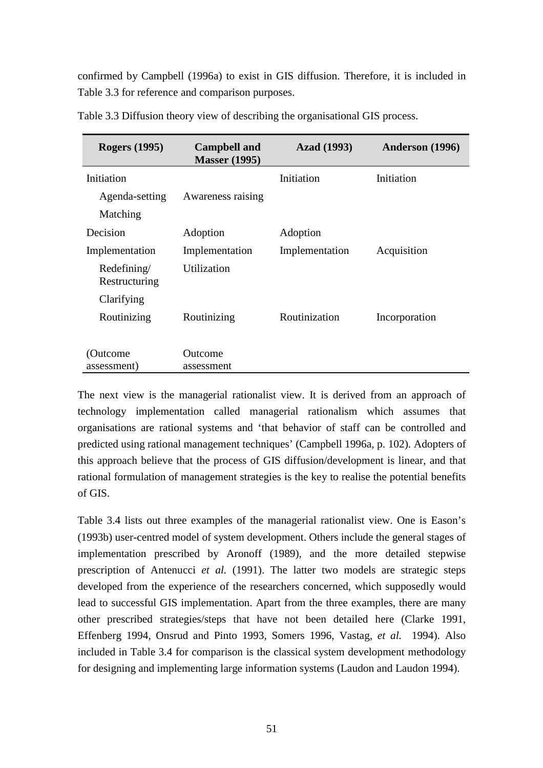confirmed by Campbell (1996a) to exist in GIS diffusion. Therefore, it is included in Table 3.3 for reference and comparison purposes.

| <b>Rogers</b> (1995)         | <b>Campbell and</b><br><b>Masser (1995)</b> | <b>Azad</b> (1993) | Anderson (1996) |
|------------------------------|---------------------------------------------|--------------------|-----------------|
| Initiation                   |                                             | Initiation         | Initiation      |
| Agenda-setting               | Awareness raising                           |                    |                 |
| Matching                     |                                             |                    |                 |
| Decision                     | Adoption                                    | Adoption           |                 |
| Implementation               | Implementation                              | Implementation     | Acquisition     |
| Redefining/<br>Restructuring | Utilization                                 |                    |                 |
| Clarifying                   |                                             |                    |                 |
| Routinizing                  | Routinizing                                 | Routinization      | Incorporation   |
|                              |                                             |                    |                 |
| (Outcome                     | Outcome                                     |                    |                 |
| assessment)                  | assessment                                  |                    |                 |

Table 3.3 Diffusion theory view of describing the organisational GIS process.

The next view is the managerial rationalist view. It is derived from an approach of technology implementation called managerial rationalism which assumes that organisations are rational systems and 'that behavior of staff can be controlled and predicted using rational management techniques' (Campbell 1996a, p. 102). Adopters of this approach believe that the process of GIS diffusion/development is linear, and that rational formulation of management strategies is the key to realise the potential benefits of GIS.

Table 3.4 lists out three examples of the managerial rationalist view. One is Eason's (1993b) user-centred model of system development. Others include the general stages of implementation prescribed by Aronoff (1989), and the more detailed stepwise prescription of Antenucci *et al.* (1991). The latter two models are strategic steps developed from the experience of the researchers concerned, which supposedly would lead to successful GIS implementation. Apart from the three examples, there are many other prescribed strategies/steps that have not been detailed here (Clarke 1991, Effenberg 1994, Onsrud and Pinto 1993, Somers 1996, Vastag*, et al.* 1994). Also included in Table 3.4 for comparison is the classical system development methodology for designing and implementing large information systems (Laudon and Laudon 1994).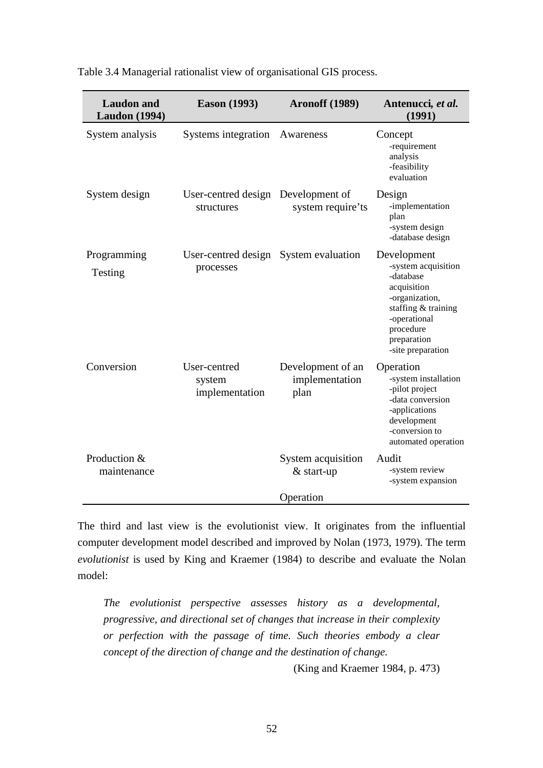| <b>Laudon</b> and<br><b>Laudon</b> (1994) | <b>Eason</b> (1993)                                | <b>Aronoff (1989)</b>                       | Antenucci, et al.<br>(1991)                                                                                                                                              |
|-------------------------------------------|----------------------------------------------------|---------------------------------------------|--------------------------------------------------------------------------------------------------------------------------------------------------------------------------|
| System analysis                           | Systems integration                                | Awareness                                   | Concept<br>-requirement<br>analysis<br>-feasibility<br>evaluation                                                                                                        |
| System design                             | User-centred design Development of<br>structures   | system require'ts                           | Design<br>-implementation<br>plan<br>-system design<br>-database design                                                                                                  |
| Programming<br>Testing                    | User-centred design System evaluation<br>processes |                                             | Development<br>-system acquisition<br>-database<br>acquisition<br>-organization,<br>staffing & training<br>-operational<br>procedure<br>preparation<br>-site preparation |
| Conversion                                | User-centred<br>system<br>implementation           | Development of an<br>implementation<br>plan | Operation<br>-system installation<br>-pilot project<br>-data conversion<br>-applications<br>development<br>-conversion to<br>automated operation                         |
| Production &<br>maintenance               |                                                    | System acquisition<br>& start-up            | Audit<br>-system review<br>-system expansion                                                                                                                             |
|                                           |                                                    | Operation                                   |                                                                                                                                                                          |

Table 3.4 Managerial rationalist view of organisational GIS process.

The third and last view is the evolutionist view. It originates from the influential computer development model described and improved by Nolan (1973, 1979). The term *evolutionist* is used by King and Kraemer (1984) to describe and evaluate the Nolan model:

*The evolutionist perspective assesses history as a developmental, progressive, and directional set of changes that increase in their complexity or perfection with the passage of time. Such theories embody a clear concept of the direction of change and the destination of change.*

(King and Kraemer 1984, p. 473)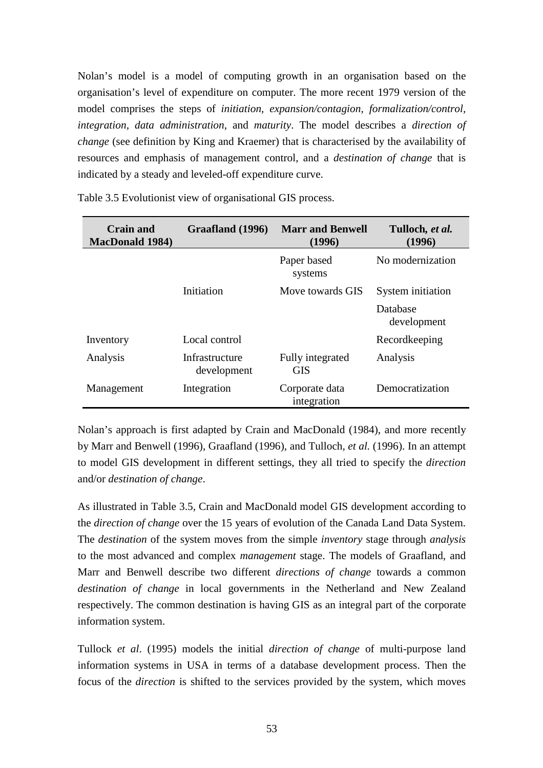Nolan's model is a model of computing growth in an organisation based on the organisation's level of expenditure on computer. The more recent 1979 version of the model comprises the steps of *initiation, expansion/contagion, formalization/control, integration, data administration,* and *maturity*. The model describes a *direction of change* (see definition by King and Kraemer) that is characterised by the availability of resources and emphasis of management control, and a *destination of change* that is indicated by a steady and leveled-off expenditure curve.

| Crain and<br><b>MacDonald 1984)</b> | Graafland (1996)              | <b>Marr and Benwell</b><br>(1996) | Tulloch, et al.<br>(1996) |
|-------------------------------------|-------------------------------|-----------------------------------|---------------------------|
|                                     |                               | Paper based<br>systems            | No modernization          |
|                                     | Initiation                    | Move towards GIS                  | System initiation         |
|                                     |                               |                                   | Database<br>development   |
| Inventory                           | Local control                 |                                   | Recordkeeping             |
| Analysis                            | Infrastructure<br>development | Fully integrated<br><b>GIS</b>    | Analysis                  |
| Management                          | Integration                   | Corporate data<br>integration     | Democratization           |

Table 3.5 Evolutionist view of organisational GIS process.

Nolan's approach is first adapted by Crain and MacDonald (1984), and more recently by Marr and Benwell (1996), Graafland (1996), and Tulloch*, et al.* (1996). In an attempt to model GIS development in different settings, they all tried to specify the *direction* and/or *destination of change*.

As illustrated in Table 3.5, Crain and MacDonald model GIS development according to the *direction of change* over the 15 years of evolution of the Canada Land Data System. The *destination* of the system moves from the simple *inventory* stage through *analysis* to the most advanced and complex *management* stage. The models of Graafland, and Marr and Benwell describe two different *directions of change* towards a common *destination of change* in local governments in the Netherland and New Zealand respectively. The common destination is having GIS as an integral part of the corporate information system.

Tullock *et al*. (1995) models the initial *direction of change* of multi-purpose land information systems in USA in terms of a database development process. Then the focus of the *direction* is shifted to the services provided by the system, which moves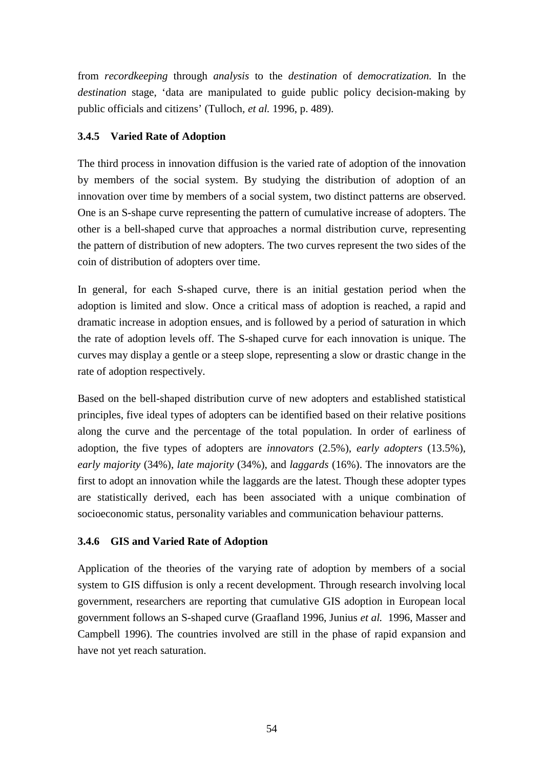from *recordkeeping* through *analysis* to the *destination* of *democratization.* In the *destination* stage, 'data are manipulated to guide public policy decision-making by public officials and citizens' (Tulloch*, et al.* 1996, p. 489).

## **3.4.5 Varied Rate of Adoption**

The third process in innovation diffusion is the varied rate of adoption of the innovation by members of the social system. By studying the distribution of adoption of an innovation over time by members of a social system, two distinct patterns are observed. One is an S-shape curve representing the pattern of cumulative increase of adopters. The other is a bell-shaped curve that approaches a normal distribution curve, representing the pattern of distribution of new adopters. The two curves represent the two sides of the coin of distribution of adopters over time.

In general, for each S-shaped curve, there is an initial gestation period when the adoption is limited and slow. Once a critical mass of adoption is reached, a rapid and dramatic increase in adoption ensues, and is followed by a period of saturation in which the rate of adoption levels off. The S-shaped curve for each innovation is unique. The curves may display a gentle or a steep slope, representing a slow or drastic change in the rate of adoption respectively.

Based on the bell-shaped distribution curve of new adopters and established statistical principles, five ideal types of adopters can be identified based on their relative positions along the curve and the percentage of the total population. In order of earliness of adoption, the five types of adopters are *innovators* (2.5%), *early adopters* (13.5%), *early majority* (34%), *late majority* (34%), and *laggards* (16%). The innovators are the first to adopt an innovation while the laggards are the latest. Though these adopter types are statistically derived, each has been associated with a unique combination of socioeconomic status, personality variables and communication behaviour patterns.

## **3.4.6 GIS and Varied Rate of Adoption**

Application of the theories of the varying rate of adoption by members of a social system to GIS diffusion is only a recent development. Through research involving local government, researchers are reporting that cumulative GIS adoption in European local government follows an S-shaped curve (Graafland 1996, Junius *et al.* 1996, Masser and Campbell 1996). The countries involved are still in the phase of rapid expansion and have not yet reach saturation.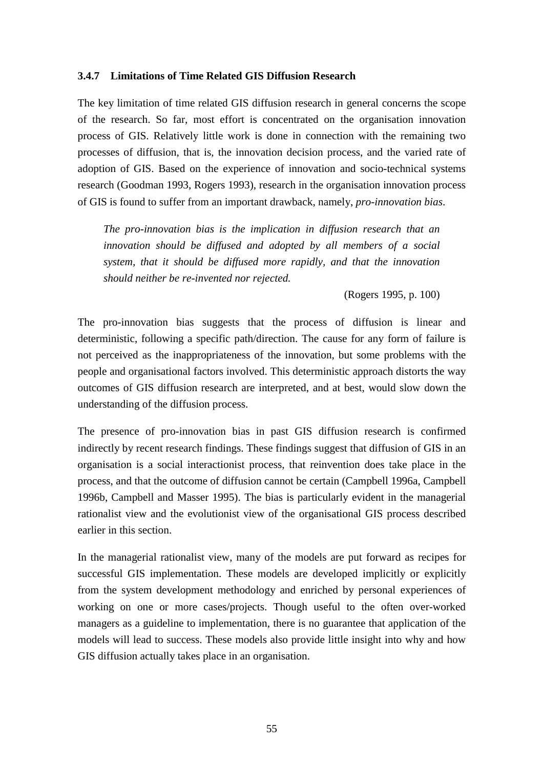#### **3.4.7 Limitations of Time Related GIS Diffusion Research**

The key limitation of time related GIS diffusion research in general concerns the scope of the research. So far, most effort is concentrated on the organisation innovation process of GIS. Relatively little work is done in connection with the remaining two processes of diffusion, that is, the innovation decision process, and the varied rate of adoption of GIS. Based on the experience of innovation and socio-technical systems research (Goodman 1993, Rogers 1993), research in the organisation innovation process of GIS is found to suffer from an important drawback, namely, *pro-innovation bias*.

*The pro-innovation bias is the implication in diffusion research that an innovation should be diffused and adopted by all members of a social system, that it should be diffused more rapidly, and that the innovation should neither be re-invented nor rejected.*

(Rogers 1995, p. 100)

The pro-innovation bias suggests that the process of diffusion is linear and deterministic, following a specific path/direction. The cause for any form of failure is not perceived as the inappropriateness of the innovation, but some problems with the people and organisational factors involved. This deterministic approach distorts the way outcomes of GIS diffusion research are interpreted, and at best, would slow down the understanding of the diffusion process.

The presence of pro-innovation bias in past GIS diffusion research is confirmed indirectly by recent research findings. These findings suggest that diffusion of GIS in an organisation is a social interactionist process, that reinvention does take place in the process, and that the outcome of diffusion cannot be certain (Campbell 1996a, Campbell 1996b, Campbell and Masser 1995). The bias is particularly evident in the managerial rationalist view and the evolutionist view of the organisational GIS process described earlier in this section.

In the managerial rationalist view, many of the models are put forward as recipes for successful GIS implementation. These models are developed implicitly or explicitly from the system development methodology and enriched by personal experiences of working on one or more cases/projects. Though useful to the often over-worked managers as a guideline to implementation, there is no guarantee that application of the models will lead to success. These models also provide little insight into why and how GIS diffusion actually takes place in an organisation.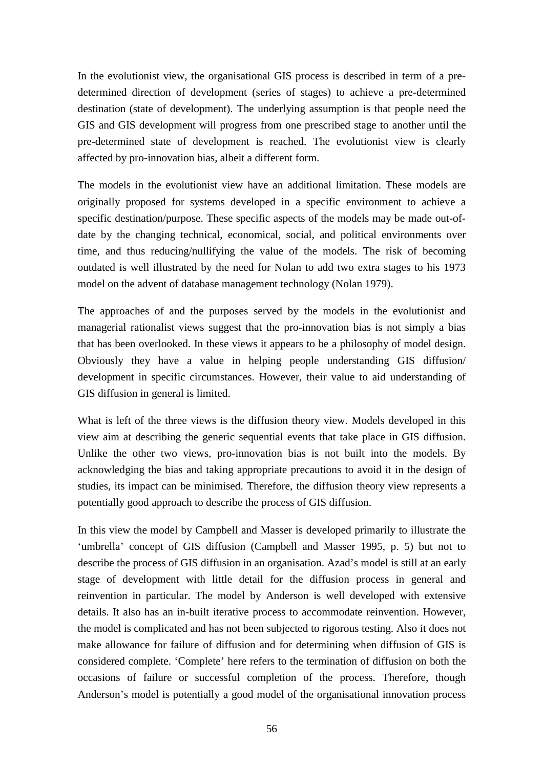In the evolutionist view, the organisational GIS process is described in term of a predetermined direction of development (series of stages) to achieve a pre-determined destination (state of development). The underlying assumption is that people need the GIS and GIS development will progress from one prescribed stage to another until the pre-determined state of development is reached. The evolutionist view is clearly affected by pro-innovation bias, albeit a different form.

The models in the evolutionist view have an additional limitation. These models are originally proposed for systems developed in a specific environment to achieve a specific destination/purpose. These specific aspects of the models may be made out-ofdate by the changing technical, economical, social, and political environments over time, and thus reducing/nullifying the value of the models. The risk of becoming outdated is well illustrated by the need for Nolan to add two extra stages to his 1973 model on the advent of database management technology (Nolan 1979).

The approaches of and the purposes served by the models in the evolutionist and managerial rationalist views suggest that the pro-innovation bias is not simply a bias that has been overlooked. In these views it appears to be a philosophy of model design. Obviously they have a value in helping people understanding GIS diffusion/ development in specific circumstances. However, their value to aid understanding of GIS diffusion in general is limited.

What is left of the three views is the diffusion theory view. Models developed in this view aim at describing the generic sequential events that take place in GIS diffusion. Unlike the other two views, pro-innovation bias is not built into the models. By acknowledging the bias and taking appropriate precautions to avoid it in the design of studies, its impact can be minimised. Therefore, the diffusion theory view represents a potentially good approach to describe the process of GIS diffusion.

In this view the model by Campbell and Masser is developed primarily to illustrate the 'umbrella' concept of GIS diffusion (Campbell and Masser 1995, p. 5) but not to describe the process of GIS diffusion in an organisation. Azad's model is still at an early stage of development with little detail for the diffusion process in general and reinvention in particular. The model by Anderson is well developed with extensive details. It also has an in-built iterative process to accommodate reinvention. However, the model is complicated and has not been subjected to rigorous testing. Also it does not make allowance for failure of diffusion and for determining when diffusion of GIS is considered complete. 'Complete' here refers to the termination of diffusion on both the occasions of failure or successful completion of the process. Therefore, though Anderson's model is potentially a good model of the organisational innovation process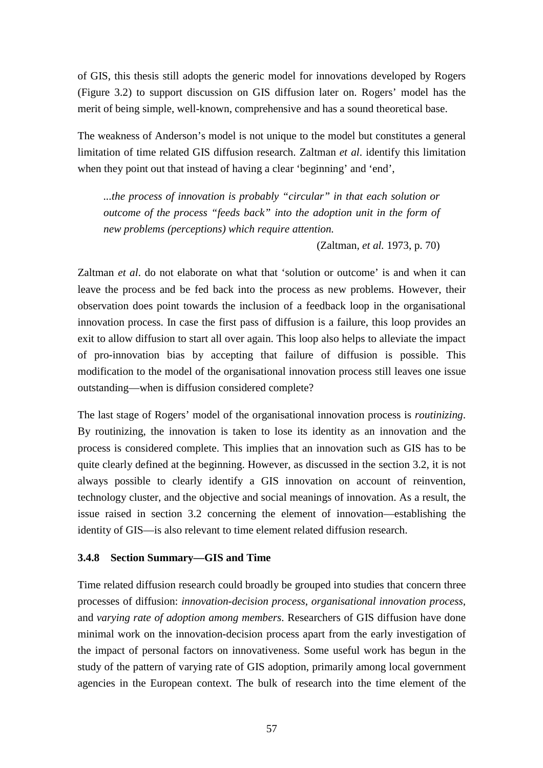of GIS, this thesis still adopts the generic model for innovations developed by Rogers (Figure 3.2) to support discussion on GIS diffusion later on. Rogers' model has the merit of being simple, well-known, comprehensive and has a sound theoretical base.

The weakness of Anderson's model is not unique to the model but constitutes a general limitation of time related GIS diffusion research. Zaltman *et al*. identify this limitation when they point out that instead of having a clear 'beginning' and 'end',

*...the process of innovation is probably "circular" in that each solution or outcome of the process "feeds back" into the adoption unit in the form of new problems (perceptions) which require attention.*

(Zaltman*, et al.* 1973, p. 70)

Zaltman *et al*. do not elaborate on what that 'solution or outcome' is and when it can leave the process and be fed back into the process as new problems. However, their observation does point towards the inclusion of a feedback loop in the organisational innovation process. In case the first pass of diffusion is a failure, this loop provides an exit to allow diffusion to start all over again. This loop also helps to alleviate the impact of pro-innovation bias by accepting that failure of diffusion is possible. This modification to the model of the organisational innovation process still leaves one issue outstanding—when is diffusion considered complete?

The last stage of Rogers' model of the organisational innovation process is *routinizing*. By routinizing, the innovation is taken to lose its identity as an innovation and the process is considered complete. This implies that an innovation such as GIS has to be quite clearly defined at the beginning. However, as discussed in the section 3.2, it is not always possible to clearly identify a GIS innovation on account of reinvention, technology cluster, and the objective and social meanings of innovation. As a result, the issue raised in section 3.2 concerning the element of innovation—establishing the identity of GIS—is also relevant to time element related diffusion research.

## **3.4.8 Section Summary—GIS and Time**

Time related diffusion research could broadly be grouped into studies that concern three processes of diffusion: *innovation-decision process*, *organisational innovation process*, and *varying rate of adoption among members*. Researchers of GIS diffusion have done minimal work on the innovation-decision process apart from the early investigation of the impact of personal factors on innovativeness. Some useful work has begun in the study of the pattern of varying rate of GIS adoption, primarily among local government agencies in the European context. The bulk of research into the time element of the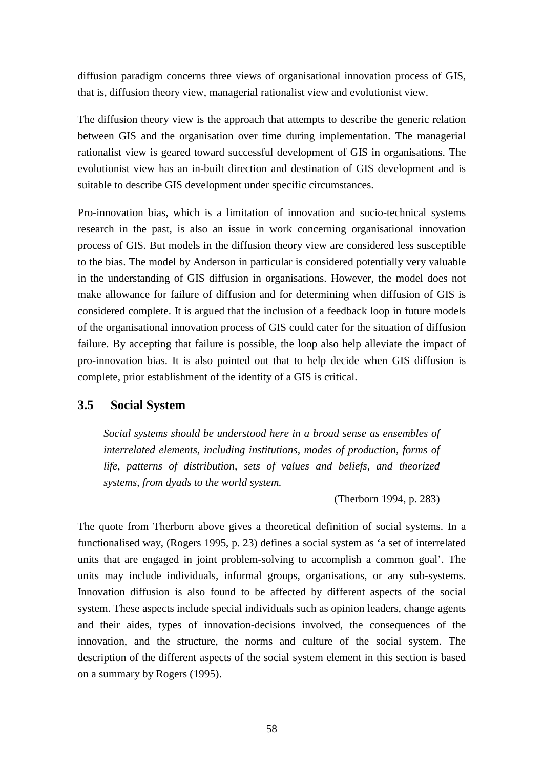diffusion paradigm concerns three views of organisational innovation process of GIS, that is, diffusion theory view, managerial rationalist view and evolutionist view.

The diffusion theory view is the approach that attempts to describe the generic relation between GIS and the organisation over time during implementation. The managerial rationalist view is geared toward successful development of GIS in organisations. The evolutionist view has an in-built direction and destination of GIS development and is suitable to describe GIS development under specific circumstances.

Pro-innovation bias, which is a limitation of innovation and socio-technical systems research in the past, is also an issue in work concerning organisational innovation process of GIS. But models in the diffusion theory view are considered less susceptible to the bias. The model by Anderson in particular is considered potentially very valuable in the understanding of GIS diffusion in organisations. However, the model does not make allowance for failure of diffusion and for determining when diffusion of GIS is considered complete. It is argued that the inclusion of a feedback loop in future models of the organisational innovation process of GIS could cater for the situation of diffusion failure. By accepting that failure is possible, the loop also help alleviate the impact of pro-innovation bias. It is also pointed out that to help decide when GIS diffusion is complete, prior establishment of the identity of a GIS is critical.

## **3.5 Social System**

*Social systems should be understood here in a broad sense as ensembles of interrelated elements, including institutions, modes of production, forms of life, patterns of distribution, sets of values and beliefs, and theorized systems, from dyads to the world system.*

(Therborn 1994, p. 283)

The quote from Therborn above gives a theoretical definition of social systems. In a functionalised way, (Rogers 1995, p. 23) defines a social system as 'a set of interrelated units that are engaged in joint problem-solving to accomplish a common goal'. The units may include individuals, informal groups, organisations, or any sub-systems. Innovation diffusion is also found to be affected by different aspects of the social system. These aspects include special individuals such as opinion leaders, change agents and their aides, types of innovation-decisions involved, the consequences of the innovation, and the structure, the norms and culture of the social system. The description of the different aspects of the social system element in this section is based on a summary by Rogers (1995).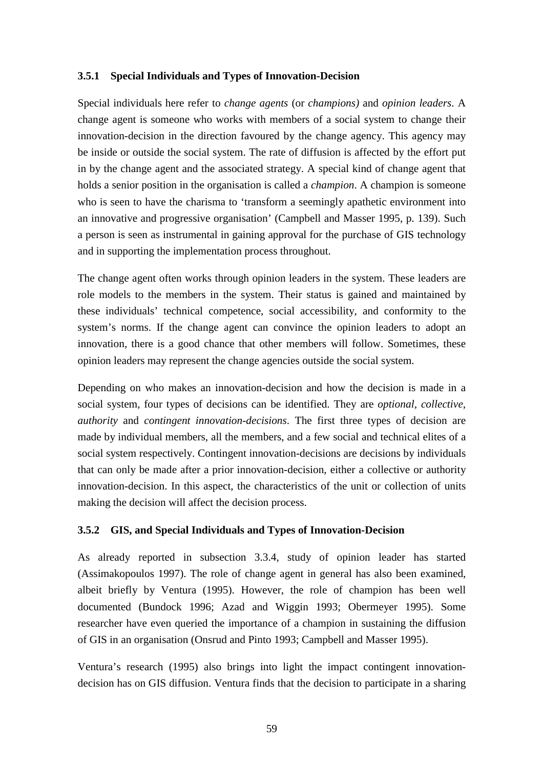#### **3.5.1 Special Individuals and Types of Innovation-Decision**

Special individuals here refer to *change agents* (or *champions)* and *opinion leaders*. A change agent is someone who works with members of a social system to change their innovation-decision in the direction favoured by the change agency. This agency may be inside or outside the social system. The rate of diffusion is affected by the effort put in by the change agent and the associated strategy. A special kind of change agent that holds a senior position in the organisation is called a *champion*. A champion is someone who is seen to have the charisma to 'transform a seemingly apathetic environment into an innovative and progressive organisation' (Campbell and Masser 1995, p. 139). Such a person is seen as instrumental in gaining approval for the purchase of GIS technology and in supporting the implementation process throughout.

The change agent often works through opinion leaders in the system. These leaders are role models to the members in the system. Their status is gained and maintained by these individuals' technical competence, social accessibility, and conformity to the system's norms. If the change agent can convince the opinion leaders to adopt an innovation, there is a good chance that other members will follow. Sometimes, these opinion leaders may represent the change agencies outside the social system.

Depending on who makes an innovation-decision and how the decision is made in a social system, four types of decisions can be identified. They are *optional*, *collective*, *authority* and *contingent innovation-decisions*. The first three types of decision are made by individual members, all the members, and a few social and technical elites of a social system respectively. Contingent innovation-decisions are decisions by individuals that can only be made after a prior innovation-decision, either a collective or authority innovation-decision. In this aspect, the characteristics of the unit or collection of units making the decision will affect the decision process.

## **3.5.2 GIS, and Special Individuals and Types of Innovation-Decision**

As already reported in subsection 3.3.4, study of opinion leader has started (Assimakopoulos 1997). The role of change agent in general has also been examined, albeit briefly by Ventura (1995). However, the role of champion has been well documented (Bundock 1996; Azad and Wiggin 1993; Obermeyer 1995). Some researcher have even queried the importance of a champion in sustaining the diffusion of GIS in an organisation (Onsrud and Pinto 1993; Campbell and Masser 1995).

Ventura's research (1995) also brings into light the impact contingent innovationdecision has on GIS diffusion. Ventura finds that the decision to participate in a sharing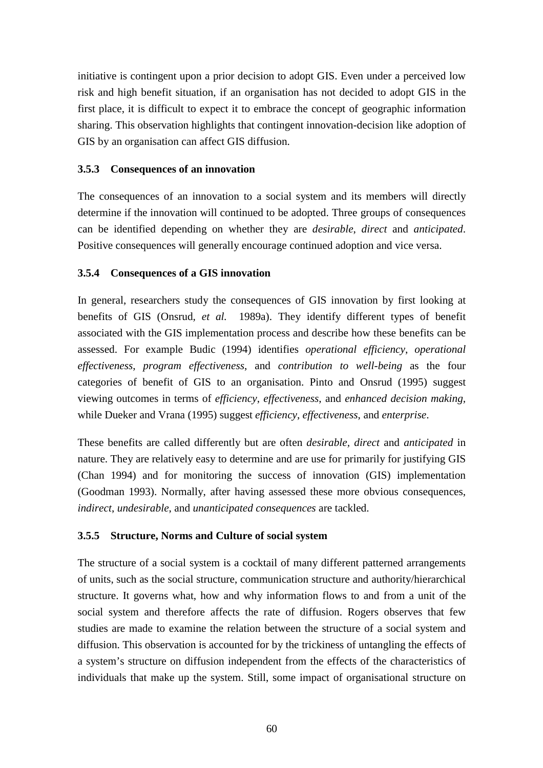initiative is contingent upon a prior decision to adopt GIS. Even under a perceived low risk and high benefit situation, if an organisation has not decided to adopt GIS in the first place, it is difficult to expect it to embrace the concept of geographic information sharing. This observation highlights that contingent innovation-decision like adoption of GIS by an organisation can affect GIS diffusion.

## **3.5.3 Consequences of an innovation**

The consequences of an innovation to a social system and its members will directly determine if the innovation will continued to be adopted. Three groups of consequences can be identified depending on whether they are *desirable*, *direct* and *anticipated*. Positive consequences will generally encourage continued adoption and vice versa.

## **3.5.4 Consequences of a GIS innovation**

In general, researchers study the consequences of GIS innovation by first looking at benefits of GIS (Onsrud*, et al.* 1989a). They identify different types of benefit associated with the GIS implementation process and describe how these benefits can be assessed. For example Budic (1994) identifies *operational efficiency*, *operational effectiveness*, *program effectiveness*, and *contribution to well-being* as the four categories of benefit of GIS to an organisation. Pinto and Onsrud (1995) suggest viewing outcomes in terms of *efficiency*, *effectiveness*, and *enhanced decision making,* while Dueker and Vrana (1995) suggest *efficiency*, *effectiveness*, and *enterprise*.

These benefits are called differently but are often *desirable, direct* and *anticipated* in nature. They are relatively easy to determine and are use for primarily for justifying GIS (Chan 1994) and for monitoring the success of innovation (GIS) implementation (Goodman 1993). Normally, after having assessed these more obvious consequences, *indirect*, *undesirable*, and *unanticipated consequences* are tackled.

## **3.5.5 Structure, Norms and Culture of social system**

The structure of a social system is a cocktail of many different patterned arrangements of units, such as the social structure, communication structure and authority/hierarchical structure. It governs what, how and why information flows to and from a unit of the social system and therefore affects the rate of diffusion. Rogers observes that few studies are made to examine the relation between the structure of a social system and diffusion. This observation is accounted for by the trickiness of untangling the effects of a system's structure on diffusion independent from the effects of the characteristics of individuals that make up the system. Still, some impact of organisational structure on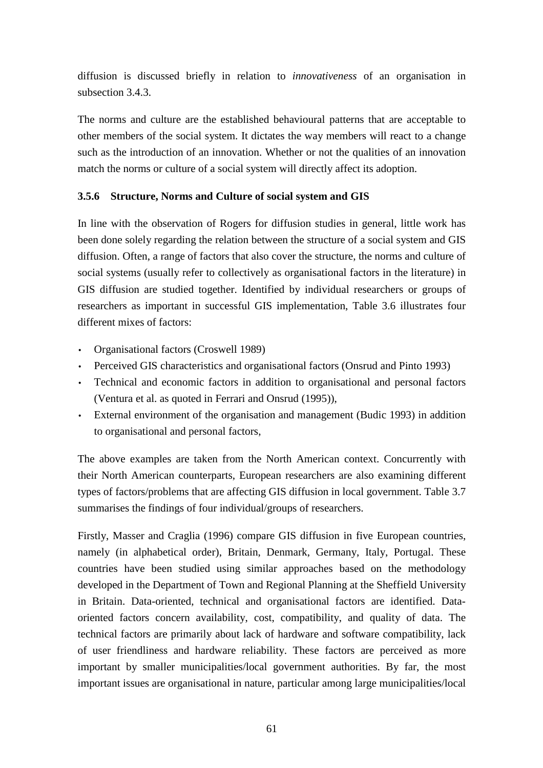diffusion is discussed briefly in relation to *innovativeness* of an organisation in subsection 3.4.3.

The norms and culture are the established behavioural patterns that are acceptable to other members of the social system. It dictates the way members will react to a change such as the introduction of an innovation. Whether or not the qualities of an innovation match the norms or culture of a social system will directly affect its adoption.

## **3.5.6 Structure, Norms and Culture of social system and GIS**

In line with the observation of Rogers for diffusion studies in general, little work has been done solely regarding the relation between the structure of a social system and GIS diffusion. Often, a range of factors that also cover the structure, the norms and culture of social systems (usually refer to collectively as organisational factors in the literature) in GIS diffusion are studied together. Identified by individual researchers or groups of researchers as important in successful GIS implementation, Table 3.6 illustrates four different mixes of factors:

- Organisational factors (Croswell 1989)
- Perceived GIS characteristics and organisational factors (Onsrud and Pinto 1993)
- Technical and economic factors in addition to organisational and personal factors (Ventura et al. as quoted in Ferrari and Onsrud (1995)),
- External environment of the organisation and management (Budic 1993) in addition to organisational and personal factors,

The above examples are taken from the North American context. Concurrently with their North American counterparts, European researchers are also examining different types of factors/problems that are affecting GIS diffusion in local government. Table 3.7 summarises the findings of four individual/groups of researchers.

Firstly, Masser and Craglia (1996) compare GIS diffusion in five European countries, namely (in alphabetical order), Britain, Denmark, Germany, Italy, Portugal. These countries have been studied using similar approaches based on the methodology developed in the Department of Town and Regional Planning at the Sheffield University in Britain. Data-oriented, technical and organisational factors are identified. Dataoriented factors concern availability, cost, compatibility, and quality of data. The technical factors are primarily about lack of hardware and software compatibility, lack of user friendliness and hardware reliability. These factors are perceived as more important by smaller municipalities/local government authorities. By far, the most important issues are organisational in nature, particular among large municipalities/local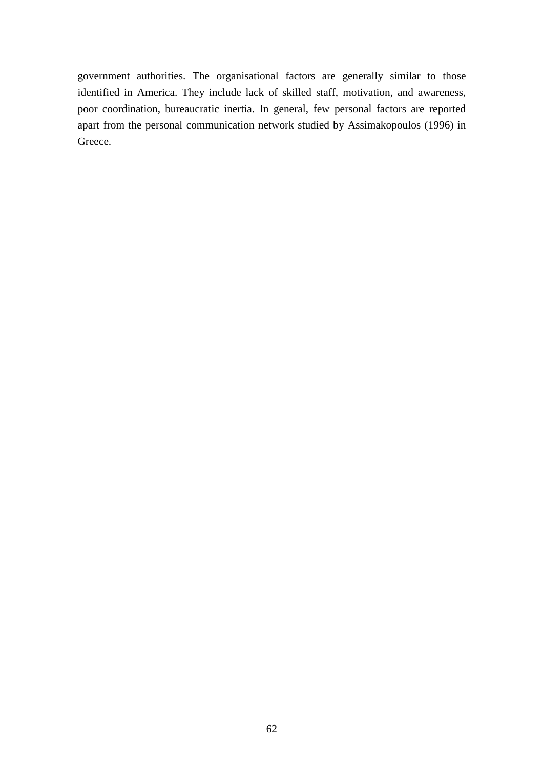government authorities. The organisational factors are generally similar to those identified in America. They include lack of skilled staff, motivation, and awareness, poor coordination, bureaucratic inertia. In general, few personal factors are reported apart from the personal communication network studied by Assimakopoulos (1996) in Greece.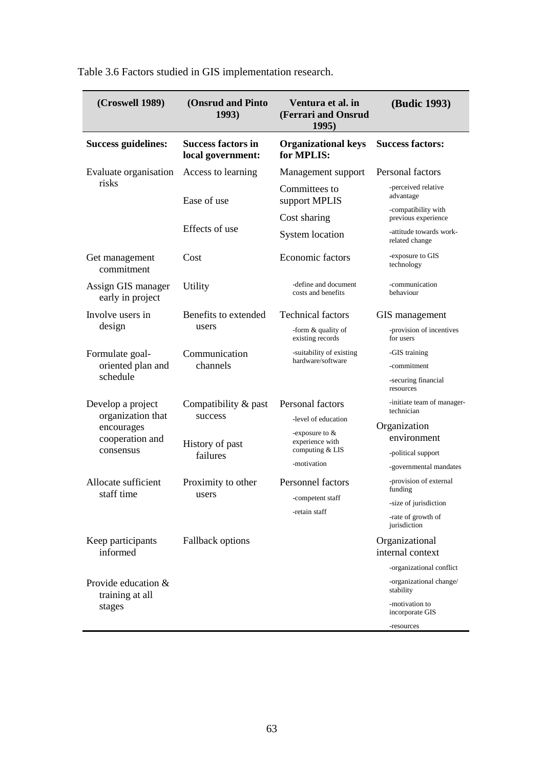| (Croswell 1989)                        | <b>(Onsrud and Pinto</b><br>1993)              | Ventura et al. in<br>(Ferrari and Onsrud<br>1995) | (Budic 1993)                               |
|----------------------------------------|------------------------------------------------|---------------------------------------------------|--------------------------------------------|
| <b>Success guidelines:</b>             | <b>Success factors in</b><br>local government: | <b>Organizational keys</b><br>for MPLIS:          | <b>Success factors:</b>                    |
| Evaluate organisation                  | Access to learning                             | Management support                                | Personal factors                           |
| risks                                  | Ease of use                                    | Committees to<br>support MPLIS                    | -perceived relative<br>advantage           |
|                                        |                                                | Cost sharing                                      | -compatibility with<br>previous experience |
|                                        | Effects of use                                 | <b>System location</b>                            | -attitude towards work-<br>related change  |
| Get management<br>commitment           | Cost                                           | <b>Economic factors</b>                           | -exposure to GIS<br>technology             |
| Assign GIS manager<br>early in project | Utility                                        | -define and document<br>costs and benefits        | -communication<br>behaviour                |
| Involve users in                       | Benefits to extended<br>users                  | <b>Technical factors</b>                          | GIS management                             |
| design                                 |                                                | -form & quality of<br>existing records            | -provision of incentives<br>for users      |
| Formulate goal-                        | Communication                                  | -suitability of existing<br>hardware/software     | -GIS training                              |
| oriented plan and<br>schedule          | channels                                       |                                                   | -commitment                                |
|                                        |                                                |                                                   | -securing financial<br>resources           |
| Develop a project<br>organization that | Compatibility & past<br>success                | Personal factors                                  | -initiate team of manager-<br>technician   |
| encourages                             |                                                | -level of education<br>-exposure to $&$           | Organization                               |
| cooperation and                        | History of past<br>failures                    | experience with<br>computing & LIS<br>-motivation | environment                                |
| consensus                              |                                                |                                                   | -political support                         |
|                                        |                                                |                                                   | -governmental mandates                     |
| Allocate sufficient<br>staff time      | Proximity to other<br>users                    | <b>Personnel factors</b>                          | -provision of external<br>funding          |
|                                        |                                                | -competent staff                                  | -size of jurisdiction                      |
|                                        |                                                | -retain staff                                     | -rate of growth of<br>jurisdiction         |
| Keep participants<br>informed          | <b>Fallback options</b>                        |                                                   | Organizational<br>internal context         |
|                                        |                                                |                                                   | -organizational conflict                   |
| Provide education &<br>training at all |                                                |                                                   | -organizational change/<br>stability       |
| stages                                 |                                                |                                                   | -motivation to<br>incorporate GIS          |
|                                        |                                                |                                                   | -resources                                 |

Table 3.6 Factors studied in GIS implementation research.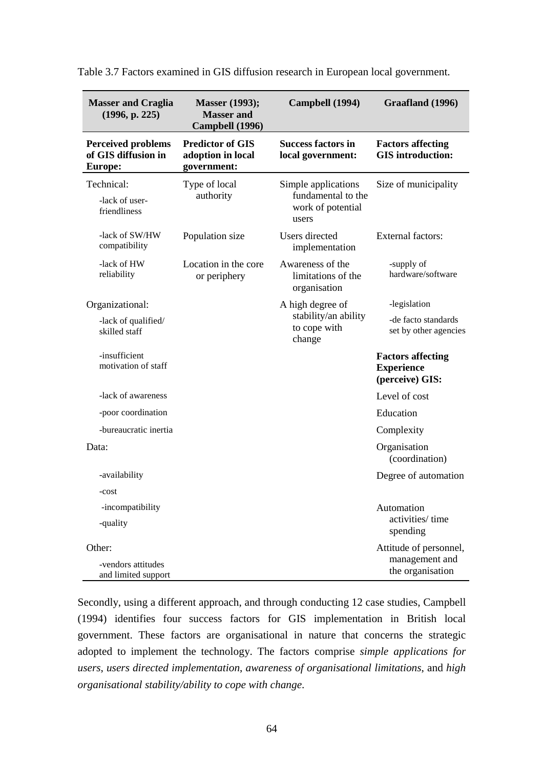| <b>Masser and Craglia</b><br>(1996, p. 225)                        | <b>Masser</b> (1993);<br><b>Masser and</b><br>Campbell (1996) | Campbell (1994)                                                         | Graafland (1996)                                                 |
|--------------------------------------------------------------------|---------------------------------------------------------------|-------------------------------------------------------------------------|------------------------------------------------------------------|
| <b>Perceived problems</b><br>of GIS diffusion in<br><b>Europe:</b> | <b>Predictor of GIS</b><br>adoption in local<br>government:   | <b>Success factors in</b><br>local government:                          | <b>Factors affecting</b><br><b>GIS</b> introduction:             |
| Technical:<br>-lack of user-<br>friendliness                       | Type of local<br>authority                                    | Simple applications<br>fundamental to the<br>work of potential<br>users | Size of municipality                                             |
| -lack of SW/HW<br>compatibility                                    | Population size                                               | Users directed<br>implementation                                        | <b>External factors:</b>                                         |
| -lack of HW<br>reliability                                         | Location in the core<br>or periphery                          | Awareness of the<br>limitations of the<br>organisation                  | -supply of<br>hardware/software                                  |
| Organizational:                                                    |                                                               | A high degree of                                                        | -legislation                                                     |
| -lack of qualified/<br>skilled staff                               |                                                               | stability/an ability<br>to cope with<br>change                          | -de facto standards<br>set by other agencies                     |
| -insufficient<br>motivation of staff                               |                                                               |                                                                         | <b>Factors affecting</b><br><b>Experience</b><br>(perceive) GIS: |
| -lack of awareness                                                 |                                                               |                                                                         | Level of cost                                                    |
| -poor coordination                                                 |                                                               |                                                                         | Education                                                        |
| -bureaucratic inertia                                              |                                                               |                                                                         | Complexity                                                       |
| Data:                                                              |                                                               |                                                                         | Organisation<br>(coordination)                                   |
| -availability                                                      |                                                               |                                                                         | Degree of automation                                             |
| -cost                                                              |                                                               |                                                                         |                                                                  |
| -incompatibility<br>-quality                                       |                                                               |                                                                         | Automation<br>activities/time<br>spending                        |
| Other:<br>-vendors attitudes<br>and limited support                |                                                               |                                                                         | Attitude of personnel,<br>management and<br>the organisation     |

Table 3.7 Factors examined in GIS diffusion research in European local government.

Secondly, using a different approach, and through conducting 12 case studies, Campbell (1994) identifies four success factors for GIS implementation in British local government. These factors are organisational in nature that concerns the strategic adopted to implement the technology. The factors comprise *simple applications for users*, *users directed implementation*, *awareness of organisational limitations*, and *high organisational stability/ability to cope with change*.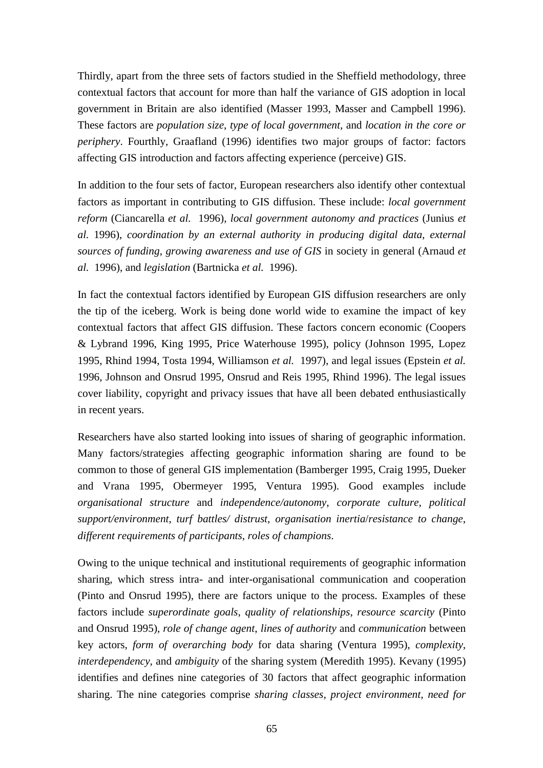Thirdly, apart from the three sets of factors studied in the Sheffield methodology, three contextual factors that account for more than half the variance of GIS adoption in local government in Britain are also identified (Masser 1993, Masser and Campbell 1996). These factors are *population size*, *type of local government*, and *location in the core or periphery*. Fourthly, Graafland (1996) identifies two major groups of factor: factors affecting GIS introduction and factors affecting experience (perceive) GIS.

In addition to the four sets of factor, European researchers also identify other contextual factors as important in contributing to GIS diffusion. These include: *local government reform* (Ciancarella *et al.* 1996), *local government autonomy and practices* (Junius *et al.* 1996), *coordination by an external authority in producing digital data*, *external sources of funding*, *growing awareness and use of GIS* in society in general (Arnaud *et al.* 1996), and *legislation* (Bartnicka *et al.* 1996).

In fact the contextual factors identified by European GIS diffusion researchers are only the tip of the iceberg. Work is being done world wide to examine the impact of key contextual factors that affect GIS diffusion. These factors concern economic (Coopers & Lybrand 1996, King 1995, Price Waterhouse 1995), policy (Johnson 1995, Lopez 1995, Rhind 1994, Tosta 1994, Williamson *et al.* 1997), and legal issues (Epstein *et al.* 1996, Johnson and Onsrud 1995, Onsrud and Reis 1995, Rhind 1996). The legal issues cover liability, copyright and privacy issues that have all been debated enthusiastically in recent years.

Researchers have also started looking into issues of sharing of geographic information. Many factors/strategies affecting geographic information sharing are found to be common to those of general GIS implementation (Bamberger 1995, Craig 1995, Dueker and Vrana 1995, Obermeyer 1995, Ventura 1995). Good examples include *organisational structure* and *independence/autonomy*, *corporate culture*, *political support/environment*, *turf battles/ distrust*, *organisation inertia*/*resistance to change*, *different requirements of participants*, *roles of champions*.

Owing to the unique technical and institutional requirements of geographic information sharing, which stress intra- and inter-organisational communication and cooperation (Pinto and Onsrud 1995), there are factors unique to the process. Examples of these factors include *superordinate goals*, *quality of relationships*, *resource scarcity* (Pinto and Onsrud 1995), *role of change agent*, *lines of authority* and *communication* between key actors, *form of overarching body* for data sharing (Ventura 1995), *complexity*, *interdependency*, and *ambiguity* of the sharing system (Meredith 1995). Kevany (1995) identifies and defines nine categories of 30 factors that affect geographic information sharing. The nine categories comprise *sharing classes*, *project environment*, *need for*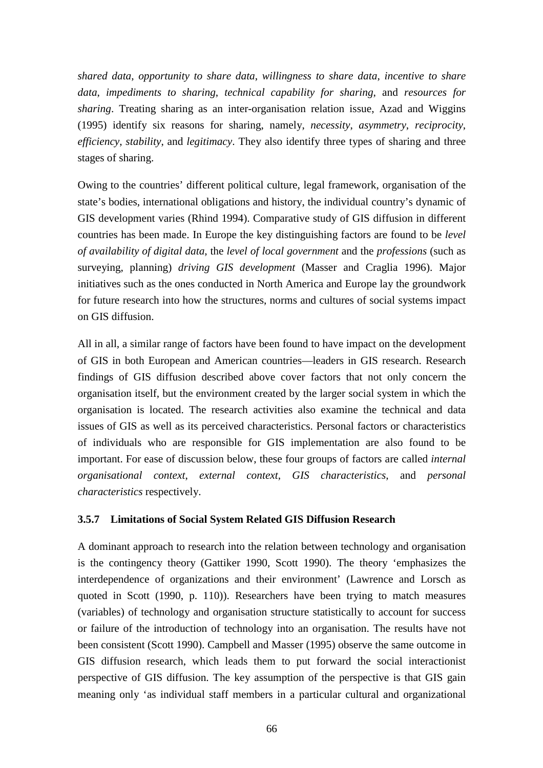*shared data*, *opportunity to share data*, *willingness to share data*, *incentive to share data*, *impediments to sharing*, *technical capability for sharing*, and *resources for sharing*. Treating sharing as an inter-organisation relation issue, Azad and Wiggins (1995) identify six reasons for sharing, namely, *necessity*, *asymmetry*, *reciprocity*, *efficiency*, *stability*, and *legitimacy*. They also identify three types of sharing and three stages of sharing.

Owing to the countries' different political culture, legal framework, organisation of the state's bodies, international obligations and history, the individual country's dynamic of GIS development varies (Rhind 1994). Comparative study of GIS diffusion in different countries has been made. In Europe the key distinguishing factors are found to be *level of availability of digital data*, the *level of local government* and the *professions* (such as surveying, planning) *driving GIS development* (Masser and Craglia 1996). Major initiatives such as the ones conducted in North America and Europe lay the groundwork for future research into how the structures, norms and cultures of social systems impact on GIS diffusion.

All in all, a similar range of factors have been found to have impact on the development of GIS in both European and American countries—leaders in GIS research. Research findings of GIS diffusion described above cover factors that not only concern the organisation itself, but the environment created by the larger social system in which the organisation is located. The research activities also examine the technical and data issues of GIS as well as its perceived characteristics. Personal factors or characteristics of individuals who are responsible for GIS implementation are also found to be important. For ease of discussion below, these four groups of factors are called *internal organisational context*, *external context*, *GIS characteristics*, and *personal characteristics* respectively.

## **3.5.7 Limitations of Social System Related GIS Diffusion Research**

A dominant approach to research into the relation between technology and organisation is the contingency theory (Gattiker 1990, Scott 1990). The theory 'emphasizes the interdependence of organizations and their environment' (Lawrence and Lorsch as quoted in Scott (1990, p. 110)). Researchers have been trying to match measures (variables) of technology and organisation structure statistically to account for success or failure of the introduction of technology into an organisation. The results have not been consistent (Scott 1990). Campbell and Masser (1995) observe the same outcome in GIS diffusion research, which leads them to put forward the social interactionist perspective of GIS diffusion. The key assumption of the perspective is that GIS gain meaning only 'as individual staff members in a particular cultural and organizational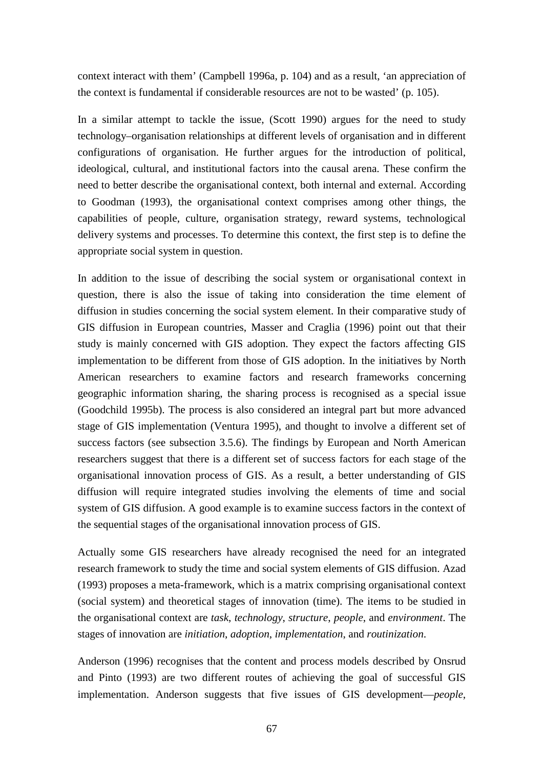context interact with them' (Campbell 1996a, p. 104) and as a result, 'an appreciation of the context is fundamental if considerable resources are not to be wasted' (p. 105).

In a similar attempt to tackle the issue, (Scott 1990) argues for the need to study technology–organisation relationships at different levels of organisation and in different configurations of organisation. He further argues for the introduction of political, ideological, cultural, and institutional factors into the causal arena. These confirm the need to better describe the organisational context, both internal and external. According to Goodman (1993), the organisational context comprises among other things, the capabilities of people, culture, organisation strategy, reward systems, technological delivery systems and processes. To determine this context, the first step is to define the appropriate social system in question.

In addition to the issue of describing the social system or organisational context in question, there is also the issue of taking into consideration the time element of diffusion in studies concerning the social system element. In their comparative study of GIS diffusion in European countries, Masser and Craglia (1996) point out that their study is mainly concerned with GIS adoption. They expect the factors affecting GIS implementation to be different from those of GIS adoption. In the initiatives by North American researchers to examine factors and research frameworks concerning geographic information sharing, the sharing process is recognised as a special issue (Goodchild 1995b). The process is also considered an integral part but more advanced stage of GIS implementation (Ventura 1995), and thought to involve a different set of success factors (see subsection 3.5.6). The findings by European and North American researchers suggest that there is a different set of success factors for each stage of the organisational innovation process of GIS. As a result, a better understanding of GIS diffusion will require integrated studies involving the elements of time and social system of GIS diffusion. A good example is to examine success factors in the context of the sequential stages of the organisational innovation process of GIS.

Actually some GIS researchers have already recognised the need for an integrated research framework to study the time and social system elements of GIS diffusion. Azad (1993) proposes a meta-framework, which is a matrix comprising organisational context (social system) and theoretical stages of innovation (time). The items to be studied in the organisational context are *task*, *technology*, *structure*, *people*, and *environment*. The stages of innovation are *initiation*, *adoption*, *implementation*, and *routinization*.

Anderson (1996) recognises that the content and process models described by Onsrud and Pinto (1993) are two different routes of achieving the goal of successful GIS implementation. Anderson suggests that five issues of GIS development—*people*,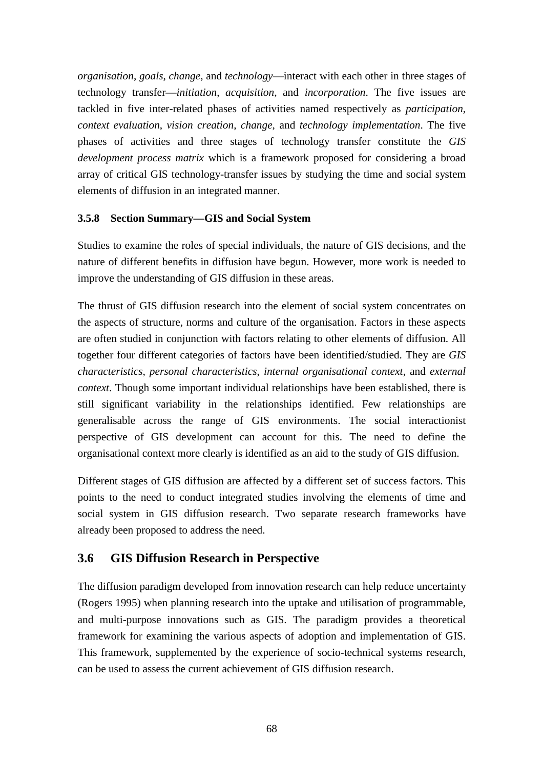*organisation*, *goals*, *change*, and *technology*—interact with each other in three stages of technology transfer—*initiation*, *acquisition*, and *incorporation*. The five issues are tackled in five inter-related phases of activities named respectively as *participation*, *context evaluation*, *vision creation*, *change*, and *technology implementation*. The five phases of activities and three stages of technology transfer constitute the *GIS development process matrix* which is a framework proposed for considering a broad array of critical GIS technology-transfer issues by studying the time and social system elements of diffusion in an integrated manner.

## **3.5.8 Section Summary—GIS and Social System**

Studies to examine the roles of special individuals, the nature of GIS decisions, and the nature of different benefits in diffusion have begun. However, more work is needed to improve the understanding of GIS diffusion in these areas.

The thrust of GIS diffusion research into the element of social system concentrates on the aspects of structure, norms and culture of the organisation. Factors in these aspects are often studied in conjunction with factors relating to other elements of diffusion. All together four different categories of factors have been identified/studied. They are *GIS characteristics*, *personal characteristics*, *internal organisational context*, and *external context*. Though some important individual relationships have been established, there is still significant variability in the relationships identified. Few relationships are generalisable across the range of GIS environments. The social interactionist perspective of GIS development can account for this. The need to define the organisational context more clearly is identified as an aid to the study of GIS diffusion.

Different stages of GIS diffusion are affected by a different set of success factors. This points to the need to conduct integrated studies involving the elements of time and social system in GIS diffusion research. Two separate research frameworks have already been proposed to address the need.

# **3.6 GIS Diffusion Research in Perspective**

The diffusion paradigm developed from innovation research can help reduce uncertainty (Rogers 1995) when planning research into the uptake and utilisation of programmable, and multi-purpose innovations such as GIS. The paradigm provides a theoretical framework for examining the various aspects of adoption and implementation of GIS. This framework, supplemented by the experience of socio-technical systems research, can be used to assess the current achievement of GIS diffusion research.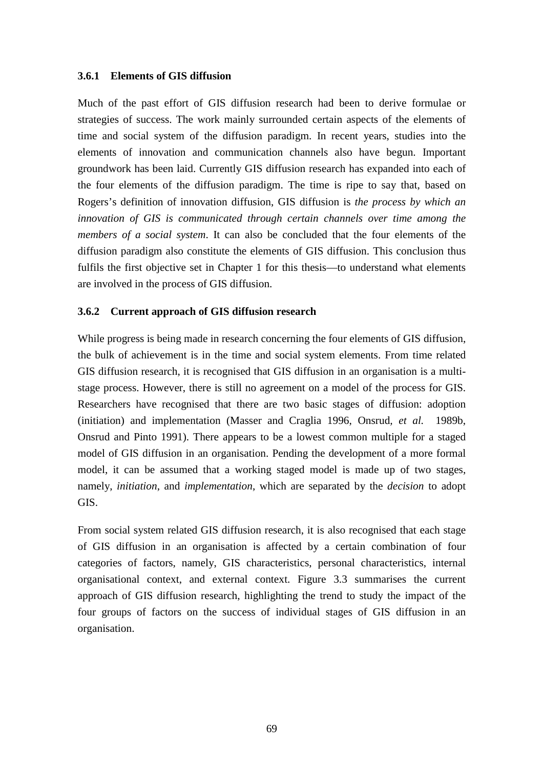#### **3.6.1 Elements of GIS diffusion**

Much of the past effort of GIS diffusion research had been to derive formulae or strategies of success. The work mainly surrounded certain aspects of the elements of time and social system of the diffusion paradigm. In recent years, studies into the elements of innovation and communication channels also have begun. Important groundwork has been laid. Currently GIS diffusion research has expanded into each of the four elements of the diffusion paradigm. The time is ripe to say that, based on Rogers's definition of innovation diffusion, GIS diffusion is *the process by which an innovation of GIS is communicated through certain channels over time among the members of a social system*. It can also be concluded that the four elements of the diffusion paradigm also constitute the elements of GIS diffusion. This conclusion thus fulfils the first objective set in Chapter 1 for this thesis—to understand what elements are involved in the process of GIS diffusion.

#### **3.6.2 Current approach of GIS diffusion research**

While progress is being made in research concerning the four elements of GIS diffusion, the bulk of achievement is in the time and social system elements. From time related GIS diffusion research, it is recognised that GIS diffusion in an organisation is a multistage process. However, there is still no agreement on a model of the process for GIS. Researchers have recognised that there are two basic stages of diffusion: adoption (initiation) and implementation (Masser and Craglia 1996, Onsrud*, et al.* 1989b, Onsrud and Pinto 1991). There appears to be a lowest common multiple for a staged model of GIS diffusion in an organisation. Pending the development of a more formal model, it can be assumed that a working staged model is made up of two stages, namely, *initiation*, and *implementation*, which are separated by the *decision* to adopt GIS.

From social system related GIS diffusion research, it is also recognised that each stage of GIS diffusion in an organisation is affected by a certain combination of four categories of factors, namely, GIS characteristics, personal characteristics, internal organisational context, and external context. Figure 3.3 summarises the current approach of GIS diffusion research, highlighting the trend to study the impact of the four groups of factors on the success of individual stages of GIS diffusion in an organisation.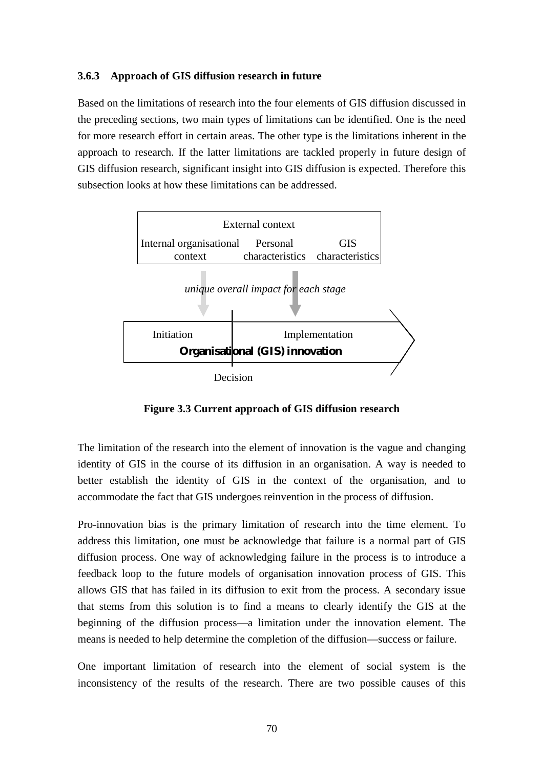#### **3.6.3 Approach of GIS diffusion research in future**

Based on the limitations of research into the four elements of GIS diffusion discussed in the preceding sections, two main types of limitations can be identified. One is the need for more research effort in certain areas. The other type is the limitations inherent in the approach to research. If the latter limitations are tackled properly in future design of GIS diffusion research, significant insight into GIS diffusion is expected. Therefore this subsection looks at how these limitations can be addressed.



**Figure 3.3 Current approach of GIS diffusion research**

The limitation of the research into the element of innovation is the vague and changing identity of GIS in the course of its diffusion in an organisation. A way is needed to better establish the identity of GIS in the context of the organisation, and to accommodate the fact that GIS undergoes reinvention in the process of diffusion.

Pro-innovation bias is the primary limitation of research into the time element. To address this limitation, one must be acknowledge that failure is a normal part of GIS diffusion process. One way of acknowledging failure in the process is to introduce a feedback loop to the future models of organisation innovation process of GIS. This allows GIS that has failed in its diffusion to exit from the process. A secondary issue that stems from this solution is to find a means to clearly identify the GIS at the beginning of the diffusion process—a limitation under the innovation element. The means is needed to help determine the completion of the diffusion—success or failure.

One important limitation of research into the element of social system is the inconsistency of the results of the research. There are two possible causes of this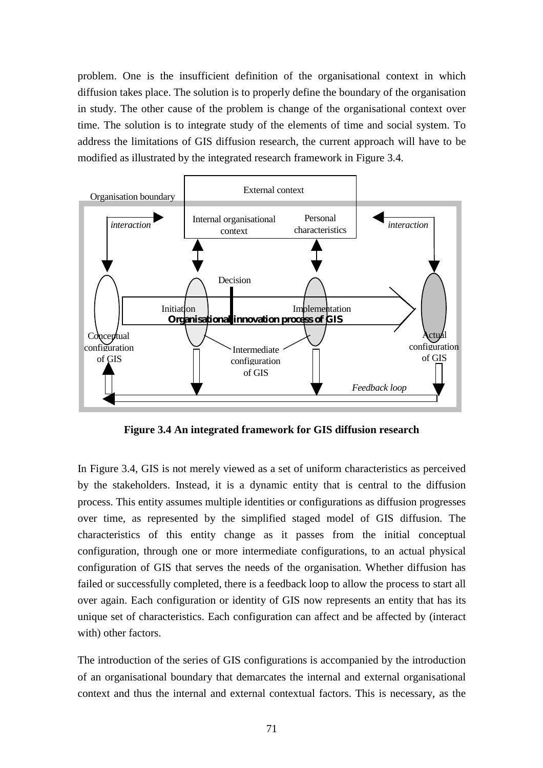problem. One is the insufficient definition of the organisational context in which diffusion takes place. The solution is to properly define the boundary of the organisation in study. The other cause of the problem is change of the organisational context over time. The solution is to integrate study of the elements of time and social system. To address the limitations of GIS diffusion research, the current approach will have to be modified as illustrated by the integrated research framework in Figure 3.4.



**Figure 3.4 An integrated framework for GIS diffusion research**

In Figure 3.4, GIS is not merely viewed as a set of uniform characteristics as perceived by the stakeholders. Instead, it is a dynamic entity that is central to the diffusion process. This entity assumes multiple identities or configurations as diffusion progresses over time, as represented by the simplified staged model of GIS diffusion. The characteristics of this entity change as it passes from the initial conceptual configuration, through one or more intermediate configurations, to an actual physical configuration of GIS that serves the needs of the organisation. Whether diffusion has failed or successfully completed, there is a feedback loop to allow the process to start all over again. Each configuration or identity of GIS now represents an entity that has its unique set of characteristics. Each configuration can affect and be affected by (interact with) other factors.

The introduction of the series of GIS configurations is accompanied by the introduction of an organisational boundary that demarcates the internal and external organisational context and thus the internal and external contextual factors. This is necessary, as the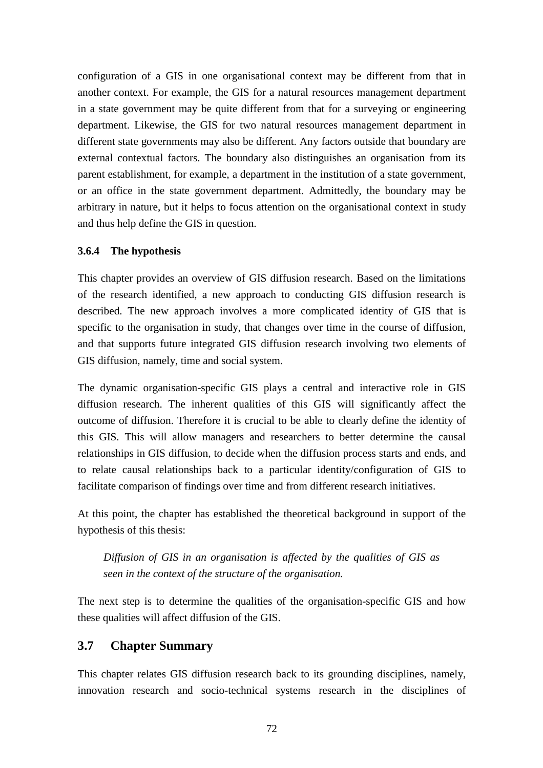configuration of a GIS in one organisational context may be different from that in another context. For example, the GIS for a natural resources management department in a state government may be quite different from that for a surveying or engineering department. Likewise, the GIS for two natural resources management department in different state governments may also be different. Any factors outside that boundary are external contextual factors. The boundary also distinguishes an organisation from its parent establishment, for example, a department in the institution of a state government, or an office in the state government department. Admittedly, the boundary may be arbitrary in nature, but it helps to focus attention on the organisational context in study and thus help define the GIS in question.

## **3.6.4 The hypothesis**

This chapter provides an overview of GIS diffusion research. Based on the limitations of the research identified, a new approach to conducting GIS diffusion research is described. The new approach involves a more complicated identity of GIS that is specific to the organisation in study, that changes over time in the course of diffusion, and that supports future integrated GIS diffusion research involving two elements of GIS diffusion, namely, time and social system.

The dynamic organisation-specific GIS plays a central and interactive role in GIS diffusion research. The inherent qualities of this GIS will significantly affect the outcome of diffusion. Therefore it is crucial to be able to clearly define the identity of this GIS. This will allow managers and researchers to better determine the causal relationships in GIS diffusion, to decide when the diffusion process starts and ends, and to relate causal relationships back to a particular identity/configuration of GIS to facilitate comparison of findings over time and from different research initiatives.

At this point, the chapter has established the theoretical background in support of the hypothesis of this thesis:

*Diffusion of GIS in an organisation is affected by the qualities of GIS as seen in the context of the structure of the organisation.*

The next step is to determine the qualities of the organisation-specific GIS and how these qualities will affect diffusion of the GIS.

## **3.7 Chapter Summary**

This chapter relates GIS diffusion research back to its grounding disciplines, namely, innovation research and socio-technical systems research in the disciplines of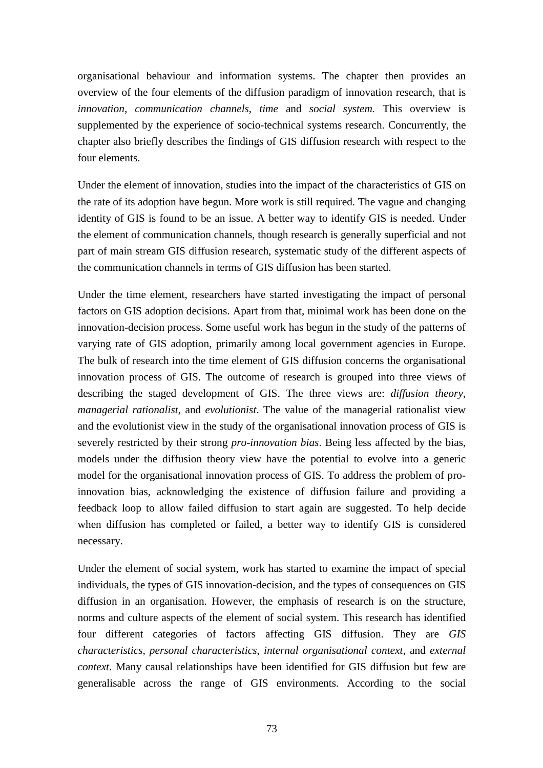organisational behaviour and information systems. The chapter then provides an overview of the four elements of the diffusion paradigm of innovation research, that is *innovation, communication channels*, *time* and *social system.* This overview is supplemented by the experience of socio-technical systems research. Concurrently, the chapter also briefly describes the findings of GIS diffusion research with respect to the four elements.

Under the element of innovation, studies into the impact of the characteristics of GIS on the rate of its adoption have begun. More work is still required. The vague and changing identity of GIS is found to be an issue. A better way to identify GIS is needed. Under the element of communication channels, though research is generally superficial and not part of main stream GIS diffusion research, systematic study of the different aspects of the communication channels in terms of GIS diffusion has been started.

Under the time element, researchers have started investigating the impact of personal factors on GIS adoption decisions. Apart from that, minimal work has been done on the innovation-decision process. Some useful work has begun in the study of the patterns of varying rate of GIS adoption, primarily among local government agencies in Europe. The bulk of research into the time element of GIS diffusion concerns the organisational innovation process of GIS. The outcome of research is grouped into three views of describing the staged development of GIS. The three views are: *diffusion theory*, *managerial rationalist*, and *evolutionist*. The value of the managerial rationalist view and the evolutionist view in the study of the organisational innovation process of GIS is severely restricted by their strong *pro-innovation bias*. Being less affected by the bias, models under the diffusion theory view have the potential to evolve into a generic model for the organisational innovation process of GIS. To address the problem of proinnovation bias, acknowledging the existence of diffusion failure and providing a feedback loop to allow failed diffusion to start again are suggested. To help decide when diffusion has completed or failed, a better way to identify GIS is considered necessary.

Under the element of social system, work has started to examine the impact of special individuals, the types of GIS innovation-decision, and the types of consequences on GIS diffusion in an organisation. However, the emphasis of research is on the structure, norms and culture aspects of the element of social system. This research has identified four different categories of factors affecting GIS diffusion. They are *GIS characteristics*, *personal characteristics*, *internal organisational context*, and *external context*. Many causal relationships have been identified for GIS diffusion but few are generalisable across the range of GIS environments. According to the social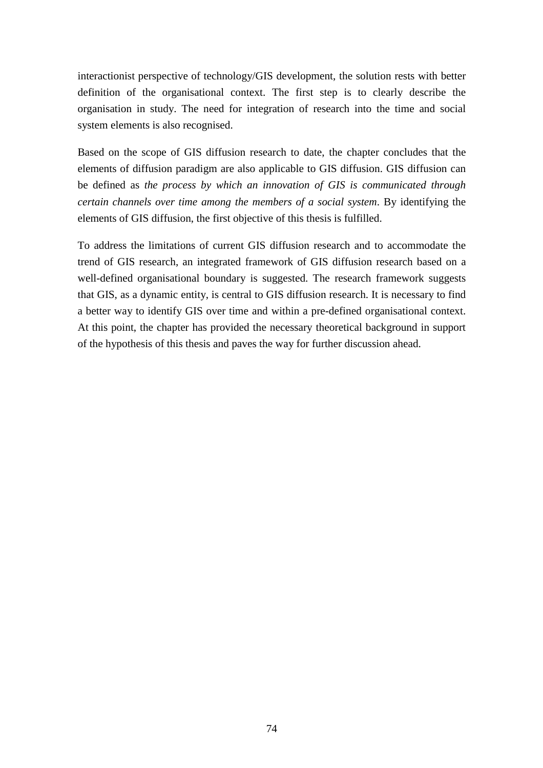interactionist perspective of technology/GIS development, the solution rests with better definition of the organisational context. The first step is to clearly describe the organisation in study. The need for integration of research into the time and social system elements is also recognised.

Based on the scope of GIS diffusion research to date, the chapter concludes that the elements of diffusion paradigm are also applicable to GIS diffusion. GIS diffusion can be defined as *the process by which an innovation of GIS is communicated through certain channels over time among the members of a social system*. By identifying the elements of GIS diffusion, the first objective of this thesis is fulfilled.

To address the limitations of current GIS diffusion research and to accommodate the trend of GIS research, an integrated framework of GIS diffusion research based on a well-defined organisational boundary is suggested. The research framework suggests that GIS, as a dynamic entity, is central to GIS diffusion research. It is necessary to find a better way to identify GIS over time and within a pre-defined organisational context. At this point, the chapter has provided the necessary theoretical background in support of the hypothesis of this thesis and paves the way for further discussion ahead.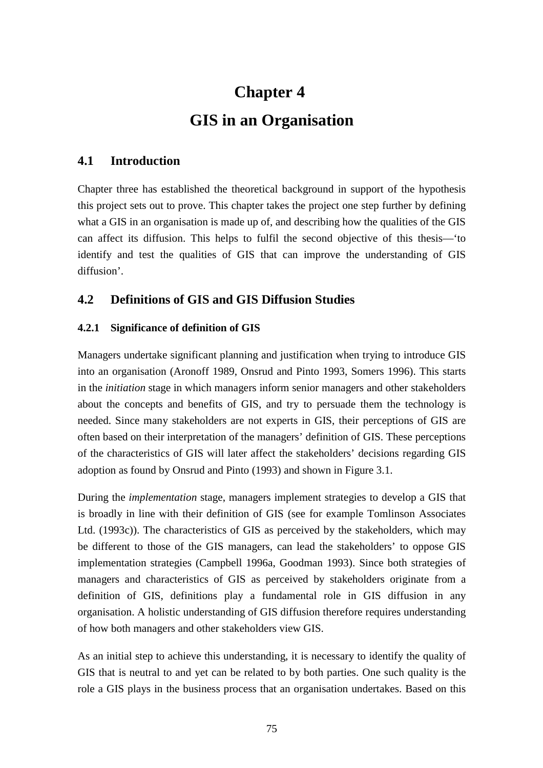# **Chapter 4 GIS in an Organisation**

## **4.1 Introduction**

Chapter three has established the theoretical background in support of the hypothesis this project sets out to prove. This chapter takes the project one step further by defining what a GIS in an organisation is made up of, and describing how the qualities of the GIS can affect its diffusion. This helps to fulfil the second objective of this thesis—'to identify and test the qualities of GIS that can improve the understanding of GIS diffusion'.

## **4.2 Definitions of GIS and GIS Diffusion Studies**

## **4.2.1 Significance of definition of GIS**

Managers undertake significant planning and justification when trying to introduce GIS into an organisation (Aronoff 1989, Onsrud and Pinto 1993, Somers 1996). This starts in the *initiation* stage in which managers inform senior managers and other stakeholders about the concepts and benefits of GIS, and try to persuade them the technology is needed. Since many stakeholders are not experts in GIS, their perceptions of GIS are often based on their interpretation of the managers' definition of GIS. These perceptions of the characteristics of GIS will later affect the stakeholders' decisions regarding GIS adoption as found by Onsrud and Pinto (1993) and shown in Figure 3.1.

During the *implementation* stage, managers implement strategies to develop a GIS that is broadly in line with their definition of GIS (see for example Tomlinson Associates Ltd. (1993c)). The characteristics of GIS as perceived by the stakeholders, which may be different to those of the GIS managers, can lead the stakeholders' to oppose GIS implementation strategies (Campbell 1996a, Goodman 1993). Since both strategies of managers and characteristics of GIS as perceived by stakeholders originate from a definition of GIS, definitions play a fundamental role in GIS diffusion in any organisation. A holistic understanding of GIS diffusion therefore requires understanding of how both managers and other stakeholders view GIS.

As an initial step to achieve this understanding, it is necessary to identify the quality of GIS that is neutral to and yet can be related to by both parties. One such quality is the role a GIS plays in the business process that an organisation undertakes. Based on this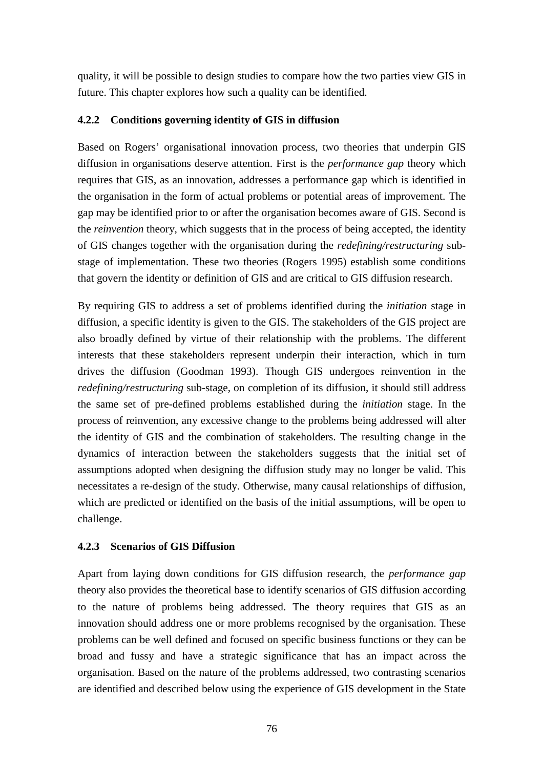quality, it will be possible to design studies to compare how the two parties view GIS in future. This chapter explores how such a quality can be identified.

## **4.2.2 Conditions governing identity of GIS in diffusion**

Based on Rogers' organisational innovation process, two theories that underpin GIS diffusion in organisations deserve attention. First is the *performance gap* theory which requires that GIS, as an innovation, addresses a performance gap which is identified in the organisation in the form of actual problems or potential areas of improvement. The gap may be identified prior to or after the organisation becomes aware of GIS. Second is the *reinvention* theory, which suggests that in the process of being accepted, the identity of GIS changes together with the organisation during the *redefining/restructuring* substage of implementation. These two theories (Rogers 1995) establish some conditions that govern the identity or definition of GIS and are critical to GIS diffusion research.

By requiring GIS to address a set of problems identified during the *initiation* stage in diffusion, a specific identity is given to the GIS. The stakeholders of the GIS project are also broadly defined by virtue of their relationship with the problems. The different interests that these stakeholders represent underpin their interaction, which in turn drives the diffusion (Goodman 1993). Though GIS undergoes reinvention in the *redefining/restructuring* sub-stage, on completion of its diffusion, it should still address the same set of pre-defined problems established during the *initiation* stage. In the process of reinvention, any excessive change to the problems being addressed will alter the identity of GIS and the combination of stakeholders. The resulting change in the dynamics of interaction between the stakeholders suggests that the initial set of assumptions adopted when designing the diffusion study may no longer be valid. This necessitates a re-design of the study. Otherwise, many causal relationships of diffusion, which are predicted or identified on the basis of the initial assumptions, will be open to challenge.

#### **4.2.3 Scenarios of GIS Diffusion**

Apart from laying down conditions for GIS diffusion research, the *performance gap* theory also provides the theoretical base to identify scenarios of GIS diffusion according to the nature of problems being addressed. The theory requires that GIS as an innovation should address one or more problems recognised by the organisation. These problems can be well defined and focused on specific business functions or they can be broad and fussy and have a strategic significance that has an impact across the organisation. Based on the nature of the problems addressed, two contrasting scenarios are identified and described below using the experience of GIS development in the State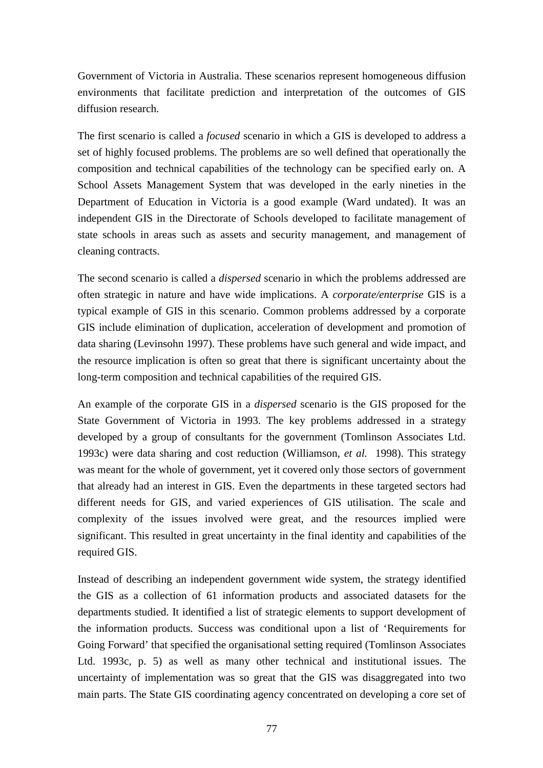Government of Victoria in Australia. These scenarios represent homogeneous diffusion environments that facilitate prediction and interpretation of the outcomes of GIS diffusion research.

The first scenario is called a *focused* scenario in which a GIS is developed to address a set of highly focused problems. The problems are so well defined that operationally the composition and technical capabilities of the technology can be specified early on. A School Assets Management System that was developed in the early nineties in the Department of Education in Victoria is a good example (Ward undated). It was an independent GIS in the Directorate of Schools developed to facilitate management of state schools in areas such as assets and security management, and management of cleaning contracts.

The second scenario is called a *dispersed* scenario in which the problems addressed are often strategic in nature and have wide implications. A *corporate/enterprise* GIS is a typical example of GIS in this scenario. Common problems addressed by a corporate GIS include elimination of duplication, acceleration of development and promotion of data sharing (Levinsohn 1997). These problems have such general and wide impact, and the resource implication is often so great that there is significant uncertainty about the long-term composition and technical capabilities of the required GIS.

An example of the corporate GIS in a *dispersed* scenario is the GIS proposed for the State Government of Victoria in 1993. The key problems addressed in a strategy developed by a group of consultants for the government (Tomlinson Associates Ltd. 1993c) were data sharing and cost reduction (Williamson*, et al.* 1998). This strategy was meant for the whole of government, yet it covered only those sectors of government that already had an interest in GIS. Even the departments in these targeted sectors had different needs for GIS, and varied experiences of GIS utilisation. The scale and complexity of the issues involved were great, and the resources implied were significant. This resulted in great uncertainty in the final identity and capabilities of the required GIS.

Instead of describing an independent government wide system, the strategy identified the GIS as a collection of 61 information products and associated datasets for the departments studied. It identified a list of strategic elements to support development of the information products. Success was conditional upon a list of 'Requirements for Going Forward' that specified the organisational setting required (Tomlinson Associates Ltd. 1993c, p. 5) as well as many other technical and institutional issues. The uncertainty of implementation was so great that the GIS was disaggregated into two main parts. The State GIS coordinating agency concentrated on developing a core set of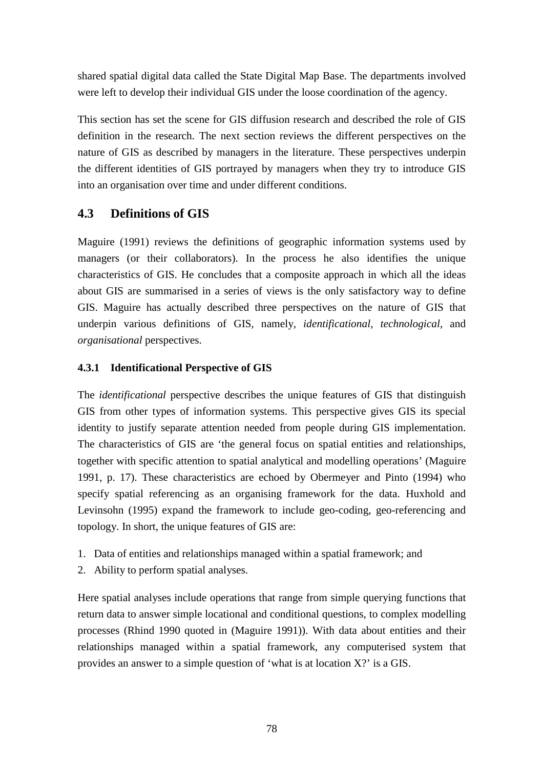shared spatial digital data called the State Digital Map Base. The departments involved were left to develop their individual GIS under the loose coordination of the agency.

This section has set the scene for GIS diffusion research and described the role of GIS definition in the research. The next section reviews the different perspectives on the nature of GIS as described by managers in the literature. These perspectives underpin the different identities of GIS portrayed by managers when they try to introduce GIS into an organisation over time and under different conditions.

# **4.3 Definitions of GIS**

Maguire (1991) reviews the definitions of geographic information systems used by managers (or their collaborators). In the process he also identifies the unique characteristics of GIS. He concludes that a composite approach in which all the ideas about GIS are summarised in a series of views is the only satisfactory way to define GIS. Maguire has actually described three perspectives on the nature of GIS that underpin various definitions of GIS, namely, *identificational*, *technological*, and *organisational* perspectives.

## **4.3.1 Identificational Perspective of GIS**

The *identificational* perspective describes the unique features of GIS that distinguish GIS from other types of information systems. This perspective gives GIS its special identity to justify separate attention needed from people during GIS implementation. The characteristics of GIS are 'the general focus on spatial entities and relationships, together with specific attention to spatial analytical and modelling operations' (Maguire 1991, p. 17). These characteristics are echoed by Obermeyer and Pinto (1994) who specify spatial referencing as an organising framework for the data. Huxhold and Levinsohn (1995) expand the framework to include geo-coding, geo-referencing and topology. In short, the unique features of GIS are:

- 1. Data of entities and relationships managed within a spatial framework; and
- 2. Ability to perform spatial analyses.

Here spatial analyses include operations that range from simple querying functions that return data to answer simple locational and conditional questions, to complex modelling processes (Rhind 1990 quoted in (Maguire 1991)). With data about entities and their relationships managed within a spatial framework, any computerised system that provides an answer to a simple question of 'what is at location X?' is a GIS.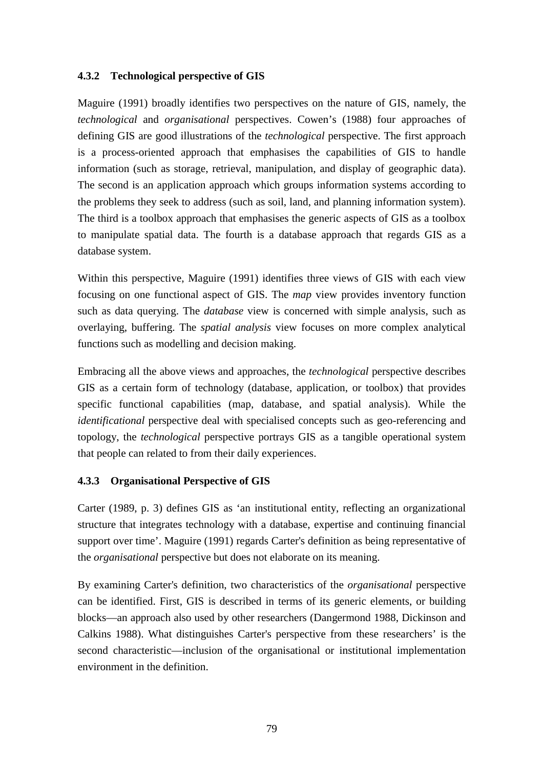#### **4.3.2 Technological perspective of GIS**

Maguire (1991) broadly identifies two perspectives on the nature of GIS, namely, the *technological* and *organisational* perspectives. Cowen's (1988) four approaches of defining GIS are good illustrations of the *technological* perspective. The first approach is a process-oriented approach that emphasises the capabilities of GIS to handle information (such as storage, retrieval, manipulation, and display of geographic data). The second is an application approach which groups information systems according to the problems they seek to address (such as soil, land, and planning information system). The third is a toolbox approach that emphasises the generic aspects of GIS as a toolbox to manipulate spatial data. The fourth is a database approach that regards GIS as a database system.

Within this perspective, Maguire (1991) identifies three views of GIS with each view focusing on one functional aspect of GIS. The *map* view provides inventory function such as data querying. The *database* view is concerned with simple analysis, such as overlaying, buffering. The *spatial analysis* view focuses on more complex analytical functions such as modelling and decision making.

Embracing all the above views and approaches, the *technological* perspective describes GIS as a certain form of technology (database, application, or toolbox) that provides specific functional capabilities (map, database, and spatial analysis). While the *identificational* perspective deal with specialised concepts such as geo-referencing and topology, the *technological* perspective portrays GIS as a tangible operational system that people can related to from their daily experiences.

#### **4.3.3 Organisational Perspective of GIS**

Carter (1989, p. 3) defines GIS as 'an institutional entity, reflecting an organizational structure that integrates technology with a database, expertise and continuing financial support over time'. Maguire (1991) regards Carter's definition as being representative of the *organisational* perspective but does not elaborate on its meaning.

By examining Carter's definition, two characteristics of the *organisational* perspective can be identified. First, GIS is described in terms of its generic elements, or building blocks—an approach also used by other researchers (Dangermond 1988, Dickinson and Calkins 1988). What distinguishes Carter's perspective from these researchers' is the second characteristic—inclusion of the organisational or institutional implementation environment in the definition.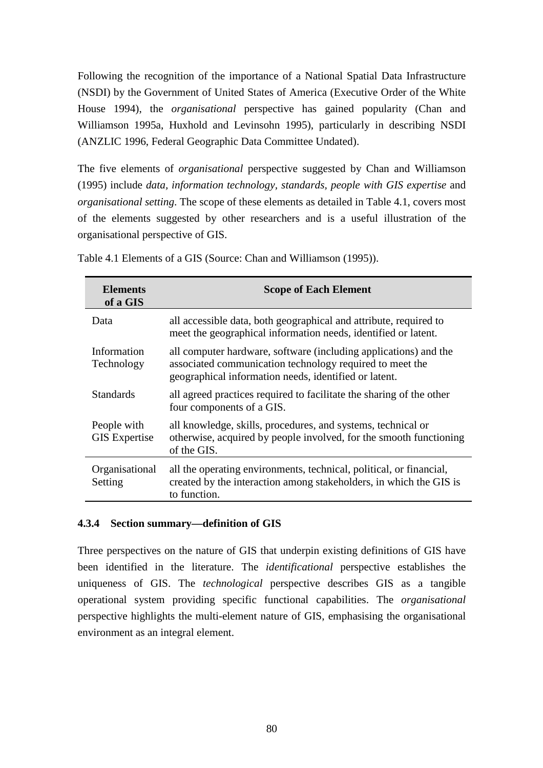Following the recognition of the importance of a National Spatial Data Infrastructure (NSDI) by the Government of United States of America (Executive Order of the White House 1994), the *organisational* perspective has gained popularity (Chan and Williamson 1995a, Huxhold and Levinsohn 1995), particularly in describing NSDI (ANZLIC 1996, Federal Geographic Data Committee Undated).

The five elements of *organisational* perspective suggested by Chan and Williamson (1995) include *data, information technology, standards, people with GIS expertise* and *organisational setting*. The scope of these elements as detailed in Table 4.1, covers most of the elements suggested by other researchers and is a useful illustration of the organisational perspective of GIS.

| <b>Elements</b><br>of a GIS         | <b>Scope of Each Element</b>                                                                                                                                                          |
|-------------------------------------|---------------------------------------------------------------------------------------------------------------------------------------------------------------------------------------|
| Data                                | all accessible data, both geographical and attribute, required to<br>meet the geographical information needs, identified or latent.                                                   |
| Information<br>Technology           | all computer hardware, software (including applications) and the<br>associated communication technology required to meet the<br>geographical information needs, identified or latent. |
| <b>Standards</b>                    | all agreed practices required to facilitate the sharing of the other<br>four components of a GIS.                                                                                     |
| People with<br><b>GIS</b> Expertise | all knowledge, skills, procedures, and systems, technical or<br>otherwise, acquired by people involved, for the smooth functioning<br>of the GIS.                                     |
| Organisational<br>Setting           | all the operating environments, technical, political, or financial,<br>created by the interaction among stakeholders, in which the GIS is<br>to function.                             |

Table 4.1 Elements of a GIS (Source: Chan and Williamson (1995)).

#### **4.3.4 Section summary—definition of GIS**

Three perspectives on the nature of GIS that underpin existing definitions of GIS have been identified in the literature. The *identificational* perspective establishes the uniqueness of GIS. The *technological* perspective describes GIS as a tangible operational system providing specific functional capabilities. The *organisational* perspective highlights the multi-element nature of GIS, emphasising the organisational environment as an integral element.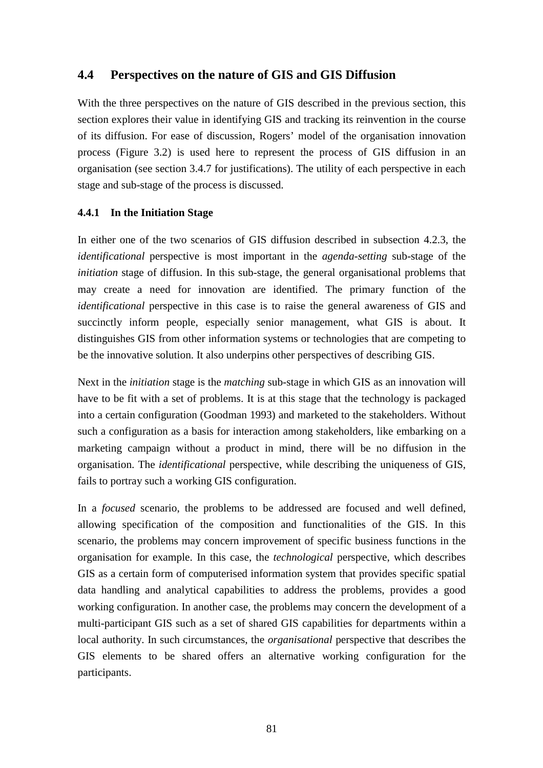## **4.4 Perspectives on the nature of GIS and GIS Diffusion**

With the three perspectives on the nature of GIS described in the previous section, this section explores their value in identifying GIS and tracking its reinvention in the course of its diffusion. For ease of discussion, Rogers' model of the organisation innovation process (Figure 3.2) is used here to represent the process of GIS diffusion in an organisation (see section 3.4.7 for justifications). The utility of each perspective in each stage and sub-stage of the process is discussed.

#### **4.4.1 In the Initiation Stage**

In either one of the two scenarios of GIS diffusion described in subsection 4.2.3, the *identificational* perspective is most important in the *agenda-setting* sub-stage of the *initiation* stage of diffusion. In this sub-stage, the general organisational problems that may create a need for innovation are identified. The primary function of the *identificational* perspective in this case is to raise the general awareness of GIS and succinctly inform people, especially senior management, what GIS is about. It distinguishes GIS from other information systems or technologies that are competing to be the innovative solution. It also underpins other perspectives of describing GIS.

Next in the *initiation* stage is the *matching* sub-stage in which GIS as an innovation will have to be fit with a set of problems. It is at this stage that the technology is packaged into a certain configuration (Goodman 1993) and marketed to the stakeholders. Without such a configuration as a basis for interaction among stakeholders, like embarking on a marketing campaign without a product in mind, there will be no diffusion in the organisation. The *identificational* perspective, while describing the uniqueness of GIS, fails to portray such a working GIS configuration.

In a *focused* scenario, the problems to be addressed are focused and well defined, allowing specification of the composition and functionalities of the GIS. In this scenario, the problems may concern improvement of specific business functions in the organisation for example. In this case, the *technological* perspective, which describes GIS as a certain form of computerised information system that provides specific spatial data handling and analytical capabilities to address the problems, provides a good working configuration. In another case, the problems may concern the development of a multi-participant GIS such as a set of shared GIS capabilities for departments within a local authority. In such circumstances, the *organisational* perspective that describes the GIS elements to be shared offers an alternative working configuration for the participants.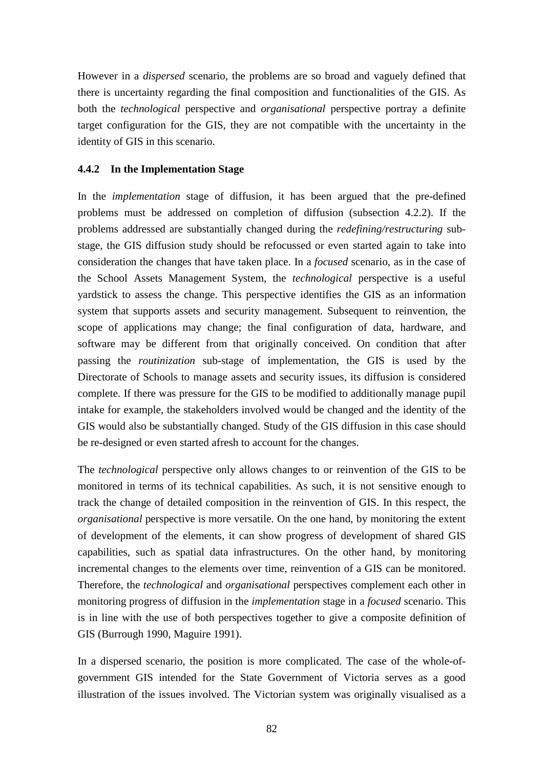However in a *dispersed* scenario, the problems are so broad and vaguely defined that there is uncertainty regarding the final composition and functionalities of the GIS. As both the *technological* perspective and *organisational* perspective portray a definite target configuration for the GIS, they are not compatible with the uncertainty in the identity of GIS in this scenario.

### **4.4.2 In the Implementation Stage**

In the *implementation* stage of diffusion, it has been argued that the pre-defined problems must be addressed on completion of diffusion (subsection 4.2.2). If the problems addressed are substantially changed during the *redefining/restructuring* substage, the GIS diffusion study should be refocussed or even started again to take into consideration the changes that have taken place. In a *focused* scenario, as in the case of the School Assets Management System, the *technological* perspective is a useful yardstick to assess the change. This perspective identifies the GIS as an information system that supports assets and security management. Subsequent to reinvention, the scope of applications may change; the final configuration of data, hardware, and software may be different from that originally conceived. On condition that after passing the *routinization* sub-stage of implementation, the GIS is used by the Directorate of Schools to manage assets and security issues, its diffusion is considered complete. If there was pressure for the GIS to be modified to additionally manage pupil intake for example, the stakeholders involved would be changed and the identity of the GIS would also be substantially changed. Study of the GIS diffusion in this case should be re-designed or even started afresh to account for the changes.

The *technological* perspective only allows changes to or reinvention of the GIS to be monitored in terms of its technical capabilities. As such, it is not sensitive enough to track the change of detailed composition in the reinvention of GIS. In this respect, the *organisational* perspective is more versatile. On the one hand, by monitoring the extent of development of the elements, it can show progress of development of shared GIS capabilities, such as spatial data infrastructures. On the other hand, by monitoring incremental changes to the elements over time, reinvention of a GIS can be monitored. Therefore, the *technological* and *organisational* perspectives complement each other in monitoring progress of diffusion in the *implementation* stage in a *focused* scenario. This is in line with the use of both perspectives together to give a composite definition of GIS (Burrough 1990, Maguire 1991).

In a dispersed scenario, the position is more complicated. The case of the whole-ofgovernment GIS intended for the State Government of Victoria serves as a good illustration of the issues involved. The Victorian system was originally visualised as a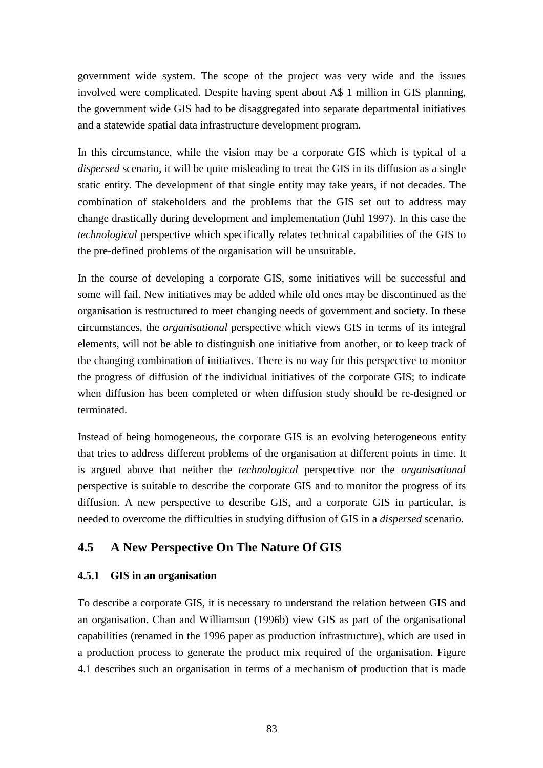government wide system. The scope of the project was very wide and the issues involved were complicated. Despite having spent about A\$ 1 million in GIS planning, the government wide GIS had to be disaggregated into separate departmental initiatives and a statewide spatial data infrastructure development program.

In this circumstance, while the vision may be a corporate GIS which is typical of a *dispersed* scenario, it will be quite misleading to treat the GIS in its diffusion as a single static entity. The development of that single entity may take years, if not decades. The combination of stakeholders and the problems that the GIS set out to address may change drastically during development and implementation (Juhl 1997). In this case the *technological* perspective which specifically relates technical capabilities of the GIS to the pre-defined problems of the organisation will be unsuitable.

In the course of developing a corporate GIS, some initiatives will be successful and some will fail. New initiatives may be added while old ones may be discontinued as the organisation is restructured to meet changing needs of government and society. In these circumstances, the *organisational* perspective which views GIS in terms of its integral elements, will not be able to distinguish one initiative from another, or to keep track of the changing combination of initiatives. There is no way for this perspective to monitor the progress of diffusion of the individual initiatives of the corporate GIS; to indicate when diffusion has been completed or when diffusion study should be re-designed or terminated.

Instead of being homogeneous, the corporate GIS is an evolving heterogeneous entity that tries to address different problems of the organisation at different points in time. It is argued above that neither the *technological* perspective nor the *organisational* perspective is suitable to describe the corporate GIS and to monitor the progress of its diffusion. A new perspective to describe GIS, and a corporate GIS in particular, is needed to overcome the difficulties in studying diffusion of GIS in a *dispersed* scenario.

# **4.5 A New Perspective On The Nature Of GIS**

#### **4.5.1 GIS in an organisation**

To describe a corporate GIS, it is necessary to understand the relation between GIS and an organisation. Chan and Williamson (1996b) view GIS as part of the organisational capabilities (renamed in the 1996 paper as production infrastructure), which are used in a production process to generate the product mix required of the organisation. Figure 4.1 describes such an organisation in terms of a mechanism of production that is made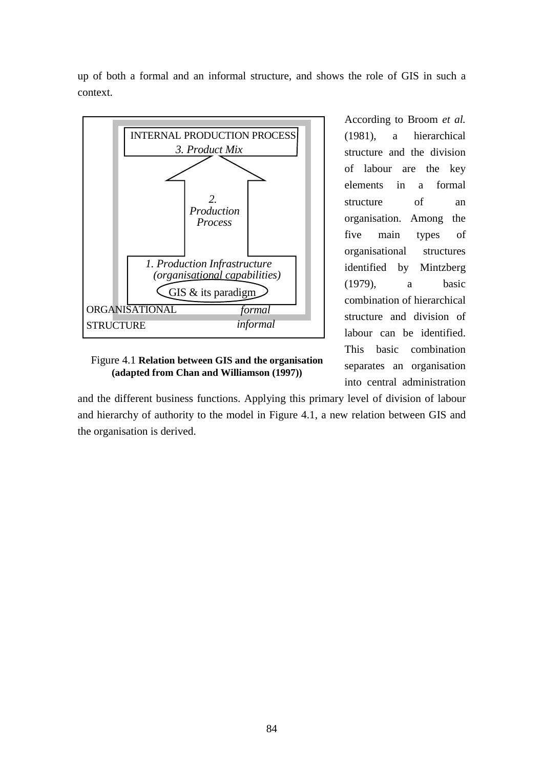up of both a formal and an informal structure, and shows the role of GIS in such a context.



Figure 4.1 **Relation between GIS and the organisation (adapted from Chan and Williamson (1997))**

According to Broom *et al.* (1981), a hierarchical structure and the division of labour are the key elements in a formal structure of an organisation. Among the five main types of organisational structures identified by Mintzberg (1979), a basic combination of hierarchical structure and division of labour can be identified. This basic combination separates an organisation into central administration

and the different business functions. Applying this primary level of division of labour and hierarchy of authority to the model in Figure 4.1, a new relation between GIS and the organisation is derived.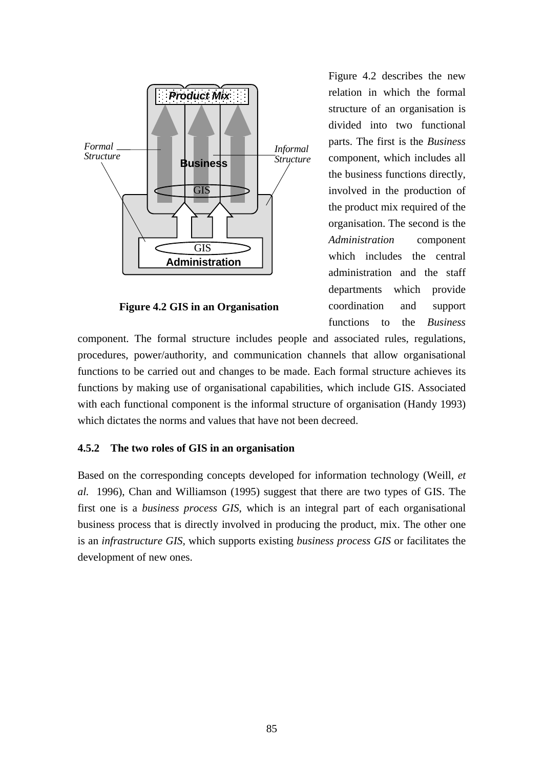

**Figure 4.2 GIS in an Organisation**

Figure 4.2 describes the new relation in which the formal structure of an organisation is divided into two functional parts. The first is the *Business* component, which includes all the business functions directly, involved in the production of the product mix required of the organisation. The second is the *Administration* component which includes the central administration and the staff departments which provide coordination and support functions to the *Business*

component. The formal structure includes people and associated rules, regulations, procedures, power/authority, and communication channels that allow organisational functions to be carried out and changes to be made. Each formal structure achieves its functions by making use of organisational capabilities, which include GIS. Associated with each functional component is the informal structure of organisation (Handy 1993) which dictates the norms and values that have not been decreed.

#### **4.5.2 The two roles of GIS in an organisation**

Based on the corresponding concepts developed for information technology (Weill*, et al.* 1996), Chan and Williamson (1995) suggest that there are two types of GIS. The first one is a *business process GIS*, which is an integral part of each organisational business process that is directly involved in producing the product, mix. The other one is an *infrastructure GIS,* which supports existing *business process GIS* or facilitates the development of new ones.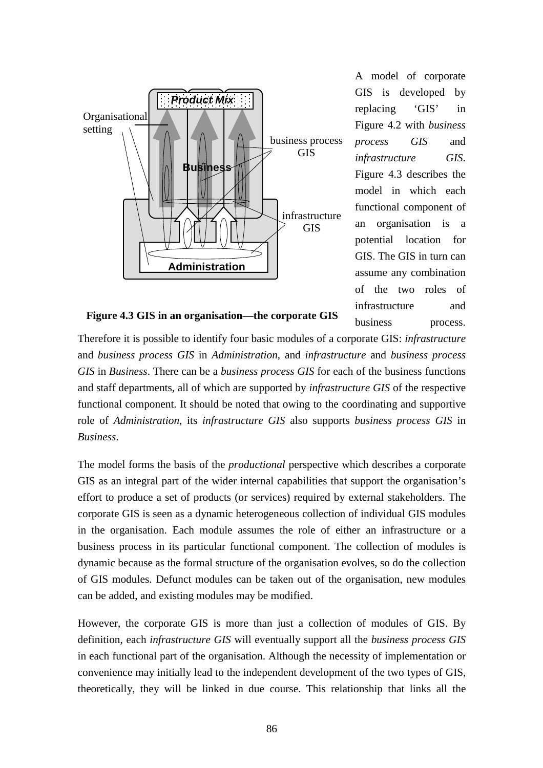

A model of corporate GIS is developed by replacing 'GIS' in Figure 4.2 with *business process GIS* and *infrastructure GIS*. Figure 4.3 describes the model in which each functional component of an organisation is a potential location for GIS. The GIS in turn can assume any combination of the two roles of infrastructure and business process.

**Figure 4.3 GIS in an organisation—the corporate GIS**

Therefore it is possible to identify four basic modules of a corporate GIS: *infrastructure* and *business process GIS* in *Administration*, and *infrastructure* and *business process GIS* in *Business*. There can be a *business process GIS* for each of the business functions and staff departments, all of which are supported by *infrastructure GIS* of the respective functional component. It should be noted that owing to the coordinating and supportive role of *Administration*, its *infrastructure GIS* also supports *business process GIS* in *Business*.

The model forms the basis of the *productional* perspective which describes a corporate GIS as an integral part of the wider internal capabilities that support the organisation's effort to produce a set of products (or services) required by external stakeholders. The corporate GIS is seen as a dynamic heterogeneous collection of individual GIS modules in the organisation. Each module assumes the role of either an infrastructure or a business process in its particular functional component. The collection of modules is dynamic because as the formal structure of the organisation evolves, so do the collection of GIS modules. Defunct modules can be taken out of the organisation, new modules can be added, and existing modules may be modified.

However, the corporate GIS is more than just a collection of modules of GIS. By definition, each *infrastructure GIS* will eventually support all the *business process GIS* in each functional part of the organisation. Although the necessity of implementation or convenience may initially lead to the independent development of the two types of GIS, theoretically, they will be linked in due course. This relationship that links all the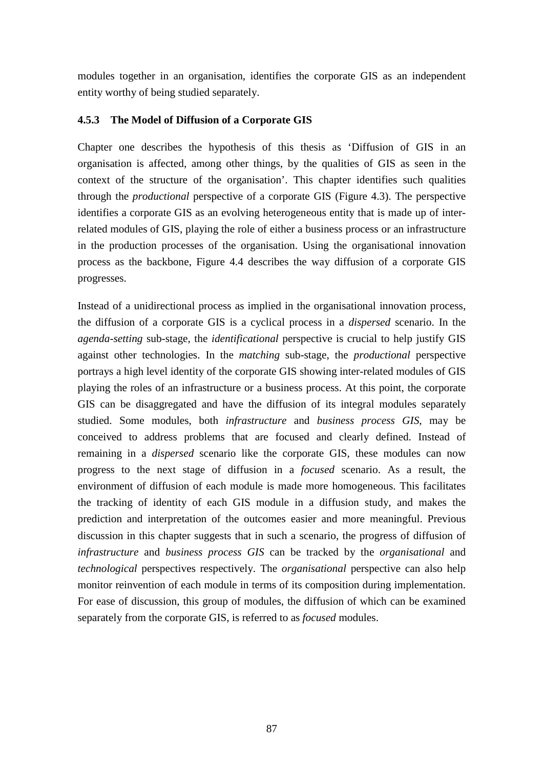modules together in an organisation, identifies the corporate GIS as an independent entity worthy of being studied separately.

## **4.5.3 The Model of Diffusion of a Corporate GIS**

Chapter one describes the hypothesis of this thesis as 'Diffusion of GIS in an organisation is affected, among other things, by the qualities of GIS as seen in the context of the structure of the organisation'. This chapter identifies such qualities through the *productional* perspective of a corporate GIS (Figure 4.3). The perspective identifies a corporate GIS as an evolving heterogeneous entity that is made up of interrelated modules of GIS, playing the role of either a business process or an infrastructure in the production processes of the organisation. Using the organisational innovation process as the backbone, Figure 4.4 describes the way diffusion of a corporate GIS progresses.

Instead of a unidirectional process as implied in the organisational innovation process, the diffusion of a corporate GIS is a cyclical process in a *dispersed* scenario. In the *agenda-setting* sub-stage, the *identificational* perspective is crucial to help justify GIS against other technologies. In the *matching* sub-stage, the *productional* perspective portrays a high level identity of the corporate GIS showing inter-related modules of GIS playing the roles of an infrastructure or a business process. At this point, the corporate GIS can be disaggregated and have the diffusion of its integral modules separately studied. Some modules, both *infrastructure* and *business process GIS*, may be conceived to address problems that are focused and clearly defined. Instead of remaining in a *dispersed* scenario like the corporate GIS, these modules can now progress to the next stage of diffusion in a *focused* scenario. As a result, the environment of diffusion of each module is made more homogeneous. This facilitates the tracking of identity of each GIS module in a diffusion study, and makes the prediction and interpretation of the outcomes easier and more meaningful. Previous discussion in this chapter suggests that in such a scenario, the progress of diffusion of *infrastructure* and *business process GIS* can be tracked by the *organisational* and *technological* perspectives respectively. The *organisational* perspective can also help monitor reinvention of each module in terms of its composition during implementation. For ease of discussion, this group of modules, the diffusion of which can be examined separately from the corporate GIS, is referred to as *focused* modules.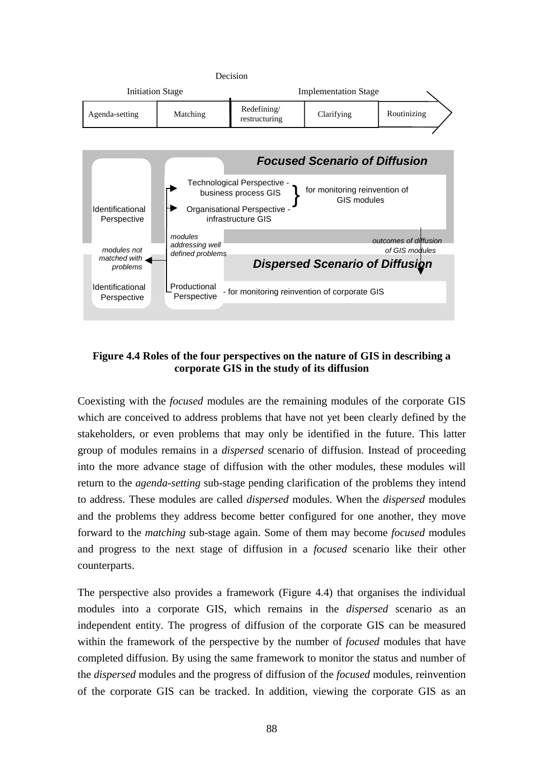

### **Figure 4.4 Roles of the four perspectives on the nature of GIS in describing a corporate GIS in the study of its diffusion**

Coexisting with the *focused* modules are the remaining modules of the corporate GIS which are conceived to address problems that have not yet been clearly defined by the stakeholders, or even problems that may only be identified in the future. This latter group of modules remains in a *dispersed* scenario of diffusion. Instead of proceeding into the more advance stage of diffusion with the other modules, these modules will return to the *agenda-setting* sub-stage pending clarification of the problems they intend to address. These modules are called *dispersed* modules. When the *dispersed* modules and the problems they address become better configured for one another, they move forward to the *matching* sub-stage again. Some of them may become *focused* modules and progress to the next stage of diffusion in a *focused* scenario like their other counterparts.

The perspective also provides a framework (Figure 4.4) that organises the individual modules into a corporate GIS, which remains in the *dispersed* scenario as an independent entity. The progress of diffusion of the corporate GIS can be measured within the framework of the perspective by the number of *focused* modules that have completed diffusion. By using the same framework to monitor the status and number of the *dispersed* modules and the progress of diffusion of the *focused* modules, reinvention of the corporate GIS can be tracked. In addition, viewing the corporate GIS as an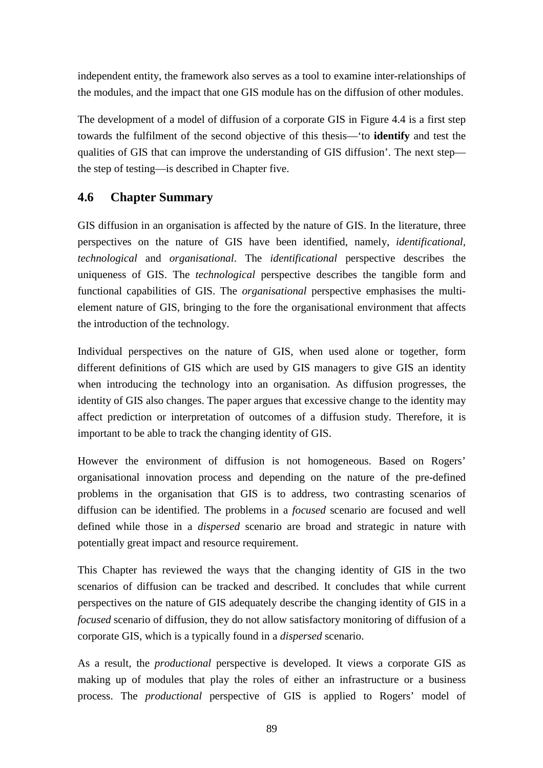independent entity, the framework also serves as a tool to examine inter-relationships of the modules, and the impact that one GIS module has on the diffusion of other modules.

The development of a model of diffusion of a corporate GIS in Figure 4.4 is a first step towards the fulfilment of the second objective of this thesis—'to **identify** and test the qualities of GIS that can improve the understanding of GIS diffusion'. The next step the step of testing—is described in Chapter five.

# **4.6 Chapter Summary**

GIS diffusion in an organisation is affected by the nature of GIS. In the literature, three perspectives on the nature of GIS have been identified, namely, *identificational, technological* and *organisational*. The *identificational* perspective describes the uniqueness of GIS. The *technological* perspective describes the tangible form and functional capabilities of GIS. The *organisational* perspective emphasises the multielement nature of GIS, bringing to the fore the organisational environment that affects the introduction of the technology.

Individual perspectives on the nature of GIS, when used alone or together, form different definitions of GIS which are used by GIS managers to give GIS an identity when introducing the technology into an organisation. As diffusion progresses, the identity of GIS also changes. The paper argues that excessive change to the identity may affect prediction or interpretation of outcomes of a diffusion study. Therefore, it is important to be able to track the changing identity of GIS.

However the environment of diffusion is not homogeneous. Based on Rogers' organisational innovation process and depending on the nature of the pre-defined problems in the organisation that GIS is to address, two contrasting scenarios of diffusion can be identified. The problems in a *focused* scenario are focused and well defined while those in a *dispersed* scenario are broad and strategic in nature with potentially great impact and resource requirement.

This Chapter has reviewed the ways that the changing identity of GIS in the two scenarios of diffusion can be tracked and described. It concludes that while current perspectives on the nature of GIS adequately describe the changing identity of GIS in a *focused* scenario of diffusion, they do not allow satisfactory monitoring of diffusion of a corporate GIS, which is a typically found in a *dispersed* scenario.

As a result, the *productional* perspective is developed. It views a corporate GIS as making up of modules that play the roles of either an infrastructure or a business process. The *productional* perspective of GIS is applied to Rogers' model of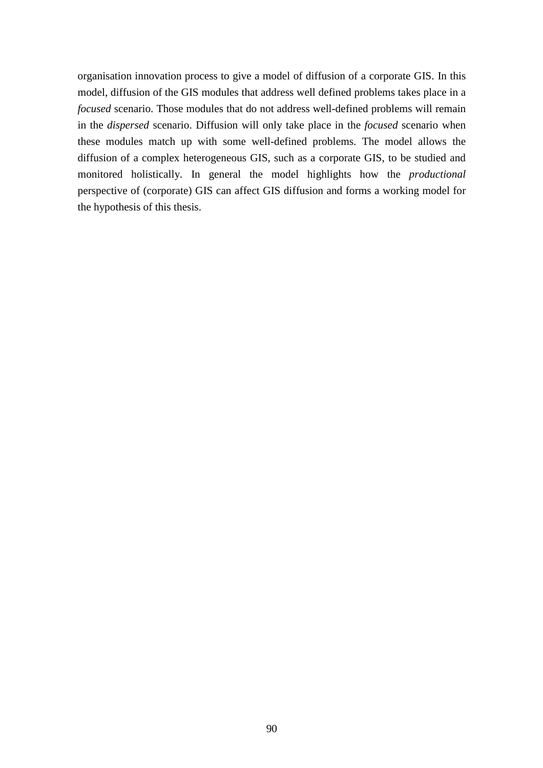organisation innovation process to give a model of diffusion of a corporate GIS. In this model, diffusion of the GIS modules that address well defined problems takes place in a *focused* scenario. Those modules that do not address well-defined problems will remain in the *dispersed* scenario. Diffusion will only take place in the *focused* scenario when these modules match up with some well-defined problems. The model allows the diffusion of a complex heterogeneous GIS, such as a corporate GIS, to be studied and monitored holistically. In general the model highlights how the *productional* perspective of (corporate) GIS can affect GIS diffusion and forms a working model for the hypothesis of this thesis.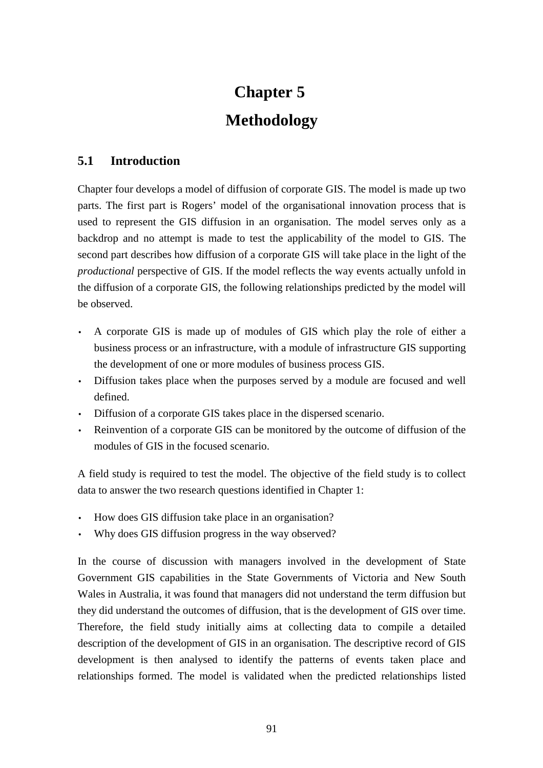# **Chapter 5 Methodology**

# **5.1 Introduction**

Chapter four develops a model of diffusion of corporate GIS. The model is made up two parts. The first part is Rogers' model of the organisational innovation process that is used to represent the GIS diffusion in an organisation. The model serves only as a backdrop and no attempt is made to test the applicability of the model to GIS. The second part describes how diffusion of a corporate GIS will take place in the light of the *productional* perspective of GIS. If the model reflects the way events actually unfold in the diffusion of a corporate GIS, the following relationships predicted by the model will be observed.

- A corporate GIS is made up of modules of GIS which play the role of either a business process or an infrastructure, with a module of infrastructure GIS supporting the development of one or more modules of business process GIS.
- Diffusion takes place when the purposes served by a module are focused and well defined.
- Diffusion of a corporate GIS takes place in the dispersed scenario.
- Reinvention of a corporate GIS can be monitored by the outcome of diffusion of the modules of GIS in the focused scenario.

A field study is required to test the model. The objective of the field study is to collect data to answer the two research questions identified in Chapter 1:

- How does GIS diffusion take place in an organisation?
- Why does GIS diffusion progress in the way observed?

In the course of discussion with managers involved in the development of State Government GIS capabilities in the State Governments of Victoria and New South Wales in Australia, it was found that managers did not understand the term diffusion but they did understand the outcomes of diffusion, that is the development of GIS over time. Therefore, the field study initially aims at collecting data to compile a detailed description of the development of GIS in an organisation. The descriptive record of GIS development is then analysed to identify the patterns of events taken place and relationships formed. The model is validated when the predicted relationships listed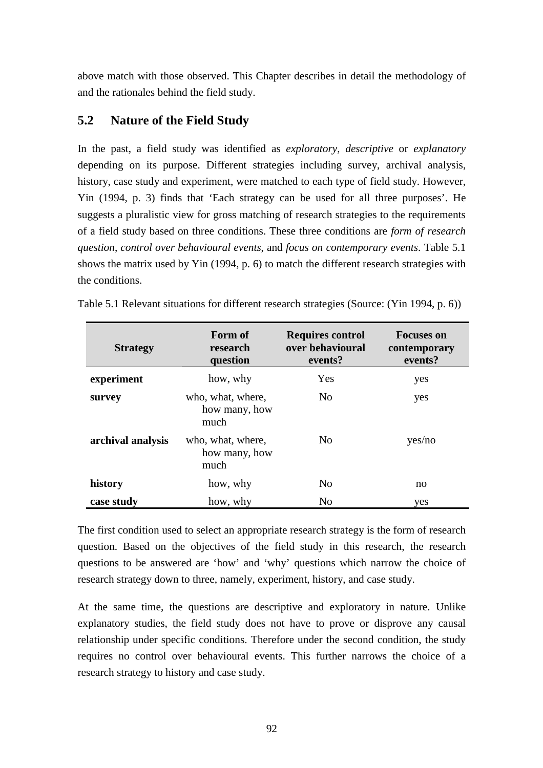above match with those observed. This Chapter describes in detail the methodology of and the rationales behind the field study.

# **5.2 Nature of the Field Study**

In the past, a field study was identified as *exploratory*, *descriptive* or *explanatory* depending on its purpose. Different strategies including survey, archival analysis, history, case study and experiment, were matched to each type of field study. However, Yin (1994, p. 3) finds that 'Each strategy can be used for all three purposes'. He suggests a pluralistic view for gross matching of research strategies to the requirements of a field study based on three conditions. These three conditions are *form of research question*, *control over behavioural events*, and *focus on contemporary events*. Table 5.1 shows the matrix used by Yin (1994, p. 6) to match the different research strategies with the conditions.

| <b>Strategy</b>   | Form of<br>research<br>question            | <b>Requires control</b><br>over behavioural<br>events? | <b>Focuses on</b><br>contemporary<br>events? |
|-------------------|--------------------------------------------|--------------------------------------------------------|----------------------------------------------|
| experiment        | how, why                                   | Yes                                                    | yes                                          |
| survey            | who, what, where,<br>how many, how<br>much | N <sub>o</sub>                                         | yes                                          |
| archival analysis | who, what, where,<br>how many, how<br>much | N <sub>0</sub>                                         | yes/no                                       |
| history           | how, why                                   | N <sub>o</sub>                                         | no                                           |
| case study        | how, why                                   | N <sub>0</sub>                                         | yes                                          |

Table 5.1 Relevant situations for different research strategies (Source: (Yin 1994, p. 6))

The first condition used to select an appropriate research strategy is the form of research question. Based on the objectives of the field study in this research, the research questions to be answered are 'how' and 'why' questions which narrow the choice of research strategy down to three, namely, experiment, history, and case study.

At the same time, the questions are descriptive and exploratory in nature. Unlike explanatory studies, the field study does not have to prove or disprove any causal relationship under specific conditions. Therefore under the second condition, the study requires no control over behavioural events. This further narrows the choice of a research strategy to history and case study.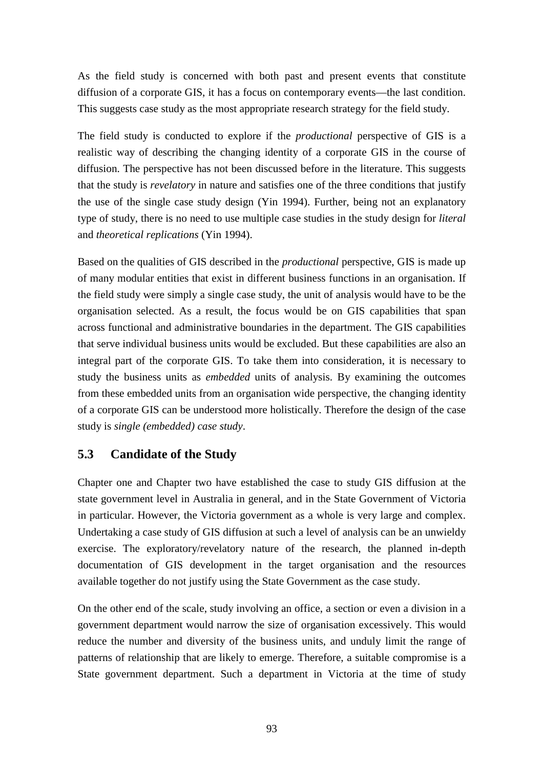As the field study is concerned with both past and present events that constitute diffusion of a corporate GIS, it has a focus on contemporary events—the last condition. This suggests case study as the most appropriate research strategy for the field study.

The field study is conducted to explore if the *productional* perspective of GIS is a realistic way of describing the changing identity of a corporate GIS in the course of diffusion. The perspective has not been discussed before in the literature. This suggests that the study is *revelatory* in nature and satisfies one of the three conditions that justify the use of the single case study design (Yin 1994). Further, being not an explanatory type of study, there is no need to use multiple case studies in the study design for *literal* and *theoretical replications* (Yin 1994).

Based on the qualities of GIS described in the *productional* perspective, GIS is made up of many modular entities that exist in different business functions in an organisation. If the field study were simply a single case study, the unit of analysis would have to be the organisation selected. As a result, the focus would be on GIS capabilities that span across functional and administrative boundaries in the department. The GIS capabilities that serve individual business units would be excluded. But these capabilities are also an integral part of the corporate GIS. To take them into consideration, it is necessary to study the business units as *embedded* units of analysis. By examining the outcomes from these embedded units from an organisation wide perspective, the changing identity of a corporate GIS can be understood more holistically. Therefore the design of the case study is *single (embedded) case study*.

# **5.3 Candidate of the Study**

Chapter one and Chapter two have established the case to study GIS diffusion at the state government level in Australia in general, and in the State Government of Victoria in particular. However, the Victoria government as a whole is very large and complex. Undertaking a case study of GIS diffusion at such a level of analysis can be an unwieldy exercise. The exploratory/revelatory nature of the research, the planned in-depth documentation of GIS development in the target organisation and the resources available together do not justify using the State Government as the case study.

On the other end of the scale, study involving an office, a section or even a division in a government department would narrow the size of organisation excessively. This would reduce the number and diversity of the business units, and unduly limit the range of patterns of relationship that are likely to emerge. Therefore, a suitable compromise is a State government department. Such a department in Victoria at the time of study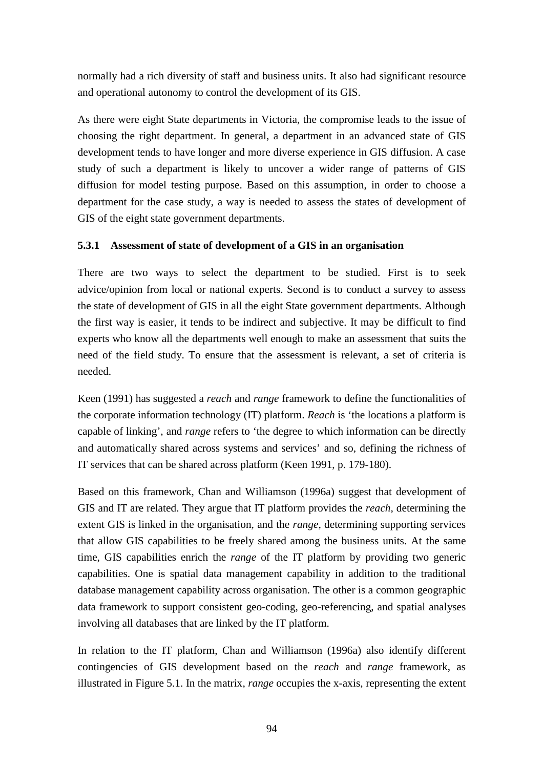normally had a rich diversity of staff and business units. It also had significant resource and operational autonomy to control the development of its GIS.

As there were eight State departments in Victoria, the compromise leads to the issue of choosing the right department. In general, a department in an advanced state of GIS development tends to have longer and more diverse experience in GIS diffusion. A case study of such a department is likely to uncover a wider range of patterns of GIS diffusion for model testing purpose. Based on this assumption, in order to choose a department for the case study, a way is needed to assess the states of development of GIS of the eight state government departments.

## **5.3.1 Assessment of state of development of a GIS in an organisation**

There are two ways to select the department to be studied. First is to seek advice/opinion from local or national experts. Second is to conduct a survey to assess the state of development of GIS in all the eight State government departments. Although the first way is easier, it tends to be indirect and subjective. It may be difficult to find experts who know all the departments well enough to make an assessment that suits the need of the field study. To ensure that the assessment is relevant, a set of criteria is needed.

Keen (1991) has suggested a *reach* and *range* framework to define the functionalities of the corporate information technology (IT) platform. *Reach* is 'the locations a platform is capable of linking', and *range* refers to 'the degree to which information can be directly and automatically shared across systems and services' and so, defining the richness of IT services that can be shared across platform (Keen 1991, p. 179-180).

Based on this framework, Chan and Williamson (1996a) suggest that development of GIS and IT are related. They argue that IT platform provides the *reach*, determining the extent GIS is linked in the organisation, and the *range*, determining supporting services that allow GIS capabilities to be freely shared among the business units. At the same time, GIS capabilities enrich the *range* of the IT platform by providing two generic capabilities. One is spatial data management capability in addition to the traditional database management capability across organisation. The other is a common geographic data framework to support consistent geo-coding, geo-referencing, and spatial analyses involving all databases that are linked by the IT platform.

In relation to the IT platform, Chan and Williamson (1996a) also identify different contingencies of GIS development based on the *reach* and *range* framework, as illustrated in Figure 5.1. In the matrix, *range* occupies the x-axis, representing the extent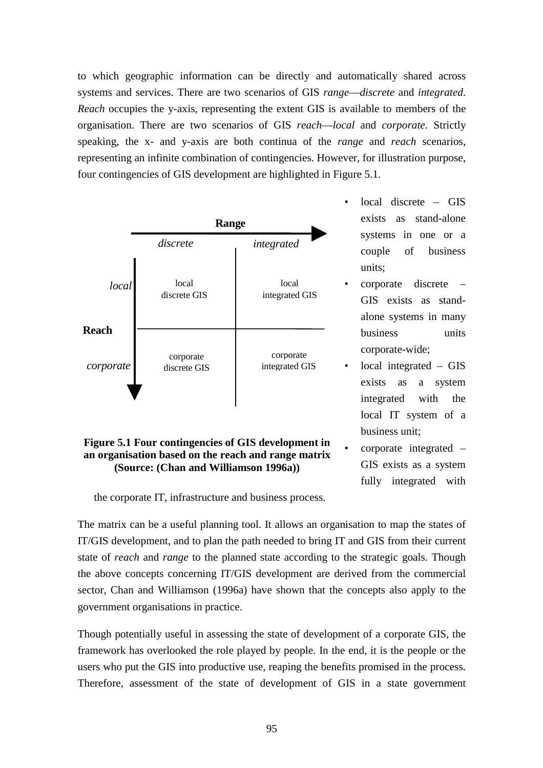to which geographic information can be directly and automatically shared across systems and services. There are two scenarios of GIS *range*—*discrete* and *integrated*. *Reach* occupies the y-axis, representing the extent GIS is available to members of the organisation. There are two scenarios of GIS *reach*—*local* and *corporate*. Strictly speaking, the x- and y-axis are both continua of the *range* and *reach* scenarios, representing an infinite combination of contingencies. However, for illustration purpose, four contingencies of GIS development are highlighted in Figure 5.1.



**an organisation based on the reach and range matrix (Source: (Chan and Williamson 1996a))**

- $local$  discrete GIS exists as stand-alone systems in one or a couple of business units;
- corporate discrete GIS exists as standalone systems in many business units corporate-wide;
- local integrated  $-$  GIS exists as a system integrated with the local IT system of a business unit;
- corporate integrated GIS exists as a system fully integrated with

the corporate IT, infrastructure and business process.

The matrix can be a useful planning tool. It allows an organisation to map the states of IT/GIS development, and to plan the path needed to bring IT and GIS from their current state of *reach* and *range* to the planned state according to the strategic goals. Though the above concepts concerning IT/GIS development are derived from the commercial sector, Chan and Williamson (1996a) have shown that the concepts also apply to the government organisations in practice.

Though potentially useful in assessing the state of development of a corporate GIS, the framework has overlooked the role played by people. In the end, it is the people or the users who put the GIS into productive use, reaping the benefits promised in the process. Therefore, assessment of the state of development of GIS in a state government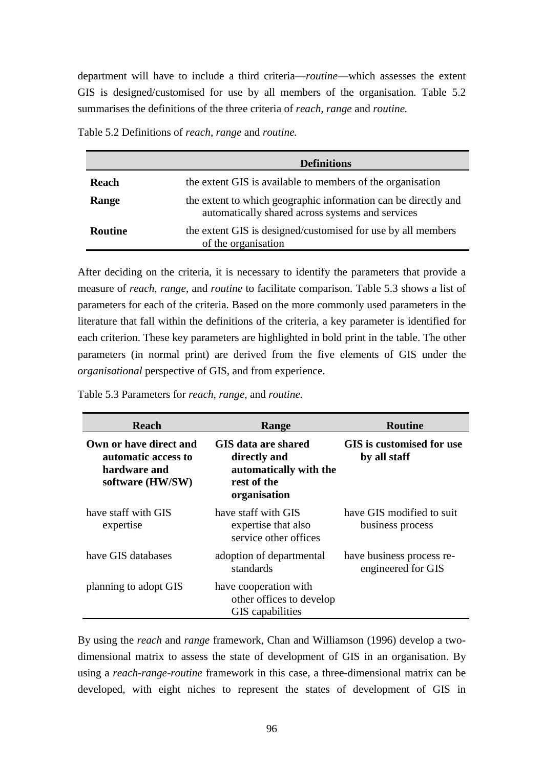department will have to include a third criteria—*routine*—which assesses the extent GIS is designed/customised for use by all members of the organisation. Table 5.2 summarises the definitions of the three criteria of *reach, range* and *routine.*

| Table 5.2 Definitions of reach, range and routine. |  |  |  |  |  |
|----------------------------------------------------|--|--|--|--|--|
|----------------------------------------------------|--|--|--|--|--|

|                | <b>Definitions</b>                                                                                                 |
|----------------|--------------------------------------------------------------------------------------------------------------------|
| <b>Reach</b>   | the extent GIS is available to members of the organisation                                                         |
| Range          | the extent to which geographic information can be directly and<br>automatically shared across systems and services |
| <b>Routine</b> | the extent GIS is designed/customised for use by all members<br>of the organisation                                |

After deciding on the criteria, it is necessary to identify the parameters that provide a measure of *reach*, *range*, and *routine* to facilitate comparison. Table 5.3 shows a list of parameters for each of the criteria. Based on the more commonly used parameters in the literature that fall within the definitions of the criteria, a key parameter is identified for each criterion. These key parameters are highlighted in bold print in the table. The other parameters (in normal print) are derived from the five elements of GIS under the *organisational* perspective of GIS, and from experience.

| <b>Reach</b>                                                                      | Range                                                                                        | <b>Routine</b>                                  |  |
|-----------------------------------------------------------------------------------|----------------------------------------------------------------------------------------------|-------------------------------------------------|--|
| Own or have direct and<br>automatic access to<br>hardware and<br>software (HW/SW) | GIS data are shared<br>directly and<br>automatically with the<br>rest of the<br>organisation | GIS is customised for use<br>by all staff       |  |
| have staff with GIS<br>expertise                                                  | have staff with GIS<br>expertise that also<br>service other offices                          | have GIS modified to suit<br>business process   |  |
| have GIS databases                                                                | adoption of departmental<br>standards                                                        | have business process re-<br>engineered for GIS |  |
| planning to adopt GIS                                                             | have cooperation with<br>other offices to develop<br>GIS capabilities                        |                                                 |  |

Table 5.3 Parameters for *reach*, *range*, and *routine.*

By using the *reach* and *range* framework, Chan and Williamson (1996) develop a twodimensional matrix to assess the state of development of GIS in an organisation. By using a *reach-range-routine* framework in this case, a three-dimensional matrix can be developed, with eight niches to represent the states of development of GIS in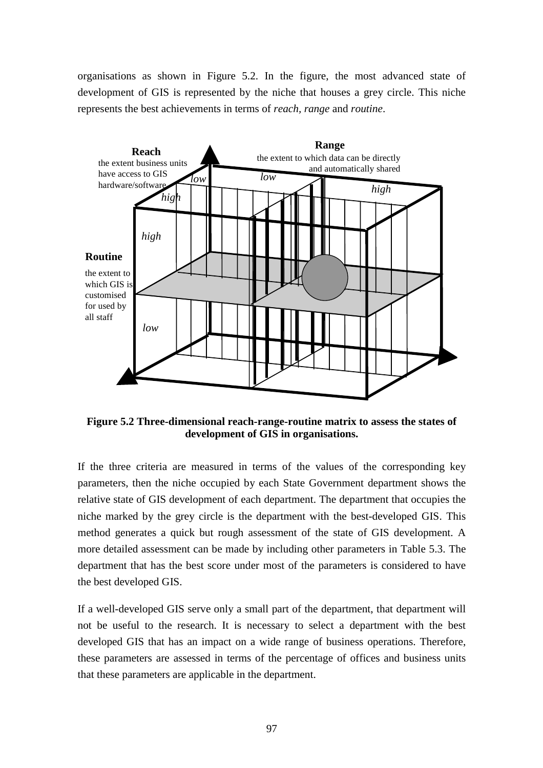organisations as shown in Figure 5.2. In the figure, the most advanced state of development of GIS is represented by the niche that houses a grey circle. This niche represents the best achievements in terms of *reach, range* and *routine*.



**Figure 5.2 Three-dimensional reach-range-routine matrix to assess the states of development of GIS in organisations.**

If the three criteria are measured in terms of the values of the corresponding key parameters, then the niche occupied by each State Government department shows the relative state of GIS development of each department. The department that occupies the niche marked by the grey circle is the department with the best-developed GIS. This method generates a quick but rough assessment of the state of GIS development. A more detailed assessment can be made by including other parameters in Table 5.3. The department that has the best score under most of the parameters is considered to have the best developed GIS.

If a well-developed GIS serve only a small part of the department, that department will not be useful to the research. It is necessary to select a department with the best developed GIS that has an impact on a wide range of business operations. Therefore, these parameters are assessed in terms of the percentage of offices and business units that these parameters are applicable in the department.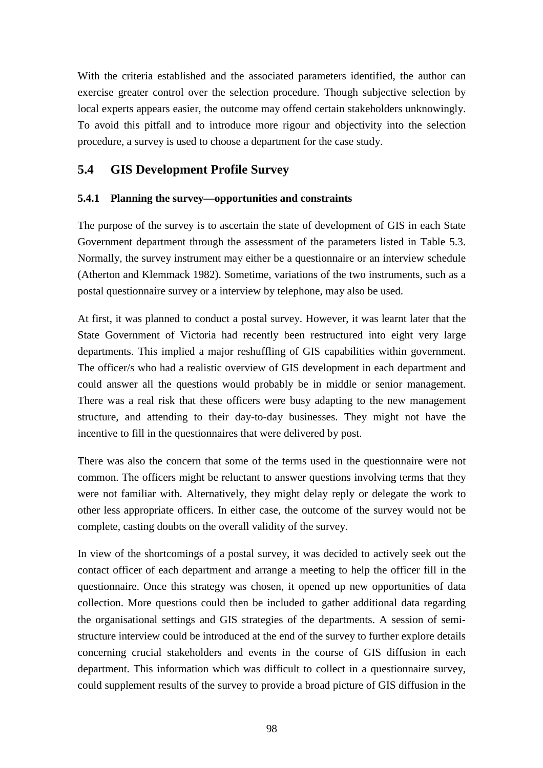With the criteria established and the associated parameters identified, the author can exercise greater control over the selection procedure. Though subjective selection by local experts appears easier, the outcome may offend certain stakeholders unknowingly. To avoid this pitfall and to introduce more rigour and objectivity into the selection procedure, a survey is used to choose a department for the case study.

## **5.4 GIS Development Profile Survey**

## **5.4.1 Planning the survey—opportunities and constraints**

The purpose of the survey is to ascertain the state of development of GIS in each State Government department through the assessment of the parameters listed in Table 5.3. Normally, the survey instrument may either be a questionnaire or an interview schedule (Atherton and Klemmack 1982). Sometime, variations of the two instruments, such as a postal questionnaire survey or a interview by telephone, may also be used.

At first, it was planned to conduct a postal survey. However, it was learnt later that the State Government of Victoria had recently been restructured into eight very large departments. This implied a major reshuffling of GIS capabilities within government. The officer/s who had a realistic overview of GIS development in each department and could answer all the questions would probably be in middle or senior management. There was a real risk that these officers were busy adapting to the new management structure, and attending to their day-to-day businesses. They might not have the incentive to fill in the questionnaires that were delivered by post.

There was also the concern that some of the terms used in the questionnaire were not common. The officers might be reluctant to answer questions involving terms that they were not familiar with. Alternatively, they might delay reply or delegate the work to other less appropriate officers. In either case, the outcome of the survey would not be complete, casting doubts on the overall validity of the survey.

In view of the shortcomings of a postal survey, it was decided to actively seek out the contact officer of each department and arrange a meeting to help the officer fill in the questionnaire. Once this strategy was chosen, it opened up new opportunities of data collection. More questions could then be included to gather additional data regarding the organisational settings and GIS strategies of the departments. A session of semistructure interview could be introduced at the end of the survey to further explore details concerning crucial stakeholders and events in the course of GIS diffusion in each department. This information which was difficult to collect in a questionnaire survey, could supplement results of the survey to provide a broad picture of GIS diffusion in the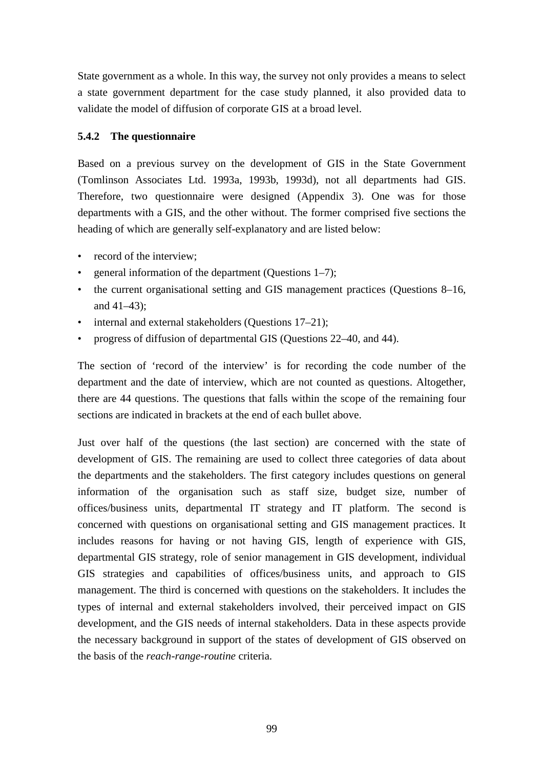State government as a whole. In this way, the survey not only provides a means to select a state government department for the case study planned, it also provided data to validate the model of diffusion of corporate GIS at a broad level.

#### **5.4.2 The questionnaire**

Based on a previous survey on the development of GIS in the State Government (Tomlinson Associates Ltd. 1993a, 1993b, 1993d), not all departments had GIS. Therefore, two questionnaire were designed (Appendix 3). One was for those departments with a GIS, and the other without. The former comprised five sections the heading of which are generally self-explanatory and are listed below:

- record of the interview:
- general information of the department (Questions 1–7);
- the current organisational setting and GIS management practices (Questions 8–16, and 41–43);
- internal and external stakeholders (Questions 17–21);
- progress of diffusion of departmental GIS (Questions 22–40, and 44).

The section of 'record of the interview' is for recording the code number of the department and the date of interview, which are not counted as questions. Altogether, there are 44 questions. The questions that falls within the scope of the remaining four sections are indicated in brackets at the end of each bullet above.

Just over half of the questions (the last section) are concerned with the state of development of GIS. The remaining are used to collect three categories of data about the departments and the stakeholders. The first category includes questions on general information of the organisation such as staff size, budget size, number of offices/business units, departmental IT strategy and IT platform. The second is concerned with questions on organisational setting and GIS management practices. It includes reasons for having or not having GIS, length of experience with GIS, departmental GIS strategy, role of senior management in GIS development, individual GIS strategies and capabilities of offices/business units, and approach to GIS management. The third is concerned with questions on the stakeholders. It includes the types of internal and external stakeholders involved, their perceived impact on GIS development, and the GIS needs of internal stakeholders. Data in these aspects provide the necessary background in support of the states of development of GIS observed on the basis of the *reach-range-routine* criteria.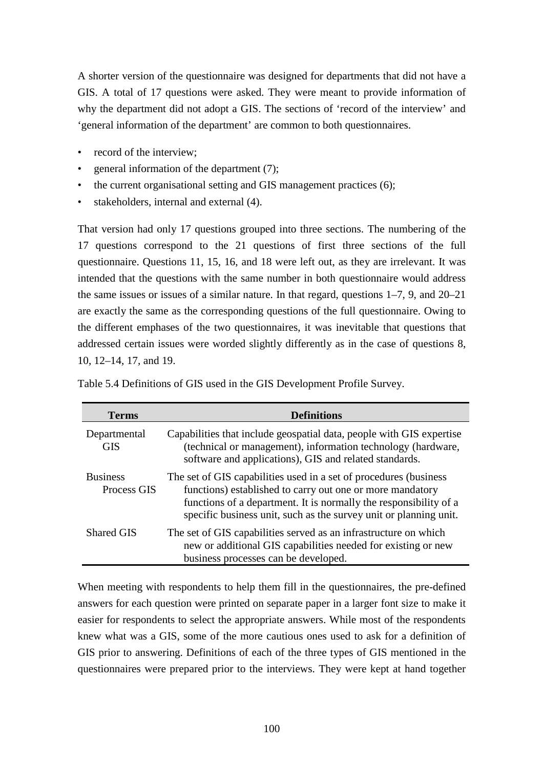A shorter version of the questionnaire was designed for departments that did not have a GIS. A total of 17 questions were asked. They were meant to provide information of why the department did not adopt a GIS. The sections of 'record of the interview' and 'general information of the department' are common to both questionnaires.

- record of the interview:
- general information of the department (7);
- the current organisational setting and GIS management practices (6);
- stakeholders, internal and external  $(4)$ .

That version had only 17 questions grouped into three sections. The numbering of the 17 questions correspond to the 21 questions of first three sections of the full questionnaire. Questions 11, 15, 16, and 18 were left out, as they are irrelevant. It was intended that the questions with the same number in both questionnaire would address the same issues or issues of a similar nature. In that regard, questions 1–7, 9, and 20–21 are exactly the same as the corresponding questions of the full questionnaire. Owing to the different emphases of the two questionnaires, it was inevitable that questions that addressed certain issues were worded slightly differently as in the case of questions 8, 10, 12–14, 17, and 19.

| Terms                          | <b>Definitions</b>                                                                                                                                                                                                                                                        |
|--------------------------------|---------------------------------------------------------------------------------------------------------------------------------------------------------------------------------------------------------------------------------------------------------------------------|
| Departmental<br><b>GIS</b>     | Capabilities that include geospatial data, people with GIS expertise<br>(technical or management), information technology (hardware,<br>software and applications), GIS and related standards.                                                                            |
| <b>Business</b><br>Process GIS | The set of GIS capabilities used in a set of procedures (business)<br>functions) established to carry out one or more mandatory<br>functions of a department. It is normally the responsibility of a<br>specific business unit, such as the survey unit or planning unit. |
| <b>Shared GIS</b>              | The set of GIS capabilities served as an infrastructure on which<br>new or additional GIS capabilities needed for existing or new<br>business processes can be developed.                                                                                                 |

Table 5.4 Definitions of GIS used in the GIS Development Profile Survey.

When meeting with respondents to help them fill in the questionnaires, the pre-defined answers for each question were printed on separate paper in a larger font size to make it easier for respondents to select the appropriate answers. While most of the respondents knew what was a GIS, some of the more cautious ones used to ask for a definition of GIS prior to answering. Definitions of each of the three types of GIS mentioned in the questionnaires were prepared prior to the interviews. They were kept at hand together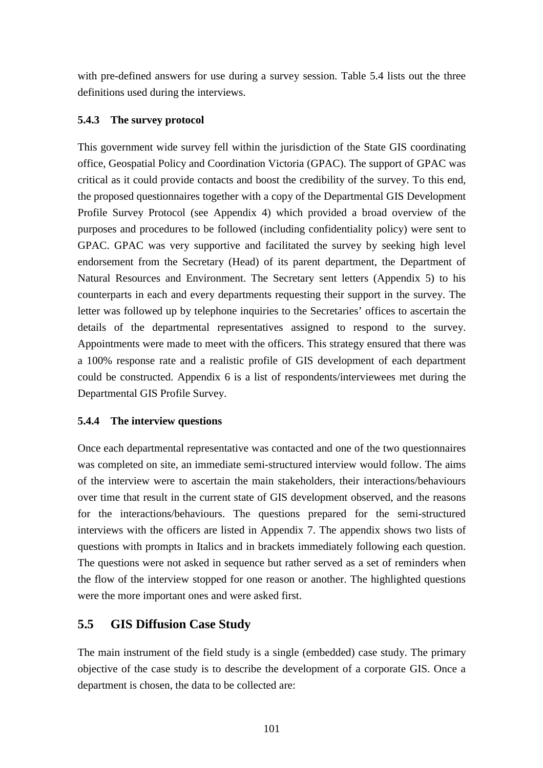with pre-defined answers for use during a survey session. Table 5.4 lists out the three definitions used during the interviews.

## **5.4.3 The survey protocol**

This government wide survey fell within the jurisdiction of the State GIS coordinating office, Geospatial Policy and Coordination Victoria (GPAC). The support of GPAC was critical as it could provide contacts and boost the credibility of the survey. To this end, the proposed questionnaires together with a copy of the Departmental GIS Development Profile Survey Protocol (see Appendix 4) which provided a broad overview of the purposes and procedures to be followed (including confidentiality policy) were sent to GPAC. GPAC was very supportive and facilitated the survey by seeking high level endorsement from the Secretary (Head) of its parent department, the Department of Natural Resources and Environment. The Secretary sent letters (Appendix 5) to his counterparts in each and every departments requesting their support in the survey. The letter was followed up by telephone inquiries to the Secretaries' offices to ascertain the details of the departmental representatives assigned to respond to the survey. Appointments were made to meet with the officers. This strategy ensured that there was a 100% response rate and a realistic profile of GIS development of each department could be constructed. Appendix 6 is a list of respondents/interviewees met during the Departmental GIS Profile Survey.

## **5.4.4 The interview questions**

Once each departmental representative was contacted and one of the two questionnaires was completed on site, an immediate semi-structured interview would follow. The aims of the interview were to ascertain the main stakeholders, their interactions/behaviours over time that result in the current state of GIS development observed, and the reasons for the interactions/behaviours. The questions prepared for the semi-structured interviews with the officers are listed in Appendix 7. The appendix shows two lists of questions with prompts in Italics and in brackets immediately following each question. The questions were not asked in sequence but rather served as a set of reminders when the flow of the interview stopped for one reason or another. The highlighted questions were the more important ones and were asked first.

## **5.5 GIS Diffusion Case Study**

The main instrument of the field study is a single (embedded) case study. The primary objective of the case study is to describe the development of a corporate GIS. Once a department is chosen, the data to be collected are: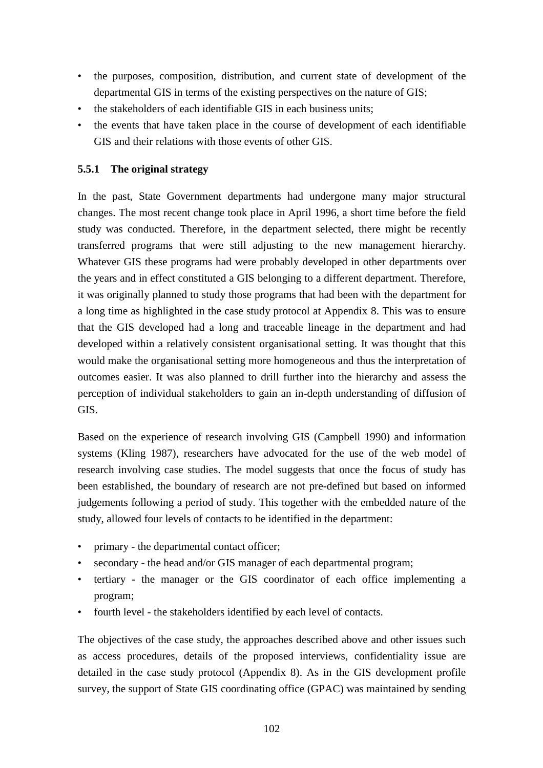- the purposes, composition, distribution, and current state of development of the departmental GIS in terms of the existing perspectives on the nature of GIS;
- the stakeholders of each identifiable GIS in each business units;
- the events that have taken place in the course of development of each identifiable GIS and their relations with those events of other GIS.

## **5.5.1 The original strategy**

In the past, State Government departments had undergone many major structural changes. The most recent change took place in April 1996, a short time before the field study was conducted. Therefore, in the department selected, there might be recently transferred programs that were still adjusting to the new management hierarchy. Whatever GIS these programs had were probably developed in other departments over the years and in effect constituted a GIS belonging to a different department. Therefore, it was originally planned to study those programs that had been with the department for a long time as highlighted in the case study protocol at Appendix 8. This was to ensure that the GIS developed had a long and traceable lineage in the department and had developed within a relatively consistent organisational setting. It was thought that this would make the organisational setting more homogeneous and thus the interpretation of outcomes easier. It was also planned to drill further into the hierarchy and assess the perception of individual stakeholders to gain an in-depth understanding of diffusion of GIS.

Based on the experience of research involving GIS (Campbell 1990) and information systems (Kling 1987), researchers have advocated for the use of the web model of research involving case studies. The model suggests that once the focus of study has been established, the boundary of research are not pre-defined but based on informed judgements following a period of study. This together with the embedded nature of the study, allowed four levels of contacts to be identified in the department:

- primary the departmental contact officer;
- secondary the head and/or GIS manager of each departmental program;
- tertiary the manager or the GIS coordinator of each office implementing a program;
- fourth level the stakeholders identified by each level of contacts.

The objectives of the case study, the approaches described above and other issues such as access procedures, details of the proposed interviews, confidentiality issue are detailed in the case study protocol (Appendix 8). As in the GIS development profile survey, the support of State GIS coordinating office (GPAC) was maintained by sending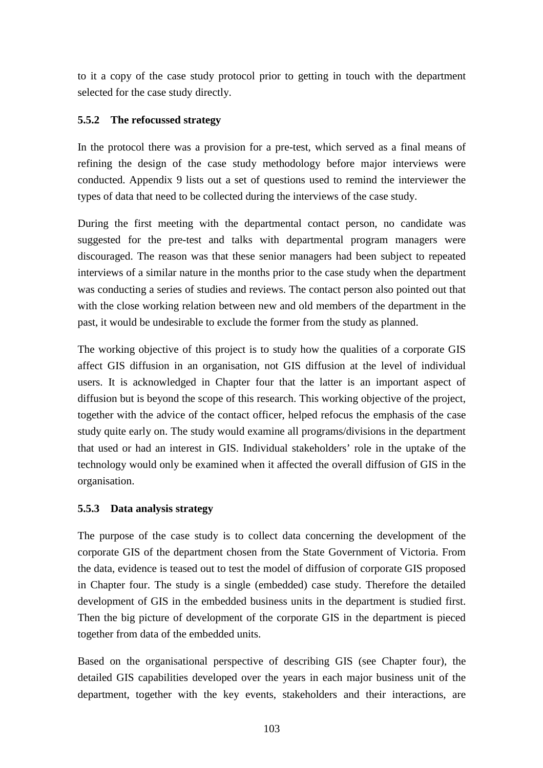to it a copy of the case study protocol prior to getting in touch with the department selected for the case study directly.

## **5.5.2 The refocussed strategy**

In the protocol there was a provision for a pre-test, which served as a final means of refining the design of the case study methodology before major interviews were conducted. Appendix 9 lists out a set of questions used to remind the interviewer the types of data that need to be collected during the interviews of the case study.

During the first meeting with the departmental contact person, no candidate was suggested for the pre-test and talks with departmental program managers were discouraged. The reason was that these senior managers had been subject to repeated interviews of a similar nature in the months prior to the case study when the department was conducting a series of studies and reviews. The contact person also pointed out that with the close working relation between new and old members of the department in the past, it would be undesirable to exclude the former from the study as planned.

The working objective of this project is to study how the qualities of a corporate GIS affect GIS diffusion in an organisation, not GIS diffusion at the level of individual users. It is acknowledged in Chapter four that the latter is an important aspect of diffusion but is beyond the scope of this research. This working objective of the project, together with the advice of the contact officer, helped refocus the emphasis of the case study quite early on. The study would examine all programs/divisions in the department that used or had an interest in GIS. Individual stakeholders' role in the uptake of the technology would only be examined when it affected the overall diffusion of GIS in the organisation.

#### **5.5.3 Data analysis strategy**

The purpose of the case study is to collect data concerning the development of the corporate GIS of the department chosen from the State Government of Victoria. From the data, evidence is teased out to test the model of diffusion of corporate GIS proposed in Chapter four. The study is a single (embedded) case study. Therefore the detailed development of GIS in the embedded business units in the department is studied first. Then the big picture of development of the corporate GIS in the department is pieced together from data of the embedded units.

Based on the organisational perspective of describing GIS (see Chapter four), the detailed GIS capabilities developed over the years in each major business unit of the department, together with the key events, stakeholders and their interactions, are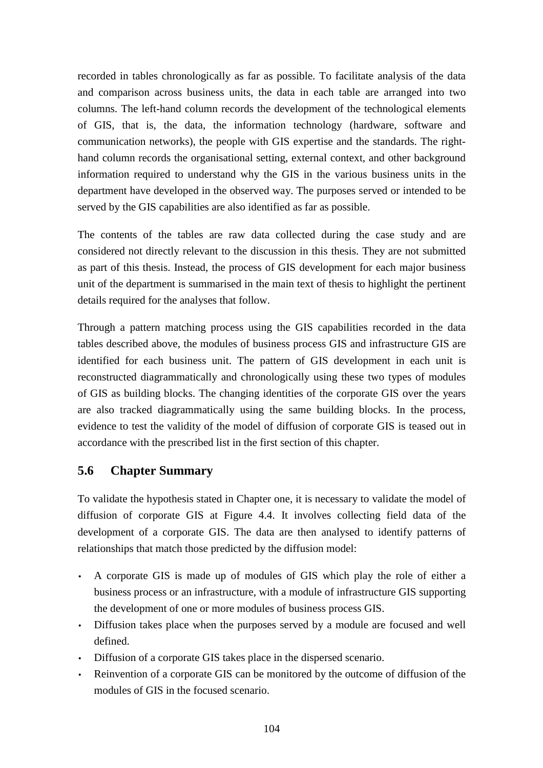recorded in tables chronologically as far as possible. To facilitate analysis of the data and comparison across business units, the data in each table are arranged into two columns. The left-hand column records the development of the technological elements of GIS, that is, the data, the information technology (hardware, software and communication networks), the people with GIS expertise and the standards. The righthand column records the organisational setting, external context, and other background information required to understand why the GIS in the various business units in the department have developed in the observed way. The purposes served or intended to be served by the GIS capabilities are also identified as far as possible.

The contents of the tables are raw data collected during the case study and are considered not directly relevant to the discussion in this thesis. They are not submitted as part of this thesis. Instead, the process of GIS development for each major business unit of the department is summarised in the main text of thesis to highlight the pertinent details required for the analyses that follow.

Through a pattern matching process using the GIS capabilities recorded in the data tables described above, the modules of business process GIS and infrastructure GIS are identified for each business unit. The pattern of GIS development in each unit is reconstructed diagrammatically and chronologically using these two types of modules of GIS as building blocks. The changing identities of the corporate GIS over the years are also tracked diagrammatically using the same building blocks. In the process, evidence to test the validity of the model of diffusion of corporate GIS is teased out in accordance with the prescribed list in the first section of this chapter.

## **5.6 Chapter Summary**

To validate the hypothesis stated in Chapter one, it is necessary to validate the model of diffusion of corporate GIS at Figure 4.4. It involves collecting field data of the development of a corporate GIS. The data are then analysed to identify patterns of relationships that match those predicted by the diffusion model:

- A corporate GIS is made up of modules of GIS which play the role of either a business process or an infrastructure, with a module of infrastructure GIS supporting the development of one or more modules of business process GIS.
- Diffusion takes place when the purposes served by a module are focused and well defined.
- Diffusion of a corporate GIS takes place in the dispersed scenario.
- Reinvention of a corporate GIS can be monitored by the outcome of diffusion of the modules of GIS in the focused scenario.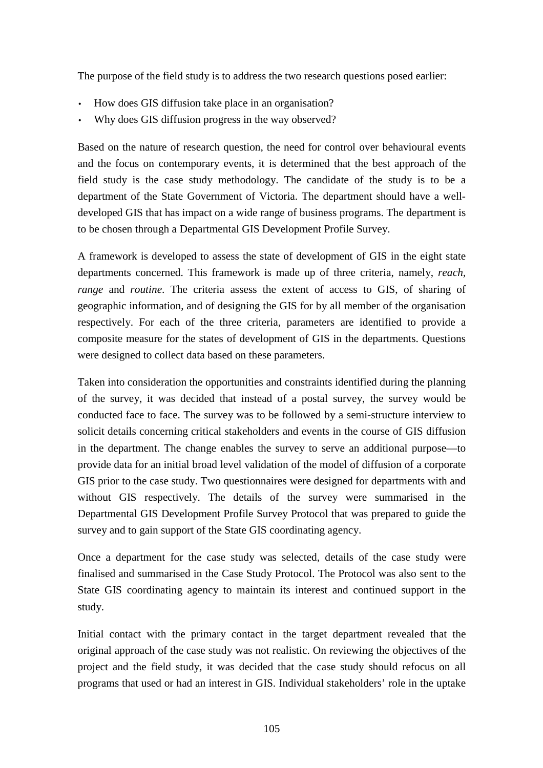The purpose of the field study is to address the two research questions posed earlier:

- How does GIS diffusion take place in an organisation?
- Why does GIS diffusion progress in the way observed?

Based on the nature of research question, the need for control over behavioural events and the focus on contemporary events, it is determined that the best approach of the field study is the case study methodology. The candidate of the study is to be a department of the State Government of Victoria. The department should have a welldeveloped GIS that has impact on a wide range of business programs. The department is to be chosen through a Departmental GIS Development Profile Survey.

A framework is developed to assess the state of development of GIS in the eight state departments concerned. This framework is made up of three criteria, namely, *reach, range* and *routine*. The criteria assess the extent of access to GIS, of sharing of geographic information, and of designing the GIS for by all member of the organisation respectively. For each of the three criteria, parameters are identified to provide a composite measure for the states of development of GIS in the departments. Questions were designed to collect data based on these parameters.

Taken into consideration the opportunities and constraints identified during the planning of the survey, it was decided that instead of a postal survey, the survey would be conducted face to face. The survey was to be followed by a semi-structure interview to solicit details concerning critical stakeholders and events in the course of GIS diffusion in the department. The change enables the survey to serve an additional purpose—to provide data for an initial broad level validation of the model of diffusion of a corporate GIS prior to the case study. Two questionnaires were designed for departments with and without GIS respectively. The details of the survey were summarised in the Departmental GIS Development Profile Survey Protocol that was prepared to guide the survey and to gain support of the State GIS coordinating agency.

Once a department for the case study was selected, details of the case study were finalised and summarised in the Case Study Protocol. The Protocol was also sent to the State GIS coordinating agency to maintain its interest and continued support in the study.

Initial contact with the primary contact in the target department revealed that the original approach of the case study was not realistic. On reviewing the objectives of the project and the field study, it was decided that the case study should refocus on all programs that used or had an interest in GIS. Individual stakeholders' role in the uptake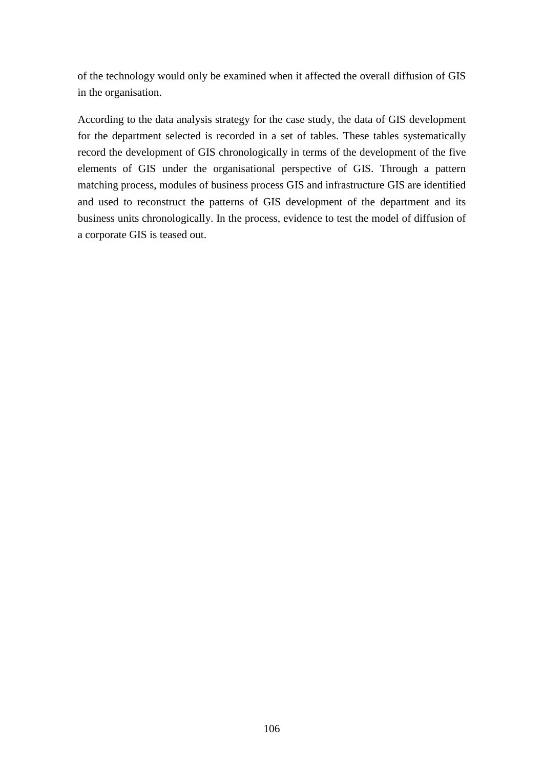of the technology would only be examined when it affected the overall diffusion of GIS in the organisation.

According to the data analysis strategy for the case study, the data of GIS development for the department selected is recorded in a set of tables. These tables systematically record the development of GIS chronologically in terms of the development of the five elements of GIS under the organisational perspective of GIS. Through a pattern matching process, modules of business process GIS and infrastructure GIS are identified and used to reconstruct the patterns of GIS development of the department and its business units chronologically. In the process, evidence to test the model of diffusion of a corporate GIS is teased out.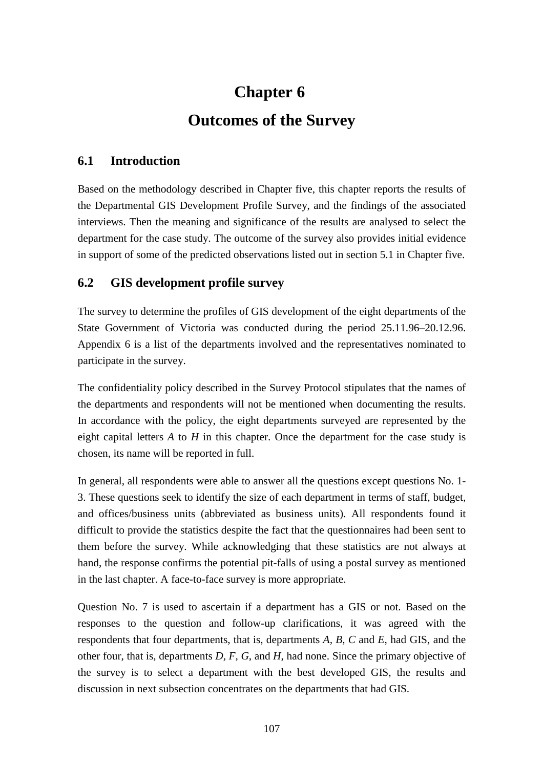# **Chapter 6 Outcomes of the Survey**

## **6.1 Introduction**

Based on the methodology described in Chapter five, this chapter reports the results of the Departmental GIS Development Profile Survey, and the findings of the associated interviews. Then the meaning and significance of the results are analysed to select the department for the case study. The outcome of the survey also provides initial evidence in support of some of the predicted observations listed out in section 5.1 in Chapter five.

## **6.2 GIS development profile survey**

The survey to determine the profiles of GIS development of the eight departments of the State Government of Victoria was conducted during the period 25.11.96–20.12.96. Appendix 6 is a list of the departments involved and the representatives nominated to participate in the survey.

The confidentiality policy described in the Survey Protocol stipulates that the names of the departments and respondents will not be mentioned when documenting the results. In accordance with the policy, the eight departments surveyed are represented by the eight capital letters  $\vec{A}$  to  $\vec{H}$  in this chapter. Once the department for the case study is chosen, its name will be reported in full.

In general, all respondents were able to answer all the questions except questions No. 1- 3. These questions seek to identify the size of each department in terms of staff, budget, and offices/business units (abbreviated as business units). All respondents found it difficult to provide the statistics despite the fact that the questionnaires had been sent to them before the survey. While acknowledging that these statistics are not always at hand, the response confirms the potential pit-falls of using a postal survey as mentioned in the last chapter. A face-to-face survey is more appropriate.

Question No. 7 is used to ascertain if a department has a GIS or not. Based on the responses to the question and follow-up clarifications, it was agreed with the respondents that four departments, that is, departments *A, B, C* and *E*, had GIS, and the other four, that is, departments *D, F, G*, and *H*, had none. Since the primary objective of the survey is to select a department with the best developed GIS, the results and discussion in next subsection concentrates on the departments that had GIS.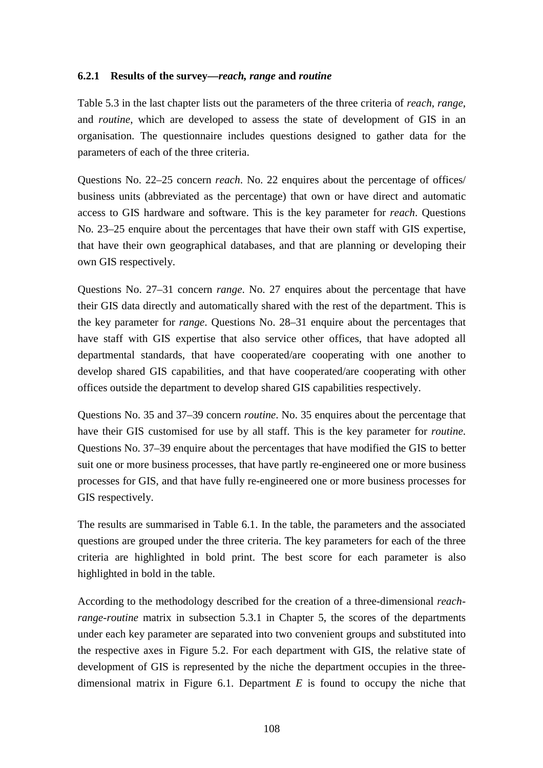#### **6.2.1 Results of the survey—***reach, range* **and** *routine*

Table 5.3 in the last chapter lists out the parameters of the three criteria of *reach*, *range*, and *routine*, which are developed to assess the state of development of GIS in an organisation. The questionnaire includes questions designed to gather data for the parameters of each of the three criteria.

Questions No. 22–25 concern *reach*. No. 22 enquires about the percentage of offices/ business units (abbreviated as the percentage) that own or have direct and automatic access to GIS hardware and software. This is the key parameter for *reach*. Questions No. 23–25 enquire about the percentages that have their own staff with GIS expertise, that have their own geographical databases, and that are planning or developing their own GIS respectively.

Questions No. 27–31 concern *range*. No. 27 enquires about the percentage that have their GIS data directly and automatically shared with the rest of the department. This is the key parameter for *range*. Questions No. 28–31 enquire about the percentages that have staff with GIS expertise that also service other offices, that have adopted all departmental standards, that have cooperated/are cooperating with one another to develop shared GIS capabilities, and that have cooperated/are cooperating with other offices outside the department to develop shared GIS capabilities respectively.

Questions No. 35 and 37–39 concern *routine*. No. 35 enquires about the percentage that have their GIS customised for use by all staff. This is the key parameter for *routine*. Questions No. 37–39 enquire about the percentages that have modified the GIS to better suit one or more business processes, that have partly re-engineered one or more business processes for GIS, and that have fully re-engineered one or more business processes for GIS respectively.

The results are summarised in Table 6.1. In the table, the parameters and the associated questions are grouped under the three criteria. The key parameters for each of the three criteria are highlighted in bold print. The best score for each parameter is also highlighted in bold in the table.

According to the methodology described for the creation of a three-dimensional *reachrange-routine* matrix in subsection 5.3.1 in Chapter 5, the scores of the departments under each key parameter are separated into two convenient groups and substituted into the respective axes in Figure 5.2. For each department with GIS, the relative state of development of GIS is represented by the niche the department occupies in the threedimensional matrix in Figure 6.1. Department *E* is found to occupy the niche that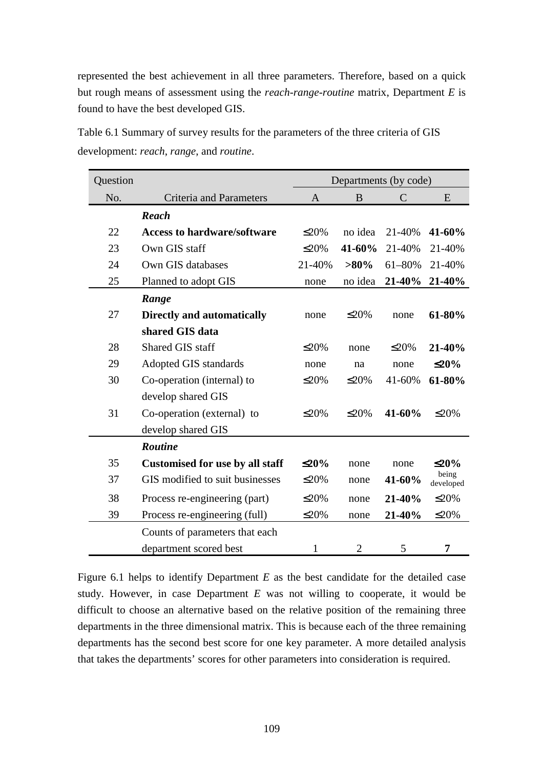represented the best achievement in all three parameters. Therefore, based on a quick but rough means of assessment using the *reach-range-routine* matrix, Department *E* is found to have the best developed GIS.

| Question |                                        | Departments (by code) |                |               |                    |  |
|----------|----------------------------------------|-----------------------|----------------|---------------|--------------------|--|
| No.      | <b>Criteria and Parameters</b>         | A                     | B              | $\mathcal{C}$ | E                  |  |
|          | <b>Reach</b>                           |                       |                |               |                    |  |
| 22       | <b>Access to hardware/software</b>     | $\leq$ 20%            | no idea        | 21-40%        | 41-60%             |  |
| 23       | Own GIS staff                          | $\leq$ 20%            | 41-60%         | 21-40%        | 21-40%             |  |
| 24       | Own GIS databases                      | 21-40%                | $>80\%$        | 61-80%        | 21-40%             |  |
| 25       | Planned to adopt GIS                   | none                  | no idea        | 21-40%        | 21-40%             |  |
|          | Range                                  |                       |                |               |                    |  |
| 27       | <b>Directly and automatically</b>      | none                  | $\leq$ 20%     | none          | 61-80%             |  |
|          | shared GIS data                        |                       |                |               |                    |  |
| 28       | Shared GIS staff                       | $\leq$ 20%            | none           | $\leq$ 20%    | 21-40%             |  |
| 29       | Adopted GIS standards                  | none                  | na             | none          | $\leq$ 20%         |  |
| 30       | Co-operation (internal) to             | $\leq$ 20%            | $\leq$ 20%     | 41-60%        | 61-80%             |  |
|          | develop shared GIS                     |                       |                |               |                    |  |
| 31       | Co-operation (external) to             | $\leq$ 20%            | $\leq$ 20%     | 41-60%        | $\leq$ 20%         |  |
|          | develop shared GIS                     |                       |                |               |                    |  |
|          | <b>Routine</b>                         |                       |                |               |                    |  |
| 35       | <b>Customised for use by all staff</b> | $\leq 20\%$           | none           | none          | $\leq$ 20%         |  |
| 37       | GIS modified to suit businesses        | $\leq$ 20%            | none           | 41-60%        | being<br>developed |  |
| 38       | Process re-engineering (part)          | $\leq$ 20%            | none           | 21-40%        | $\leq$ 20%         |  |
| 39       | Process re-engineering (full)          | $\leq$ 20%            | none           | 21-40%        | $\leq$ 20%         |  |
|          | Counts of parameters that each         |                       |                |               |                    |  |
|          | department scored best                 | $\mathbf{1}$          | $\overline{2}$ | 5             | 7                  |  |

Table 6.1 Summary of survey results for the parameters of the three criteria of GIS development: *reach*, *range*, and *routine*.

Figure 6.1 helps to identify Department *E* as the best candidate for the detailed case study. However, in case Department *E* was not willing to cooperate, it would be difficult to choose an alternative based on the relative position of the remaining three departments in the three dimensional matrix. This is because each of the three remaining departments has the second best score for one key parameter. A more detailed analysis that takes the departments' scores for other parameters into consideration is required.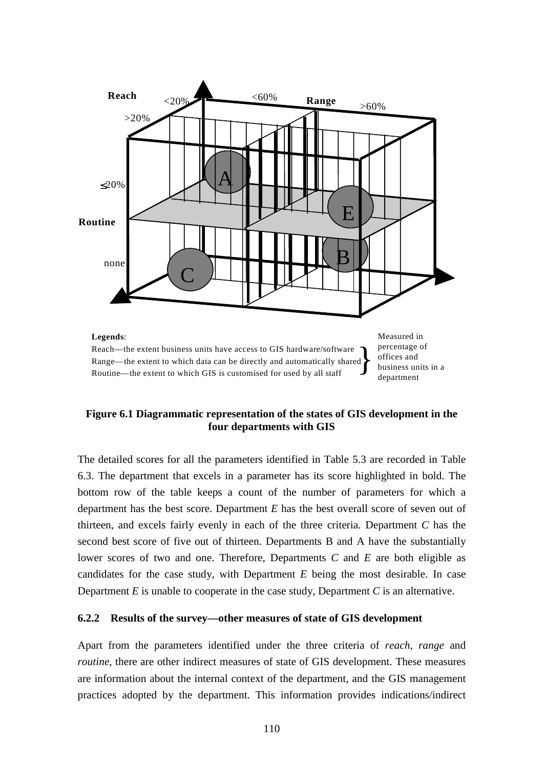

## **Figure 6.1 Diagrammatic representation of the states of GIS development in the four departments with GIS**

The detailed scores for all the parameters identified in Table 5.3 are recorded in Table 6.3. The department that excels in a parameter has its score highlighted in bold. The bottom row of the table keeps a count of the number of parameters for which a department has the best score. Department *E* has the best overall score of seven out of thirteen, and excels fairly evenly in each of the three criteria. Department *C* has the second best score of five out of thirteen. Departments B and A have the substantially lower scores of two and one. Therefore, Departments *C* and *E* are both eligible as candidates for the case study, with Department *E* being the most desirable. In case Department *E* is unable to cooperate in the case study, Department *C* is an alternative.

#### **6.2.2 Results of the survey—other measures of state of GIS development**

Apart from the parameters identified under the three criteria of *reach, range* and *routine*, there are other indirect measures of state of GIS development. These measures are information about the internal context of the department, and the GIS management practices adopted by the department. This information provides indications/indirect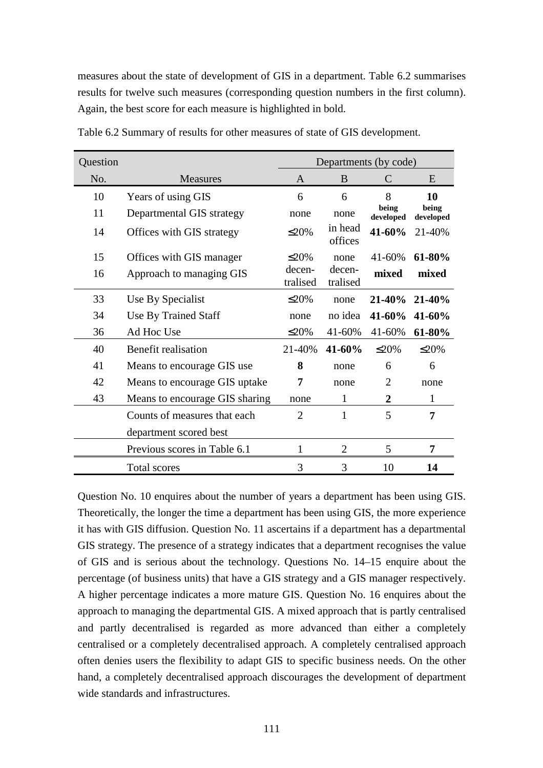measures about the state of development of GIS in a department. Table 6.2 summarises results for twelve such measures (corresponding question numbers in the first column). Again, the best score for each measure is highlighted in bold.

| Question |                                | Departments (by code) |                    |                    |                    |  |
|----------|--------------------------------|-----------------------|--------------------|--------------------|--------------------|--|
| No.      | <b>Measures</b>                | A                     | B                  | C                  | E                  |  |
| 10       | Years of using GIS             | 6                     | 6                  | 8                  | 10                 |  |
| 11       | Departmental GIS strategy      | none                  | none               | being<br>developed | being<br>developed |  |
| 14       | Offices with GIS strategy      | $\leq$ 20%            | in head<br>offices | $41 - 60%$         | 21-40%             |  |
| 15       | Offices with GIS manager       | $\leq$ 20%            | none               | 41-60%             | $61-80%$           |  |
| 16       | Approach to managing GIS       | decen-<br>tralised    | decen-<br>tralised | mixed              | mixed              |  |
| 33       | Use By Specialist              | $\leq$ 20%            | none               | 21-40%             | $21 - 40%$         |  |
| 34       | Use By Trained Staff           | none                  | no idea            | $41 - 60%$         | 41-60%             |  |
| 36       | Ad Hoc Use                     | $\leq$ 20%            | 41-60%             | 41-60%             | 61-80%             |  |
| 40       | Benefit realisation            | 21-40%                | 41-60%             | $\leq$ 20%         | $\leq$ 20%         |  |
| 41       | Means to encourage GIS use.    | 8                     | none               | 6                  | 6                  |  |
| 42       | Means to encourage GIS uptake  | 7                     | none               | $\overline{2}$     | none               |  |
| 43       | Means to encourage GIS sharing | none                  | 1                  | $\overline{2}$     | 1                  |  |
|          | Counts of measures that each   | $\overline{2}$        | 1                  | 5                  | 7                  |  |
|          | department scored best         |                       |                    |                    |                    |  |
|          | Previous scores in Table 6.1   | $\mathbf{1}$          | $\overline{2}$     | 5                  | 7                  |  |
|          | Total scores                   | 3                     | 3                  | 10                 | 14                 |  |

Table 6.2 Summary of results for other measures of state of GIS development.

Question No. 10 enquires about the number of years a department has been using GIS. Theoretically, the longer the time a department has been using GIS, the more experience it has with GIS diffusion. Question No. 11 ascertains if a department has a departmental GIS strategy. The presence of a strategy indicates that a department recognises the value of GIS and is serious about the technology. Questions No. 14–15 enquire about the percentage (of business units) that have a GIS strategy and a GIS manager respectively. A higher percentage indicates a more mature GIS. Question No. 16 enquires about the approach to managing the departmental GIS. A mixed approach that is partly centralised and partly decentralised is regarded as more advanced than either a completely centralised or a completely decentralised approach. A completely centralised approach often denies users the flexibility to adapt GIS to specific business needs. On the other hand, a completely decentralised approach discourages the development of department wide standards and infrastructures.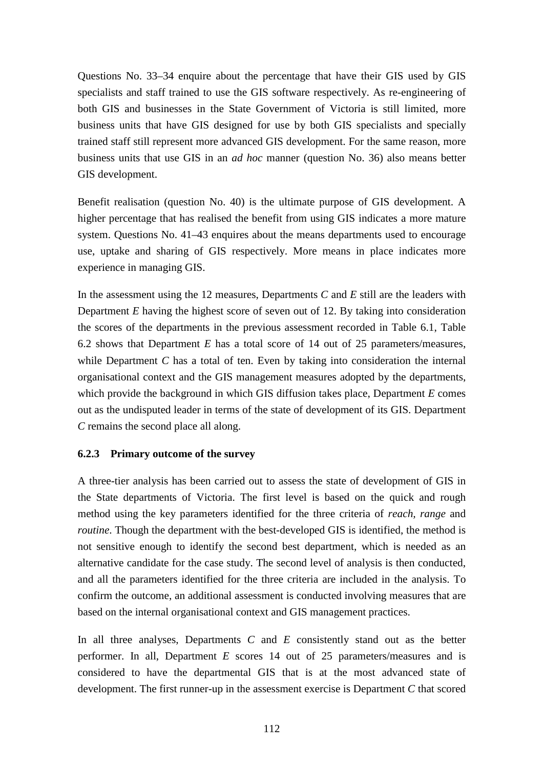Questions No. 33–34 enquire about the percentage that have their GIS used by GIS specialists and staff trained to use the GIS software respectively. As re-engineering of both GIS and businesses in the State Government of Victoria is still limited, more business units that have GIS designed for use by both GIS specialists and specially trained staff still represent more advanced GIS development. For the same reason, more business units that use GIS in an *ad hoc* manner (question No. 36) also means better GIS development.

Benefit realisation (question No. 40) is the ultimate purpose of GIS development. A higher percentage that has realised the benefit from using GIS indicates a more mature system. Questions No. 41–43 enquires about the means departments used to encourage use, uptake and sharing of GIS respectively. More means in place indicates more experience in managing GIS.

In the assessment using the 12 measures, Departments *C* and *E* still are the leaders with Department *E* having the highest score of seven out of 12. By taking into consideration the scores of the departments in the previous assessment recorded in Table 6.1, Table 6.2 shows that Department *E* has a total score of 14 out of 25 parameters/measures, while Department *C* has a total of ten. Even by taking into consideration the internal organisational context and the GIS management measures adopted by the departments, which provide the background in which GIS diffusion takes place, Department *E* comes out as the undisputed leader in terms of the state of development of its GIS. Department *C* remains the second place all along.

## **6.2.3 Primary outcome of the survey**

A three-tier analysis has been carried out to assess the state of development of GIS in the State departments of Victoria. The first level is based on the quick and rough method using the key parameters identified for the three criteria of *reach, range* and *routine*. Though the department with the best-developed GIS is identified, the method is not sensitive enough to identify the second best department, which is needed as an alternative candidate for the case study. The second level of analysis is then conducted, and all the parameters identified for the three criteria are included in the analysis. To confirm the outcome, an additional assessment is conducted involving measures that are based on the internal organisational context and GIS management practices.

In all three analyses, Departments *C* and *E* consistently stand out as the better performer. In all, Department *E* scores 14 out of 25 parameters/measures and is considered to have the departmental GIS that is at the most advanced state of development. The first runner-up in the assessment exercise is Department *C* that scored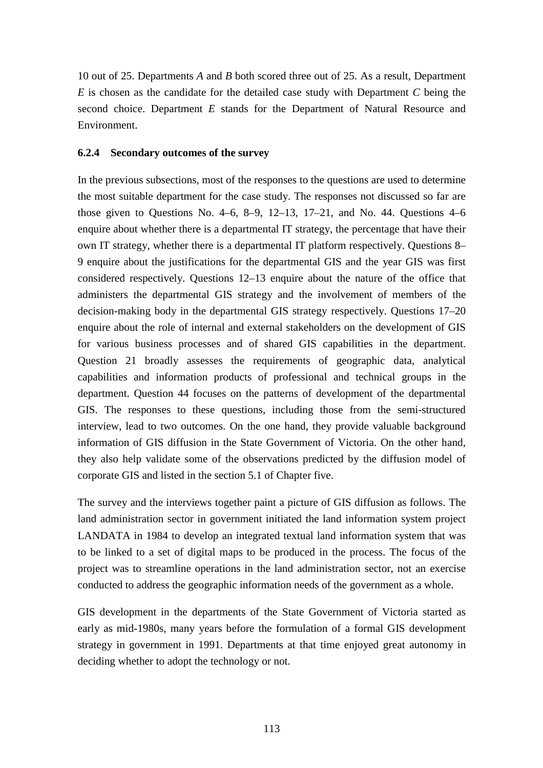10 out of 25. Departments *A* and *B* both scored three out of 25. As a result, Department *E* is chosen as the candidate for the detailed case study with Department *C* being the second choice. Department *E* stands for the Department of Natural Resource and Environment.

## **6.2.4 Secondary outcomes of the survey**

In the previous subsections, most of the responses to the questions are used to determine the most suitable department for the case study. The responses not discussed so far are those given to Questions No.  $4-6$ ,  $8-9$ ,  $12-13$ ,  $17-21$ , and No. 44. Questions  $4-6$ enquire about whether there is a departmental IT strategy, the percentage that have their own IT strategy, whether there is a departmental IT platform respectively. Questions 8– 9 enquire about the justifications for the departmental GIS and the year GIS was first considered respectively. Questions 12–13 enquire about the nature of the office that administers the departmental GIS strategy and the involvement of members of the decision-making body in the departmental GIS strategy respectively. Questions 17–20 enquire about the role of internal and external stakeholders on the development of GIS for various business processes and of shared GIS capabilities in the department. Question 21 broadly assesses the requirements of geographic data, analytical capabilities and information products of professional and technical groups in the department. Question 44 focuses on the patterns of development of the departmental GIS. The responses to these questions, including those from the semi-structured interview, lead to two outcomes. On the one hand, they provide valuable background information of GIS diffusion in the State Government of Victoria. On the other hand, they also help validate some of the observations predicted by the diffusion model of corporate GIS and listed in the section 5.1 of Chapter five.

The survey and the interviews together paint a picture of GIS diffusion as follows. The land administration sector in government initiated the land information system project LANDATA in 1984 to develop an integrated textual land information system that was to be linked to a set of digital maps to be produced in the process. The focus of the project was to streamline operations in the land administration sector, not an exercise conducted to address the geographic information needs of the government as a whole.

GIS development in the departments of the State Government of Victoria started as early as mid-1980s, many years before the formulation of a formal GIS development strategy in government in 1991. Departments at that time enjoyed great autonomy in deciding whether to adopt the technology or not.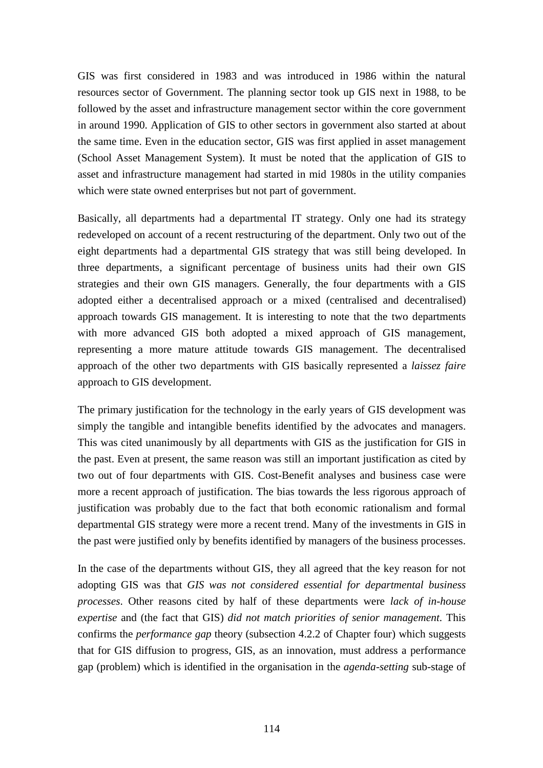GIS was first considered in 1983 and was introduced in 1986 within the natural resources sector of Government. The planning sector took up GIS next in 1988, to be followed by the asset and infrastructure management sector within the core government in around 1990. Application of GIS to other sectors in government also started at about the same time. Even in the education sector, GIS was first applied in asset management (School Asset Management System). It must be noted that the application of GIS to asset and infrastructure management had started in mid 1980s in the utility companies which were state owned enterprises but not part of government.

Basically, all departments had a departmental IT strategy. Only one had its strategy redeveloped on account of a recent restructuring of the department. Only two out of the eight departments had a departmental GIS strategy that was still being developed. In three departments, a significant percentage of business units had their own GIS strategies and their own GIS managers. Generally, the four departments with a GIS adopted either a decentralised approach or a mixed (centralised and decentralised) approach towards GIS management. It is interesting to note that the two departments with more advanced GIS both adopted a mixed approach of GIS management, representing a more mature attitude towards GIS management. The decentralised approach of the other two departments with GIS basically represented a *laissez faire* approach to GIS development.

The primary justification for the technology in the early years of GIS development was simply the tangible and intangible benefits identified by the advocates and managers. This was cited unanimously by all departments with GIS as the justification for GIS in the past. Even at present, the same reason was still an important justification as cited by two out of four departments with GIS. Cost-Benefit analyses and business case were more a recent approach of justification. The bias towards the less rigorous approach of justification was probably due to the fact that both economic rationalism and formal departmental GIS strategy were more a recent trend. Many of the investments in GIS in the past were justified only by benefits identified by managers of the business processes.

In the case of the departments without GIS, they all agreed that the key reason for not adopting GIS was that *GIS was not considered essential for departmental business processes*. Other reasons cited by half of these departments were *lack of in-house expertise* and (the fact that GIS) *did not match priorities of senior management*. This confirms the *performance gap* theory (subsection 4.2.2 of Chapter four) which suggests that for GIS diffusion to progress, GIS, as an innovation, must address a performance gap (problem) which is identified in the organisation in the *agenda-setting* sub-stage of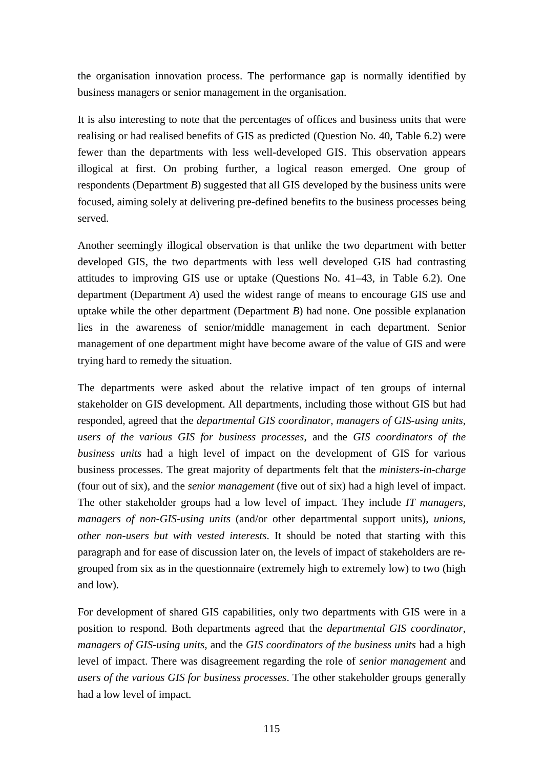the organisation innovation process. The performance gap is normally identified by business managers or senior management in the organisation.

It is also interesting to note that the percentages of offices and business units that were realising or had realised benefits of GIS as predicted (Question No. 40, Table 6.2) were fewer than the departments with less well-developed GIS. This observation appears illogical at first. On probing further, a logical reason emerged. One group of respondents (Department *B*) suggested that all GIS developed by the business units were focused, aiming solely at delivering pre-defined benefits to the business processes being served.

Another seemingly illogical observation is that unlike the two department with better developed GIS, the two departments with less well developed GIS had contrasting attitudes to improving GIS use or uptake (Questions No. 41–43, in Table 6.2). One department (Department *A*) used the widest range of means to encourage GIS use and uptake while the other department (Department *B*) had none. One possible explanation lies in the awareness of senior/middle management in each department. Senior management of one department might have become aware of the value of GIS and were trying hard to remedy the situation.

The departments were asked about the relative impact of ten groups of internal stakeholder on GIS development. All departments, including those without GIS but had responded, agreed that the *departmental GIS coordinator*, *managers of GIS-using units*, *users of the various GIS for business processes*, and the *GIS coordinators of the business units* had a high level of impact on the development of GIS for various business processes. The great majority of departments felt that the *ministers-in-charge* (four out of six), and the *senior management* (five out of six) had a high level of impact. The other stakeholder groups had a low level of impact. They include *IT managers*, *managers of non-GIS-using units* (and/or other departmental support units), *unions, other non-users but with vested interests*. It should be noted that starting with this paragraph and for ease of discussion later on, the levels of impact of stakeholders are regrouped from six as in the questionnaire (extremely high to extremely low) to two (high and low).

For development of shared GIS capabilities, only two departments with GIS were in a position to respond. Both departments agreed that the *departmental GIS coordinator*, *managers of GIS-using units*, and the *GIS coordinators of the business units* had a high level of impact. There was disagreement regarding the role of *senior management* and *users of the various GIS for business processes*. The other stakeholder groups generally had a low level of impact.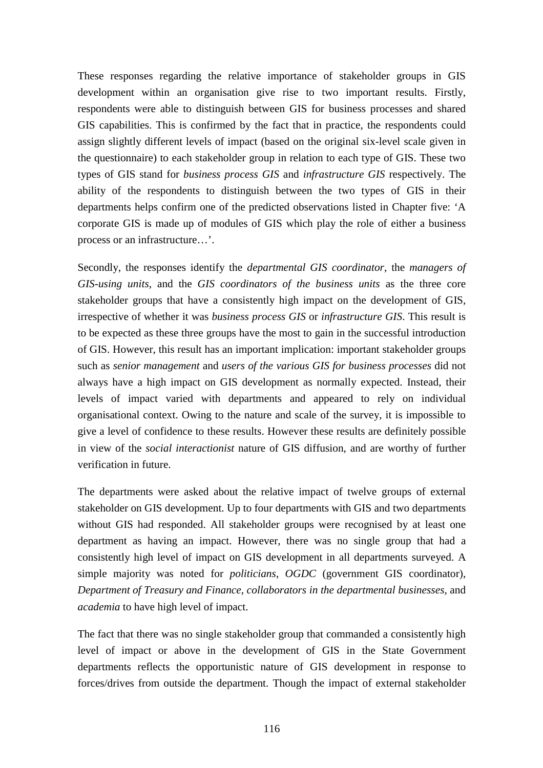These responses regarding the relative importance of stakeholder groups in GIS development within an organisation give rise to two important results. Firstly, respondents were able to distinguish between GIS for business processes and shared GIS capabilities. This is confirmed by the fact that in practice, the respondents could assign slightly different levels of impact (based on the original six-level scale given in the questionnaire) to each stakeholder group in relation to each type of GIS. These two types of GIS stand for *business process GIS* and *infrastructure GIS* respectively. The ability of the respondents to distinguish between the two types of GIS in their departments helps confirm one of the predicted observations listed in Chapter five: 'A corporate GIS is made up of modules of GIS which play the role of either a business process or an infrastructure…'.

Secondly, the responses identify the *departmental GIS coordinator*, the *managers of GIS-using units*, and the *GIS coordinators of the business units* as the three core stakeholder groups that have a consistently high impact on the development of GIS, irrespective of whether it was *business process GIS* or *infrastructure GIS*. This result is to be expected as these three groups have the most to gain in the successful introduction of GIS. However, this result has an important implication: important stakeholder groups such as *senior management* and *users of the various GIS for business processes* did not always have a high impact on GIS development as normally expected. Instead, their levels of impact varied with departments and appeared to rely on individual organisational context. Owing to the nature and scale of the survey, it is impossible to give a level of confidence to these results. However these results are definitely possible in view of the *social interactionist* nature of GIS diffusion, and are worthy of further verification in future.

The departments were asked about the relative impact of twelve groups of external stakeholder on GIS development. Up to four departments with GIS and two departments without GIS had responded. All stakeholder groups were recognised by at least one department as having an impact. However, there was no single group that had a consistently high level of impact on GIS development in all departments surveyed. A simple majority was noted for *politicians*, *OGDC* (government GIS coordinator), *Department of Treasury and Finance*, *collaborators in the departmental businesses*, and *academia* to have high level of impact.

The fact that there was no single stakeholder group that commanded a consistently high level of impact or above in the development of GIS in the State Government departments reflects the opportunistic nature of GIS development in response to forces/drives from outside the department. Though the impact of external stakeholder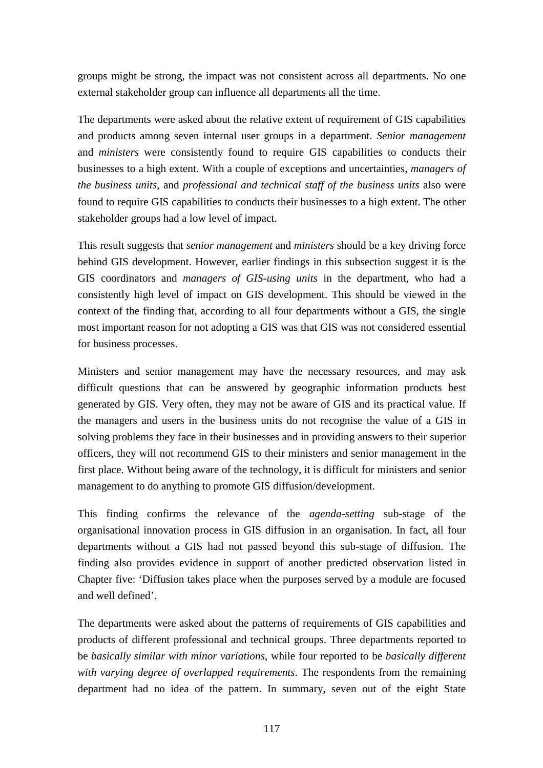groups might be strong, the impact was not consistent across all departments. No one external stakeholder group can influence all departments all the time.

The departments were asked about the relative extent of requirement of GIS capabilities and products among seven internal user groups in a department. *Senior management* and *ministers* were consistently found to require GIS capabilities to conducts their businesses to a high extent. With a couple of exceptions and uncertainties, *managers of the business units*, and *professional and technical staff of the business units* also were found to require GIS capabilities to conducts their businesses to a high extent. The other stakeholder groups had a low level of impact.

This result suggests that *senior management* and *ministers* should be a key driving force behind GIS development. However, earlier findings in this subsection suggest it is the GIS coordinators and *managers of GIS-using units* in the department, who had a consistently high level of impact on GIS development. This should be viewed in the context of the finding that, according to all four departments without a GIS, the single most important reason for not adopting a GIS was that GIS was not considered essential for business processes.

Ministers and senior management may have the necessary resources, and may ask difficult questions that can be answered by geographic information products best generated by GIS. Very often, they may not be aware of GIS and its practical value. If the managers and users in the business units do not recognise the value of a GIS in solving problems they face in their businesses and in providing answers to their superior officers, they will not recommend GIS to their ministers and senior management in the first place. Without being aware of the technology, it is difficult for ministers and senior management to do anything to promote GIS diffusion/development.

This finding confirms the relevance of the *agenda-setting* sub-stage of the organisational innovation process in GIS diffusion in an organisation. In fact, all four departments without a GIS had not passed beyond this sub-stage of diffusion. The finding also provides evidence in support of another predicted observation listed in Chapter five: 'Diffusion takes place when the purposes served by a module are focused and well defined'.

The departments were asked about the patterns of requirements of GIS capabilities and products of different professional and technical groups. Three departments reported to be *basically similar with minor variations*, while four reported to be *basically different with varying degree of overlapped requirements*. The respondents from the remaining department had no idea of the pattern. In summary, seven out of the eight State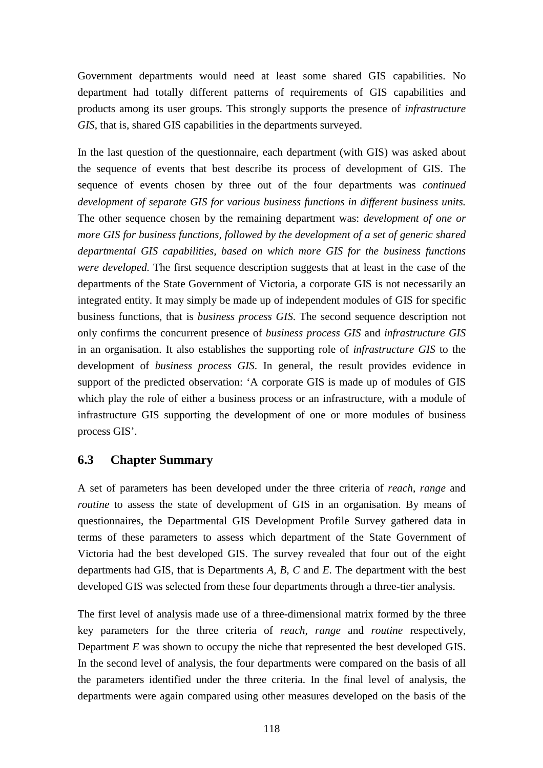Government departments would need at least some shared GIS capabilities. No department had totally different patterns of requirements of GIS capabilities and products among its user groups. This strongly supports the presence of *infrastructure GIS*, that is, shared GIS capabilities in the departments surveyed.

In the last question of the questionnaire, each department (with GIS) was asked about the sequence of events that best describe its process of development of GIS. The sequence of events chosen by three out of the four departments was *continued development of separate GIS for various business functions in different business units.* The other sequence chosen by the remaining department was: *development of one or more GIS for business functions, followed by the development of a set of generic shared departmental GIS capabilities, based on which more GIS for the business functions were developed.* The first sequence description suggests that at least in the case of the departments of the State Government of Victoria, a corporate GIS is not necessarily an integrated entity. It may simply be made up of independent modules of GIS for specific business functions, that is *business process GIS*. The second sequence description not only confirms the concurrent presence of *business process GIS* and *infrastructure GIS* in an organisation. It also establishes the supporting role of *infrastructure GIS* to the development of *business process GIS*. In general, the result provides evidence in support of the predicted observation: 'A corporate GIS is made up of modules of GIS which play the role of either a business process or an infrastructure, with a module of infrastructure GIS supporting the development of one or more modules of business process GIS'.

## **6.3 Chapter Summary**

A set of parameters has been developed under the three criteria of *reach*, *range* and *routine* to assess the state of development of GIS in an organisation. By means of questionnaires, the Departmental GIS Development Profile Survey gathered data in terms of these parameters to assess which department of the State Government of Victoria had the best developed GIS. The survey revealed that four out of the eight departments had GIS, that is Departments *A, B, C* and *E*. The department with the best developed GIS was selected from these four departments through a three-tier analysis.

The first level of analysis made use of a three-dimensional matrix formed by the three key parameters for the three criteria of *reach*, *range* and *routine* respectively, Department *E* was shown to occupy the niche that represented the best developed GIS. In the second level of analysis, the four departments were compared on the basis of all the parameters identified under the three criteria. In the final level of analysis, the departments were again compared using other measures developed on the basis of the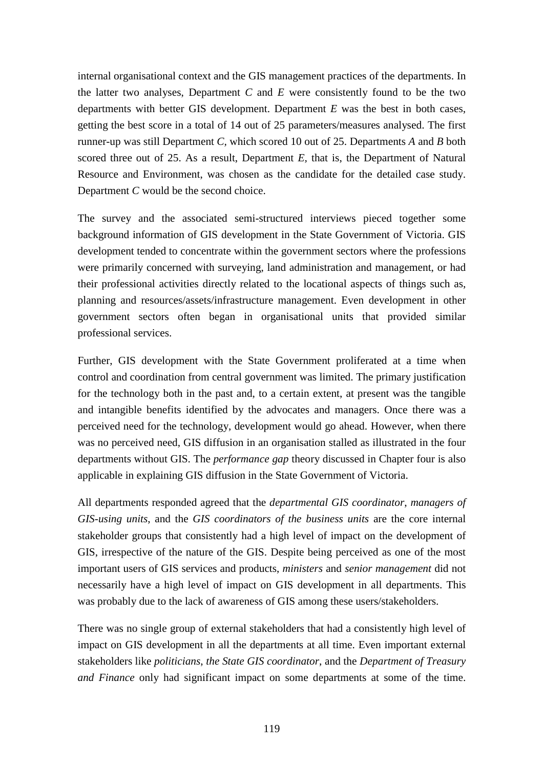internal organisational context and the GIS management practices of the departments. In the latter two analyses, Department *C* and *E* were consistently found to be the two departments with better GIS development. Department *E* was the best in both cases, getting the best score in a total of 14 out of 25 parameters/measures analysed. The first runner-up was still Department *C,* which scored 10 out of 25. Departments *A* and *B* both scored three out of 25. As a result, Department *E,* that is, the Department of Natural Resource and Environment, was chosen as the candidate for the detailed case study. Department *C* would be the second choice.

The survey and the associated semi-structured interviews pieced together some background information of GIS development in the State Government of Victoria. GIS development tended to concentrate within the government sectors where the professions were primarily concerned with surveying, land administration and management, or had their professional activities directly related to the locational aspects of things such as, planning and resources/assets/infrastructure management. Even development in other government sectors often began in organisational units that provided similar professional services.

Further, GIS development with the State Government proliferated at a time when control and coordination from central government was limited. The primary justification for the technology both in the past and, to a certain extent, at present was the tangible and intangible benefits identified by the advocates and managers. Once there was a perceived need for the technology, development would go ahead. However, when there was no perceived need, GIS diffusion in an organisation stalled as illustrated in the four departments without GIS. The *performance gap* theory discussed in Chapter four is also applicable in explaining GIS diffusion in the State Government of Victoria.

All departments responded agreed that the *departmental GIS coordinator*, *managers of GIS-using units*, and the *GIS coordinators of the business units* are the core internal stakeholder groups that consistently had a high level of impact on the development of GIS, irrespective of the nature of the GIS. Despite being perceived as one of the most important users of GIS services and products, *ministers* and *senior management* did not necessarily have a high level of impact on GIS development in all departments. This was probably due to the lack of awareness of GIS among these users/stakeholders.

There was no single group of external stakeholders that had a consistently high level of impact on GIS development in all the departments at all time. Even important external stakeholders like *politicians*, *the State GIS coordinator*, and the *Department of Treasury and Finance* only had significant impact on some departments at some of the time.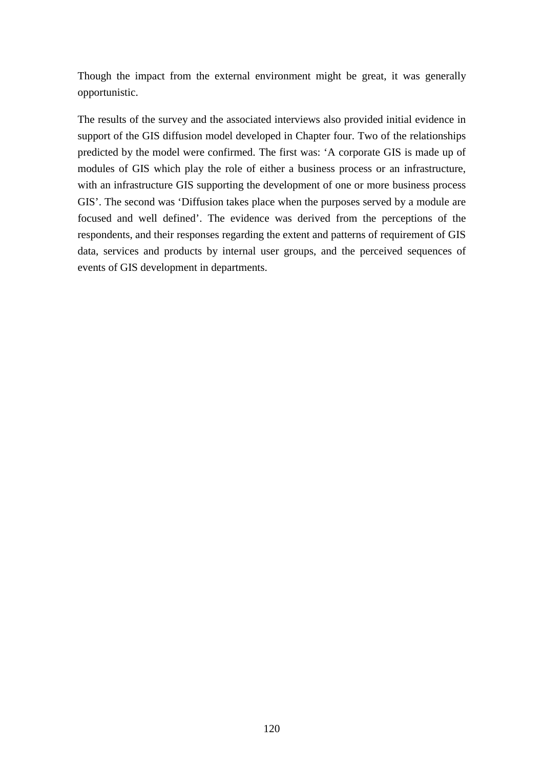Though the impact from the external environment might be great, it was generally opportunistic.

The results of the survey and the associated interviews also provided initial evidence in support of the GIS diffusion model developed in Chapter four. Two of the relationships predicted by the model were confirmed. The first was: 'A corporate GIS is made up of modules of GIS which play the role of either a business process or an infrastructure, with an infrastructure GIS supporting the development of one or more business process GIS'. The second was 'Diffusion takes place when the purposes served by a module are focused and well defined'. The evidence was derived from the perceptions of the respondents, and their responses regarding the extent and patterns of requirement of GIS data, services and products by internal user groups, and the perceived sequences of events of GIS development in departments.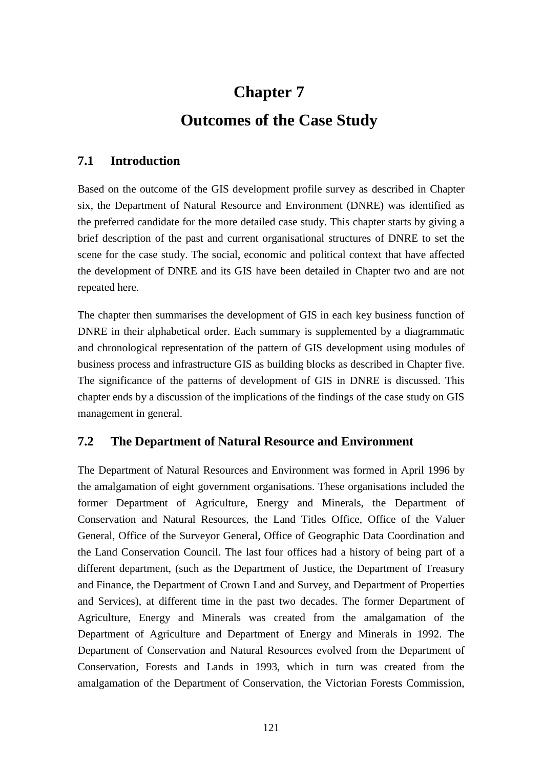# **Chapter 7 Outcomes of the Case Study**

## **7.1 Introduction**

Based on the outcome of the GIS development profile survey as described in Chapter six, the Department of Natural Resource and Environment (DNRE) was identified as the preferred candidate for the more detailed case study. This chapter starts by giving a brief description of the past and current organisational structures of DNRE to set the scene for the case study. The social, economic and political context that have affected the development of DNRE and its GIS have been detailed in Chapter two and are not repeated here.

The chapter then summarises the development of GIS in each key business function of DNRE in their alphabetical order. Each summary is supplemented by a diagrammatic and chronological representation of the pattern of GIS development using modules of business process and infrastructure GIS as building blocks as described in Chapter five. The significance of the patterns of development of GIS in DNRE is discussed. This chapter ends by a discussion of the implications of the findings of the case study on GIS management in general.

## **7.2 The Department of Natural Resource and Environment**

The Department of Natural Resources and Environment was formed in April 1996 by the amalgamation of eight government organisations. These organisations included the former Department of Agriculture, Energy and Minerals, the Department of Conservation and Natural Resources, the Land Titles Office, Office of the Valuer General, Office of the Surveyor General, Office of Geographic Data Coordination and the Land Conservation Council. The last four offices had a history of being part of a different department, (such as the Department of Justice, the Department of Treasury and Finance, the Department of Crown Land and Survey, and Department of Properties and Services), at different time in the past two decades. The former Department of Agriculture, Energy and Minerals was created from the amalgamation of the Department of Agriculture and Department of Energy and Minerals in 1992. The Department of Conservation and Natural Resources evolved from the Department of Conservation, Forests and Lands in 1993, which in turn was created from the amalgamation of the Department of Conservation, the Victorian Forests Commission,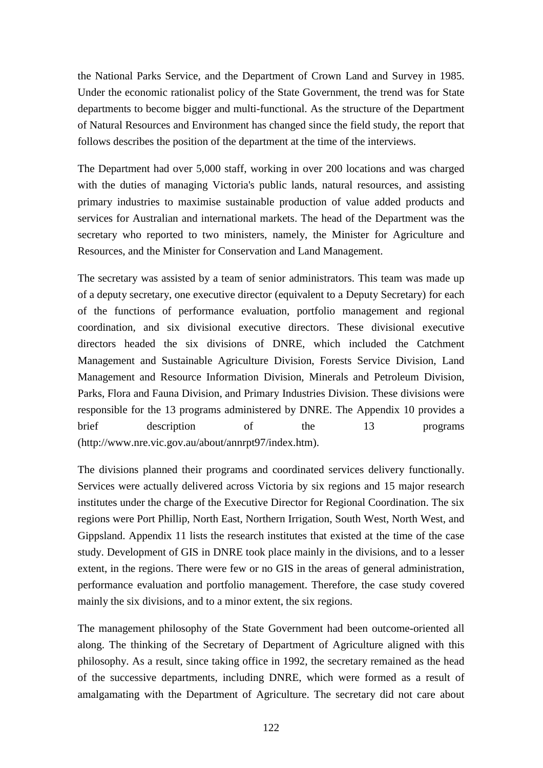the National Parks Service, and the Department of Crown Land and Survey in 1985. Under the economic rationalist policy of the State Government, the trend was for State departments to become bigger and multi-functional. As the structure of the Department of Natural Resources and Environment has changed since the field study, the report that follows describes the position of the department at the time of the interviews.

The Department had over 5,000 staff, working in over 200 locations and was charged with the duties of managing Victoria's public lands, natural resources, and assisting primary industries to maximise sustainable production of value added products and services for Australian and international markets. The head of the Department was the secretary who reported to two ministers, namely, the Minister for Agriculture and Resources, and the Minister for Conservation and Land Management.

The secretary was assisted by a team of senior administrators. This team was made up of a deputy secretary, one executive director (equivalent to a Deputy Secretary) for each of the functions of performance evaluation, portfolio management and regional coordination, and six divisional executive directors. These divisional executive directors headed the six divisions of DNRE, which included the Catchment Management and Sustainable Agriculture Division, Forests Service Division, Land Management and Resource Information Division, Minerals and Petroleum Division, Parks, Flora and Fauna Division, and Primary Industries Division. These divisions were responsible for the 13 programs administered by DNRE. The Appendix 10 provides a brief description of the 13 programs (http://www.nre.vic.gov.au/about/annrpt97/index.htm).

The divisions planned their programs and coordinated services delivery functionally. Services were actually delivered across Victoria by six regions and 15 major research institutes under the charge of the Executive Director for Regional Coordination. The six regions were Port Phillip, North East, Northern Irrigation, South West, North West, and Gippsland. Appendix 11 lists the research institutes that existed at the time of the case study. Development of GIS in DNRE took place mainly in the divisions, and to a lesser extent, in the regions. There were few or no GIS in the areas of general administration, performance evaluation and portfolio management. Therefore, the case study covered mainly the six divisions, and to a minor extent, the six regions.

The management philosophy of the State Government had been outcome-oriented all along. The thinking of the Secretary of Department of Agriculture aligned with this philosophy. As a result, since taking office in 1992, the secretary remained as the head of the successive departments, including DNRE, which were formed as a result of amalgamating with the Department of Agriculture. The secretary did not care about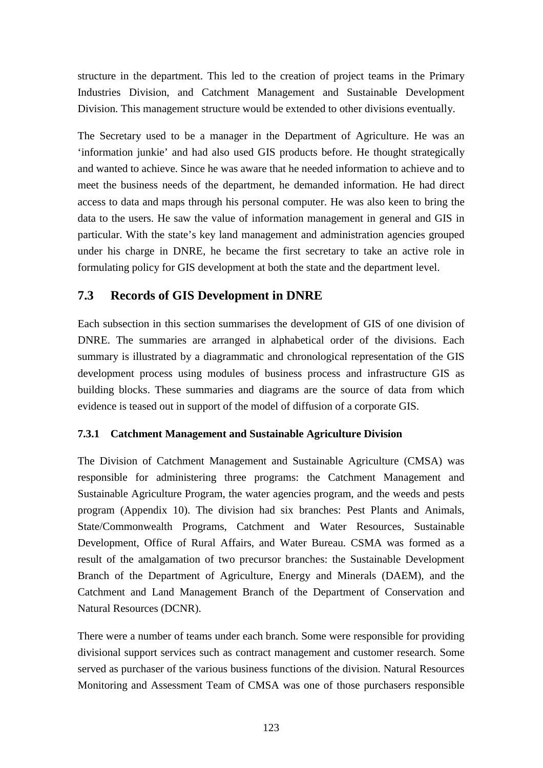structure in the department. This led to the creation of project teams in the Primary Industries Division, and Catchment Management and Sustainable Development Division. This management structure would be extended to other divisions eventually.

The Secretary used to be a manager in the Department of Agriculture. He was an 'information junkie' and had also used GIS products before. He thought strategically and wanted to achieve. Since he was aware that he needed information to achieve and to meet the business needs of the department, he demanded information. He had direct access to data and maps through his personal computer. He was also keen to bring the data to the users. He saw the value of information management in general and GIS in particular. With the state's key land management and administration agencies grouped under his charge in DNRE, he became the first secretary to take an active role in formulating policy for GIS development at both the state and the department level.

# **7.3 Records of GIS Development in DNRE**

Each subsection in this section summarises the development of GIS of one division of DNRE. The summaries are arranged in alphabetical order of the divisions. Each summary is illustrated by a diagrammatic and chronological representation of the GIS development process using modules of business process and infrastructure GIS as building blocks. These summaries and diagrams are the source of data from which evidence is teased out in support of the model of diffusion of a corporate GIS.

## **7.3.1 Catchment Management and Sustainable Agriculture Division**

The Division of Catchment Management and Sustainable Agriculture (CMSA) was responsible for administering three programs: the Catchment Management and Sustainable Agriculture Program, the water agencies program, and the weeds and pests program (Appendix 10). The division had six branches: Pest Plants and Animals, State/Commonwealth Programs, Catchment and Water Resources, Sustainable Development, Office of Rural Affairs, and Water Bureau. CSMA was formed as a result of the amalgamation of two precursor branches: the Sustainable Development Branch of the Department of Agriculture, Energy and Minerals (DAEM), and the Catchment and Land Management Branch of the Department of Conservation and Natural Resources (DCNR).

There were a number of teams under each branch. Some were responsible for providing divisional support services such as contract management and customer research. Some served as purchaser of the various business functions of the division. Natural Resources Monitoring and Assessment Team of CMSA was one of those purchasers responsible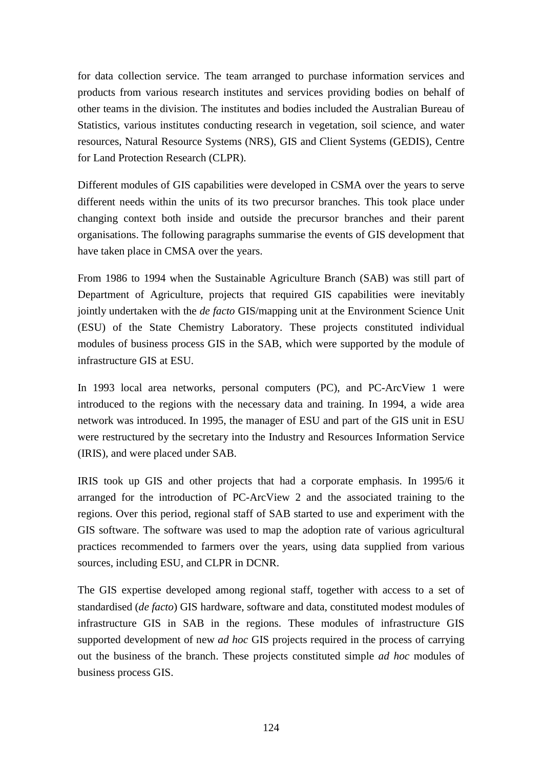for data collection service. The team arranged to purchase information services and products from various research institutes and services providing bodies on behalf of other teams in the division. The institutes and bodies included the Australian Bureau of Statistics, various institutes conducting research in vegetation, soil science, and water resources, Natural Resource Systems (NRS), GIS and Client Systems (GEDIS), Centre for Land Protection Research (CLPR).

Different modules of GIS capabilities were developed in CSMA over the years to serve different needs within the units of its two precursor branches. This took place under changing context both inside and outside the precursor branches and their parent organisations. The following paragraphs summarise the events of GIS development that have taken place in CMSA over the years.

From 1986 to 1994 when the Sustainable Agriculture Branch (SAB) was still part of Department of Agriculture, projects that required GIS capabilities were inevitably jointly undertaken with the *de facto* GIS/mapping unit at the Environment Science Unit (ESU) of the State Chemistry Laboratory. These projects constituted individual modules of business process GIS in the SAB, which were supported by the module of infrastructure GIS at ESU.

In 1993 local area networks, personal computers (PC), and PC-ArcView 1 were introduced to the regions with the necessary data and training. In 1994, a wide area network was introduced. In 1995, the manager of ESU and part of the GIS unit in ESU were restructured by the secretary into the Industry and Resources Information Service (IRIS), and were placed under SAB.

IRIS took up GIS and other projects that had a corporate emphasis. In 1995/6 it arranged for the introduction of PC-ArcView 2 and the associated training to the regions. Over this period, regional staff of SAB started to use and experiment with the GIS software. The software was used to map the adoption rate of various agricultural practices recommended to farmers over the years, using data supplied from various sources, including ESU, and CLPR in DCNR.

The GIS expertise developed among regional staff, together with access to a set of standardised (*de facto*) GIS hardware, software and data, constituted modest modules of infrastructure GIS in SAB in the regions. These modules of infrastructure GIS supported development of new *ad hoc* GIS projects required in the process of carrying out the business of the branch. These projects constituted simple *ad hoc* modules of business process GIS.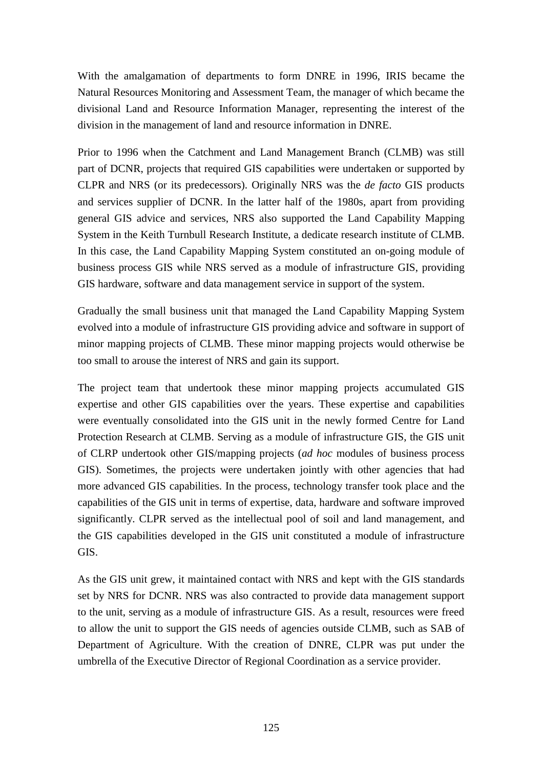With the amalgamation of departments to form DNRE in 1996, IRIS became the Natural Resources Monitoring and Assessment Team, the manager of which became the divisional Land and Resource Information Manager, representing the interest of the division in the management of land and resource information in DNRE.

Prior to 1996 when the Catchment and Land Management Branch (CLMB) was still part of DCNR, projects that required GIS capabilities were undertaken or supported by CLPR and NRS (or its predecessors). Originally NRS was the *de facto* GIS products and services supplier of DCNR. In the latter half of the 1980s, apart from providing general GIS advice and services, NRS also supported the Land Capability Mapping System in the Keith Turnbull Research Institute, a dedicate research institute of CLMB. In this case, the Land Capability Mapping System constituted an on-going module of business process GIS while NRS served as a module of infrastructure GIS, providing GIS hardware, software and data management service in support of the system.

Gradually the small business unit that managed the Land Capability Mapping System evolved into a module of infrastructure GIS providing advice and software in support of minor mapping projects of CLMB. These minor mapping projects would otherwise be too small to arouse the interest of NRS and gain its support.

The project team that undertook these minor mapping projects accumulated GIS expertise and other GIS capabilities over the years. These expertise and capabilities were eventually consolidated into the GIS unit in the newly formed Centre for Land Protection Research at CLMB. Serving as a module of infrastructure GIS, the GIS unit of CLRP undertook other GIS/mapping projects (*ad hoc* modules of business process GIS). Sometimes, the projects were undertaken jointly with other agencies that had more advanced GIS capabilities. In the process, technology transfer took place and the capabilities of the GIS unit in terms of expertise, data, hardware and software improved significantly. CLPR served as the intellectual pool of soil and land management, and the GIS capabilities developed in the GIS unit constituted a module of infrastructure GIS.

As the GIS unit grew, it maintained contact with NRS and kept with the GIS standards set by NRS for DCNR. NRS was also contracted to provide data management support to the unit, serving as a module of infrastructure GIS. As a result, resources were freed to allow the unit to support the GIS needs of agencies outside CLMB, such as SAB of Department of Agriculture. With the creation of DNRE, CLPR was put under the umbrella of the Executive Director of Regional Coordination as a service provider.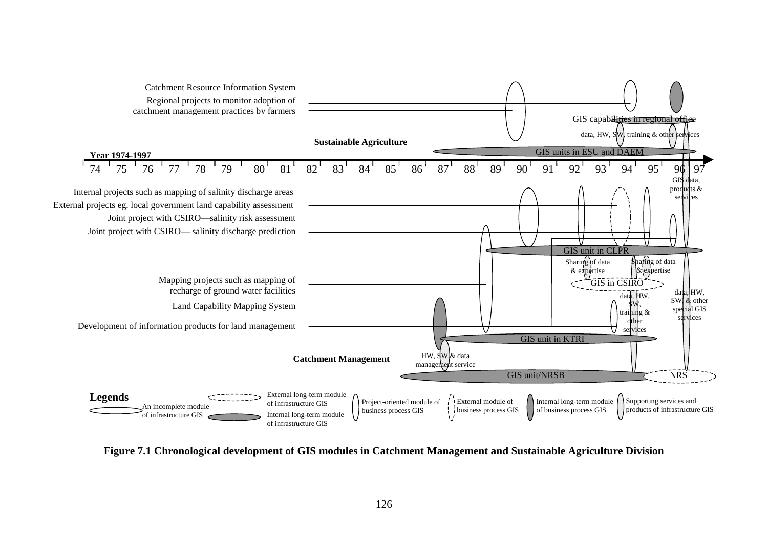

**Figure 7.1 Chronological development of GIS modules in Catchment Management and Sustainable Agriculture Division**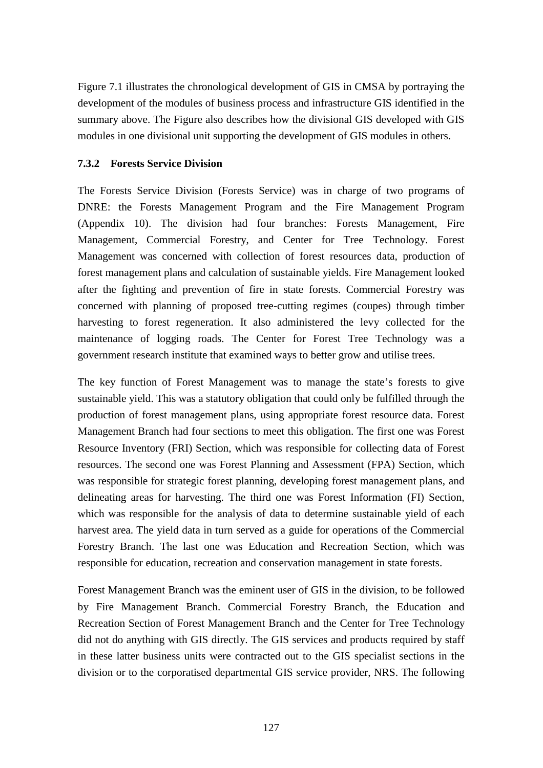Figure 7.1 illustrates the chronological development of GIS in CMSA by portraying the development of the modules of business process and infrastructure GIS identified in the summary above. The Figure also describes how the divisional GIS developed with GIS modules in one divisional unit supporting the development of GIS modules in others.

## **7.3.2 Forests Service Division**

The Forests Service Division (Forests Service) was in charge of two programs of DNRE: the Forests Management Program and the Fire Management Program (Appendix 10). The division had four branches: Forests Management, Fire Management, Commercial Forestry, and Center for Tree Technology. Forest Management was concerned with collection of forest resources data, production of forest management plans and calculation of sustainable yields. Fire Management looked after the fighting and prevention of fire in state forests. Commercial Forestry was concerned with planning of proposed tree-cutting regimes (coupes) through timber harvesting to forest regeneration. It also administered the levy collected for the maintenance of logging roads. The Center for Forest Tree Technology was a government research institute that examined ways to better grow and utilise trees.

The key function of Forest Management was to manage the state's forests to give sustainable yield. This was a statutory obligation that could only be fulfilled through the production of forest management plans, using appropriate forest resource data. Forest Management Branch had four sections to meet this obligation. The first one was Forest Resource Inventory (FRI) Section, which was responsible for collecting data of Forest resources. The second one was Forest Planning and Assessment (FPA) Section, which was responsible for strategic forest planning, developing forest management plans, and delineating areas for harvesting. The third one was Forest Information (FI) Section, which was responsible for the analysis of data to determine sustainable yield of each harvest area. The yield data in turn served as a guide for operations of the Commercial Forestry Branch. The last one was Education and Recreation Section, which was responsible for education, recreation and conservation management in state forests.

Forest Management Branch was the eminent user of GIS in the division, to be followed by Fire Management Branch. Commercial Forestry Branch, the Education and Recreation Section of Forest Management Branch and the Center for Tree Technology did not do anything with GIS directly. The GIS services and products required by staff in these latter business units were contracted out to the GIS specialist sections in the division or to the corporatised departmental GIS service provider, NRS. The following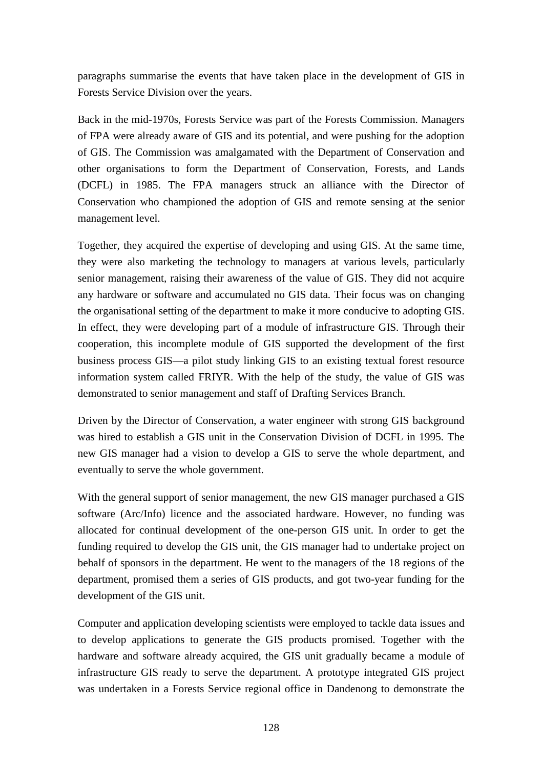paragraphs summarise the events that have taken place in the development of GIS in Forests Service Division over the years.

Back in the mid-1970s, Forests Service was part of the Forests Commission. Managers of FPA were already aware of GIS and its potential, and were pushing for the adoption of GIS. The Commission was amalgamated with the Department of Conservation and other organisations to form the Department of Conservation, Forests, and Lands (DCFL) in 1985. The FPA managers struck an alliance with the Director of Conservation who championed the adoption of GIS and remote sensing at the senior management level.

Together, they acquired the expertise of developing and using GIS. At the same time, they were also marketing the technology to managers at various levels, particularly senior management, raising their awareness of the value of GIS. They did not acquire any hardware or software and accumulated no GIS data. Their focus was on changing the organisational setting of the department to make it more conducive to adopting GIS. In effect, they were developing part of a module of infrastructure GIS. Through their cooperation, this incomplete module of GIS supported the development of the first business process GIS—a pilot study linking GIS to an existing textual forest resource information system called FRIYR. With the help of the study, the value of GIS was demonstrated to senior management and staff of Drafting Services Branch.

Driven by the Director of Conservation, a water engineer with strong GIS background was hired to establish a GIS unit in the Conservation Division of DCFL in 1995. The new GIS manager had a vision to develop a GIS to serve the whole department, and eventually to serve the whole government.

With the general support of senior management, the new GIS manager purchased a GIS software (Arc/Info) licence and the associated hardware. However, no funding was allocated for continual development of the one-person GIS unit. In order to get the funding required to develop the GIS unit, the GIS manager had to undertake project on behalf of sponsors in the department. He went to the managers of the 18 regions of the department, promised them a series of GIS products, and got two-year funding for the development of the GIS unit.

Computer and application developing scientists were employed to tackle data issues and to develop applications to generate the GIS products promised. Together with the hardware and software already acquired, the GIS unit gradually became a module of infrastructure GIS ready to serve the department. A prototype integrated GIS project was undertaken in a Forests Service regional office in Dandenong to demonstrate the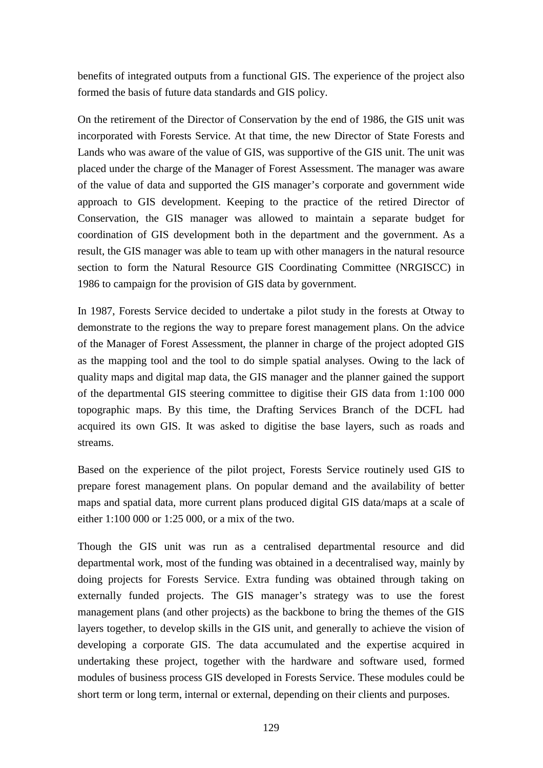benefits of integrated outputs from a functional GIS. The experience of the project also formed the basis of future data standards and GIS policy.

On the retirement of the Director of Conservation by the end of 1986, the GIS unit was incorporated with Forests Service. At that time, the new Director of State Forests and Lands who was aware of the value of GIS, was supportive of the GIS unit. The unit was placed under the charge of the Manager of Forest Assessment. The manager was aware of the value of data and supported the GIS manager's corporate and government wide approach to GIS development. Keeping to the practice of the retired Director of Conservation, the GIS manager was allowed to maintain a separate budget for coordination of GIS development both in the department and the government. As a result, the GIS manager was able to team up with other managers in the natural resource section to form the Natural Resource GIS Coordinating Committee (NRGISCC) in 1986 to campaign for the provision of GIS data by government.

In 1987, Forests Service decided to undertake a pilot study in the forests at Otway to demonstrate to the regions the way to prepare forest management plans. On the advice of the Manager of Forest Assessment, the planner in charge of the project adopted GIS as the mapping tool and the tool to do simple spatial analyses. Owing to the lack of quality maps and digital map data, the GIS manager and the planner gained the support of the departmental GIS steering committee to digitise their GIS data from 1:100 000 topographic maps. By this time, the Drafting Services Branch of the DCFL had acquired its own GIS. It was asked to digitise the base layers, such as roads and streams.

Based on the experience of the pilot project, Forests Service routinely used GIS to prepare forest management plans. On popular demand and the availability of better maps and spatial data, more current plans produced digital GIS data/maps at a scale of either 1:100 000 or 1:25 000, or a mix of the two.

Though the GIS unit was run as a centralised departmental resource and did departmental work, most of the funding was obtained in a decentralised way, mainly by doing projects for Forests Service. Extra funding was obtained through taking on externally funded projects. The GIS manager's strategy was to use the forest management plans (and other projects) as the backbone to bring the themes of the GIS layers together, to develop skills in the GIS unit, and generally to achieve the vision of developing a corporate GIS. The data accumulated and the expertise acquired in undertaking these project, together with the hardware and software used, formed modules of business process GIS developed in Forests Service. These modules could be short term or long term, internal or external, depending on their clients and purposes.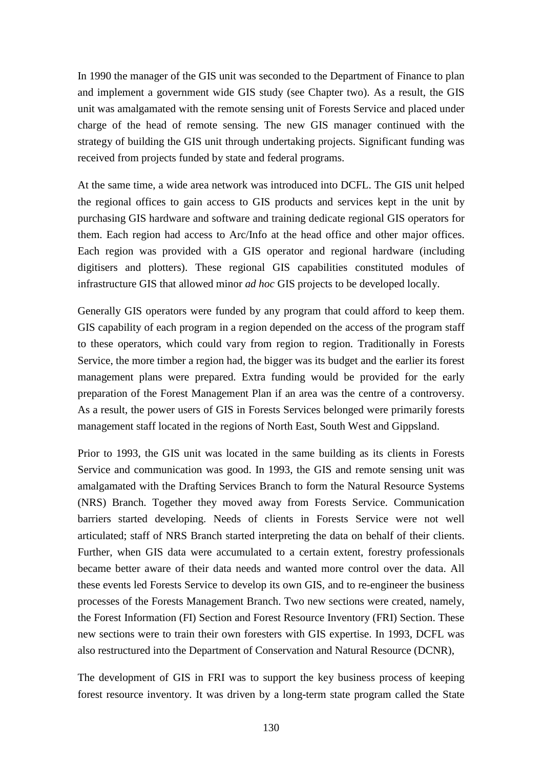In 1990 the manager of the GIS unit was seconded to the Department of Finance to plan and implement a government wide GIS study (see Chapter two). As a result, the GIS unit was amalgamated with the remote sensing unit of Forests Service and placed under charge of the head of remote sensing. The new GIS manager continued with the strategy of building the GIS unit through undertaking projects. Significant funding was received from projects funded by state and federal programs.

At the same time, a wide area network was introduced into DCFL. The GIS unit helped the regional offices to gain access to GIS products and services kept in the unit by purchasing GIS hardware and software and training dedicate regional GIS operators for them. Each region had access to Arc/Info at the head office and other major offices. Each region was provided with a GIS operator and regional hardware (including digitisers and plotters). These regional GIS capabilities constituted modules of infrastructure GIS that allowed minor *ad hoc* GIS projects to be developed locally.

Generally GIS operators were funded by any program that could afford to keep them. GIS capability of each program in a region depended on the access of the program staff to these operators, which could vary from region to region. Traditionally in Forests Service, the more timber a region had, the bigger was its budget and the earlier its forest management plans were prepared. Extra funding would be provided for the early preparation of the Forest Management Plan if an area was the centre of a controversy. As a result, the power users of GIS in Forests Services belonged were primarily forests management staff located in the regions of North East, South West and Gippsland.

Prior to 1993, the GIS unit was located in the same building as its clients in Forests Service and communication was good. In 1993, the GIS and remote sensing unit was amalgamated with the Drafting Services Branch to form the Natural Resource Systems (NRS) Branch. Together they moved away from Forests Service. Communication barriers started developing. Needs of clients in Forests Service were not well articulated; staff of NRS Branch started interpreting the data on behalf of their clients. Further, when GIS data were accumulated to a certain extent, forestry professionals became better aware of their data needs and wanted more control over the data. All these events led Forests Service to develop its own GIS, and to re-engineer the business processes of the Forests Management Branch. Two new sections were created, namely, the Forest Information (FI) Section and Forest Resource Inventory (FRI) Section. These new sections were to train their own foresters with GIS expertise. In 1993, DCFL was also restructured into the Department of Conservation and Natural Resource (DCNR),

The development of GIS in FRI was to support the key business process of keeping forest resource inventory. It was driven by a long-term state program called the State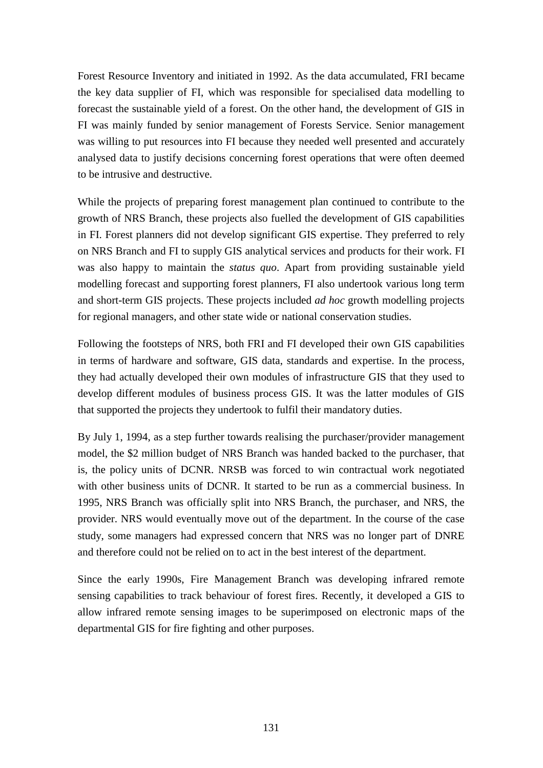Forest Resource Inventory and initiated in 1992. As the data accumulated, FRI became the key data supplier of FI, which was responsible for specialised data modelling to forecast the sustainable yield of a forest. On the other hand, the development of GIS in FI was mainly funded by senior management of Forests Service. Senior management was willing to put resources into FI because they needed well presented and accurately analysed data to justify decisions concerning forest operations that were often deemed to be intrusive and destructive.

While the projects of preparing forest management plan continued to contribute to the growth of NRS Branch, these projects also fuelled the development of GIS capabilities in FI. Forest planners did not develop significant GIS expertise. They preferred to rely on NRS Branch and FI to supply GIS analytical services and products for their work. FI was also happy to maintain the *status quo*. Apart from providing sustainable yield modelling forecast and supporting forest planners, FI also undertook various long term and short-term GIS projects. These projects included *ad hoc* growth modelling projects for regional managers, and other state wide or national conservation studies.

Following the footsteps of NRS, both FRI and FI developed their own GIS capabilities in terms of hardware and software, GIS data, standards and expertise. In the process, they had actually developed their own modules of infrastructure GIS that they used to develop different modules of business process GIS. It was the latter modules of GIS that supported the projects they undertook to fulfil their mandatory duties.

By July 1, 1994, as a step further towards realising the purchaser/provider management model, the \$2 million budget of NRS Branch was handed backed to the purchaser, that is, the policy units of DCNR. NRSB was forced to win contractual work negotiated with other business units of DCNR. It started to be run as a commercial business. In 1995, NRS Branch was officially split into NRS Branch, the purchaser, and NRS, the provider. NRS would eventually move out of the department. In the course of the case study, some managers had expressed concern that NRS was no longer part of DNRE and therefore could not be relied on to act in the best interest of the department.

Since the early 1990s, Fire Management Branch was developing infrared remote sensing capabilities to track behaviour of forest fires. Recently, it developed a GIS to allow infrared remote sensing images to be superimposed on electronic maps of the departmental GIS for fire fighting and other purposes.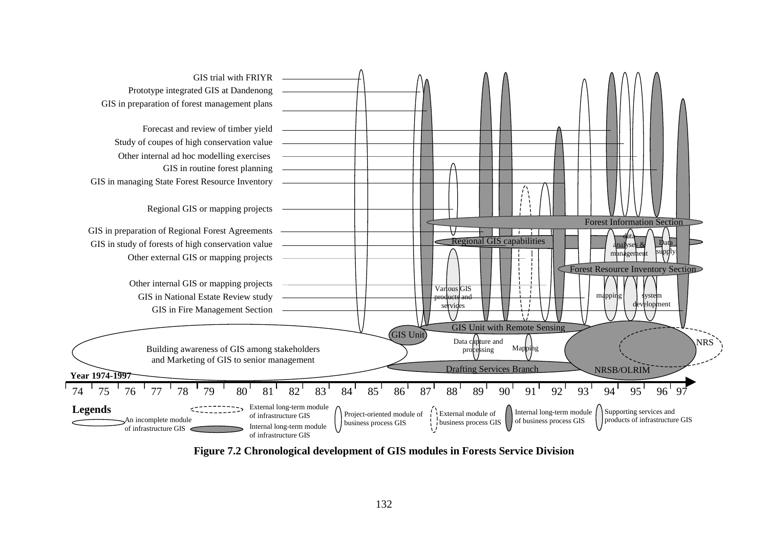

**Figure 7.2 Chronological development of GIS modules in Forests Service Division**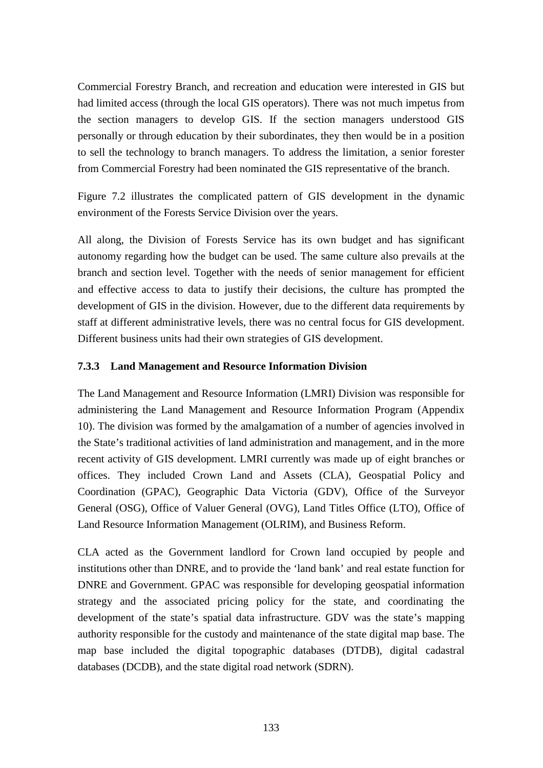Commercial Forestry Branch, and recreation and education were interested in GIS but had limited access (through the local GIS operators). There was not much impetus from the section managers to develop GIS. If the section managers understood GIS personally or through education by their subordinates, they then would be in a position to sell the technology to branch managers. To address the limitation, a senior forester from Commercial Forestry had been nominated the GIS representative of the branch.

Figure 7.2 illustrates the complicated pattern of GIS development in the dynamic environment of the Forests Service Division over the years.

All along, the Division of Forests Service has its own budget and has significant autonomy regarding how the budget can be used. The same culture also prevails at the branch and section level. Together with the needs of senior management for efficient and effective access to data to justify their decisions, the culture has prompted the development of GIS in the division. However, due to the different data requirements by staff at different administrative levels, there was no central focus for GIS development. Different business units had their own strategies of GIS development.

## **7.3.3 Land Management and Resource Information Division**

The Land Management and Resource Information (LMRI) Division was responsible for administering the Land Management and Resource Information Program (Appendix 10). The division was formed by the amalgamation of a number of agencies involved in the State's traditional activities of land administration and management, and in the more recent activity of GIS development. LMRI currently was made up of eight branches or offices. They included Crown Land and Assets (CLA), Geospatial Policy and Coordination (GPAC), Geographic Data Victoria (GDV), Office of the Surveyor General (OSG), Office of Valuer General (OVG), Land Titles Office (LTO), Office of Land Resource Information Management (OLRIM), and Business Reform.

CLA acted as the Government landlord for Crown land occupied by people and institutions other than DNRE, and to provide the 'land bank' and real estate function for DNRE and Government. GPAC was responsible for developing geospatial information strategy and the associated pricing policy for the state, and coordinating the development of the state's spatial data infrastructure. GDV was the state's mapping authority responsible for the custody and maintenance of the state digital map base. The map base included the digital topographic databases (DTDB), digital cadastral databases (DCDB), and the state digital road network (SDRN).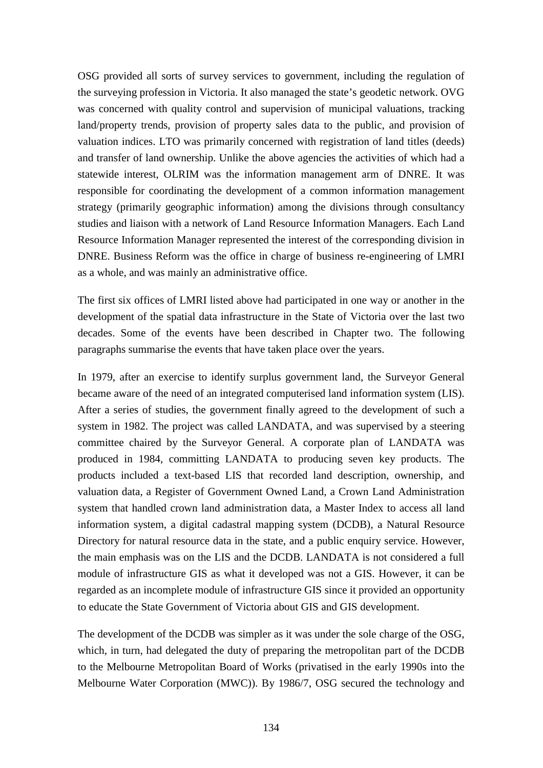OSG provided all sorts of survey services to government, including the regulation of the surveying profession in Victoria. It also managed the state's geodetic network. OVG was concerned with quality control and supervision of municipal valuations, tracking land/property trends, provision of property sales data to the public, and provision of valuation indices. LTO was primarily concerned with registration of land titles (deeds) and transfer of land ownership. Unlike the above agencies the activities of which had a statewide interest, OLRIM was the information management arm of DNRE. It was responsible for coordinating the development of a common information management strategy (primarily geographic information) among the divisions through consultancy studies and liaison with a network of Land Resource Information Managers. Each Land Resource Information Manager represented the interest of the corresponding division in DNRE. Business Reform was the office in charge of business re-engineering of LMRI as a whole, and was mainly an administrative office.

The first six offices of LMRI listed above had participated in one way or another in the development of the spatial data infrastructure in the State of Victoria over the last two decades. Some of the events have been described in Chapter two. The following paragraphs summarise the events that have taken place over the years.

In 1979, after an exercise to identify surplus government land, the Surveyor General became aware of the need of an integrated computerised land information system (LIS). After a series of studies, the government finally agreed to the development of such a system in 1982. The project was called LANDATA, and was supervised by a steering committee chaired by the Surveyor General. A corporate plan of LANDATA was produced in 1984, committing LANDATA to producing seven key products. The products included a text-based LIS that recorded land description, ownership, and valuation data, a Register of Government Owned Land, a Crown Land Administration system that handled crown land administration data, a Master Index to access all land information system, a digital cadastral mapping system (DCDB), a Natural Resource Directory for natural resource data in the state, and a public enquiry service. However, the main emphasis was on the LIS and the DCDB. LANDATA is not considered a full module of infrastructure GIS as what it developed was not a GIS. However, it can be regarded as an incomplete module of infrastructure GIS since it provided an opportunity to educate the State Government of Victoria about GIS and GIS development.

The development of the DCDB was simpler as it was under the sole charge of the OSG, which, in turn, had delegated the duty of preparing the metropolitan part of the DCDB to the Melbourne Metropolitan Board of Works (privatised in the early 1990s into the Melbourne Water Corporation (MWC)). By 1986/7, OSG secured the technology and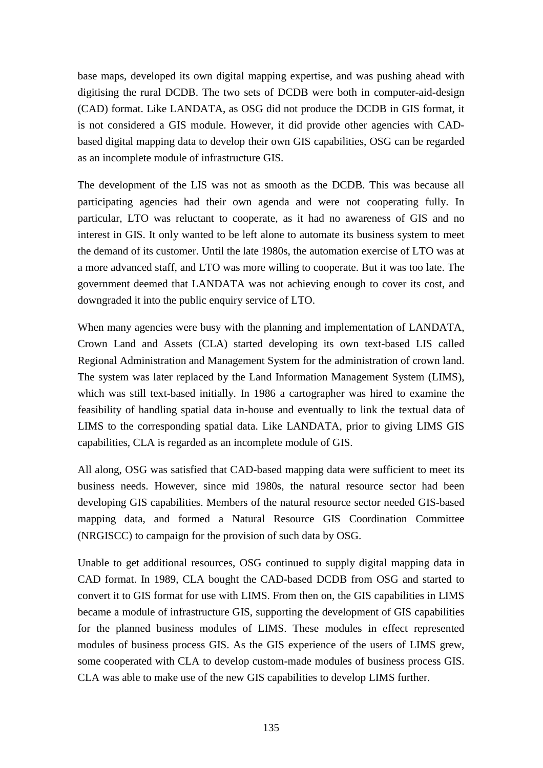base maps, developed its own digital mapping expertise, and was pushing ahead with digitising the rural DCDB. The two sets of DCDB were both in computer-aid-design (CAD) format. Like LANDATA, as OSG did not produce the DCDB in GIS format, it is not considered a GIS module. However, it did provide other agencies with CADbased digital mapping data to develop their own GIS capabilities, OSG can be regarded as an incomplete module of infrastructure GIS.

The development of the LIS was not as smooth as the DCDB. This was because all participating agencies had their own agenda and were not cooperating fully. In particular, LTO was reluctant to cooperate, as it had no awareness of GIS and no interest in GIS. It only wanted to be left alone to automate its business system to meet the demand of its customer. Until the late 1980s, the automation exercise of LTO was at a more advanced staff, and LTO was more willing to cooperate. But it was too late. The government deemed that LANDATA was not achieving enough to cover its cost, and downgraded it into the public enquiry service of LTO.

When many agencies were busy with the planning and implementation of LANDATA, Crown Land and Assets (CLA) started developing its own text-based LIS called Regional Administration and Management System for the administration of crown land. The system was later replaced by the Land Information Management System (LIMS), which was still text-based initially. In 1986 a cartographer was hired to examine the feasibility of handling spatial data in-house and eventually to link the textual data of LIMS to the corresponding spatial data. Like LANDATA, prior to giving LIMS GIS capabilities, CLA is regarded as an incomplete module of GIS.

All along, OSG was satisfied that CAD-based mapping data were sufficient to meet its business needs. However, since mid 1980s, the natural resource sector had been developing GIS capabilities. Members of the natural resource sector needed GIS-based mapping data, and formed a Natural Resource GIS Coordination Committee (NRGISCC) to campaign for the provision of such data by OSG.

Unable to get additional resources, OSG continued to supply digital mapping data in CAD format. In 1989, CLA bought the CAD-based DCDB from OSG and started to convert it to GIS format for use with LIMS. From then on, the GIS capabilities in LIMS became a module of infrastructure GIS, supporting the development of GIS capabilities for the planned business modules of LIMS. These modules in effect represented modules of business process GIS. As the GIS experience of the users of LIMS grew, some cooperated with CLA to develop custom-made modules of business process GIS. CLA was able to make use of the new GIS capabilities to develop LIMS further.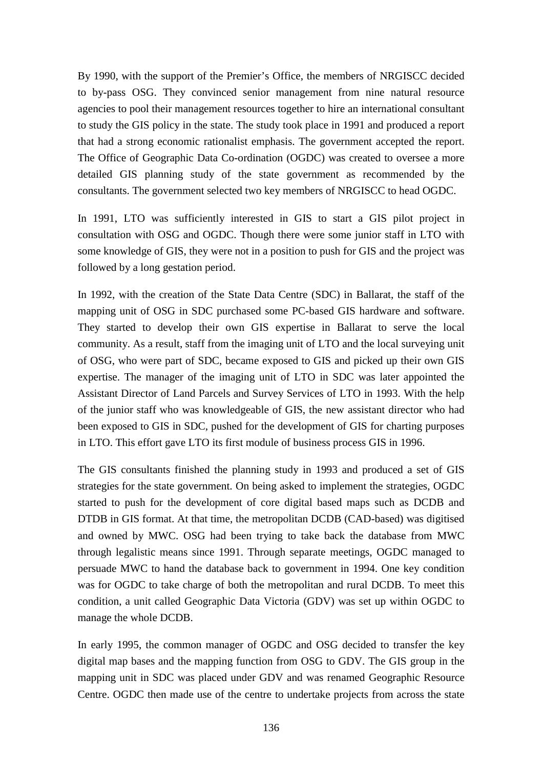By 1990, with the support of the Premier's Office, the members of NRGISCC decided to by-pass OSG. They convinced senior management from nine natural resource agencies to pool their management resources together to hire an international consultant to study the GIS policy in the state. The study took place in 1991 and produced a report that had a strong economic rationalist emphasis. The government accepted the report. The Office of Geographic Data Co-ordination (OGDC) was created to oversee a more detailed GIS planning study of the state government as recommended by the consultants. The government selected two key members of NRGISCC to head OGDC.

In 1991, LTO was sufficiently interested in GIS to start a GIS pilot project in consultation with OSG and OGDC. Though there were some junior staff in LTO with some knowledge of GIS, they were not in a position to push for GIS and the project was followed by a long gestation period.

In 1992, with the creation of the State Data Centre (SDC) in Ballarat, the staff of the mapping unit of OSG in SDC purchased some PC-based GIS hardware and software. They started to develop their own GIS expertise in Ballarat to serve the local community. As a result, staff from the imaging unit of LTO and the local surveying unit of OSG, who were part of SDC, became exposed to GIS and picked up their own GIS expertise. The manager of the imaging unit of LTO in SDC was later appointed the Assistant Director of Land Parcels and Survey Services of LTO in 1993. With the help of the junior staff who was knowledgeable of GIS, the new assistant director who had been exposed to GIS in SDC, pushed for the development of GIS for charting purposes in LTO. This effort gave LTO its first module of business process GIS in 1996.

The GIS consultants finished the planning study in 1993 and produced a set of GIS strategies for the state government. On being asked to implement the strategies, OGDC started to push for the development of core digital based maps such as DCDB and DTDB in GIS format. At that time, the metropolitan DCDB (CAD-based) was digitised and owned by MWC. OSG had been trying to take back the database from MWC through legalistic means since 1991. Through separate meetings, OGDC managed to persuade MWC to hand the database back to government in 1994. One key condition was for OGDC to take charge of both the metropolitan and rural DCDB. To meet this condition, a unit called Geographic Data Victoria (GDV) was set up within OGDC to manage the whole DCDB.

In early 1995, the common manager of OGDC and OSG decided to transfer the key digital map bases and the mapping function from OSG to GDV. The GIS group in the mapping unit in SDC was placed under GDV and was renamed Geographic Resource Centre. OGDC then made use of the centre to undertake projects from across the state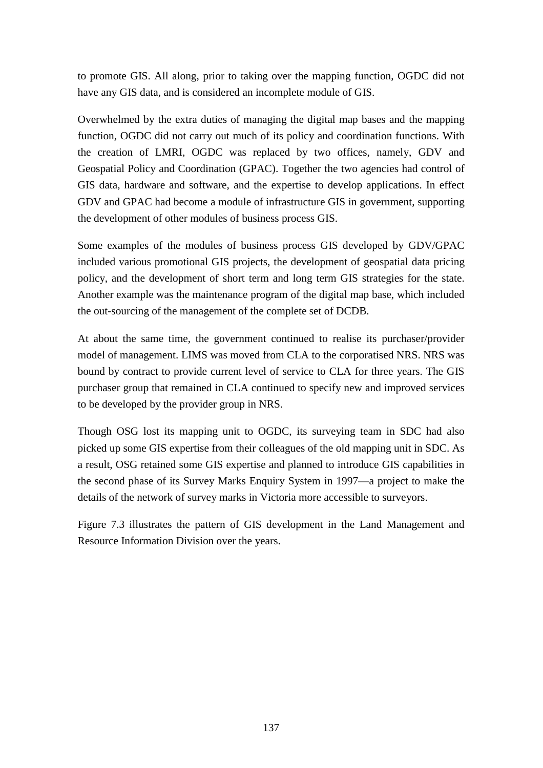to promote GIS. All along, prior to taking over the mapping function, OGDC did not have any GIS data, and is considered an incomplete module of GIS.

Overwhelmed by the extra duties of managing the digital map bases and the mapping function, OGDC did not carry out much of its policy and coordination functions. With the creation of LMRI, OGDC was replaced by two offices, namely, GDV and Geospatial Policy and Coordination (GPAC). Together the two agencies had control of GIS data, hardware and software, and the expertise to develop applications. In effect GDV and GPAC had become a module of infrastructure GIS in government, supporting the development of other modules of business process GIS.

Some examples of the modules of business process GIS developed by GDV/GPAC included various promotional GIS projects, the development of geospatial data pricing policy, and the development of short term and long term GIS strategies for the state. Another example was the maintenance program of the digital map base, which included the out-sourcing of the management of the complete set of DCDB.

At about the same time, the government continued to realise its purchaser/provider model of management. LIMS was moved from CLA to the corporatised NRS. NRS was bound by contract to provide current level of service to CLA for three years. The GIS purchaser group that remained in CLA continued to specify new and improved services to be developed by the provider group in NRS.

Though OSG lost its mapping unit to OGDC, its surveying team in SDC had also picked up some GIS expertise from their colleagues of the old mapping unit in SDC. As a result, OSG retained some GIS expertise and planned to introduce GIS capabilities in the second phase of its Survey Marks Enquiry System in 1997—a project to make the details of the network of survey marks in Victoria more accessible to surveyors.

Figure 7.3 illustrates the pattern of GIS development in the Land Management and Resource Information Division over the years.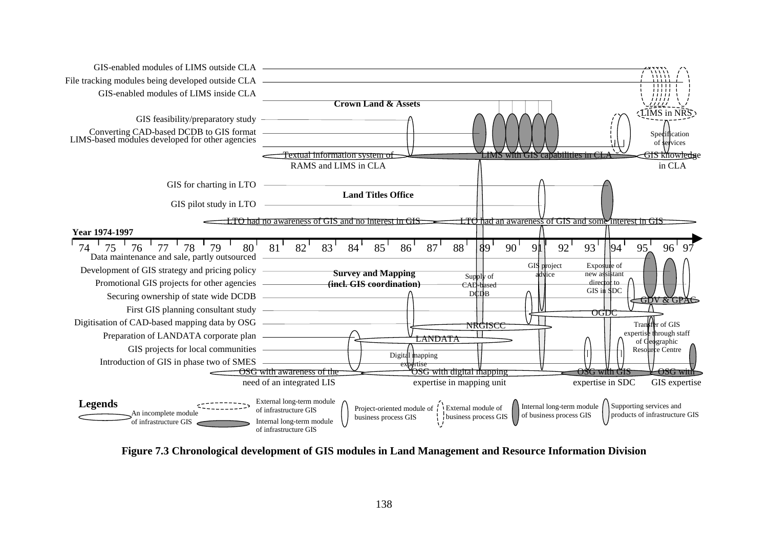

**Figure 7.3 Chronological development of GIS modules in Land Management and Resource Information Division**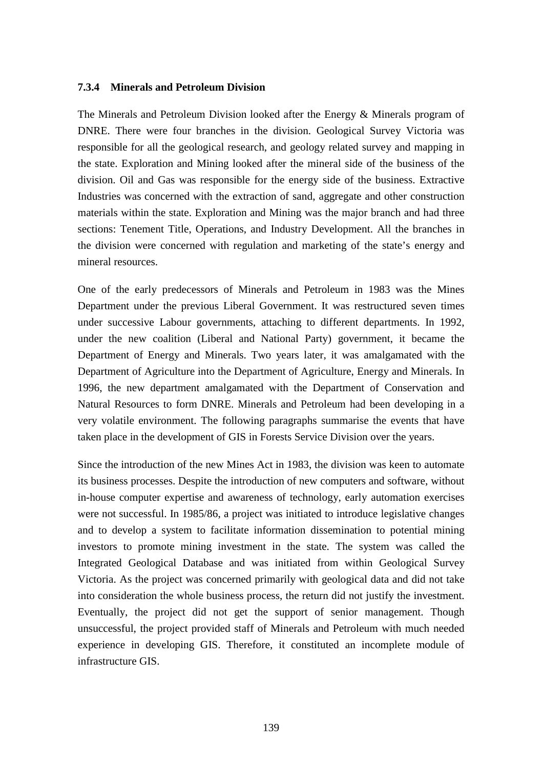#### **7.3.4 Minerals and Petroleum Division**

The Minerals and Petroleum Division looked after the Energy & Minerals program of DNRE. There were four branches in the division. Geological Survey Victoria was responsible for all the geological research, and geology related survey and mapping in the state. Exploration and Mining looked after the mineral side of the business of the division. Oil and Gas was responsible for the energy side of the business. Extractive Industries was concerned with the extraction of sand, aggregate and other construction materials within the state. Exploration and Mining was the major branch and had three sections: Tenement Title, Operations, and Industry Development. All the branches in the division were concerned with regulation and marketing of the state's energy and mineral resources.

One of the early predecessors of Minerals and Petroleum in 1983 was the Mines Department under the previous Liberal Government. It was restructured seven times under successive Labour governments, attaching to different departments. In 1992, under the new coalition (Liberal and National Party) government, it became the Department of Energy and Minerals. Two years later, it was amalgamated with the Department of Agriculture into the Department of Agriculture, Energy and Minerals. In 1996, the new department amalgamated with the Department of Conservation and Natural Resources to form DNRE. Minerals and Petroleum had been developing in a very volatile environment. The following paragraphs summarise the events that have taken place in the development of GIS in Forests Service Division over the years.

Since the introduction of the new Mines Act in 1983, the division was keen to automate its business processes. Despite the introduction of new computers and software, without in-house computer expertise and awareness of technology, early automation exercises were not successful. In 1985/86, a project was initiated to introduce legislative changes and to develop a system to facilitate information dissemination to potential mining investors to promote mining investment in the state. The system was called the Integrated Geological Database and was initiated from within Geological Survey Victoria. As the project was concerned primarily with geological data and did not take into consideration the whole business process, the return did not justify the investment. Eventually, the project did not get the support of senior management. Though unsuccessful, the project provided staff of Minerals and Petroleum with much needed experience in developing GIS. Therefore, it constituted an incomplete module of infrastructure GIS.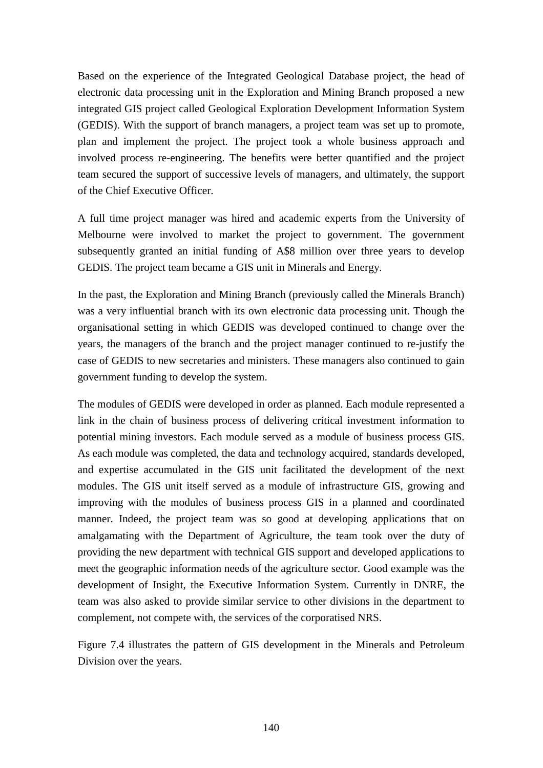Based on the experience of the Integrated Geological Database project, the head of electronic data processing unit in the Exploration and Mining Branch proposed a new integrated GIS project called Geological Exploration Development Information System (GEDIS). With the support of branch managers, a project team was set up to promote, plan and implement the project. The project took a whole business approach and involved process re-engineering. The benefits were better quantified and the project team secured the support of successive levels of managers, and ultimately, the support of the Chief Executive Officer.

A full time project manager was hired and academic experts from the University of Melbourne were involved to market the project to government. The government subsequently granted an initial funding of A\$8 million over three years to develop GEDIS. The project team became a GIS unit in Minerals and Energy.

In the past, the Exploration and Mining Branch (previously called the Minerals Branch) was a very influential branch with its own electronic data processing unit. Though the organisational setting in which GEDIS was developed continued to change over the years, the managers of the branch and the project manager continued to re-justify the case of GEDIS to new secretaries and ministers. These managers also continued to gain government funding to develop the system.

The modules of GEDIS were developed in order as planned. Each module represented a link in the chain of business process of delivering critical investment information to potential mining investors. Each module served as a module of business process GIS. As each module was completed, the data and technology acquired, standards developed, and expertise accumulated in the GIS unit facilitated the development of the next modules. The GIS unit itself served as a module of infrastructure GIS, growing and improving with the modules of business process GIS in a planned and coordinated manner. Indeed, the project team was so good at developing applications that on amalgamating with the Department of Agriculture, the team took over the duty of providing the new department with technical GIS support and developed applications to meet the geographic information needs of the agriculture sector. Good example was the development of Insight, the Executive Information System. Currently in DNRE, the team was also asked to provide similar service to other divisions in the department to complement, not compete with, the services of the corporatised NRS.

Figure 7.4 illustrates the pattern of GIS development in the Minerals and Petroleum Division over the years.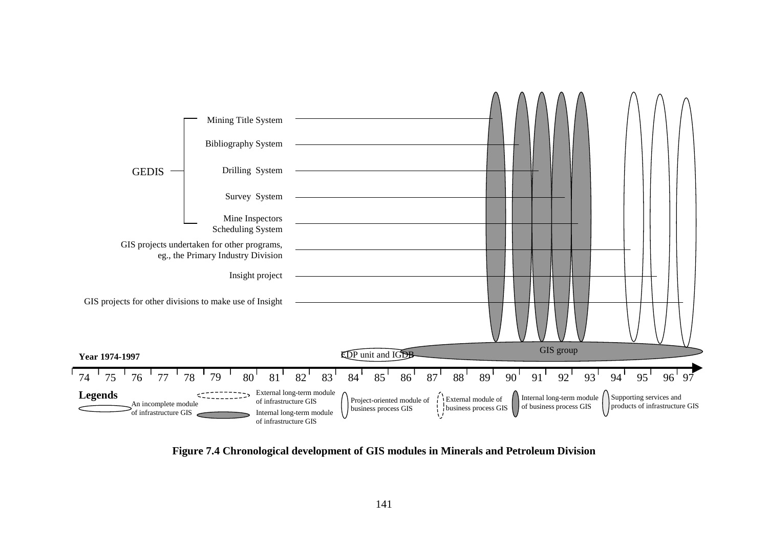

**Figure 7.4 Chronological development of GIS modules in Minerals and Petroleum Division**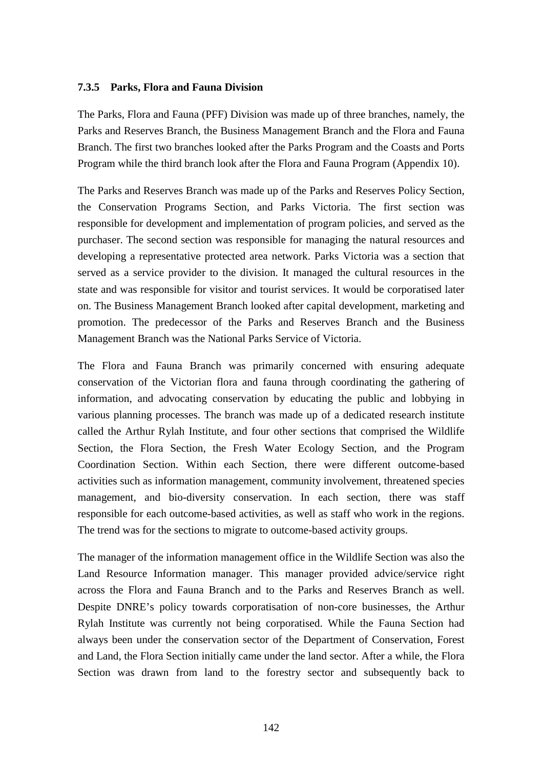#### **7.3.5 Parks, Flora and Fauna Division**

The Parks, Flora and Fauna (PFF) Division was made up of three branches, namely, the Parks and Reserves Branch, the Business Management Branch and the Flora and Fauna Branch. The first two branches looked after the Parks Program and the Coasts and Ports Program while the third branch look after the Flora and Fauna Program (Appendix 10).

The Parks and Reserves Branch was made up of the Parks and Reserves Policy Section, the Conservation Programs Section, and Parks Victoria. The first section was responsible for development and implementation of program policies, and served as the purchaser. The second section was responsible for managing the natural resources and developing a representative protected area network. Parks Victoria was a section that served as a service provider to the division. It managed the cultural resources in the state and was responsible for visitor and tourist services. It would be corporatised later on. The Business Management Branch looked after capital development, marketing and promotion. The predecessor of the Parks and Reserves Branch and the Business Management Branch was the National Parks Service of Victoria.

The Flora and Fauna Branch was primarily concerned with ensuring adequate conservation of the Victorian flora and fauna through coordinating the gathering of information, and advocating conservation by educating the public and lobbying in various planning processes. The branch was made up of a dedicated research institute called the Arthur Rylah Institute, and four other sections that comprised the Wildlife Section, the Flora Section, the Fresh Water Ecology Section, and the Program Coordination Section. Within each Section, there were different outcome-based activities such as information management, community involvement, threatened species management, and bio-diversity conservation. In each section, there was staff responsible for each outcome-based activities, as well as staff who work in the regions. The trend was for the sections to migrate to outcome-based activity groups.

The manager of the information management office in the Wildlife Section was also the Land Resource Information manager. This manager provided advice/service right across the Flora and Fauna Branch and to the Parks and Reserves Branch as well. Despite DNRE's policy towards corporatisation of non-core businesses, the Arthur Rylah Institute was currently not being corporatised. While the Fauna Section had always been under the conservation sector of the Department of Conservation, Forest and Land, the Flora Section initially came under the land sector. After a while, the Flora Section was drawn from land to the forestry sector and subsequently back to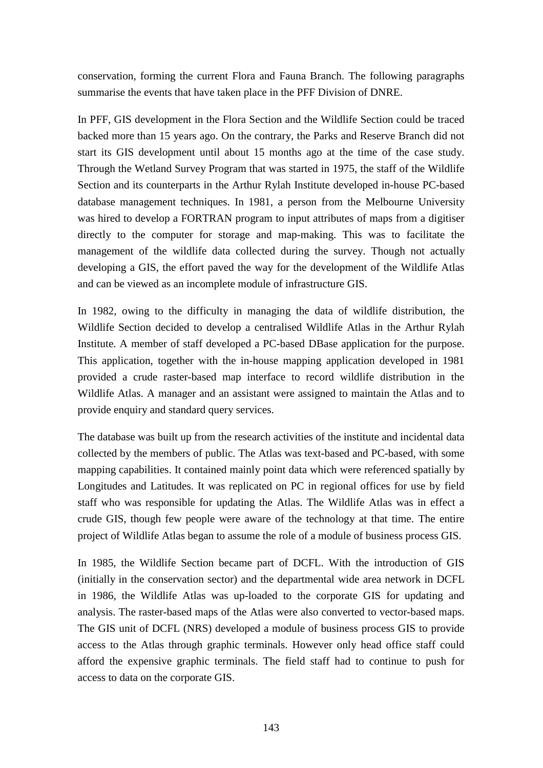conservation, forming the current Flora and Fauna Branch. The following paragraphs summarise the events that have taken place in the PFF Division of DNRE.

In PFF, GIS development in the Flora Section and the Wildlife Section could be traced backed more than 15 years ago. On the contrary, the Parks and Reserve Branch did not start its GIS development until about 15 months ago at the time of the case study. Through the Wetland Survey Program that was started in 1975, the staff of the Wildlife Section and its counterparts in the Arthur Rylah Institute developed in-house PC-based database management techniques. In 1981, a person from the Melbourne University was hired to develop a FORTRAN program to input attributes of maps from a digitiser directly to the computer for storage and map-making. This was to facilitate the management of the wildlife data collected during the survey. Though not actually developing a GIS, the effort paved the way for the development of the Wildlife Atlas and can be viewed as an incomplete module of infrastructure GIS.

In 1982, owing to the difficulty in managing the data of wildlife distribution, the Wildlife Section decided to develop a centralised Wildlife Atlas in the Arthur Rylah Institute. A member of staff developed a PC-based DBase application for the purpose. This application, together with the in-house mapping application developed in 1981 provided a crude raster-based map interface to record wildlife distribution in the Wildlife Atlas. A manager and an assistant were assigned to maintain the Atlas and to provide enquiry and standard query services.

The database was built up from the research activities of the institute and incidental data collected by the members of public. The Atlas was text-based and PC-based, with some mapping capabilities. It contained mainly point data which were referenced spatially by Longitudes and Latitudes. It was replicated on PC in regional offices for use by field staff who was responsible for updating the Atlas. The Wildlife Atlas was in effect a crude GIS, though few people were aware of the technology at that time. The entire project of Wildlife Atlas began to assume the role of a module of business process GIS.

In 1985, the Wildlife Section became part of DCFL. With the introduction of GIS (initially in the conservation sector) and the departmental wide area network in DCFL in 1986, the Wildlife Atlas was up-loaded to the corporate GIS for updating and analysis. The raster-based maps of the Atlas were also converted to vector-based maps. The GIS unit of DCFL (NRS) developed a module of business process GIS to provide access to the Atlas through graphic terminals. However only head office staff could afford the expensive graphic terminals. The field staff had to continue to push for access to data on the corporate GIS.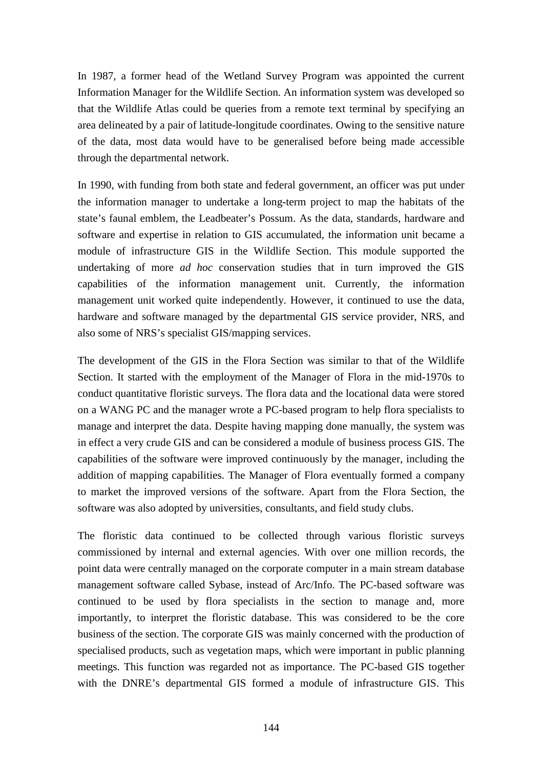In 1987, a former head of the Wetland Survey Program was appointed the current Information Manager for the Wildlife Section. An information system was developed so that the Wildlife Atlas could be queries from a remote text terminal by specifying an area delineated by a pair of latitude-longitude coordinates. Owing to the sensitive nature of the data, most data would have to be generalised before being made accessible through the departmental network.

In 1990, with funding from both state and federal government, an officer was put under the information manager to undertake a long-term project to map the habitats of the state's faunal emblem, the Leadbeater's Possum. As the data, standards, hardware and software and expertise in relation to GIS accumulated, the information unit became a module of infrastructure GIS in the Wildlife Section. This module supported the undertaking of more *ad hoc* conservation studies that in turn improved the GIS capabilities of the information management unit. Currently, the information management unit worked quite independently. However, it continued to use the data, hardware and software managed by the departmental GIS service provider, NRS, and also some of NRS's specialist GIS/mapping services.

The development of the GIS in the Flora Section was similar to that of the Wildlife Section. It started with the employment of the Manager of Flora in the mid-1970s to conduct quantitative floristic surveys. The flora data and the locational data were stored on a WANG PC and the manager wrote a PC-based program to help flora specialists to manage and interpret the data. Despite having mapping done manually, the system was in effect a very crude GIS and can be considered a module of business process GIS. The capabilities of the software were improved continuously by the manager, including the addition of mapping capabilities. The Manager of Flora eventually formed a company to market the improved versions of the software. Apart from the Flora Section, the software was also adopted by universities, consultants, and field study clubs.

The floristic data continued to be collected through various floristic surveys commissioned by internal and external agencies. With over one million records, the point data were centrally managed on the corporate computer in a main stream database management software called Sybase, instead of Arc/Info. The PC-based software was continued to be used by flora specialists in the section to manage and, more importantly, to interpret the floristic database. This was considered to be the core business of the section. The corporate GIS was mainly concerned with the production of specialised products, such as vegetation maps, which were important in public planning meetings. This function was regarded not as importance. The PC-based GIS together with the DNRE's departmental GIS formed a module of infrastructure GIS. This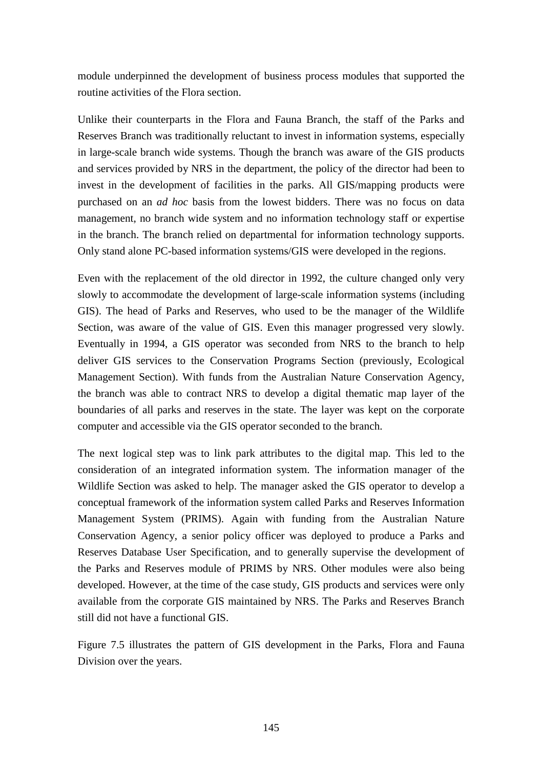module underpinned the development of business process modules that supported the routine activities of the Flora section.

Unlike their counterparts in the Flora and Fauna Branch, the staff of the Parks and Reserves Branch was traditionally reluctant to invest in information systems, especially in large-scale branch wide systems. Though the branch was aware of the GIS products and services provided by NRS in the department, the policy of the director had been to invest in the development of facilities in the parks. All GIS/mapping products were purchased on an *ad hoc* basis from the lowest bidders. There was no focus on data management, no branch wide system and no information technology staff or expertise in the branch. The branch relied on departmental for information technology supports. Only stand alone PC-based information systems/GIS were developed in the regions.

Even with the replacement of the old director in 1992, the culture changed only very slowly to accommodate the development of large-scale information systems (including GIS). The head of Parks and Reserves, who used to be the manager of the Wildlife Section, was aware of the value of GIS. Even this manager progressed very slowly. Eventually in 1994, a GIS operator was seconded from NRS to the branch to help deliver GIS services to the Conservation Programs Section (previously, Ecological Management Section). With funds from the Australian Nature Conservation Agency, the branch was able to contract NRS to develop a digital thematic map layer of the boundaries of all parks and reserves in the state. The layer was kept on the corporate computer and accessible via the GIS operator seconded to the branch.

The next logical step was to link park attributes to the digital map. This led to the consideration of an integrated information system. The information manager of the Wildlife Section was asked to help. The manager asked the GIS operator to develop a conceptual framework of the information system called Parks and Reserves Information Management System (PRIMS). Again with funding from the Australian Nature Conservation Agency, a senior policy officer was deployed to produce a Parks and Reserves Database User Specification, and to generally supervise the development of the Parks and Reserves module of PRIMS by NRS. Other modules were also being developed. However, at the time of the case study, GIS products and services were only available from the corporate GIS maintained by NRS. The Parks and Reserves Branch still did not have a functional GIS.

Figure 7.5 illustrates the pattern of GIS development in the Parks, Flora and Fauna Division over the years.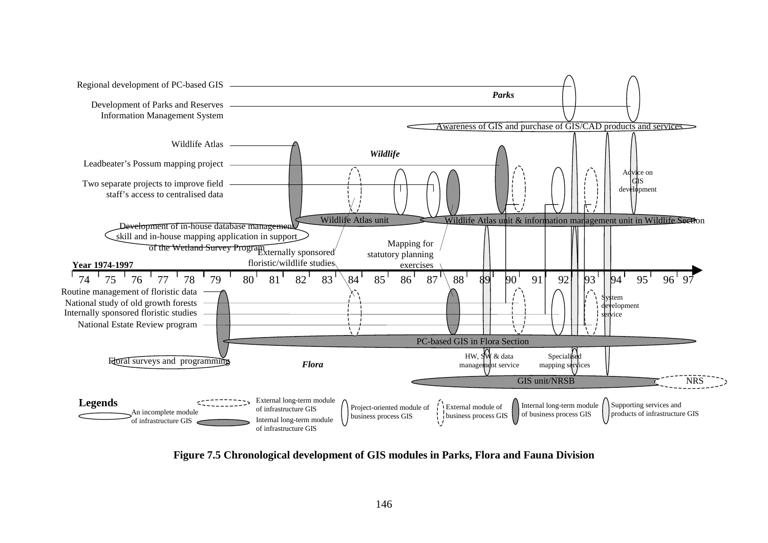

**Figure 7.5 Chronological development of GIS modules in Parks, Flora and Fauna Division**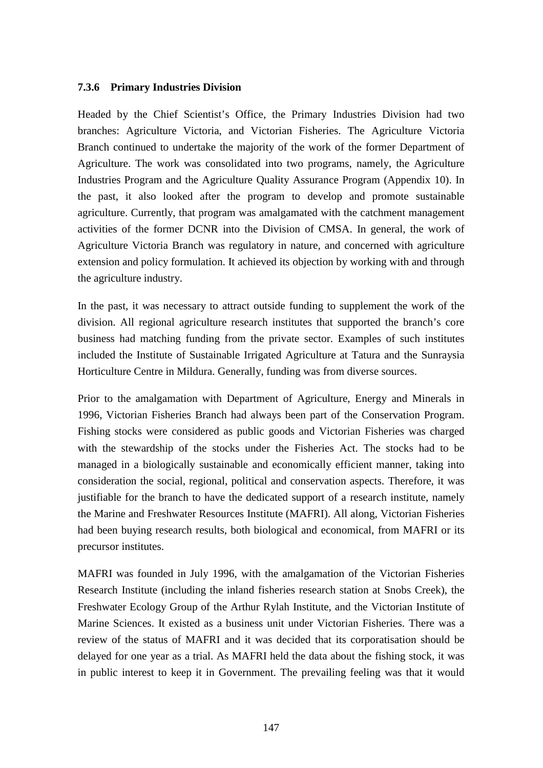#### **7.3.6 Primary Industries Division**

Headed by the Chief Scientist's Office, the Primary Industries Division had two branches: Agriculture Victoria, and Victorian Fisheries. The Agriculture Victoria Branch continued to undertake the majority of the work of the former Department of Agriculture. The work was consolidated into two programs, namely, the Agriculture Industries Program and the Agriculture Quality Assurance Program (Appendix 10). In the past, it also looked after the program to develop and promote sustainable agriculture. Currently, that program was amalgamated with the catchment management activities of the former DCNR into the Division of CMSA. In general, the work of Agriculture Victoria Branch was regulatory in nature, and concerned with agriculture extension and policy formulation. It achieved its objection by working with and through the agriculture industry.

In the past, it was necessary to attract outside funding to supplement the work of the division. All regional agriculture research institutes that supported the branch's core business had matching funding from the private sector. Examples of such institutes included the Institute of Sustainable Irrigated Agriculture at Tatura and the Sunraysia Horticulture Centre in Mildura. Generally, funding was from diverse sources.

Prior to the amalgamation with Department of Agriculture, Energy and Minerals in 1996, Victorian Fisheries Branch had always been part of the Conservation Program. Fishing stocks were considered as public goods and Victorian Fisheries was charged with the stewardship of the stocks under the Fisheries Act. The stocks had to be managed in a biologically sustainable and economically efficient manner, taking into consideration the social, regional, political and conservation aspects. Therefore, it was justifiable for the branch to have the dedicated support of a research institute, namely the Marine and Freshwater Resources Institute (MAFRI). All along, Victorian Fisheries had been buying research results, both biological and economical, from MAFRI or its precursor institutes.

MAFRI was founded in July 1996, with the amalgamation of the Victorian Fisheries Research Institute (including the inland fisheries research station at Snobs Creek), the Freshwater Ecology Group of the Arthur Rylah Institute, and the Victorian Institute of Marine Sciences. It existed as a business unit under Victorian Fisheries. There was a review of the status of MAFRI and it was decided that its corporatisation should be delayed for one year as a trial. As MAFRI held the data about the fishing stock, it was in public interest to keep it in Government. The prevailing feeling was that it would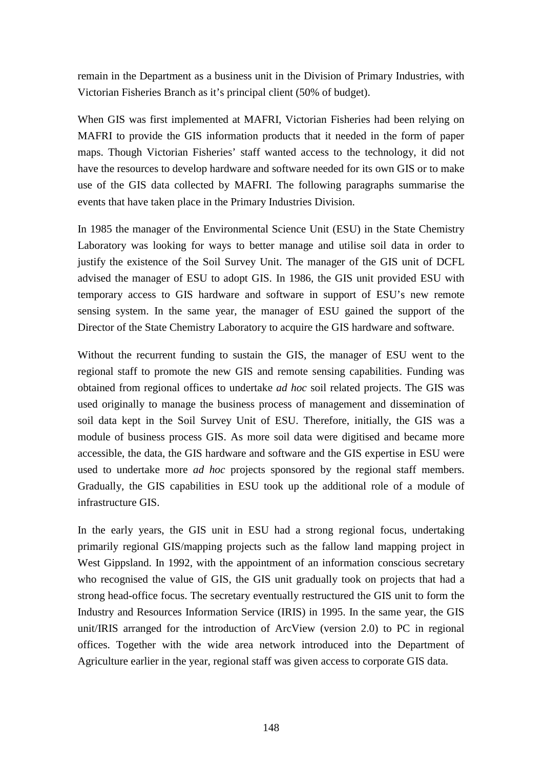remain in the Department as a business unit in the Division of Primary Industries, with Victorian Fisheries Branch as it's principal client (50% of budget).

When GIS was first implemented at MAFRI, Victorian Fisheries had been relying on MAFRI to provide the GIS information products that it needed in the form of paper maps. Though Victorian Fisheries' staff wanted access to the technology, it did not have the resources to develop hardware and software needed for its own GIS or to make use of the GIS data collected by MAFRI. The following paragraphs summarise the events that have taken place in the Primary Industries Division.

In 1985 the manager of the Environmental Science Unit (ESU) in the State Chemistry Laboratory was looking for ways to better manage and utilise soil data in order to justify the existence of the Soil Survey Unit. The manager of the GIS unit of DCFL advised the manager of ESU to adopt GIS. In 1986, the GIS unit provided ESU with temporary access to GIS hardware and software in support of ESU's new remote sensing system. In the same year, the manager of ESU gained the support of the Director of the State Chemistry Laboratory to acquire the GIS hardware and software.

Without the recurrent funding to sustain the GIS, the manager of ESU went to the regional staff to promote the new GIS and remote sensing capabilities. Funding was obtained from regional offices to undertake *ad hoc* soil related projects. The GIS was used originally to manage the business process of management and dissemination of soil data kept in the Soil Survey Unit of ESU. Therefore, initially, the GIS was a module of business process GIS. As more soil data were digitised and became more accessible, the data, the GIS hardware and software and the GIS expertise in ESU were used to undertake more *ad hoc* projects sponsored by the regional staff members. Gradually, the GIS capabilities in ESU took up the additional role of a module of infrastructure GIS.

In the early years, the GIS unit in ESU had a strong regional focus, undertaking primarily regional GIS/mapping projects such as the fallow land mapping project in West Gippsland. In 1992, with the appointment of an information conscious secretary who recognised the value of GIS, the GIS unit gradually took on projects that had a strong head-office focus. The secretary eventually restructured the GIS unit to form the Industry and Resources Information Service (IRIS) in 1995. In the same year, the GIS unit/IRIS arranged for the introduction of ArcView (version 2.0) to PC in regional offices. Together with the wide area network introduced into the Department of Agriculture earlier in the year, regional staff was given access to corporate GIS data.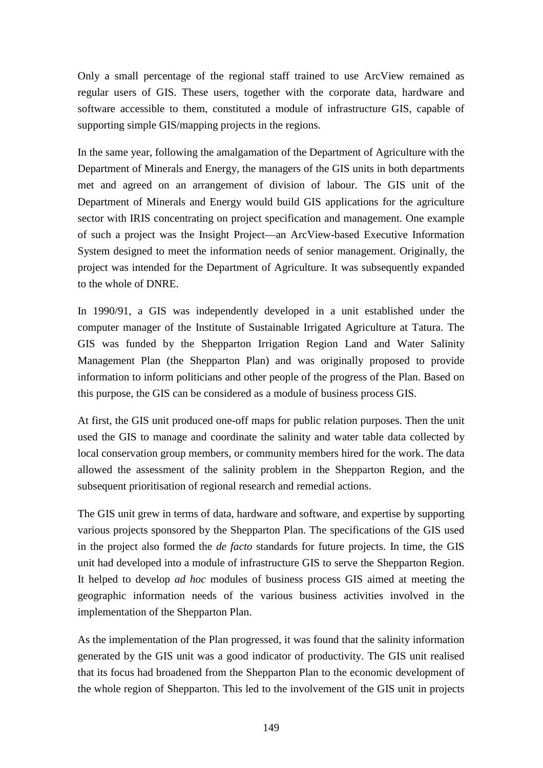Only a small percentage of the regional staff trained to use ArcView remained as regular users of GIS. These users, together with the corporate data, hardware and software accessible to them, constituted a module of infrastructure GIS, capable of supporting simple GIS/mapping projects in the regions.

In the same year, following the amalgamation of the Department of Agriculture with the Department of Minerals and Energy, the managers of the GIS units in both departments met and agreed on an arrangement of division of labour. The GIS unit of the Department of Minerals and Energy would build GIS applications for the agriculture sector with IRIS concentrating on project specification and management. One example of such a project was the Insight Project—an ArcView-based Executive Information System designed to meet the information needs of senior management. Originally, the project was intended for the Department of Agriculture. It was subsequently expanded to the whole of DNRE.

In 1990/91, a GIS was independently developed in a unit established under the computer manager of the Institute of Sustainable Irrigated Agriculture at Tatura. The GIS was funded by the Shepparton Irrigation Region Land and Water Salinity Management Plan (the Shepparton Plan) and was originally proposed to provide information to inform politicians and other people of the progress of the Plan. Based on this purpose, the GIS can be considered as a module of business process GIS.

At first, the GIS unit produced one-off maps for public relation purposes. Then the unit used the GIS to manage and coordinate the salinity and water table data collected by local conservation group members, or community members hired for the work. The data allowed the assessment of the salinity problem in the Shepparton Region, and the subsequent prioritisation of regional research and remedial actions.

The GIS unit grew in terms of data, hardware and software, and expertise by supporting various projects sponsored by the Shepparton Plan. The specifications of the GIS used in the project also formed the *de facto* standards for future projects. In time, the GIS unit had developed into a module of infrastructure GIS to serve the Shepparton Region. It helped to develop *ad hoc* modules of business process GIS aimed at meeting the geographic information needs of the various business activities involved in the implementation of the Shepparton Plan.

As the implementation of the Plan progressed, it was found that the salinity information generated by the GIS unit was a good indicator of productivity. The GIS unit realised that its focus had broadened from the Shepparton Plan to the economic development of the whole region of Shepparton. This led to the involvement of the GIS unit in projects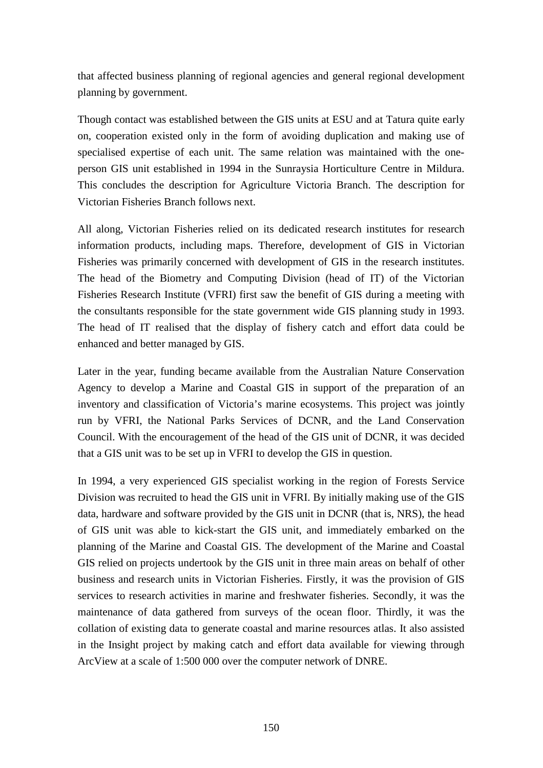that affected business planning of regional agencies and general regional development planning by government.

Though contact was established between the GIS units at ESU and at Tatura quite early on, cooperation existed only in the form of avoiding duplication and making use of specialised expertise of each unit. The same relation was maintained with the oneperson GIS unit established in 1994 in the Sunraysia Horticulture Centre in Mildura. This concludes the description for Agriculture Victoria Branch. The description for Victorian Fisheries Branch follows next.

All along, Victorian Fisheries relied on its dedicated research institutes for research information products, including maps. Therefore, development of GIS in Victorian Fisheries was primarily concerned with development of GIS in the research institutes. The head of the Biometry and Computing Division (head of IT) of the Victorian Fisheries Research Institute (VFRI) first saw the benefit of GIS during a meeting with the consultants responsible for the state government wide GIS planning study in 1993. The head of IT realised that the display of fishery catch and effort data could be enhanced and better managed by GIS.

Later in the year, funding became available from the Australian Nature Conservation Agency to develop a Marine and Coastal GIS in support of the preparation of an inventory and classification of Victoria's marine ecosystems. This project was jointly run by VFRI, the National Parks Services of DCNR, and the Land Conservation Council. With the encouragement of the head of the GIS unit of DCNR, it was decided that a GIS unit was to be set up in VFRI to develop the GIS in question.

In 1994, a very experienced GIS specialist working in the region of Forests Service Division was recruited to head the GIS unit in VFRI. By initially making use of the GIS data, hardware and software provided by the GIS unit in DCNR (that is, NRS), the head of GIS unit was able to kick-start the GIS unit, and immediately embarked on the planning of the Marine and Coastal GIS. The development of the Marine and Coastal GIS relied on projects undertook by the GIS unit in three main areas on behalf of other business and research units in Victorian Fisheries. Firstly, it was the provision of GIS services to research activities in marine and freshwater fisheries. Secondly, it was the maintenance of data gathered from surveys of the ocean floor. Thirdly, it was the collation of existing data to generate coastal and marine resources atlas. It also assisted in the Insight project by making catch and effort data available for viewing through ArcView at a scale of 1:500 000 over the computer network of DNRE.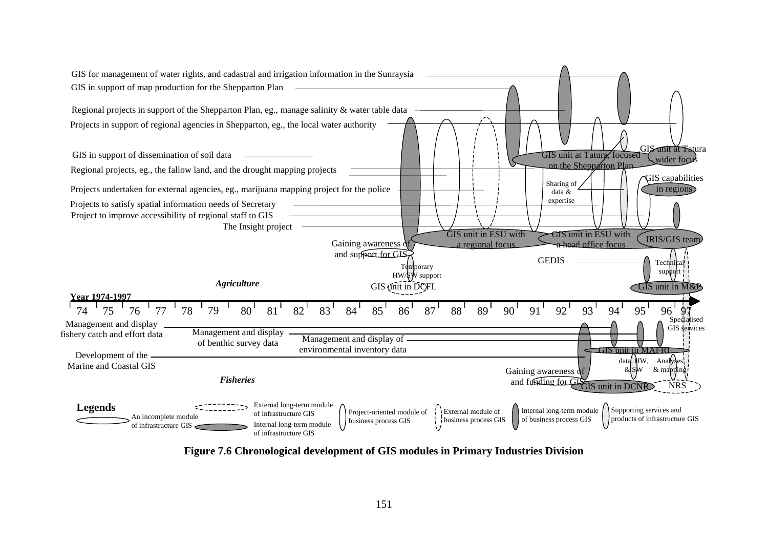

**Figure 7.6 Chronological development of GIS modules in Primary Industries Division**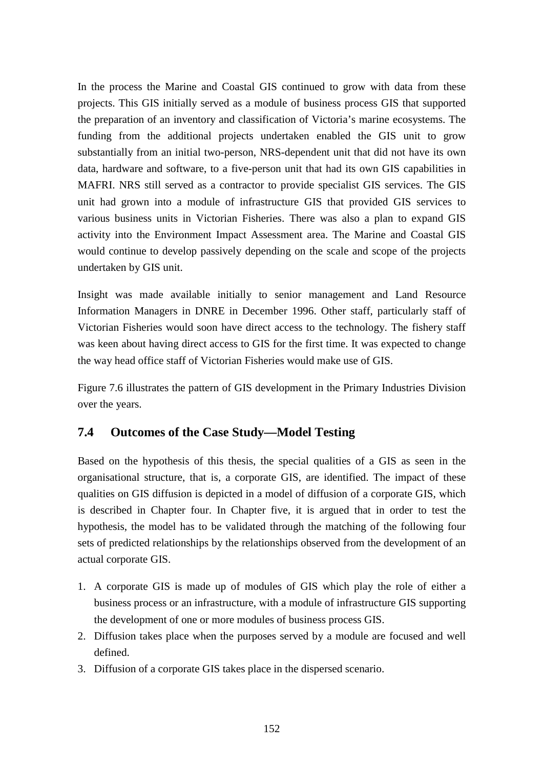In the process the Marine and Coastal GIS continued to grow with data from these projects. This GIS initially served as a module of business process GIS that supported the preparation of an inventory and classification of Victoria's marine ecosystems. The funding from the additional projects undertaken enabled the GIS unit to grow substantially from an initial two-person, NRS-dependent unit that did not have its own data, hardware and software, to a five-person unit that had its own GIS capabilities in MAFRI. NRS still served as a contractor to provide specialist GIS services. The GIS unit had grown into a module of infrastructure GIS that provided GIS services to various business units in Victorian Fisheries. There was also a plan to expand GIS activity into the Environment Impact Assessment area. The Marine and Coastal GIS would continue to develop passively depending on the scale and scope of the projects undertaken by GIS unit.

Insight was made available initially to senior management and Land Resource Information Managers in DNRE in December 1996. Other staff, particularly staff of Victorian Fisheries would soon have direct access to the technology. The fishery staff was keen about having direct access to GIS for the first time. It was expected to change the way head office staff of Victorian Fisheries would make use of GIS.

Figure 7.6 illustrates the pattern of GIS development in the Primary Industries Division over the years.

## **7.4 Outcomes of the Case Study—Model Testing**

Based on the hypothesis of this thesis, the special qualities of a GIS as seen in the organisational structure, that is, a corporate GIS, are identified. The impact of these qualities on GIS diffusion is depicted in a model of diffusion of a corporate GIS, which is described in Chapter four. In Chapter five, it is argued that in order to test the hypothesis, the model has to be validated through the matching of the following four sets of predicted relationships by the relationships observed from the development of an actual corporate GIS.

- 1. A corporate GIS is made up of modules of GIS which play the role of either a business process or an infrastructure, with a module of infrastructure GIS supporting the development of one or more modules of business process GIS.
- 2. Diffusion takes place when the purposes served by a module are focused and well defined.
- 3. Diffusion of a corporate GIS takes place in the dispersed scenario.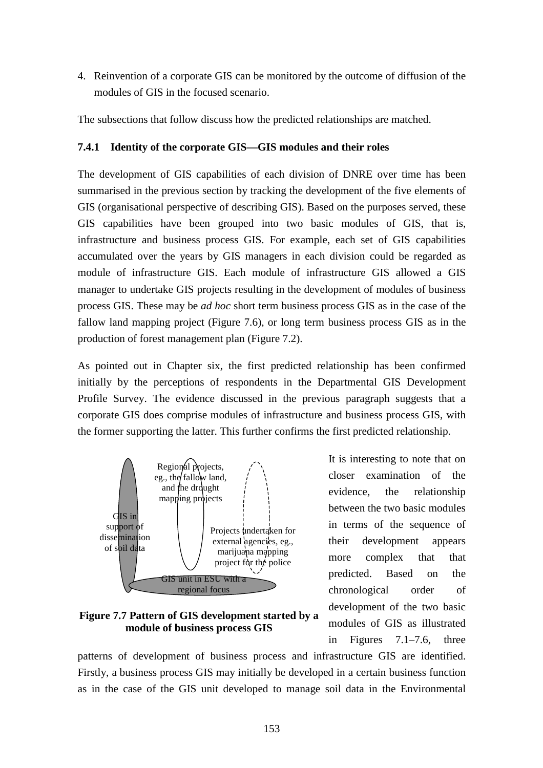4. Reinvention of a corporate GIS can be monitored by the outcome of diffusion of the modules of GIS in the focused scenario.

The subsections that follow discuss how the predicted relationships are matched.

#### **7.4.1 Identity of the corporate GIS—GIS modules and their roles**

The development of GIS capabilities of each division of DNRE over time has been summarised in the previous section by tracking the development of the five elements of GIS (organisational perspective of describing GIS). Based on the purposes served, these GIS capabilities have been grouped into two basic modules of GIS, that is, infrastructure and business process GIS. For example, each set of GIS capabilities accumulated over the years by GIS managers in each division could be regarded as module of infrastructure GIS. Each module of infrastructure GIS allowed a GIS manager to undertake GIS projects resulting in the development of modules of business process GIS. These may be *ad hoc* short term business process GIS as in the case of the fallow land mapping project (Figure 7.6), or long term business process GIS as in the production of forest management plan (Figure 7.2).

As pointed out in Chapter six, the first predicted relationship has been confirmed initially by the perceptions of respondents in the Departmental GIS Development Profile Survey. The evidence discussed in the previous paragraph suggests that a corporate GIS does comprise modules of infrastructure and business process GIS, with the former supporting the latter. This further confirms the first predicted relationship.



**Figure 7.7 Pattern of GIS development started by a module of business process GIS**

It is interesting to note that on closer examination of the evidence, the relationship between the two basic modules in terms of the sequence of their development appears more complex that that predicted. Based on the chronological order of development of the two basic modules of GIS as illustrated in Figures 7.1–7.6, three

patterns of development of business process and infrastructure GIS are identified. Firstly, a business process GIS may initially be developed in a certain business function as in the case of the GIS unit developed to manage soil data in the Environmental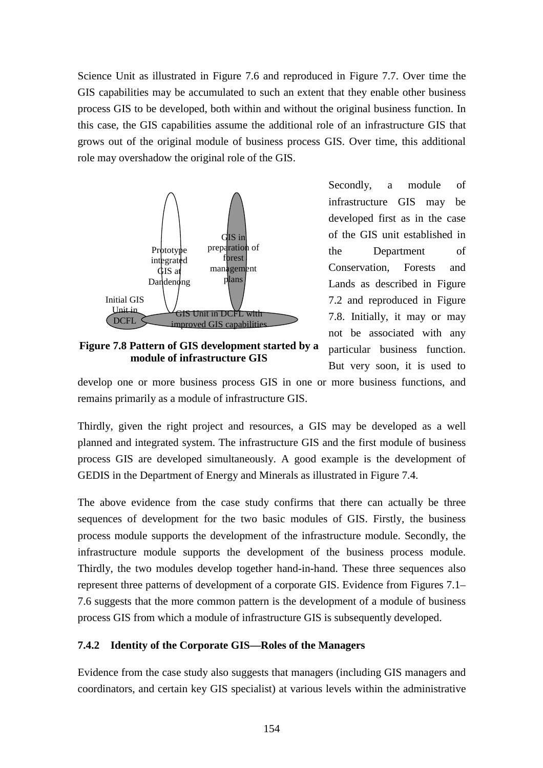Science Unit as illustrated in Figure 7.6 and reproduced in Figure 7.7. Over time the GIS capabilities may be accumulated to such an extent that they enable other business process GIS to be developed, both within and without the original business function. In this case, the GIS capabilities assume the additional role of an infrastructure GIS that grows out of the original module of business process GIS. Over time, this additional role may overshadow the original role of the GIS.



**Figure 7.8 Pattern of GIS development started by a module of infrastructure GIS**

Secondly, a module of infrastructure GIS may be developed first as in the case of the GIS unit established in the Department of Conservation, Forests and Lands as described in Figure 7.2 and reproduced in Figure 7.8. Initially, it may or may not be associated with any particular business function. But very soon, it is used to

develop one or more business process GIS in one or more business functions, and remains primarily as a module of infrastructure GIS.

Thirdly, given the right project and resources, a GIS may be developed as a well planned and integrated system. The infrastructure GIS and the first module of business process GIS are developed simultaneously. A good example is the development of GEDIS in the Department of Energy and Minerals as illustrated in Figure 7.4.

The above evidence from the case study confirms that there can actually be three sequences of development for the two basic modules of GIS. Firstly, the business process module supports the development of the infrastructure module. Secondly, the infrastructure module supports the development of the business process module. Thirdly, the two modules develop together hand-in-hand. These three sequences also represent three patterns of development of a corporate GIS. Evidence from Figures 7.1– 7.6 suggests that the more common pattern is the development of a module of business process GIS from which a module of infrastructure GIS is subsequently developed.

#### **7.4.2 Identity of the Corporate GIS—Roles of the Managers**

Evidence from the case study also suggests that managers (including GIS managers and coordinators, and certain key GIS specialist) at various levels within the administrative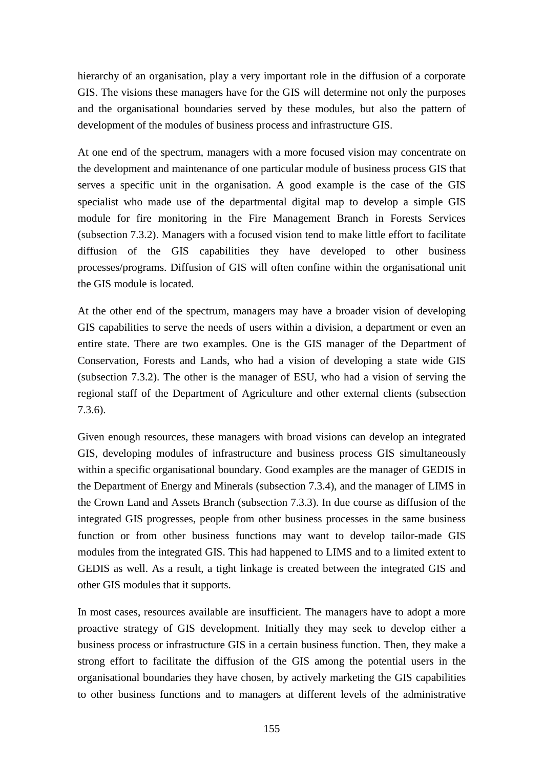hierarchy of an organisation, play a very important role in the diffusion of a corporate GIS. The visions these managers have for the GIS will determine not only the purposes and the organisational boundaries served by these modules, but also the pattern of development of the modules of business process and infrastructure GIS.

At one end of the spectrum, managers with a more focused vision may concentrate on the development and maintenance of one particular module of business process GIS that serves a specific unit in the organisation. A good example is the case of the GIS specialist who made use of the departmental digital map to develop a simple GIS module for fire monitoring in the Fire Management Branch in Forests Services (subsection 7.3.2). Managers with a focused vision tend to make little effort to facilitate diffusion of the GIS capabilities they have developed to other business processes/programs. Diffusion of GIS will often confine within the organisational unit the GIS module is located.

At the other end of the spectrum, managers may have a broader vision of developing GIS capabilities to serve the needs of users within a division, a department or even an entire state. There are two examples. One is the GIS manager of the Department of Conservation, Forests and Lands, who had a vision of developing a state wide GIS (subsection 7.3.2). The other is the manager of ESU, who had a vision of serving the regional staff of the Department of Agriculture and other external clients (subsection 7.3.6).

Given enough resources, these managers with broad visions can develop an integrated GIS, developing modules of infrastructure and business process GIS simultaneously within a specific organisational boundary. Good examples are the manager of GEDIS in the Department of Energy and Minerals (subsection 7.3.4), and the manager of LIMS in the Crown Land and Assets Branch (subsection 7.3.3). In due course as diffusion of the integrated GIS progresses, people from other business processes in the same business function or from other business functions may want to develop tailor-made GIS modules from the integrated GIS. This had happened to LIMS and to a limited extent to GEDIS as well. As a result, a tight linkage is created between the integrated GIS and other GIS modules that it supports.

In most cases, resources available are insufficient. The managers have to adopt a more proactive strategy of GIS development. Initially they may seek to develop either a business process or infrastructure GIS in a certain business function. Then, they make a strong effort to facilitate the diffusion of the GIS among the potential users in the organisational boundaries they have chosen, by actively marketing the GIS capabilities to other business functions and to managers at different levels of the administrative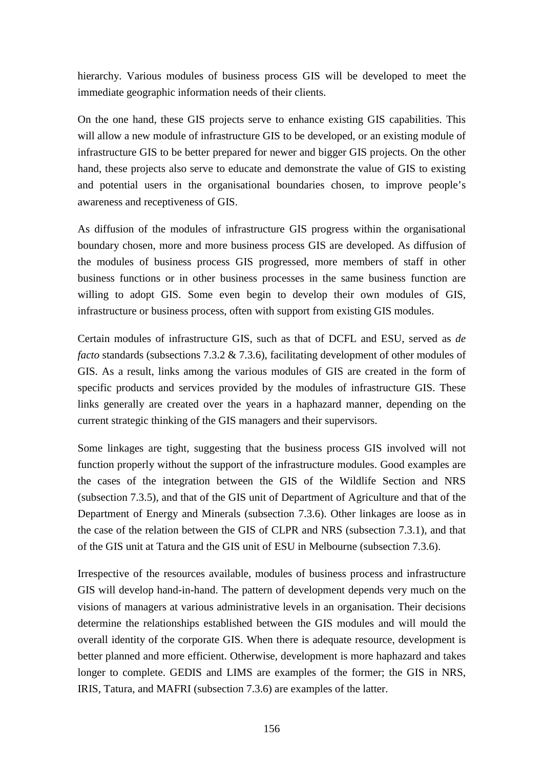hierarchy. Various modules of business process GIS will be developed to meet the immediate geographic information needs of their clients.

On the one hand, these GIS projects serve to enhance existing GIS capabilities. This will allow a new module of infrastructure GIS to be developed, or an existing module of infrastructure GIS to be better prepared for newer and bigger GIS projects. On the other hand, these projects also serve to educate and demonstrate the value of GIS to existing and potential users in the organisational boundaries chosen, to improve people's awareness and receptiveness of GIS.

As diffusion of the modules of infrastructure GIS progress within the organisational boundary chosen, more and more business process GIS are developed. As diffusion of the modules of business process GIS progressed, more members of staff in other business functions or in other business processes in the same business function are willing to adopt GIS. Some even begin to develop their own modules of GIS, infrastructure or business process, often with support from existing GIS modules.

Certain modules of infrastructure GIS, such as that of DCFL and ESU, served as *de facto* standards (subsections 7.3.2 & 7.3.6), facilitating development of other modules of GIS. As a result, links among the various modules of GIS are created in the form of specific products and services provided by the modules of infrastructure GIS. These links generally are created over the years in a haphazard manner, depending on the current strategic thinking of the GIS managers and their supervisors.

Some linkages are tight, suggesting that the business process GIS involved will not function properly without the support of the infrastructure modules. Good examples are the cases of the integration between the GIS of the Wildlife Section and NRS (subsection 7.3.5), and that of the GIS unit of Department of Agriculture and that of the Department of Energy and Minerals (subsection 7.3.6). Other linkages are loose as in the case of the relation between the GIS of CLPR and NRS (subsection 7.3.1), and that of the GIS unit at Tatura and the GIS unit of ESU in Melbourne (subsection 7.3.6).

Irrespective of the resources available, modules of business process and infrastructure GIS will develop hand-in-hand. The pattern of development depends very much on the visions of managers at various administrative levels in an organisation. Their decisions determine the relationships established between the GIS modules and will mould the overall identity of the corporate GIS. When there is adequate resource, development is better planned and more efficient. Otherwise, development is more haphazard and takes longer to complete. GEDIS and LIMS are examples of the former; the GIS in NRS, IRIS, Tatura, and MAFRI (subsection 7.3.6) are examples of the latter.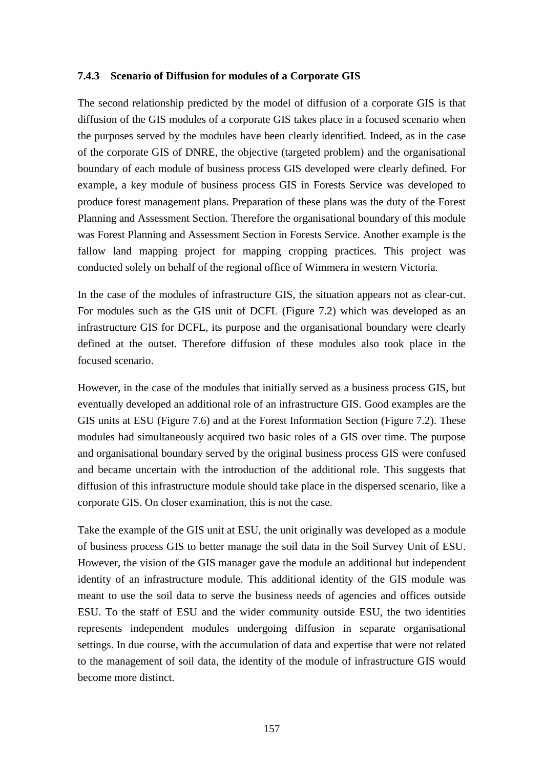#### **7.4.3 Scenario of Diffusion for modules of a Corporate GIS**

The second relationship predicted by the model of diffusion of a corporate GIS is that diffusion of the GIS modules of a corporate GIS takes place in a focused scenario when the purposes served by the modules have been clearly identified. Indeed, as in the case of the corporate GIS of DNRE, the objective (targeted problem) and the organisational boundary of each module of business process GIS developed were clearly defined. For example, a key module of business process GIS in Forests Service was developed to produce forest management plans. Preparation of these plans was the duty of the Forest Planning and Assessment Section. Therefore the organisational boundary of this module was Forest Planning and Assessment Section in Forests Service. Another example is the fallow land mapping project for mapping cropping practices. This project was conducted solely on behalf of the regional office of Wimmera in western Victoria.

In the case of the modules of infrastructure GIS, the situation appears not as clear-cut. For modules such as the GIS unit of DCFL (Figure 7.2) which was developed as an infrastructure GIS for DCFL, its purpose and the organisational boundary were clearly defined at the outset. Therefore diffusion of these modules also took place in the focused scenario.

However, in the case of the modules that initially served as a business process GIS, but eventually developed an additional role of an infrastructure GIS. Good examples are the GIS units at ESU (Figure 7.6) and at the Forest Information Section (Figure 7.2). These modules had simultaneously acquired two basic roles of a GIS over time. The purpose and organisational boundary served by the original business process GIS were confused and became uncertain with the introduction of the additional role. This suggests that diffusion of this infrastructure module should take place in the dispersed scenario, like a corporate GIS. On closer examination, this is not the case.

Take the example of the GIS unit at ESU, the unit originally was developed as a module of business process GIS to better manage the soil data in the Soil Survey Unit of ESU. However, the vision of the GIS manager gave the module an additional but independent identity of an infrastructure module. This additional identity of the GIS module was meant to use the soil data to serve the business needs of agencies and offices outside ESU. To the staff of ESU and the wider community outside ESU, the two identities represents independent modules undergoing diffusion in separate organisational settings. In due course, with the accumulation of data and expertise that were not related to the management of soil data, the identity of the module of infrastructure GIS would become more distinct.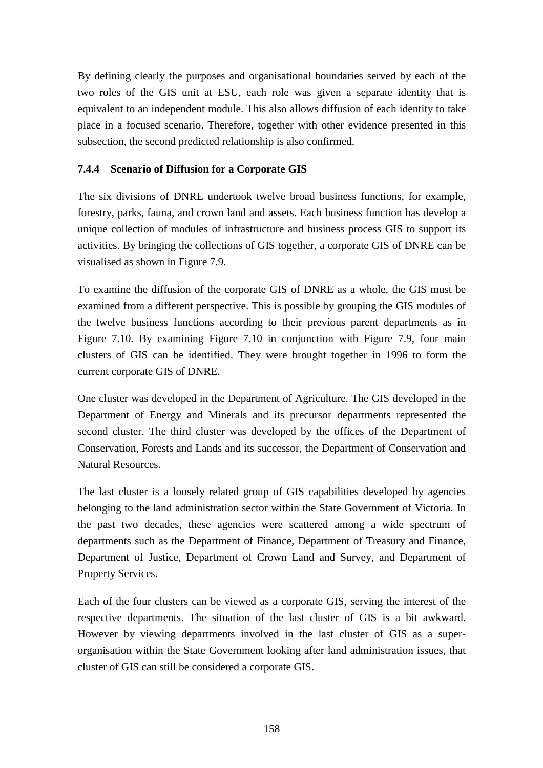By defining clearly the purposes and organisational boundaries served by each of the two roles of the GIS unit at ESU, each role was given a separate identity that is equivalent to an independent module. This also allows diffusion of each identity to take place in a focused scenario. Therefore, together with other evidence presented in this subsection, the second predicted relationship is also confirmed.

## **7.4.4 Scenario of Diffusion for a Corporate GIS**

The six divisions of DNRE undertook twelve broad business functions, for example, forestry, parks, fauna, and crown land and assets. Each business function has develop a unique collection of modules of infrastructure and business process GIS to support its activities. By bringing the collections of GIS together, a corporate GIS of DNRE can be visualised as shown in Figure 7.9.

To examine the diffusion of the corporate GIS of DNRE as a whole, the GIS must be examined from a different perspective. This is possible by grouping the GIS modules of the twelve business functions according to their previous parent departments as in Figure 7.10. By examining Figure 7.10 in conjunction with Figure 7.9, four main clusters of GIS can be identified. They were brought together in 1996 to form the current corporate GIS of DNRE.

One cluster was developed in the Department of Agriculture. The GIS developed in the Department of Energy and Minerals and its precursor departments represented the second cluster. The third cluster was developed by the offices of the Department of Conservation, Forests and Lands and its successor, the Department of Conservation and Natural Resources.

The last cluster is a loosely related group of GIS capabilities developed by agencies belonging to the land administration sector within the State Government of Victoria. In the past two decades, these agencies were scattered among a wide spectrum of departments such as the Department of Finance, Department of Treasury and Finance, Department of Justice, Department of Crown Land and Survey, and Department of Property Services.

Each of the four clusters can be viewed as a corporate GIS, serving the interest of the respective departments. The situation of the last cluster of GIS is a bit awkward. However by viewing departments involved in the last cluster of GIS as a superorganisation within the State Government looking after land administration issues, that cluster of GIS can still be considered a corporate GIS.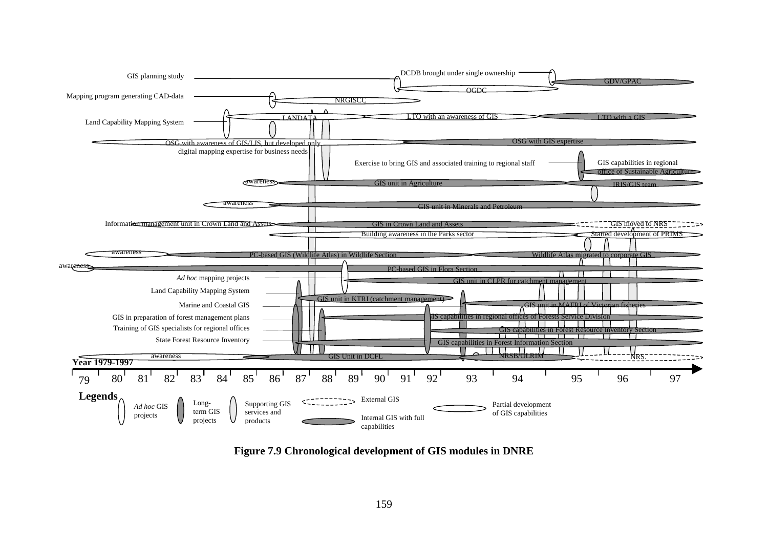

**Figure 7.9 Chronological development of GIS modules in DNRE**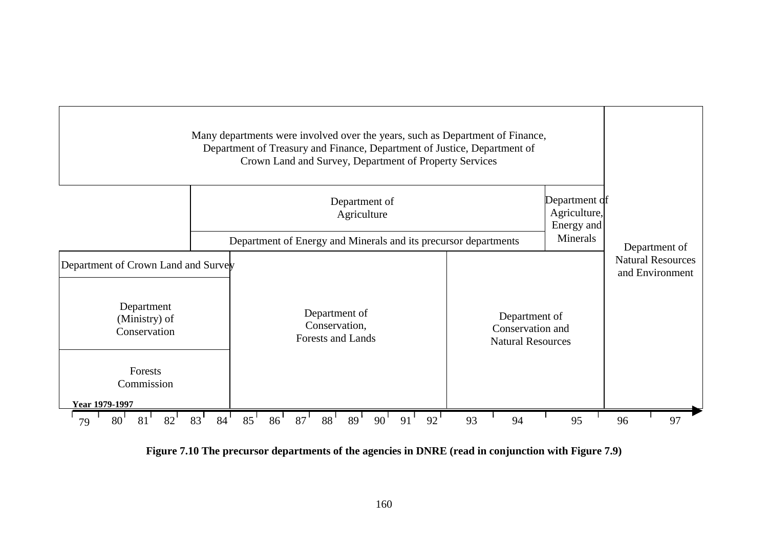

Figure 7.10 The precursor departments of the agencies in DNRE (read in conjunction with Figure 7.9)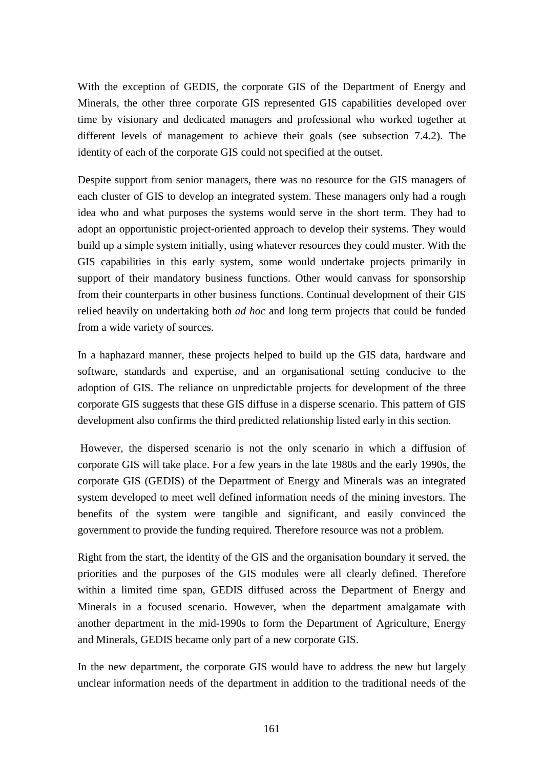With the exception of GEDIS, the corporate GIS of the Department of Energy and Minerals, the other three corporate GIS represented GIS capabilities developed over time by visionary and dedicated managers and professional who worked together at different levels of management to achieve their goals (see subsection 7.4.2). The identity of each of the corporate GIS could not specified at the outset.

Despite support from senior managers, there was no resource for the GIS managers of each cluster of GIS to develop an integrated system. These managers only had a rough idea who and what purposes the systems would serve in the short term. They had to adopt an opportunistic project-oriented approach to develop their systems. They would build up a simple system initially, using whatever resources they could muster. With the GIS capabilities in this early system, some would undertake projects primarily in support of their mandatory business functions. Other would canvass for sponsorship from their counterparts in other business functions. Continual development of their GIS relied heavily on undertaking both *ad hoc* and long term projects that could be funded from a wide variety of sources.

In a haphazard manner, these projects helped to build up the GIS data, hardware and software, standards and expertise, and an organisational setting conducive to the adoption of GIS. The reliance on unpredictable projects for development of the three corporate GIS suggests that these GIS diffuse in a disperse scenario. This pattern of GIS development also confirms the third predicted relationship listed early in this section.

 However, the dispersed scenario is not the only scenario in which a diffusion of corporate GIS will take place. For a few years in the late 1980s and the early 1990s, the corporate GIS (GEDIS) of the Department of Energy and Minerals was an integrated system developed to meet well defined information needs of the mining investors. The benefits of the system were tangible and significant, and easily convinced the government to provide the funding required. Therefore resource was not a problem.

Right from the start, the identity of the GIS and the organisation boundary it served, the priorities and the purposes of the GIS modules were all clearly defined. Therefore within a limited time span, GEDIS diffused across the Department of Energy and Minerals in a focused scenario. However, when the department amalgamate with another department in the mid-1990s to form the Department of Agriculture, Energy and Minerals, GEDIS became only part of a new corporate GIS.

In the new department, the corporate GIS would have to address the new but largely unclear information needs of the department in addition to the traditional needs of the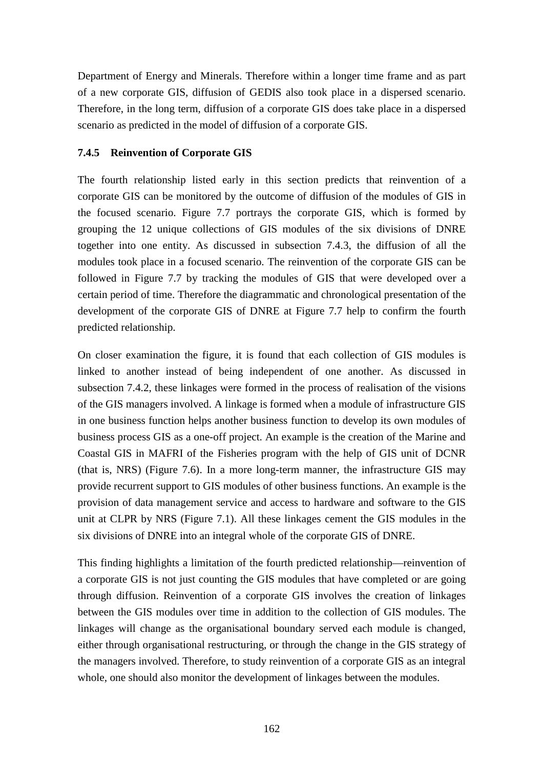Department of Energy and Minerals. Therefore within a longer time frame and as part of a new corporate GIS, diffusion of GEDIS also took place in a dispersed scenario. Therefore, in the long term, diffusion of a corporate GIS does take place in a dispersed scenario as predicted in the model of diffusion of a corporate GIS.

## **7.4.5 Reinvention of Corporate GIS**

The fourth relationship listed early in this section predicts that reinvention of a corporate GIS can be monitored by the outcome of diffusion of the modules of GIS in the focused scenario. Figure 7.7 portrays the corporate GIS, which is formed by grouping the 12 unique collections of GIS modules of the six divisions of DNRE together into one entity. As discussed in subsection 7.4.3, the diffusion of all the modules took place in a focused scenario. The reinvention of the corporate GIS can be followed in Figure 7.7 by tracking the modules of GIS that were developed over a certain period of time. Therefore the diagrammatic and chronological presentation of the development of the corporate GIS of DNRE at Figure 7.7 help to confirm the fourth predicted relationship.

On closer examination the figure, it is found that each collection of GIS modules is linked to another instead of being independent of one another. As discussed in subsection 7.4.2, these linkages were formed in the process of realisation of the visions of the GIS managers involved. A linkage is formed when a module of infrastructure GIS in one business function helps another business function to develop its own modules of business process GIS as a one-off project. An example is the creation of the Marine and Coastal GIS in MAFRI of the Fisheries program with the help of GIS unit of DCNR (that is, NRS) (Figure 7.6). In a more long-term manner, the infrastructure GIS may provide recurrent support to GIS modules of other business functions. An example is the provision of data management service and access to hardware and software to the GIS unit at CLPR by NRS (Figure 7.1). All these linkages cement the GIS modules in the six divisions of DNRE into an integral whole of the corporate GIS of DNRE.

This finding highlights a limitation of the fourth predicted relationship—reinvention of a corporate GIS is not just counting the GIS modules that have completed or are going through diffusion. Reinvention of a corporate GIS involves the creation of linkages between the GIS modules over time in addition to the collection of GIS modules. The linkages will change as the organisational boundary served each module is changed, either through organisational restructuring, or through the change in the GIS strategy of the managers involved. Therefore, to study reinvention of a corporate GIS as an integral whole, one should also monitor the development of linkages between the modules.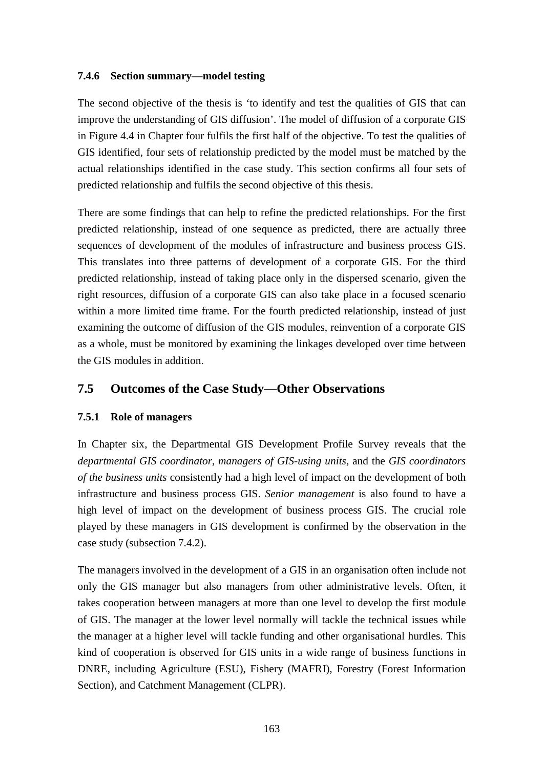#### **7.4.6 Section summary—model testing**

The second objective of the thesis is 'to identify and test the qualities of GIS that can improve the understanding of GIS diffusion'. The model of diffusion of a corporate GIS in Figure 4.4 in Chapter four fulfils the first half of the objective. To test the qualities of GIS identified, four sets of relationship predicted by the model must be matched by the actual relationships identified in the case study. This section confirms all four sets of predicted relationship and fulfils the second objective of this thesis.

There are some findings that can help to refine the predicted relationships. For the first predicted relationship, instead of one sequence as predicted, there are actually three sequences of development of the modules of infrastructure and business process GIS. This translates into three patterns of development of a corporate GIS. For the third predicted relationship, instead of taking place only in the dispersed scenario, given the right resources, diffusion of a corporate GIS can also take place in a focused scenario within a more limited time frame. For the fourth predicted relationship, instead of just examining the outcome of diffusion of the GIS modules, reinvention of a corporate GIS as a whole, must be monitored by examining the linkages developed over time between the GIS modules in addition.

## **7.5 Outcomes of the Case Study—Other Observations**

#### **7.5.1 Role of managers**

In Chapter six, the Departmental GIS Development Profile Survey reveals that the *departmental GIS coordinator*, *managers of GIS-using units*, and the *GIS coordinators of the business units* consistently had a high level of impact on the development of both infrastructure and business process GIS. *Senior management* is also found to have a high level of impact on the development of business process GIS. The crucial role played by these managers in GIS development is confirmed by the observation in the case study (subsection 7.4.2).

The managers involved in the development of a GIS in an organisation often include not only the GIS manager but also managers from other administrative levels. Often, it takes cooperation between managers at more than one level to develop the first module of GIS. The manager at the lower level normally will tackle the technical issues while the manager at a higher level will tackle funding and other organisational hurdles. This kind of cooperation is observed for GIS units in a wide range of business functions in DNRE, including Agriculture (ESU), Fishery (MAFRI), Forestry (Forest Information Section), and Catchment Management (CLPR).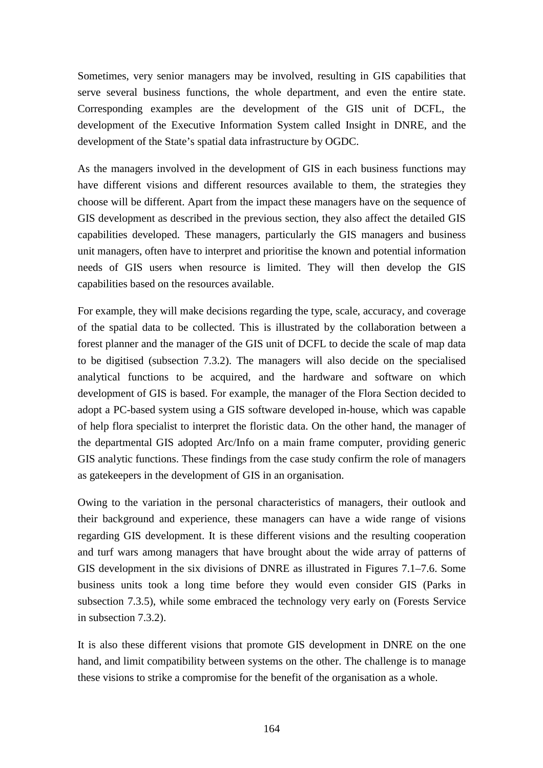Sometimes, very senior managers may be involved, resulting in GIS capabilities that serve several business functions, the whole department, and even the entire state. Corresponding examples are the development of the GIS unit of DCFL, the development of the Executive Information System called Insight in DNRE, and the development of the State's spatial data infrastructure by OGDC.

As the managers involved in the development of GIS in each business functions may have different visions and different resources available to them, the strategies they choose will be different. Apart from the impact these managers have on the sequence of GIS development as described in the previous section, they also affect the detailed GIS capabilities developed. These managers, particularly the GIS managers and business unit managers, often have to interpret and prioritise the known and potential information needs of GIS users when resource is limited. They will then develop the GIS capabilities based on the resources available.

For example, they will make decisions regarding the type, scale, accuracy, and coverage of the spatial data to be collected. This is illustrated by the collaboration between a forest planner and the manager of the GIS unit of DCFL to decide the scale of map data to be digitised (subsection 7.3.2). The managers will also decide on the specialised analytical functions to be acquired, and the hardware and software on which development of GIS is based. For example, the manager of the Flora Section decided to adopt a PC-based system using a GIS software developed in-house, which was capable of help flora specialist to interpret the floristic data. On the other hand, the manager of the departmental GIS adopted Arc/Info on a main frame computer, providing generic GIS analytic functions. These findings from the case study confirm the role of managers as gatekeepers in the development of GIS in an organisation.

Owing to the variation in the personal characteristics of managers, their outlook and their background and experience, these managers can have a wide range of visions regarding GIS development. It is these different visions and the resulting cooperation and turf wars among managers that have brought about the wide array of patterns of GIS development in the six divisions of DNRE as illustrated in Figures 7.1–7.6. Some business units took a long time before they would even consider GIS (Parks in subsection 7.3.5), while some embraced the technology very early on (Forests Service in subsection 7.3.2).

It is also these different visions that promote GIS development in DNRE on the one hand, and limit compatibility between systems on the other. The challenge is to manage these visions to strike a compromise for the benefit of the organisation as a whole.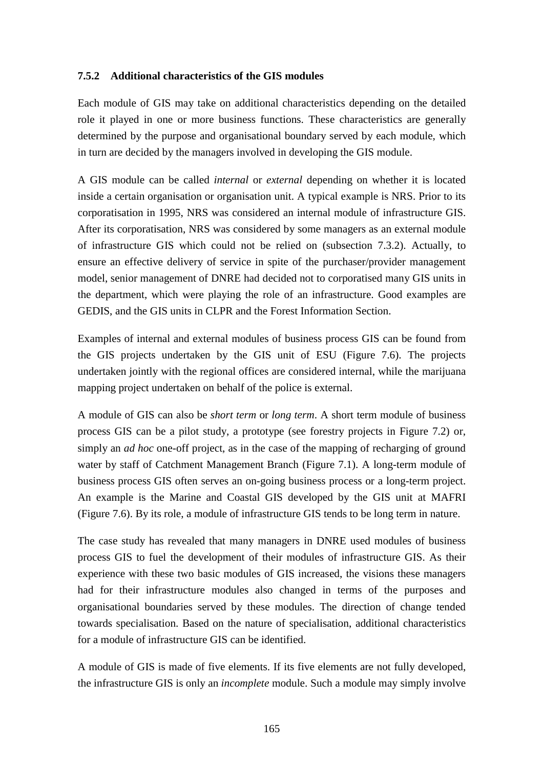#### **7.5.2 Additional characteristics of the GIS modules**

Each module of GIS may take on additional characteristics depending on the detailed role it played in one or more business functions. These characteristics are generally determined by the purpose and organisational boundary served by each module, which in turn are decided by the managers involved in developing the GIS module.

A GIS module can be called *internal* or *external* depending on whether it is located inside a certain organisation or organisation unit. A typical example is NRS. Prior to its corporatisation in 1995, NRS was considered an internal module of infrastructure GIS. After its corporatisation, NRS was considered by some managers as an external module of infrastructure GIS which could not be relied on (subsection 7.3.2). Actually, to ensure an effective delivery of service in spite of the purchaser/provider management model, senior management of DNRE had decided not to corporatised many GIS units in the department, which were playing the role of an infrastructure. Good examples are GEDIS, and the GIS units in CLPR and the Forest Information Section.

Examples of internal and external modules of business process GIS can be found from the GIS projects undertaken by the GIS unit of ESU (Figure 7.6). The projects undertaken jointly with the regional offices are considered internal, while the marijuana mapping project undertaken on behalf of the police is external.

A module of GIS can also be *short term* or *long term*. A short term module of business process GIS can be a pilot study, a prototype (see forestry projects in Figure 7.2) or, simply an *ad hoc* one-off project, as in the case of the mapping of recharging of ground water by staff of Catchment Management Branch (Figure 7.1). A long-term module of business process GIS often serves an on-going business process or a long-term project. An example is the Marine and Coastal GIS developed by the GIS unit at MAFRI (Figure 7.6). By its role, a module of infrastructure GIS tends to be long term in nature.

The case study has revealed that many managers in DNRE used modules of business process GIS to fuel the development of their modules of infrastructure GIS. As their experience with these two basic modules of GIS increased, the visions these managers had for their infrastructure modules also changed in terms of the purposes and organisational boundaries served by these modules. The direction of change tended towards specialisation. Based on the nature of specialisation, additional characteristics for a module of infrastructure GIS can be identified.

A module of GIS is made of five elements. If its five elements are not fully developed, the infrastructure GIS is only an *incomplete* module. Such a module may simply involve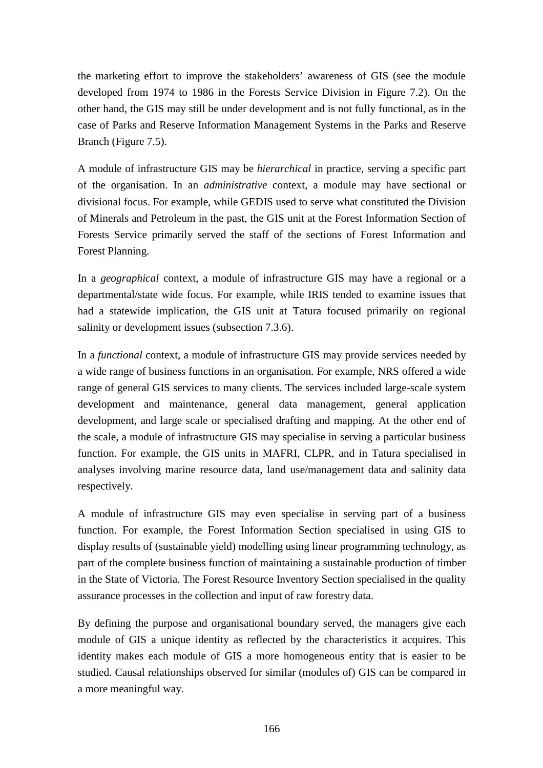the marketing effort to improve the stakeholders' awareness of GIS (see the module developed from 1974 to 1986 in the Forests Service Division in Figure 7.2). On the other hand, the GIS may still be under development and is not fully functional, as in the case of Parks and Reserve Information Management Systems in the Parks and Reserve Branch (Figure 7.5).

A module of infrastructure GIS may be *hierarchical* in practice, serving a specific part of the organisation. In an *administrative* context, a module may have sectional or divisional focus. For example, while GEDIS used to serve what constituted the Division of Minerals and Petroleum in the past, the GIS unit at the Forest Information Section of Forests Service primarily served the staff of the sections of Forest Information and Forest Planning.

In a *geographical* context, a module of infrastructure GIS may have a regional or a departmental/state wide focus. For example, while IRIS tended to examine issues that had a statewide implication, the GIS unit at Tatura focused primarily on regional salinity or development issues (subsection 7.3.6).

In a *functional* context, a module of infrastructure GIS may provide services needed by a wide range of business functions in an organisation. For example, NRS offered a wide range of general GIS services to many clients. The services included large-scale system development and maintenance, general data management, general application development, and large scale or specialised drafting and mapping. At the other end of the scale, a module of infrastructure GIS may specialise in serving a particular business function. For example, the GIS units in MAFRI, CLPR, and in Tatura specialised in analyses involving marine resource data, land use/management data and salinity data respectively.

A module of infrastructure GIS may even specialise in serving part of a business function. For example, the Forest Information Section specialised in using GIS to display results of (sustainable yield) modelling using linear programming technology, as part of the complete business function of maintaining a sustainable production of timber in the State of Victoria. The Forest Resource Inventory Section specialised in the quality assurance processes in the collection and input of raw forestry data.

By defining the purpose and organisational boundary served, the managers give each module of GIS a unique identity as reflected by the characteristics it acquires. This identity makes each module of GIS a more homogeneous entity that is easier to be studied. Causal relationships observed for similar (modules of) GIS can be compared in a more meaningful way.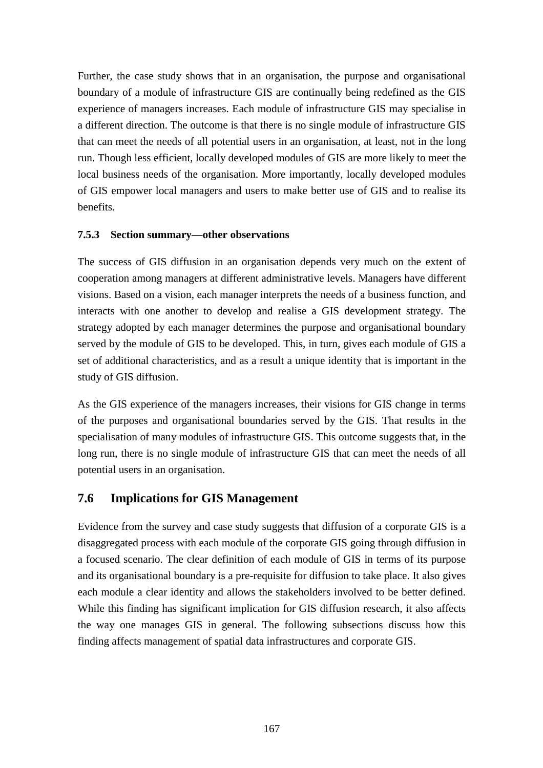Further, the case study shows that in an organisation, the purpose and organisational boundary of a module of infrastructure GIS are continually being redefined as the GIS experience of managers increases. Each module of infrastructure GIS may specialise in a different direction. The outcome is that there is no single module of infrastructure GIS that can meet the needs of all potential users in an organisation, at least, not in the long run. Though less efficient, locally developed modules of GIS are more likely to meet the local business needs of the organisation. More importantly, locally developed modules of GIS empower local managers and users to make better use of GIS and to realise its benefits.

#### **7.5.3 Section summary—other observations**

The success of GIS diffusion in an organisation depends very much on the extent of cooperation among managers at different administrative levels. Managers have different visions. Based on a vision, each manager interprets the needs of a business function, and interacts with one another to develop and realise a GIS development strategy. The strategy adopted by each manager determines the purpose and organisational boundary served by the module of GIS to be developed. This, in turn, gives each module of GIS a set of additional characteristics, and as a result a unique identity that is important in the study of GIS diffusion.

As the GIS experience of the managers increases, their visions for GIS change in terms of the purposes and organisational boundaries served by the GIS. That results in the specialisation of many modules of infrastructure GIS. This outcome suggests that, in the long run, there is no single module of infrastructure GIS that can meet the needs of all potential users in an organisation.

## **7.6 Implications for GIS Management**

Evidence from the survey and case study suggests that diffusion of a corporate GIS is a disaggregated process with each module of the corporate GIS going through diffusion in a focused scenario. The clear definition of each module of GIS in terms of its purpose and its organisational boundary is a pre-requisite for diffusion to take place. It also gives each module a clear identity and allows the stakeholders involved to be better defined. While this finding has significant implication for GIS diffusion research, it also affects the way one manages GIS in general. The following subsections discuss how this finding affects management of spatial data infrastructures and corporate GIS.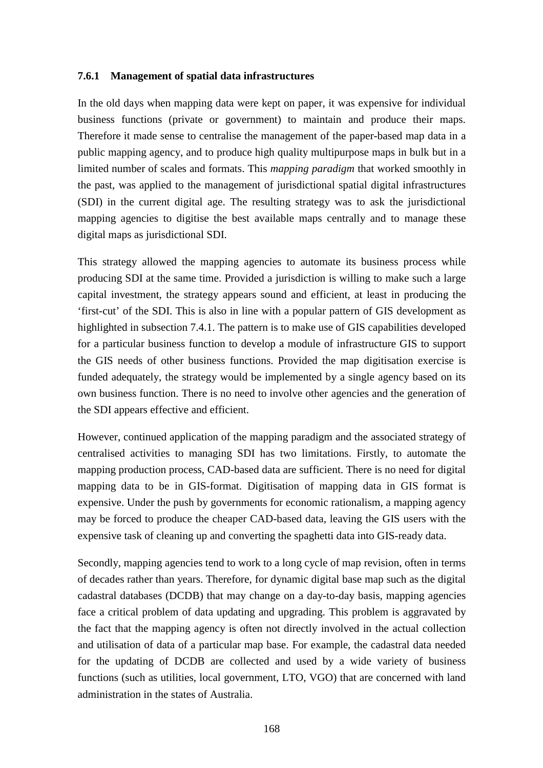#### **7.6.1 Management of spatial data infrastructures**

In the old days when mapping data were kept on paper, it was expensive for individual business functions (private or government) to maintain and produce their maps. Therefore it made sense to centralise the management of the paper-based map data in a public mapping agency, and to produce high quality multipurpose maps in bulk but in a limited number of scales and formats. This *mapping paradigm* that worked smoothly in the past, was applied to the management of jurisdictional spatial digital infrastructures (SDI) in the current digital age. The resulting strategy was to ask the jurisdictional mapping agencies to digitise the best available maps centrally and to manage these digital maps as jurisdictional SDI.

This strategy allowed the mapping agencies to automate its business process while producing SDI at the same time. Provided a jurisdiction is willing to make such a large capital investment, the strategy appears sound and efficient, at least in producing the 'first-cut' of the SDI. This is also in line with a popular pattern of GIS development as highlighted in subsection 7.4.1. The pattern is to make use of GIS capabilities developed for a particular business function to develop a module of infrastructure GIS to support the GIS needs of other business functions. Provided the map digitisation exercise is funded adequately, the strategy would be implemented by a single agency based on its own business function. There is no need to involve other agencies and the generation of the SDI appears effective and efficient.

However, continued application of the mapping paradigm and the associated strategy of centralised activities to managing SDI has two limitations. Firstly, to automate the mapping production process, CAD-based data are sufficient. There is no need for digital mapping data to be in GIS-format. Digitisation of mapping data in GIS format is expensive. Under the push by governments for economic rationalism, a mapping agency may be forced to produce the cheaper CAD-based data, leaving the GIS users with the expensive task of cleaning up and converting the spaghetti data into GIS-ready data.

Secondly, mapping agencies tend to work to a long cycle of map revision, often in terms of decades rather than years. Therefore, for dynamic digital base map such as the digital cadastral databases (DCDB) that may change on a day-to-day basis, mapping agencies face a critical problem of data updating and upgrading. This problem is aggravated by the fact that the mapping agency is often not directly involved in the actual collection and utilisation of data of a particular map base. For example, the cadastral data needed for the updating of DCDB are collected and used by a wide variety of business functions (such as utilities, local government, LTO, VGO) that are concerned with land administration in the states of Australia.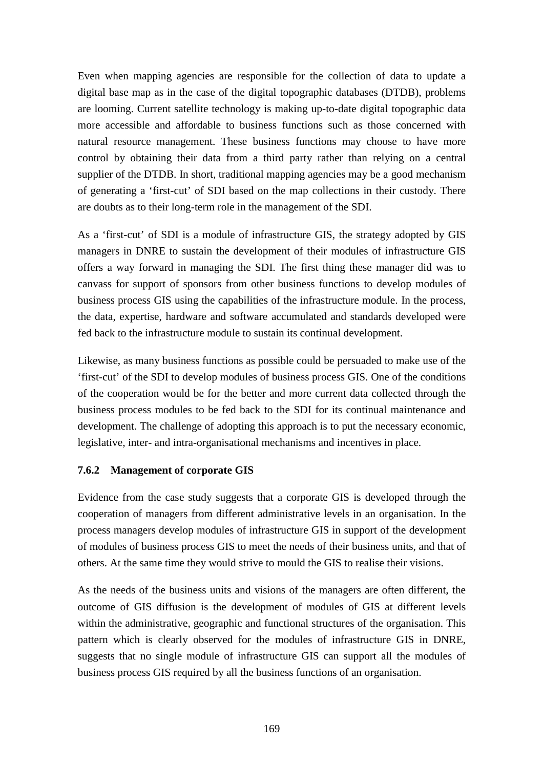Even when mapping agencies are responsible for the collection of data to update a digital base map as in the case of the digital topographic databases (DTDB), problems are looming. Current satellite technology is making up-to-date digital topographic data more accessible and affordable to business functions such as those concerned with natural resource management. These business functions may choose to have more control by obtaining their data from a third party rather than relying on a central supplier of the DTDB. In short, traditional mapping agencies may be a good mechanism of generating a 'first-cut' of SDI based on the map collections in their custody. There are doubts as to their long-term role in the management of the SDI.

As a 'first-cut' of SDI is a module of infrastructure GIS, the strategy adopted by GIS managers in DNRE to sustain the development of their modules of infrastructure GIS offers a way forward in managing the SDI. The first thing these manager did was to canvass for support of sponsors from other business functions to develop modules of business process GIS using the capabilities of the infrastructure module. In the process, the data, expertise, hardware and software accumulated and standards developed were fed back to the infrastructure module to sustain its continual development.

Likewise, as many business functions as possible could be persuaded to make use of the 'first-cut' of the SDI to develop modules of business process GIS. One of the conditions of the cooperation would be for the better and more current data collected through the business process modules to be fed back to the SDI for its continual maintenance and development. The challenge of adopting this approach is to put the necessary economic, legislative, inter- and intra-organisational mechanisms and incentives in place.

#### **7.6.2 Management of corporate GIS**

Evidence from the case study suggests that a corporate GIS is developed through the cooperation of managers from different administrative levels in an organisation. In the process managers develop modules of infrastructure GIS in support of the development of modules of business process GIS to meet the needs of their business units, and that of others. At the same time they would strive to mould the GIS to realise their visions.

As the needs of the business units and visions of the managers are often different, the outcome of GIS diffusion is the development of modules of GIS at different levels within the administrative, geographic and functional structures of the organisation. This pattern which is clearly observed for the modules of infrastructure GIS in DNRE, suggests that no single module of infrastructure GIS can support all the modules of business process GIS required by all the business functions of an organisation.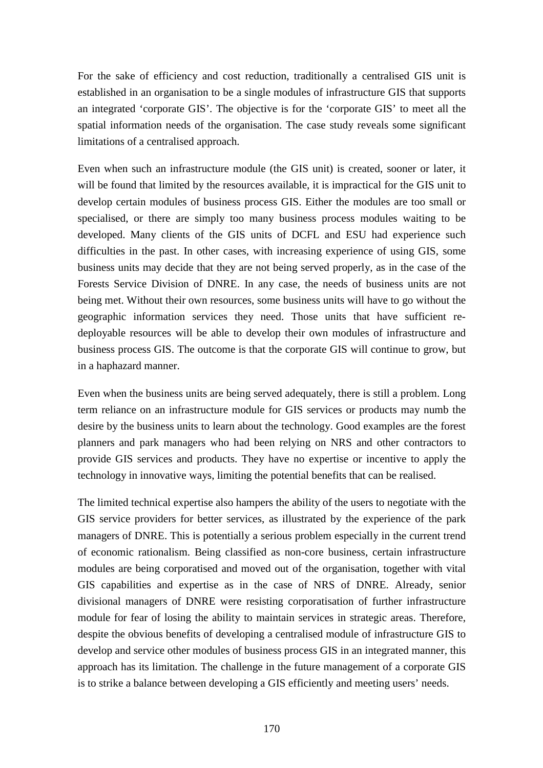For the sake of efficiency and cost reduction, traditionally a centralised GIS unit is established in an organisation to be a single modules of infrastructure GIS that supports an integrated 'corporate GIS'. The objective is for the 'corporate GIS' to meet all the spatial information needs of the organisation. The case study reveals some significant limitations of a centralised approach.

Even when such an infrastructure module (the GIS unit) is created, sooner or later, it will be found that limited by the resources available, it is impractical for the GIS unit to develop certain modules of business process GIS. Either the modules are too small or specialised, or there are simply too many business process modules waiting to be developed. Many clients of the GIS units of DCFL and ESU had experience such difficulties in the past. In other cases, with increasing experience of using GIS, some business units may decide that they are not being served properly, as in the case of the Forests Service Division of DNRE. In any case, the needs of business units are not being met. Without their own resources, some business units will have to go without the geographic information services they need. Those units that have sufficient redeployable resources will be able to develop their own modules of infrastructure and business process GIS. The outcome is that the corporate GIS will continue to grow, but in a haphazard manner.

Even when the business units are being served adequately, there is still a problem. Long term reliance on an infrastructure module for GIS services or products may numb the desire by the business units to learn about the technology. Good examples are the forest planners and park managers who had been relying on NRS and other contractors to provide GIS services and products. They have no expertise or incentive to apply the technology in innovative ways, limiting the potential benefits that can be realised.

The limited technical expertise also hampers the ability of the users to negotiate with the GIS service providers for better services, as illustrated by the experience of the park managers of DNRE. This is potentially a serious problem especially in the current trend of economic rationalism. Being classified as non-core business, certain infrastructure modules are being corporatised and moved out of the organisation, together with vital GIS capabilities and expertise as in the case of NRS of DNRE. Already, senior divisional managers of DNRE were resisting corporatisation of further infrastructure module for fear of losing the ability to maintain services in strategic areas. Therefore, despite the obvious benefits of developing a centralised module of infrastructure GIS to develop and service other modules of business process GIS in an integrated manner, this approach has its limitation. The challenge in the future management of a corporate GIS is to strike a balance between developing a GIS efficiently and meeting users' needs.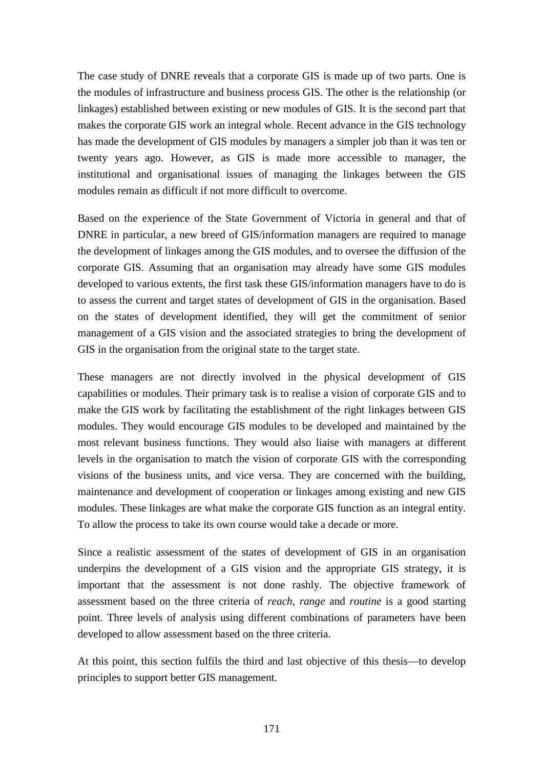The case study of DNRE reveals that a corporate GIS is made up of two parts. One is the modules of infrastructure and business process GIS. The other is the relationship (or linkages) established between existing or new modules of GIS. It is the second part that makes the corporate GIS work an integral whole. Recent advance in the GIS technology has made the development of GIS modules by managers a simpler job than it was ten or twenty years ago. However, as GIS is made more accessible to manager, the institutional and organisational issues of managing the linkages between the GIS modules remain as difficult if not more difficult to overcome.

Based on the experience of the State Government of Victoria in general and that of DNRE in particular, a new breed of GIS/information managers are required to manage the development of linkages among the GIS modules, and to oversee the diffusion of the corporate GIS. Assuming that an organisation may already have some GIS modules developed to various extents, the first task these GIS/information managers have to do is to assess the current and target states of development of GIS in the organisation. Based on the states of development identified, they will get the commitment of senior management of a GIS vision and the associated strategies to bring the development of GIS in the organisation from the original state to the target state.

These managers are not directly involved in the physical development of GIS capabilities or modules. Their primary task is to realise a vision of corporate GIS and to make the GIS work by facilitating the establishment of the right linkages between GIS modules. They would encourage GIS modules to be developed and maintained by the most relevant business functions. They would also liaise with managers at different levels in the organisation to match the vision of corporate GIS with the corresponding visions of the business units, and vice versa. They are concerned with the building, maintenance and development of cooperation or linkages among existing and new GIS modules. These linkages are what make the corporate GIS function as an integral entity. To allow the process to take its own course would take a decade or more.

Since a realistic assessment of the states of development of GIS in an organisation underpins the development of a GIS vision and the appropriate GIS strategy, it is important that the assessment is not done rashly. The objective framework of assessment based on the three criteria of *reach, range* and *routine* is a good starting point. Three levels of analysis using different combinations of parameters have been developed to allow assessment based on the three criteria.

At this point, this section fulfils the third and last objective of this thesis—to develop principles to support better GIS management.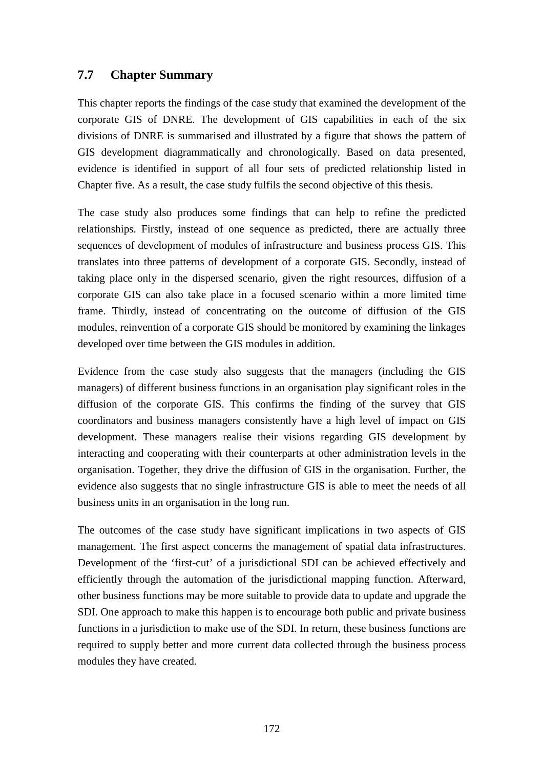## **7.7 Chapter Summary**

This chapter reports the findings of the case study that examined the development of the corporate GIS of DNRE. The development of GIS capabilities in each of the six divisions of DNRE is summarised and illustrated by a figure that shows the pattern of GIS development diagrammatically and chronologically. Based on data presented, evidence is identified in support of all four sets of predicted relationship listed in Chapter five. As a result, the case study fulfils the second objective of this thesis.

The case study also produces some findings that can help to refine the predicted relationships. Firstly, instead of one sequence as predicted, there are actually three sequences of development of modules of infrastructure and business process GIS. This translates into three patterns of development of a corporate GIS. Secondly, instead of taking place only in the dispersed scenario, given the right resources, diffusion of a corporate GIS can also take place in a focused scenario within a more limited time frame. Thirdly, instead of concentrating on the outcome of diffusion of the GIS modules, reinvention of a corporate GIS should be monitored by examining the linkages developed over time between the GIS modules in addition.

Evidence from the case study also suggests that the managers (including the GIS managers) of different business functions in an organisation play significant roles in the diffusion of the corporate GIS. This confirms the finding of the survey that GIS coordinators and business managers consistently have a high level of impact on GIS development. These managers realise their visions regarding GIS development by interacting and cooperating with their counterparts at other administration levels in the organisation. Together, they drive the diffusion of GIS in the organisation. Further, the evidence also suggests that no single infrastructure GIS is able to meet the needs of all business units in an organisation in the long run.

The outcomes of the case study have significant implications in two aspects of GIS management. The first aspect concerns the management of spatial data infrastructures. Development of the 'first-cut' of a jurisdictional SDI can be achieved effectively and efficiently through the automation of the jurisdictional mapping function. Afterward, other business functions may be more suitable to provide data to update and upgrade the SDI. One approach to make this happen is to encourage both public and private business functions in a jurisdiction to make use of the SDI. In return, these business functions are required to supply better and more current data collected through the business process modules they have created.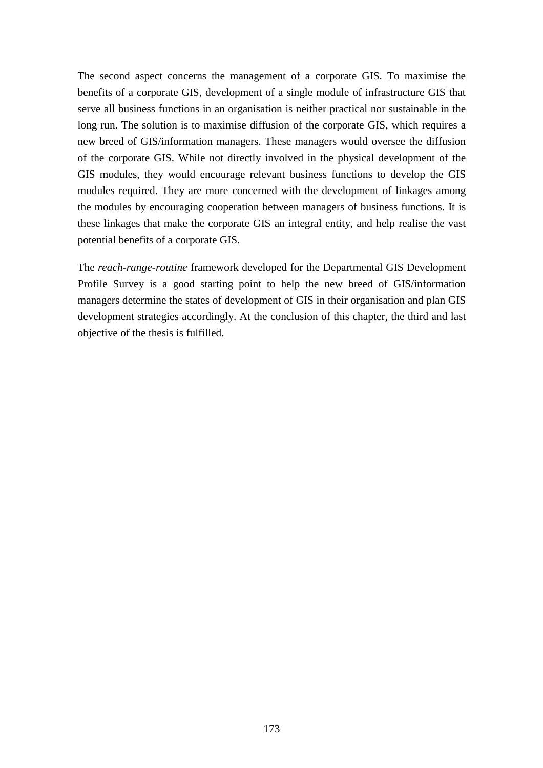The second aspect concerns the management of a corporate GIS. To maximise the benefits of a corporate GIS, development of a single module of infrastructure GIS that serve all business functions in an organisation is neither practical nor sustainable in the long run. The solution is to maximise diffusion of the corporate GIS, which requires a new breed of GIS/information managers. These managers would oversee the diffusion of the corporate GIS. While not directly involved in the physical development of the GIS modules, they would encourage relevant business functions to develop the GIS modules required. They are more concerned with the development of linkages among the modules by encouraging cooperation between managers of business functions. It is these linkages that make the corporate GIS an integral entity, and help realise the vast potential benefits of a corporate GIS.

The *reach-range-routine* framework developed for the Departmental GIS Development Profile Survey is a good starting point to help the new breed of GIS/information managers determine the states of development of GIS in their organisation and plan GIS development strategies accordingly. At the conclusion of this chapter, the third and last objective of the thesis is fulfilled.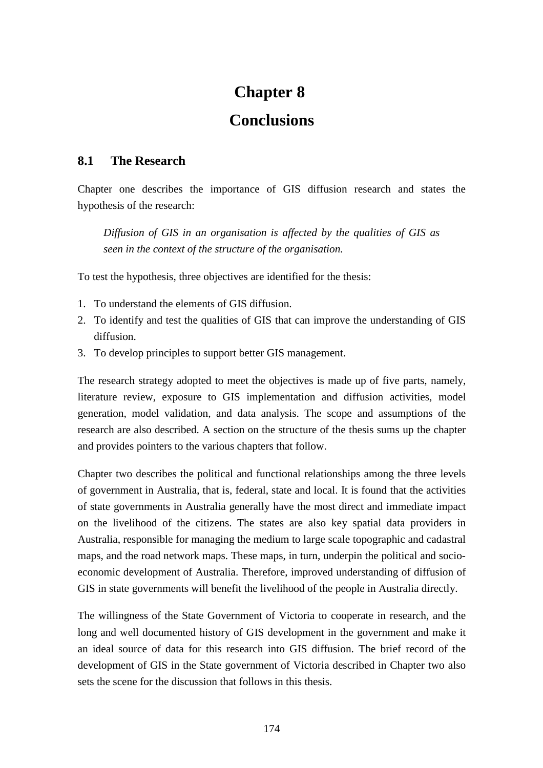# **Chapter 8**

## **Conclusions**

## **8.1 The Research**

Chapter one describes the importance of GIS diffusion research and states the hypothesis of the research:

*Diffusion of GIS in an organisation is affected by the qualities of GIS as seen in the context of the structure of the organisation.*

To test the hypothesis, three objectives are identified for the thesis:

- 1. To understand the elements of GIS diffusion.
- 2. To identify and test the qualities of GIS that can improve the understanding of GIS diffusion.
- 3. To develop principles to support better GIS management.

The research strategy adopted to meet the objectives is made up of five parts, namely, literature review, exposure to GIS implementation and diffusion activities, model generation, model validation, and data analysis. The scope and assumptions of the research are also described. A section on the structure of the thesis sums up the chapter and provides pointers to the various chapters that follow.

Chapter two describes the political and functional relationships among the three levels of government in Australia, that is, federal, state and local. It is found that the activities of state governments in Australia generally have the most direct and immediate impact on the livelihood of the citizens. The states are also key spatial data providers in Australia, responsible for managing the medium to large scale topographic and cadastral maps, and the road network maps. These maps, in turn, underpin the political and socioeconomic development of Australia. Therefore, improved understanding of diffusion of GIS in state governments will benefit the livelihood of the people in Australia directly.

The willingness of the State Government of Victoria to cooperate in research, and the long and well documented history of GIS development in the government and make it an ideal source of data for this research into GIS diffusion. The brief record of the development of GIS in the State government of Victoria described in Chapter two also sets the scene for the discussion that follows in this thesis.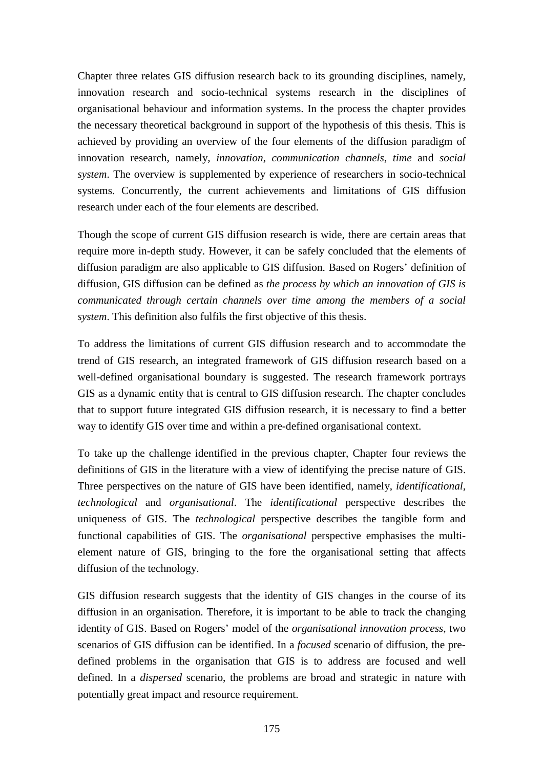Chapter three relates GIS diffusion research back to its grounding disciplines, namely, innovation research and socio-technical systems research in the disciplines of organisational behaviour and information systems. In the process the chapter provides the necessary theoretical background in support of the hypothesis of this thesis. This is achieved by providing an overview of the four elements of the diffusion paradigm of innovation research, namely, *innovation*, *communication channels*, *time* and *social system*. The overview is supplemented by experience of researchers in socio-technical systems. Concurrently, the current achievements and limitations of GIS diffusion research under each of the four elements are described.

Though the scope of current GIS diffusion research is wide, there are certain areas that require more in-depth study. However, it can be safely concluded that the elements of diffusion paradigm are also applicable to GIS diffusion. Based on Rogers' definition of diffusion, GIS diffusion can be defined as *the process by which an innovation of GIS is communicated through certain channels over time among the members of a social system*. This definition also fulfils the first objective of this thesis.

To address the limitations of current GIS diffusion research and to accommodate the trend of GIS research, an integrated framework of GIS diffusion research based on a well-defined organisational boundary is suggested. The research framework portrays GIS as a dynamic entity that is central to GIS diffusion research. The chapter concludes that to support future integrated GIS diffusion research, it is necessary to find a better way to identify GIS over time and within a pre-defined organisational context.

To take up the challenge identified in the previous chapter, Chapter four reviews the definitions of GIS in the literature with a view of identifying the precise nature of GIS. Three perspectives on the nature of GIS have been identified, namely, *identificational, technological* and *organisational*. The *identificational* perspective describes the uniqueness of GIS. The *technological* perspective describes the tangible form and functional capabilities of GIS. The *organisational* perspective emphasises the multielement nature of GIS, bringing to the fore the organisational setting that affects diffusion of the technology.

GIS diffusion research suggests that the identity of GIS changes in the course of its diffusion in an organisation. Therefore, it is important to be able to track the changing identity of GIS. Based on Rogers' model of the *organisational innovation process*, two scenarios of GIS diffusion can be identified. In a *focused* scenario of diffusion, the predefined problems in the organisation that GIS is to address are focused and well defined. In a *dispersed* scenario, the problems are broad and strategic in nature with potentially great impact and resource requirement.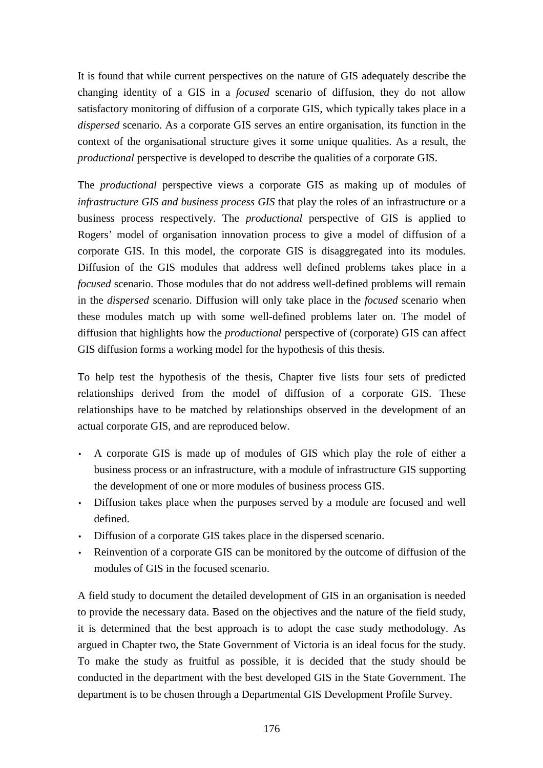It is found that while current perspectives on the nature of GIS adequately describe the changing identity of a GIS in a *focused* scenario of diffusion, they do not allow satisfactory monitoring of diffusion of a corporate GIS, which typically takes place in a *dispersed* scenario. As a corporate GIS serves an entire organisation, its function in the context of the organisational structure gives it some unique qualities. As a result, the *productional* perspective is developed to describe the qualities of a corporate GIS.

The *productional* perspective views a corporate GIS as making up of modules of *infrastructure GIS and business process GIS* that play the roles of an infrastructure or a business process respectively. The *productional* perspective of GIS is applied to Rogers' model of organisation innovation process to give a model of diffusion of a corporate GIS. In this model, the corporate GIS is disaggregated into its modules. Diffusion of the GIS modules that address well defined problems takes place in a *focused* scenario. Those modules that do not address well-defined problems will remain in the *dispersed* scenario. Diffusion will only take place in the *focused* scenario when these modules match up with some well-defined problems later on. The model of diffusion that highlights how the *productional* perspective of (corporate) GIS can affect GIS diffusion forms a working model for the hypothesis of this thesis.

To help test the hypothesis of the thesis, Chapter five lists four sets of predicted relationships derived from the model of diffusion of a corporate GIS. These relationships have to be matched by relationships observed in the development of an actual corporate GIS, and are reproduced below.

- A corporate GIS is made up of modules of GIS which play the role of either a business process or an infrastructure, with a module of infrastructure GIS supporting the development of one or more modules of business process GIS.
- Diffusion takes place when the purposes served by a module are focused and well defined.
- Diffusion of a corporate GIS takes place in the dispersed scenario.
- Reinvention of a corporate GIS can be monitored by the outcome of diffusion of the modules of GIS in the focused scenario.

A field study to document the detailed development of GIS in an organisation is needed to provide the necessary data. Based on the objectives and the nature of the field study, it is determined that the best approach is to adopt the case study methodology. As argued in Chapter two, the State Government of Victoria is an ideal focus for the study. To make the study as fruitful as possible, it is decided that the study should be conducted in the department with the best developed GIS in the State Government. The department is to be chosen through a Departmental GIS Development Profile Survey.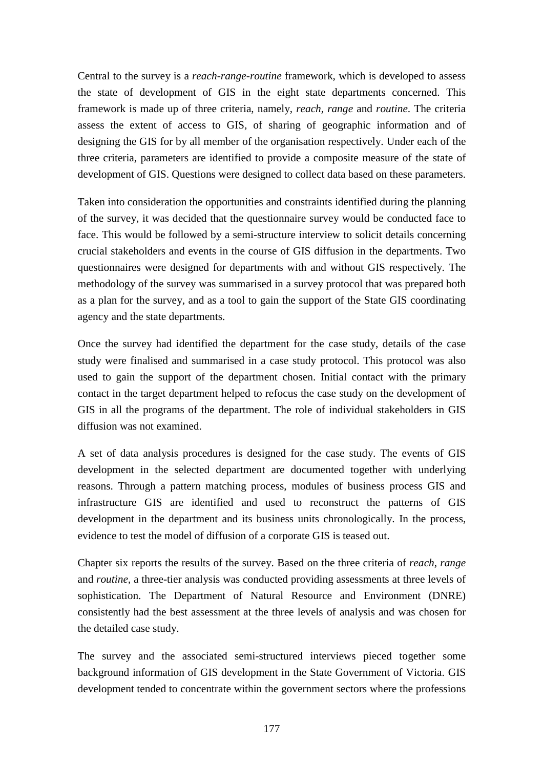Central to the survey is a *reach-range-routine* framework, which is developed to assess the state of development of GIS in the eight state departments concerned. This framework is made up of three criteria, namely, *reach, range* and *routine*. The criteria assess the extent of access to GIS, of sharing of geographic information and of designing the GIS for by all member of the organisation respectively. Under each of the three criteria, parameters are identified to provide a composite measure of the state of development of GIS. Questions were designed to collect data based on these parameters.

Taken into consideration the opportunities and constraints identified during the planning of the survey, it was decided that the questionnaire survey would be conducted face to face. This would be followed by a semi-structure interview to solicit details concerning crucial stakeholders and events in the course of GIS diffusion in the departments. Two questionnaires were designed for departments with and without GIS respectively. The methodology of the survey was summarised in a survey protocol that was prepared both as a plan for the survey, and as a tool to gain the support of the State GIS coordinating agency and the state departments.

Once the survey had identified the department for the case study, details of the case study were finalised and summarised in a case study protocol. This protocol was also used to gain the support of the department chosen. Initial contact with the primary contact in the target department helped to refocus the case study on the development of GIS in all the programs of the department. The role of individual stakeholders in GIS diffusion was not examined.

A set of data analysis procedures is designed for the case study. The events of GIS development in the selected department are documented together with underlying reasons. Through a pattern matching process, modules of business process GIS and infrastructure GIS are identified and used to reconstruct the patterns of GIS development in the department and its business units chronologically. In the process, evidence to test the model of diffusion of a corporate GIS is teased out.

Chapter six reports the results of the survey. Based on the three criteria of *reach*, *range* and *routine,* a three-tier analysis was conducted providing assessments at three levels of sophistication. The Department of Natural Resource and Environment (DNRE) consistently had the best assessment at the three levels of analysis and was chosen for the detailed case study.

The survey and the associated semi-structured interviews pieced together some background information of GIS development in the State Government of Victoria. GIS development tended to concentrate within the government sectors where the professions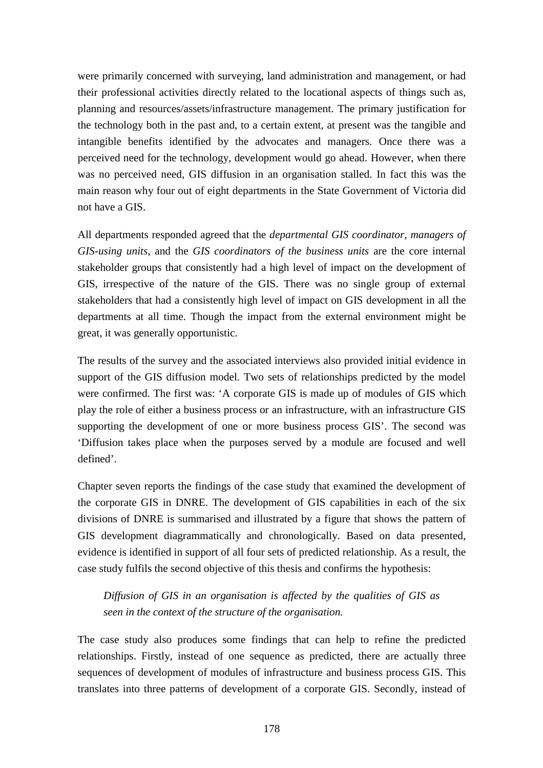were primarily concerned with surveying, land administration and management, or had their professional activities directly related to the locational aspects of things such as, planning and resources/assets/infrastructure management. The primary justification for the technology both in the past and, to a certain extent, at present was the tangible and intangible benefits identified by the advocates and managers. Once there was a perceived need for the technology, development would go ahead. However, when there was no perceived need, GIS diffusion in an organisation stalled. In fact this was the main reason why four out of eight departments in the State Government of Victoria did not have a GIS.

All departments responded agreed that the *departmental GIS coordinator*, *managers of GIS-using units*, and the *GIS coordinators of the business units* are the core internal stakeholder groups that consistently had a high level of impact on the development of GIS, irrespective of the nature of the GIS. There was no single group of external stakeholders that had a consistently high level of impact on GIS development in all the departments at all time. Though the impact from the external environment might be great, it was generally opportunistic.

The results of the survey and the associated interviews also provided initial evidence in support of the GIS diffusion model. Two sets of relationships predicted by the model were confirmed. The first was: 'A corporate GIS is made up of modules of GIS which play the role of either a business process or an infrastructure, with an infrastructure GIS supporting the development of one or more business process GIS'. The second was 'Diffusion takes place when the purposes served by a module are focused and well defined'.

Chapter seven reports the findings of the case study that examined the development of the corporate GIS in DNRE. The development of GIS capabilities in each of the six divisions of DNRE is summarised and illustrated by a figure that shows the pattern of GIS development diagrammatically and chronologically. Based on data presented, evidence is identified in support of all four sets of predicted relationship. As a result, the case study fulfils the second objective of this thesis and confirms the hypothesis:

*Diffusion of GIS in an organisation is affected by the qualities of GIS as seen in the context of the structure of the organisation.*

The case study also produces some findings that can help to refine the predicted relationships. Firstly, instead of one sequence as predicted, there are actually three sequences of development of modules of infrastructure and business process GIS. This translates into three patterns of development of a corporate GIS. Secondly, instead of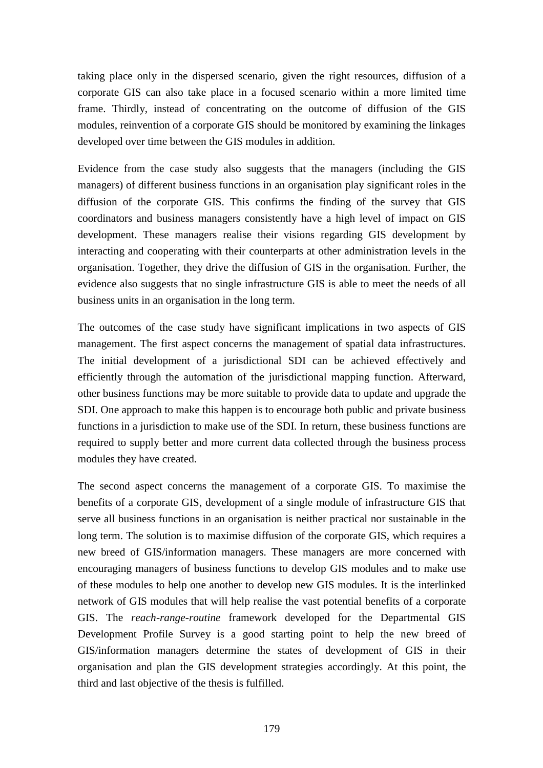taking place only in the dispersed scenario, given the right resources, diffusion of a corporate GIS can also take place in a focused scenario within a more limited time frame. Thirdly, instead of concentrating on the outcome of diffusion of the GIS modules, reinvention of a corporate GIS should be monitored by examining the linkages developed over time between the GIS modules in addition.

Evidence from the case study also suggests that the managers (including the GIS managers) of different business functions in an organisation play significant roles in the diffusion of the corporate GIS. This confirms the finding of the survey that GIS coordinators and business managers consistently have a high level of impact on GIS development. These managers realise their visions regarding GIS development by interacting and cooperating with their counterparts at other administration levels in the organisation. Together, they drive the diffusion of GIS in the organisation. Further, the evidence also suggests that no single infrastructure GIS is able to meet the needs of all business units in an organisation in the long term.

The outcomes of the case study have significant implications in two aspects of GIS management. The first aspect concerns the management of spatial data infrastructures. The initial development of a jurisdictional SDI can be achieved effectively and efficiently through the automation of the jurisdictional mapping function. Afterward, other business functions may be more suitable to provide data to update and upgrade the SDI. One approach to make this happen is to encourage both public and private business functions in a jurisdiction to make use of the SDI. In return, these business functions are required to supply better and more current data collected through the business process modules they have created.

The second aspect concerns the management of a corporate GIS. To maximise the benefits of a corporate GIS, development of a single module of infrastructure GIS that serve all business functions in an organisation is neither practical nor sustainable in the long term. The solution is to maximise diffusion of the corporate GIS, which requires a new breed of GIS/information managers. These managers are more concerned with encouraging managers of business functions to develop GIS modules and to make use of these modules to help one another to develop new GIS modules. It is the interlinked network of GIS modules that will help realise the vast potential benefits of a corporate GIS. The *reach-range-routine* framework developed for the Departmental GIS Development Profile Survey is a good starting point to help the new breed of GIS/information managers determine the states of development of GIS in their organisation and plan the GIS development strategies accordingly. At this point, the third and last objective of the thesis is fulfilled.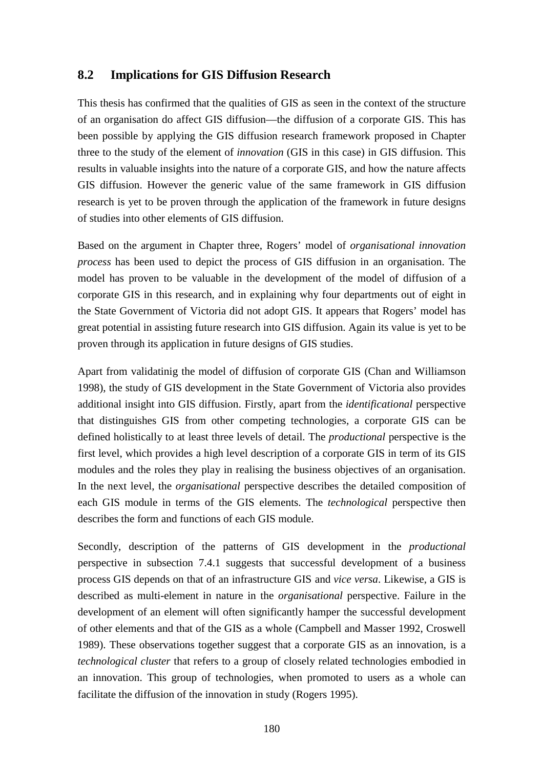## **8.2 Implications for GIS Diffusion Research**

This thesis has confirmed that the qualities of GIS as seen in the context of the structure of an organisation do affect GIS diffusion—the diffusion of a corporate GIS. This has been possible by applying the GIS diffusion research framework proposed in Chapter three to the study of the element of *innovation* (GIS in this case) in GIS diffusion. This results in valuable insights into the nature of a corporate GIS, and how the nature affects GIS diffusion. However the generic value of the same framework in GIS diffusion research is yet to be proven through the application of the framework in future designs of studies into other elements of GIS diffusion.

Based on the argument in Chapter three, Rogers' model of *organisational innovation process* has been used to depict the process of GIS diffusion in an organisation. The model has proven to be valuable in the development of the model of diffusion of a corporate GIS in this research, and in explaining why four departments out of eight in the State Government of Victoria did not adopt GIS. It appears that Rogers' model has great potential in assisting future research into GIS diffusion. Again its value is yet to be proven through its application in future designs of GIS studies.

Apart from validatinig the model of diffusion of corporate GIS (Chan and Williamson 1998), the study of GIS development in the State Government of Victoria also provides additional insight into GIS diffusion. Firstly, apart from the *identificational* perspective that distinguishes GIS from other competing technologies, a corporate GIS can be defined holistically to at least three levels of detail. The *productional* perspective is the first level, which provides a high level description of a corporate GIS in term of its GIS modules and the roles they play in realising the business objectives of an organisation. In the next level, the *organisational* perspective describes the detailed composition of each GIS module in terms of the GIS elements. The *technological* perspective then describes the form and functions of each GIS module.

Secondly, description of the patterns of GIS development in the *productional* perspective in subsection 7.4.1 suggests that successful development of a business process GIS depends on that of an infrastructure GIS and *vice versa*. Likewise, a GIS is described as multi-element in nature in the *organisational* perspective. Failure in the development of an element will often significantly hamper the successful development of other elements and that of the GIS as a whole (Campbell and Masser 1992, Croswell 1989). These observations together suggest that a corporate GIS as an innovation, is a *technological cluster* that refers to a group of closely related technologies embodied in an innovation. This group of technologies, when promoted to users as a whole can facilitate the diffusion of the innovation in study (Rogers 1995).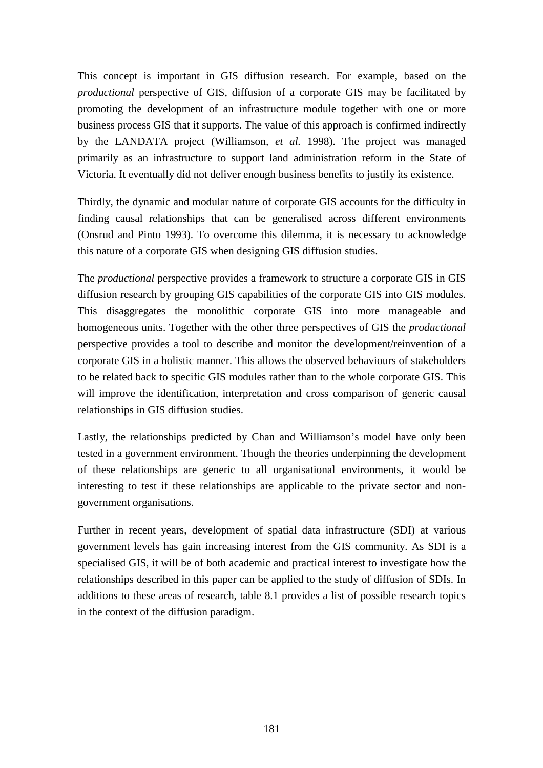This concept is important in GIS diffusion research. For example, based on the *productional* perspective of GIS, diffusion of a corporate GIS may be facilitated by promoting the development of an infrastructure module together with one or more business process GIS that it supports. The value of this approach is confirmed indirectly by the LANDATA project (Williamson*, et al.* 1998). The project was managed primarily as an infrastructure to support land administration reform in the State of Victoria. It eventually did not deliver enough business benefits to justify its existence.

Thirdly, the dynamic and modular nature of corporate GIS accounts for the difficulty in finding causal relationships that can be generalised across different environments (Onsrud and Pinto 1993). To overcome this dilemma, it is necessary to acknowledge this nature of a corporate GIS when designing GIS diffusion studies.

The *productional* perspective provides a framework to structure a corporate GIS in GIS diffusion research by grouping GIS capabilities of the corporate GIS into GIS modules. This disaggregates the monolithic corporate GIS into more manageable and homogeneous units. Together with the other three perspectives of GIS the *productional* perspective provides a tool to describe and monitor the development/reinvention of a corporate GIS in a holistic manner. This allows the observed behaviours of stakeholders to be related back to specific GIS modules rather than to the whole corporate GIS. This will improve the identification, interpretation and cross comparison of generic causal relationships in GIS diffusion studies.

Lastly, the relationships predicted by Chan and Williamson's model have only been tested in a government environment. Though the theories underpinning the development of these relationships are generic to all organisational environments, it would be interesting to test if these relationships are applicable to the private sector and nongovernment organisations.

Further in recent years, development of spatial data infrastructure (SDI) at various government levels has gain increasing interest from the GIS community. As SDI is a specialised GIS, it will be of both academic and practical interest to investigate how the relationships described in this paper can be applied to the study of diffusion of SDIs. In additions to these areas of research, table 8.1 provides a list of possible research topics in the context of the diffusion paradigm.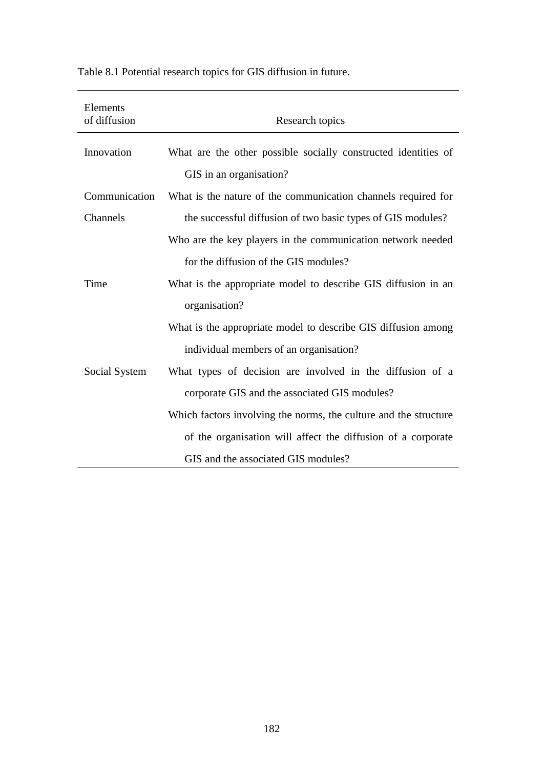| Elements<br>of diffusion | Research topics                                                                           |
|--------------------------|-------------------------------------------------------------------------------------------|
| Innovation               | What are the other possible socially constructed identities of<br>GIS in an organisation? |
| Communication            | What is the nature of the communication channels required for                             |
| Channels                 | the successful diffusion of two basic types of GIS modules?                               |
|                          | Who are the key players in the communication network needed                               |
|                          | for the diffusion of the GIS modules?                                                     |
| Time                     | What is the appropriate model to describe GIS diffusion in an                             |
|                          | organisation?                                                                             |
|                          | What is the appropriate model to describe GIS diffusion among                             |
|                          | individual members of an organisation?                                                    |
| Social System            | What types of decision are involved in the diffusion of a                                 |
|                          | corporate GIS and the associated GIS modules?                                             |
|                          | Which factors involving the norms, the culture and the structure                          |
|                          | of the organisation will affect the diffusion of a corporate                              |
|                          | GIS and the associated GIS modules?                                                       |

Table 8.1 Potential research topics for GIS diffusion in future.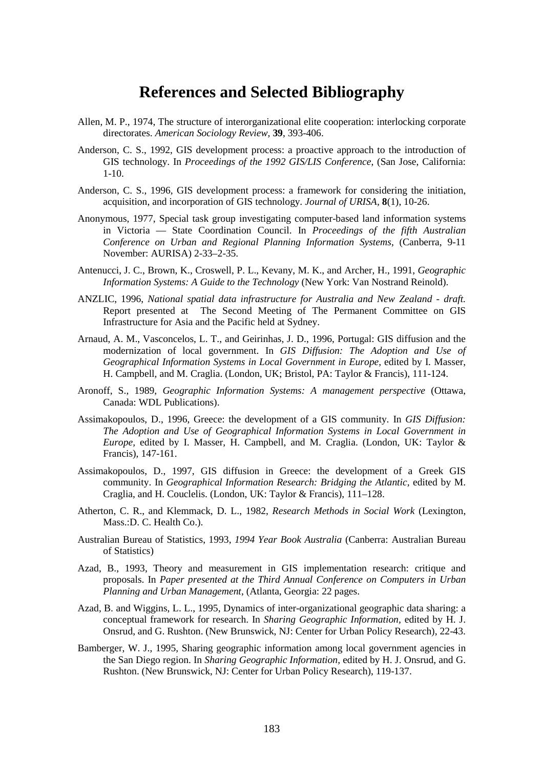# **References and Selected Bibliography**

- Allen, M. P., 1974, The structure of interorganizational elite cooperation: interlocking corporate directorates. *American Sociology Review,* **39**, 393-406.
- Anderson, C. S., 1992, GIS development process: a proactive approach to the introduction of GIS technology. In *Proceedings of the 1992 GIS/LIS Conference*, (San Jose, California: 1-10.
- Anderson, C. S., 1996, GIS development process: a framework for considering the initiation, acquisition, and incorporation of GIS technology. *Journal of URISA,* **8**(1), 10-26.
- Anonymous, 1977, Special task group investigating computer-based land information systems in Victoria — State Coordination Council. In *Proceedings of the fifth Australian Conference on Urban and Regional Planning Information Systems*, (Canberra, 9-11 November: AURISA) 2-33–2-35.
- Antenucci, J. C., Brown, K., Croswell, P. L., Kevany, M. K., and Archer, H., 1991, *Geographic Information Systems: A Guide to the Technology* (New York: Van Nostrand Reinold).
- ANZLIC, 1996, *National spatial data infrastructure for Australia and New Zealand draft.* Report presented at The Second Meeting of The Permanent Committee on GIS Infrastructure for Asia and the Pacific held at Sydney.
- Arnaud, A. M., Vasconcelos, L. T., and Geirinhas, J. D., 1996, Portugal: GIS diffusion and the modernization of local government. In *GIS Diffusion: The Adoption and Use of Geographical Information Systems in Local Government in Europe,* edited by I. Masser, H. Campbell, and M. Craglia. (London, UK; Bristol, PA: Taylor & Francis), 111-124.
- Aronoff, S., 1989, *Geographic Information Systems: A management perspective* (Ottawa, Canada: WDL Publications).
- Assimakopoulos, D., 1996, Greece: the development of a GIS community. In *GIS Diffusion: The Adoption and Use of Geographical Information Systems in Local Government in Europe,* edited by I. Masser, H. Campbell, and M. Craglia. (London, UK: Taylor & Francis), 147-161.
- Assimakopoulos, D., 1997, GIS diffusion in Greece: the development of a Greek GIS community. In *Geographical Information Research: Bridging the Atlantic,* edited by M. Craglia, and H. Couclelis. (London, UK: Taylor & Francis), 111–128.
- Atherton, C. R., and Klemmack, D. L., 1982, *Research Methods in Social Work* (Lexington, Mass.:D. C. Health Co.).
- Australian Bureau of Statistics, 1993, *1994 Year Book Australia* (Canberra: Australian Bureau of Statistics)
- Azad, B., 1993, Theory and measurement in GIS implementation research: critique and proposals. In *Paper presented at the Third Annual Conference on Computers in Urban Planning and Urban Management*, (Atlanta, Georgia: 22 pages.
- Azad, B. and Wiggins, L. L., 1995, Dynamics of inter-organizational geographic data sharing: a conceptual framework for research. In *Sharing Geographic Information,* edited by H. J. Onsrud, and G. Rushton. (New Brunswick, NJ: Center for Urban Policy Research), 22-43.
- Bamberger, W. J., 1995, Sharing geographic information among local government agencies in the San Diego region. In *Sharing Geographic Information,* edited by H. J. Onsrud, and G. Rushton. (New Brunswick, NJ: Center for Urban Policy Research), 119-137.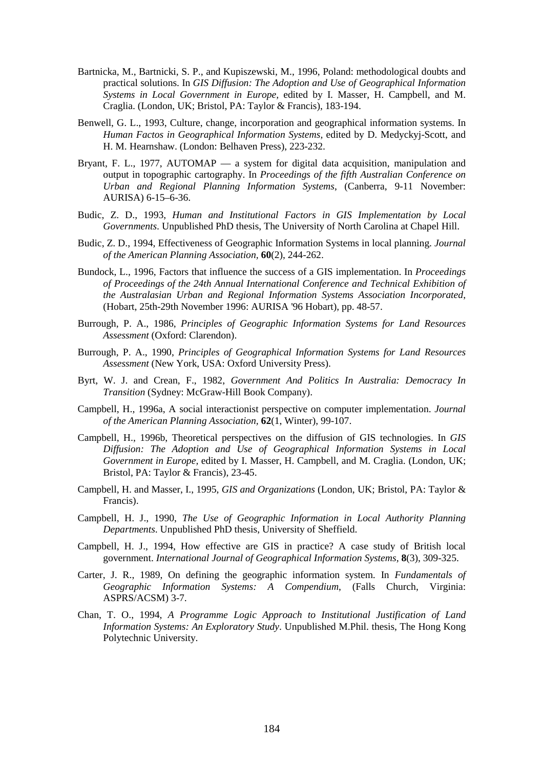- Bartnicka, M., Bartnicki, S. P., and Kupiszewski, M., 1996, Poland: methodological doubts and practical solutions. In *GIS Diffusion: The Adoption and Use of Geographical Information Systems in Local Government in Europe,* edited by I. Masser, H. Campbell, and M. Craglia. (London, UK; Bristol, PA: Taylor & Francis), 183-194.
- Benwell, G. L., 1993, Culture, change, incorporation and geographical information systems. In *Human Factos in Geographical Information Systems,* edited by D. Medyckyj-Scott, and H. M. Hearnshaw. (London: Belhaven Press), 223-232.
- Bryant, F. L., 1977, AUTOMAP a system for digital data acquisition, manipulation and output in topographic cartography. In *Proceedings of the fifth Australian Conference on Urban and Regional Planning Information Systems*, (Canberra, 9-11 November: AURISA) 6-15–6-36.
- Budic, Z. D., 1993, *Human and Institutional Factors in GIS Implementation by Local Governments*. Unpublished PhD thesis, The University of North Carolina at Chapel Hill.
- Budic, Z. D., 1994, Effectiveness of Geographic Information Systems in local planning. *Journal of the American Planning Association,* **60**(2), 244-262.
- Bundock, L., 1996, Factors that influence the success of a GIS implementation. In *Proceedings of Proceedings of the 24th Annual International Conference and Technical Exhibition of the Australasian Urban and Regional Information Systems Association Incorporated*, (Hobart, 25th-29th November 1996: AURISA '96 Hobart), pp. 48-57.
- Burrough, P. A., 1986, *Principles of Geographic Information Systems for Land Resources Assessment* (Oxford: Clarendon).
- Burrough, P. A., 1990, *Principles of Geographical Information Systems for Land Resources Assessment* (New York, USA: Oxford University Press).
- Byrt, W. J. and Crean, F., 1982, *Government And Politics In Australia: Democracy In Transition* (Sydney: McGraw-Hill Book Company).
- Campbell, H., 1996a, A social interactionist perspective on computer implementation. *Journal of the American Planning Association,* **62**(1, Winter), 99-107.
- Campbell, H., 1996b, Theoretical perspectives on the diffusion of GIS technologies. In *GIS Diffusion: The Adoption and Use of Geographical Information Systems in Local Government in Europe,* edited by I. Masser, H. Campbell, and M. Craglia. (London, UK; Bristol, PA: Taylor & Francis), 23-45.
- Campbell, H. and Masser, I., 1995, *GIS and Organizations* (London, UK; Bristol, PA: Taylor & Francis).
- Campbell, H. J., 1990, *The Use of Geographic Information in Local Authority Planning Departments*. Unpublished PhD thesis, University of Sheffield.
- Campbell, H. J., 1994, How effective are GIS in practice? A case study of British local government. *International Journal of Geographical Information Systems,* **8**(3), 309-325.
- Carter, J. R., 1989, On defining the geographic information system. In *Fundamentals of Geographic Information Systems: A Compendium*, (Falls Church, Virginia: ASPRS/ACSM) 3-7.
- Chan, T. O., 1994, *A Programme Logic Approach to Institutional Justification of Land Information Systems: An Exploratory Study*. Unpublished M.Phil. thesis, The Hong Kong Polytechnic University.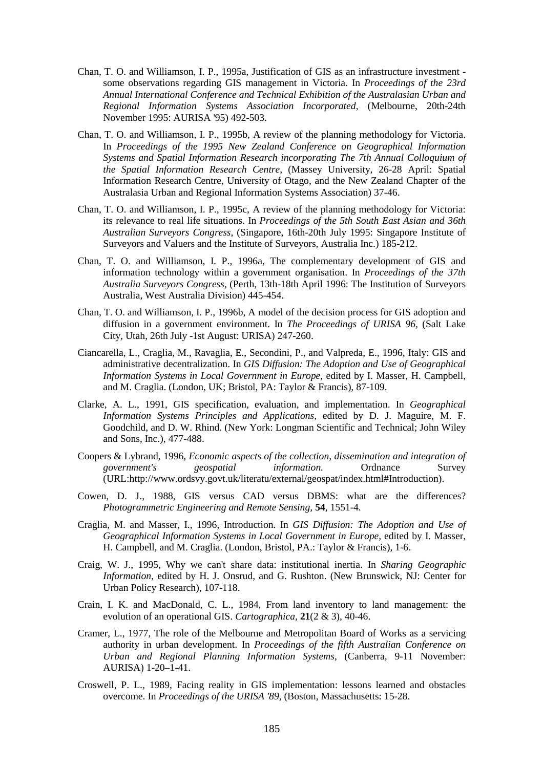- Chan, T. O. and Williamson, I. P., 1995a, Justification of GIS as an infrastructure investment some observations regarding GIS management in Victoria. In *Proceedings of the 23rd Annual International Conference and Technical Exhibition of the Australasian Urban and Regional Information Systems Association Incorporated*, (Melbourne, 20th-24th November 1995: AURISA '95) 492-503.
- Chan, T. O. and Williamson, I. P., 1995b, A review of the planning methodology for Victoria. In *Proceedings of the 1995 New Zealand Conference on Geographical Information Systems and Spatial Information Research incorporating The 7th Annual Colloquium of the Spatial Information Research Centre*, (Massey University, 26-28 April: Spatial Information Research Centre, University of Otago, and the New Zealand Chapter of the Australasia Urban and Regional Information Systems Association) 37-46.
- Chan, T. O. and Williamson, I. P., 1995c, A review of the planning methodology for Victoria: its relevance to real life situations. In *Proceedings of the 5th South East Asian and 36th Australian Surveyors Congress*, (Singapore, 16th-20th July 1995: Singapore Institute of Surveyors and Valuers and the Institute of Surveyors, Australia Inc.) 185-212.
- Chan, T. O. and Williamson, I. P., 1996a, The complementary development of GIS and information technology within a government organisation. In *Proceedings of the 37th Australia Surveyors Congress*, (Perth, 13th-18th April 1996: The Institution of Surveyors Australia, West Australia Division) 445-454.
- Chan, T. O. and Williamson, I. P., 1996b, A model of the decision process for GIS adoption and diffusion in a government environment. In *The Proceedings of URISA 96*, (Salt Lake City, Utah, 26th July -1st August: URISA) 247-260.
- Ciancarella, L., Craglia, M., Ravaglia, E., Secondini, P., and Valpreda, E., 1996, Italy: GIS and administrative decentralization. In *GIS Diffusion: The Adoption and Use of Geographical Information Systems in Local Government in Europe,* edited by I. Masser, H. Campbell, and M. Craglia. (London, UK; Bristol, PA: Taylor & Francis), 87-109.
- Clarke, A. L., 1991, GIS specification, evaluation, and implementation. In *Geographical Information Systems Principles and Applications,* edited by D. J. Maguire, M. F. Goodchild, and D. W. Rhind. (New York: Longman Scientific and Technical; John Wiley and Sons, Inc.), 477-488.
- Coopers & Lybrand, 1996, *Economic aspects of the collection, dissemination and integration of government's geospatial information.* Ordnance Survey (URL:http://www.ordsvy.govt.uk/literatu/external/geospat/index.html#Introduction).
- Cowen, D. J., 1988, GIS versus CAD versus DBMS: what are the differences? *Photogrammetric Engineering and Remote Sensing,* **54**, 1551-4.
- Craglia, M. and Masser, I., 1996, Introduction. In *GIS Diffusion: The Adoption and Use of Geographical Information Systems in Local Government in Europe,* edited by I. Masser, H. Campbell, and M. Craglia. (London, Bristol, PA.: Taylor & Francis), 1-6.
- Craig, W. J., 1995, Why we can't share data: institutional inertia. In *Sharing Geographic Information,* edited by H. J. Onsrud, and G. Rushton. (New Brunswick, NJ: Center for Urban Policy Research), 107-118.
- Crain, I. K. and MacDonald, C. L., 1984, From land inventory to land management: the evolution of an operational GIS. *Cartographica,* **21**(2 & 3), 40-46.
- Cramer, L., 1977, The role of the Melbourne and Metropolitan Board of Works as a servicing authority in urban development. In *Proceedings of the fifth Australian Conference on Urban and Regional Planning Information Systems*, (Canberra, 9-11 November: AURISA) 1-20–1-41.
- Croswell, P. L., 1989, Facing reality in GIS implementation: lessons learned and obstacles overcome. In *Proceedings of the URISA '89*, (Boston, Massachusetts: 15-28.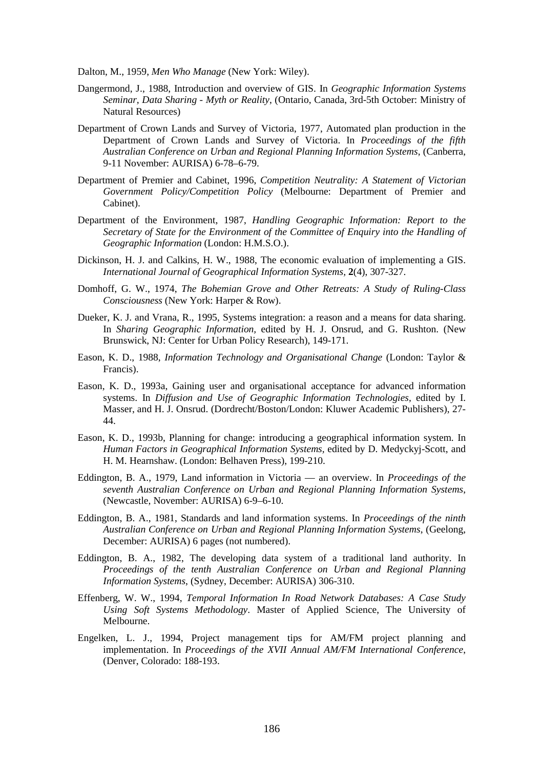Dalton, M., 1959, *Men Who Manage* (New York: Wiley).

- Dangermond, J., 1988, Introduction and overview of GIS. In *Geographic Information Systems Seminar, Data Sharing - Myth or Reality*, (Ontario, Canada, 3rd-5th October: Ministry of Natural Resources)
- Department of Crown Lands and Survey of Victoria, 1977, Automated plan production in the Department of Crown Lands and Survey of Victoria. In *Proceedings of the fifth Australian Conference on Urban and Regional Planning Information Systems*, (Canberra, 9-11 November: AURISA) 6-78–6-79.
- Department of Premier and Cabinet, 1996, *Competition Neutrality: A Statement of Victorian Government Policy/Competition Policy* (Melbourne: Department of Premier and Cabinet).
- Department of the Environment, 1987, *Handling Geographic Information: Report to the Secretary of State for the Environment of the Committee of Enquiry into the Handling of Geographic Information* (London: H.M.S.O.).
- Dickinson, H. J. and Calkins, H. W., 1988, The economic evaluation of implementing a GIS. *International Journal of Geographical Information Systems,* **2**(4), 307-327.
- Domhoff, G. W., 1974, *The Bohemian Grove and Other Retreats: A Study of Ruling-Class Consciousness* (New York: Harper & Row).
- Dueker, K. J. and Vrana, R., 1995, Systems integration: a reason and a means for data sharing. In *Sharing Geographic Information,* edited by H. J. Onsrud, and G. Rushton. (New Brunswick, NJ: Center for Urban Policy Research), 149-171.
- Eason, K. D., 1988, *Information Technology and Organisational Change* (London: Taylor & Francis).
- Eason, K. D., 1993a, Gaining user and organisational acceptance for advanced information systems. In *Diffusion and Use of Geographic Information Technologies,* edited by I. Masser, and H. J. Onsrud. (Dordrecht/Boston/London: Kluwer Academic Publishers), 27- 44.
- Eason, K. D., 1993b, Planning for change: introducing a geographical information system. In *Human Factors in Geographical Information Systems,* edited by D. Medyckyj-Scott, and H. M. Hearnshaw. (London: Belhaven Press), 199-210.
- Eddington, B. A., 1979, Land information in Victoria an overview. In *Proceedings of the seventh Australian Conference on Urban and Regional Planning Information Systems*, (Newcastle, November: AURISA) 6-9–6-10.
- Eddington, B. A., 1981, Standards and land information systems. In *Proceedings of the ninth Australian Conference on Urban and Regional Planning Information Systems*, (Geelong, December: AURISA) 6 pages (not numbered).
- Eddington, B. A., 1982, The developing data system of a traditional land authority. In *Proceedings of the tenth Australian Conference on Urban and Regional Planning Information Systems*, (Sydney, December: AURISA) 306-310.
- Effenberg, W. W., 1994, *Temporal Information In Road Network Databases: A Case Study Using Soft Systems Methodology*. Master of Applied Science, The University of Melbourne.
- Engelken, L. J., 1994, Project management tips for AM/FM project planning and implementation. In *Proceedings of the XVII Annual AM/FM International Conference*, (Denver, Colorado: 188-193.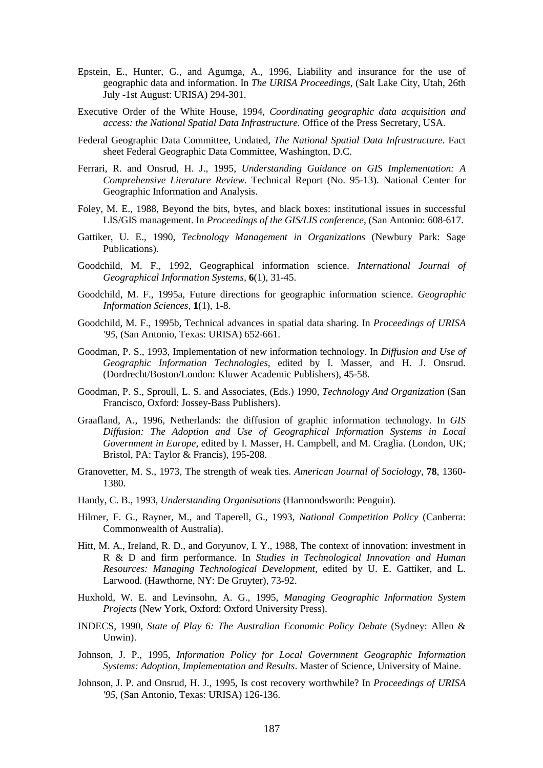- Epstein, E., Hunter, G., and Agumga, A., 1996, Liability and insurance for the use of geographic data and information. In *The URISA Proceedings*, (Salt Lake City, Utah, 26th July -1st August: URISA) 294-301.
- Executive Order of the White House, 1994, *Coordinating geographic data acquisition and access: the National Spatial Data Infrastructure.* Office of the Press Secretary, USA.
- Federal Geographic Data Committee, Undated, *The National Spatial Data Infrastructure.* Fact sheet Federal Geographic Data Committee, Washington, D.C.
- Ferrari, R. and Onsrud, H. J., 1995, *Understanding Guidance on GIS Implementation: A Comprehensive Literature Review.* Technical Report (No. 95-13). National Center for Geographic Information and Analysis.
- Foley, M. E., 1988, Beyond the bits, bytes, and black boxes: institutional issues in successful LIS/GIS management. In *Proceedings of the GIS/LIS conference*, (San Antonio: 608-617.
- Gattiker, U. E., 1990, *Technology Management in Organizations* (Newbury Park: Sage Publications).
- Goodchild, M. F., 1992, Geographical information science. *International Journal of Geographical Information Systems,* **6**(1), 31-45.
- Goodchild, M. F., 1995a, Future directions for geographic information science. *Geographic Information Sciences,* **1**(1), 1-8.
- Goodchild, M. F., 1995b, Technical advances in spatial data sharing. In *Proceedings of URISA '95*, (San Antonio, Texas: URISA) 652-661.
- Goodman, P. S., 1993, Implementation of new information technology. In *Diffusion and Use of Geographic Information Technologies,* edited by I. Masser, and H. J. Onsrud. (Dordrecht/Boston/London: Kluwer Academic Publishers), 45-58.
- Goodman, P. S., Sproull, L. S. and Associates, (Eds.) 1990, *Technology And Organization* (San Francisco, Oxford: Jossey-Bass Publishers).
- Graafland, A., 1996, Netherlands: the diffusion of graphic information technology. In *GIS Diffusion: The Adoption and Use of Geographical Information Systems in Local Government in Europe,* edited by I. Masser, H. Campbell, and M. Craglia. (London, UK; Bristol, PA: Taylor & Francis), 195-208.
- Granovetter, M. S., 1973, The strength of weak ties. *American Journal of Sociology,* **78**, 1360- 1380.
- Handy, C. B., 1993, *Understanding Organisations* (Harmondsworth: Penguin).
- Hilmer, F. G., Rayner, M., and Taperell, G., 1993, *National Competition Policy* (Canberra: Commonwealth of Australia).
- Hitt, M. A., Ireland, R. D., and Goryunov, I. Y., 1988, The context of innovation: investment in R & D and firm performance. In *Studies in Technological Innovation and Human Resources: Managing Technological Development,* edited by U. E. Gattiker, and L. Larwood. (Hawthorne, NY: De Gruyter), 73-92.
- Huxhold, W. E. and Levinsohn, A. G., 1995, *Managing Geographic Information System Projects* (New York, Oxford: Oxford University Press).
- INDECS, 1990, *State of Play 6: The Australian Economic Policy Debate* (Sydney: Allen & Unwin).
- Johnson, J. P., 1995, *Information Policy for Local Government Geographic Information Systems: Adoption, Implementation and Results*. Master of Science, University of Maine.
- Johnson, J. P. and Onsrud, H. J., 1995, Is cost recovery worthwhile? In *Proceedings of URISA '95*, (San Antonio, Texas: URISA) 126-136.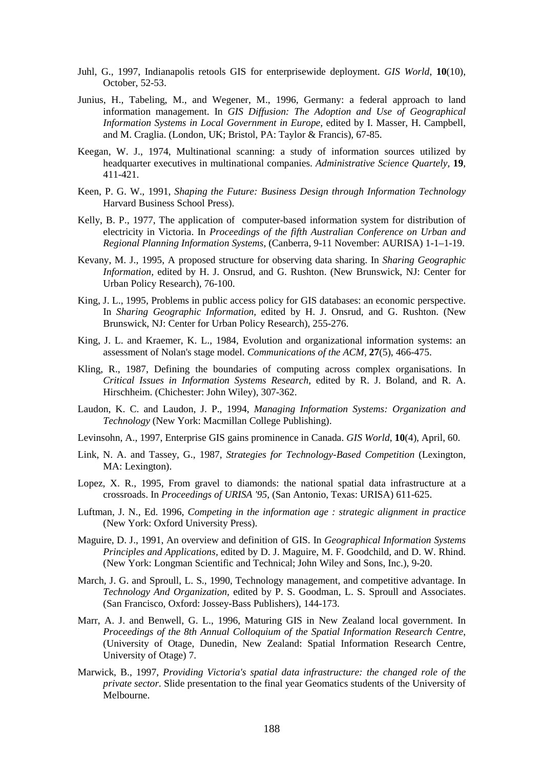- Juhl, G., 1997, Indianapolis retools GIS for enterprisewide deployment. *GIS World*, **10**(10), October, 52-53.
- Junius, H., Tabeling, M., and Wegener, M., 1996, Germany: a federal approach to land information management. In *GIS Diffusion: The Adoption and Use of Geographical Information Systems in Local Government in Europe,* edited by I. Masser, H. Campbell, and M. Craglia. (London, UK; Bristol, PA: Taylor & Francis), 67-85.
- Keegan, W. J., 1974, Multinational scanning: a study of information sources utilized by headquarter executives in multinational companies. *Administrative Science Quartely,* **19**, 411-421.
- Keen, P. G. W., 1991, *Shaping the Future: Business Design through Information Technology* Harvard Business School Press).
- Kelly, B. P., 1977, The application of computer-based information system for distribution of electricity in Victoria. In *Proceedings of the fifth Australian Conference on Urban and Regional Planning Information Systems*, (Canberra, 9-11 November: AURISA) 1-1–1-19.
- Kevany, M. J., 1995, A proposed structure for observing data sharing. In *Sharing Geographic Information,* edited by H. J. Onsrud, and G. Rushton. (New Brunswick, NJ: Center for Urban Policy Research), 76-100.
- King, J. L., 1995, Problems in public access policy for GIS databases: an economic perspective. In *Sharing Geographic Information,* edited by H. J. Onsrud, and G. Rushton. (New Brunswick, NJ: Center for Urban Policy Research), 255-276.
- King, J. L. and Kraemer, K. L., 1984, Evolution and organizational information systems: an assessment of Nolan's stage model. *Communications of the ACM,* **27**(5), 466-475.
- Kling, R., 1987, Defining the boundaries of computing across complex organisations. In *Critical Issues in Information Systems Research,* edited by R. J. Boland, and R. A. Hirschheim. (Chichester: John Wiley), 307-362.
- Laudon, K. C. and Laudon, J. P., 1994, *Managing Information Systems: Organization and Technology* (New York: Macmillan College Publishing).
- Levinsohn, A., 1997, Enterprise GIS gains prominence in Canada. *GIS World*, **10**(4), April, 60.
- Link, N. A. and Tassey, G., 1987, *Strategies for Technology-Based Competition* (Lexington, MA: Lexington).
- Lopez, X. R., 1995, From gravel to diamonds: the national spatial data infrastructure at a crossroads. In *Proceedings of URISA '95*, (San Antonio, Texas: URISA) 611-625.
- Luftman, J. N., Ed. 1996, *Competing in the information age : strategic alignment in practice* (New York: Oxford University Press).
- Maguire, D. J., 1991, An overview and definition of GIS. In *Geographical Information Systems Principles and Applications,* edited by D. J. Maguire, M. F. Goodchild, and D. W. Rhind. (New York: Longman Scientific and Technical; John Wiley and Sons, Inc.), 9-20.
- March, J. G. and Sproull, L. S., 1990, Technology management, and competitive advantage. In *Technology And Organization,* edited by P. S. Goodman, L. S. Sproull and Associates. (San Francisco, Oxford: Jossey-Bass Publishers), 144-173.
- Marr, A. J. and Benwell, G. L., 1996, Maturing GIS in New Zealand local government. In *Proceedings of the 8th Annual Colloquium of the Spatial Information Research Centre*, (University of Otage, Dunedin, New Zealand: Spatial Information Research Centre, University of Otage) 7.
- Marwick, B., 1997, *Providing Victoria's spatial data infrastructure: the changed role of the private sector.* Slide presentation to the final year Geomatics students of the University of Melbourne.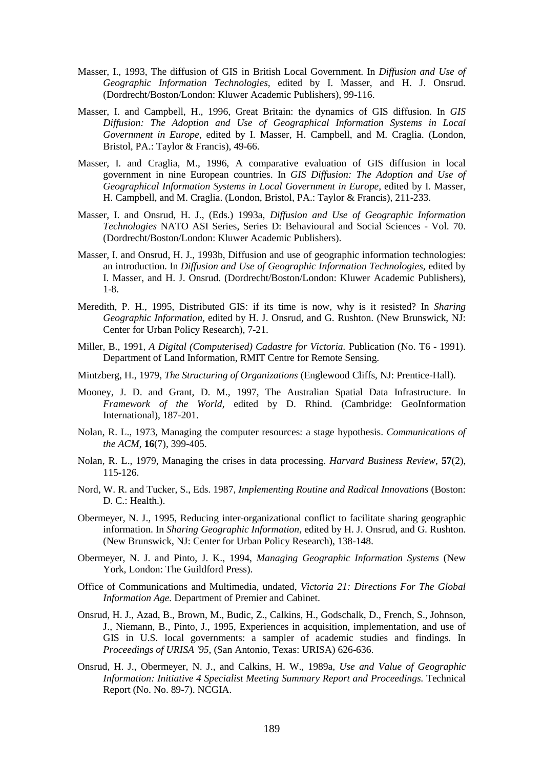- Masser, I., 1993, The diffusion of GIS in British Local Government. In *Diffusion and Use of Geographic Information Technologies,* edited by I. Masser, and H. J. Onsrud. (Dordrecht/Boston/London: Kluwer Academic Publishers), 99-116.
- Masser, I. and Campbell, H., 1996, Great Britain: the dynamics of GIS diffusion. In *GIS Diffusion: The Adoption and Use of Geographical Information Systems in Local Government in Europe,* edited by I. Masser, H. Campbell, and M. Craglia. (London, Bristol, PA.: Taylor & Francis), 49-66.
- Masser, I. and Craglia, M., 1996, A comparative evaluation of GIS diffusion in local government in nine European countries. In *GIS Diffusion: The Adoption and Use of Geographical Information Systems in Local Government in Europe,* edited by I. Masser, H. Campbell, and M. Craglia. (London, Bristol, PA.: Taylor & Francis), 211-233.
- Masser, I. and Onsrud, H. J., (Eds.) 1993a, *Diffusion and Use of Geographic Information Technologies* NATO ASI Series, Series D: Behavioural and Social Sciences - Vol. 70. (Dordrecht/Boston/London: Kluwer Academic Publishers).
- Masser, I. and Onsrud, H. J., 1993b, Diffusion and use of geographic information technologies: an introduction. In *Diffusion and Use of Geographic Information Technologies,* edited by I. Masser, and H. J. Onsrud. (Dordrecht/Boston/London: Kluwer Academic Publishers), 1-8.
- Meredith, P. H., 1995, Distributed GIS: if its time is now, why is it resisted? In *Sharing Geographic Information,* edited by H. J. Onsrud, and G. Rushton. (New Brunswick, NJ: Center for Urban Policy Research), 7-21.
- Miller, B., 1991, *A Digital (Computerised) Cadastre for Victoria.* Publication (No. T6 1991). Department of Land Information, RMIT Centre for Remote Sensing.
- Mintzberg, H., 1979, *The Structuring of Organizations* (Englewood Cliffs, NJ: Prentice-Hall).
- Mooney, J. D. and Grant, D. M., 1997, The Australian Spatial Data Infrastructure. In *Framework of the World,* edited by D. Rhind. (Cambridge: GeoInformation International), 187-201.
- Nolan, R. L., 1973, Managing the computer resources: a stage hypothesis. *Communications of the ACM,* **16**(7), 399-405.
- Nolan, R. L., 1979, Managing the crises in data processing. *Harvard Business Review,* **57**(2), 115-126.
- Nord, W. R. and Tucker, S., Eds. 1987, *Implementing Routine and Radical Innovations* (Boston: D. C.: Health.).
- Obermeyer, N. J., 1995, Reducing inter-organizational conflict to facilitate sharing geographic information. In *Sharing Geographic Information,* edited by H. J. Onsrud, and G. Rushton. (New Brunswick, NJ: Center for Urban Policy Research), 138-148.
- Obermeyer, N. J. and Pinto, J. K., 1994, *Managing Geographic Information Systems* (New York, London: The Guildford Press).
- Office of Communications and Multimedia, undated, *Victoria 21: Directions For The Global Information Age.* Department of Premier and Cabinet.
- Onsrud, H. J., Azad, B., Brown, M., Budic, Z., Calkins, H., Godschalk, D., French, S., Johnson, J., Niemann, B., Pinto, J., 1995, Experiences in acquisition, implementation, and use of GIS in U.S. local governments: a sampler of academic studies and findings. In *Proceedings of URISA '95*, (San Antonio, Texas: URISA) 626-636.
- Onsrud, H. J., Obermeyer, N. J., and Calkins, H. W., 1989a, *Use and Value of Geographic Information: Initiative 4 Specialist Meeting Summary Report and Proceedings.* Technical Report (No. No. 89-7). NCGIA.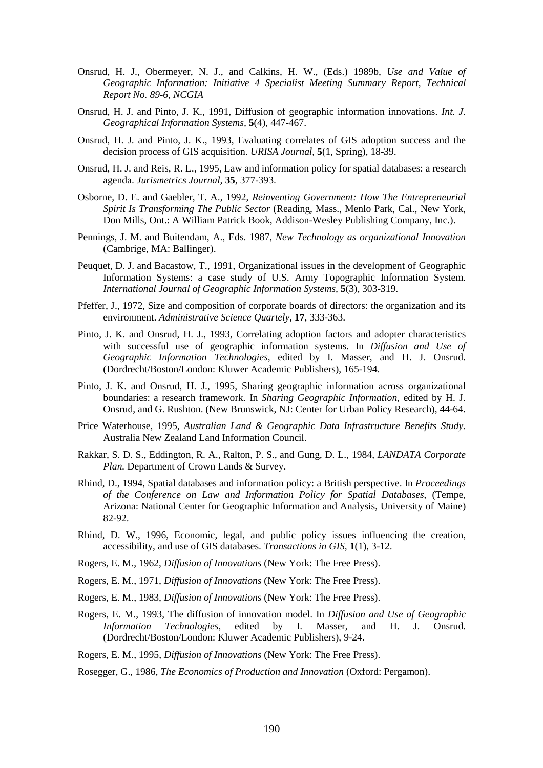- Onsrud, H. J., Obermeyer, N. J., and Calkins, H. W., (Eds.) 1989b, *Use and Value of Geographic Information: Initiative 4 Specialist Meeting Summary Report, Technical Report No. 89-6, NCGIA*
- Onsrud, H. J. and Pinto, J. K., 1991, Diffusion of geographic information innovations. *Int. J. Geographical Information Systems,* **5**(4), 447-467.
- Onsrud, H. J. and Pinto, J. K., 1993, Evaluating correlates of GIS adoption success and the decision process of GIS acquisition. *URISA Journal,* **5**(1, Spring), 18-39.
- Onsrud, H. J. and Reis, R. L., 1995, Law and information policy for spatial databases: a research agenda. *Jurismetrics Journal,* **35**, 377-393.
- Osborne, D. E. and Gaebler, T. A., 1992, *Reinventing Government: How The Entrepreneurial Spirit Is Transforming The Public Sector* (Reading, Mass., Menlo Park, Cal., New York, Don Mills, Ont.: A William Patrick Book, Addison-Wesley Publishing Company, Inc.).
- Pennings, J. M. and Buitendam, A., Eds. 1987, *New Technology as organizational Innovation* (Cambrige, MA: Ballinger).
- Peuquet, D. J. and Bacastow, T., 1991, Organizational issues in the development of Geographic Information Systems: a case study of U.S. Army Topographic Information System. *International Journal of Geographic Information Systems,* **5**(3), 303-319.
- Pfeffer, J., 1972, Size and composition of corporate boards of directors: the organization and its environment. *Administrative Science Quartely,* **17**, 333-363.
- Pinto, J. K. and Onsrud, H. J., 1993, Correlating adoption factors and adopter characteristics with successful use of geographic information systems. In *Diffusion and Use of Geographic Information Technologies,* edited by I. Masser, and H. J. Onsrud. (Dordrecht/Boston/London: Kluwer Academic Publishers), 165-194.
- Pinto, J. K. and Onsrud, H. J., 1995, Sharing geographic information across organizational boundaries: a research framework. In *Sharing Geographic Information,* edited by H. J. Onsrud, and G. Rushton. (New Brunswick, NJ: Center for Urban Policy Research), 44-64.
- Price Waterhouse, 1995, *Australian Land & Geographic Data Infrastructure Benefits Study.* Australia New Zealand Land Information Council.
- Rakkar, S. D. S., Eddington, R. A., Ralton, P. S., and Gung, D. L., 1984, *LANDATA Corporate Plan.* Department of Crown Lands & Survey.
- Rhind, D., 1994, Spatial databases and information policy: a British perspective. In *Proceedings of the Conference on Law and Information Policy for Spatial Databases*, (Tempe, Arizona: National Center for Geographic Information and Analysis, University of Maine) 82-92.
- Rhind, D. W., 1996, Economic, legal, and public policy issues influencing the creation, accessibility, and use of GIS databases. *Transactions in GIS,* **1**(1), 3-12.
- Rogers, E. M., 1962, *Diffusion of Innovations* (New York: The Free Press).
- Rogers, E. M., 1971, *Diffusion of Innovations* (New York: The Free Press).
- Rogers, E. M., 1983, *Diffusion of Innovations* (New York: The Free Press).
- Rogers, E. M., 1993, The diffusion of innovation model. In *Diffusion and Use of Geographic Information Technologies,* edited by I. Masser, and H. J. Onsrud. (Dordrecht/Boston/London: Kluwer Academic Publishers), 9-24.
- Rogers, E. M., 1995, *Diffusion of Innovations* (New York: The Free Press).

Rosegger, G., 1986, *The Economics of Production and Innovation* (Oxford: Pergamon).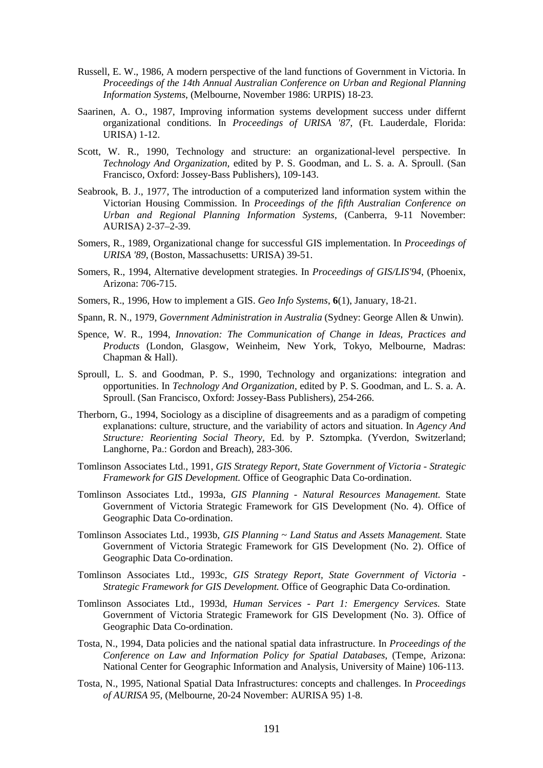- Russell, E. W., 1986, A modern perspective of the land functions of Government in Victoria. In *Proceedings of the 14th Annual Australian Conference on Urban and Regional Planning Information Systems*, (Melbourne, November 1986: URPIS) 18-23.
- Saarinen, A. O., 1987, Improving information systems development success under differnt organizational conditions. In *Proceedings of URISA '87*, (Ft. Lauderdale, Florida: URISA) 1-12.
- Scott, W. R., 1990, Technology and structure: an organizational-level perspective. In *Technology And Organization,* edited by P. S. Goodman, and L. S. a. A. Sproull. (San Francisco, Oxford: Jossey-Bass Publishers), 109-143.
- Seabrook, B. J., 1977, The introduction of a computerized land information system within the Victorian Housing Commission. In *Proceedings of the fifth Australian Conference on Urban and Regional Planning Information Systems*, (Canberra, 9-11 November: AURISA) 2-37–2-39.
- Somers, R., 1989, Organizational change for successful GIS implementation. In *Proceedings of URISA '89*, (Boston, Massachusetts: URISA) 39-51.
- Somers, R., 1994, Alternative development strategies. In *Proceedings of GIS/LIS'94*, (Phoenix, Arizona: 706-715.
- Somers, R., 1996, How to implement a GIS. *Geo Info Systems*, **6**(1), January, 18-21.
- Spann, R. N., 1979, *Government Administration in Australia* (Sydney: George Allen & Unwin).
- Spence, W. R., 1994, *Innovation: The Communication of Change in Ideas, Practices and Products* (London, Glasgow, Weinheim, New York, Tokyo, Melbourne, Madras: Chapman & Hall).
- Sproull, L. S. and Goodman, P. S., 1990, Technology and organizations: integration and opportunities. In *Technology And Organization,* edited by P. S. Goodman, and L. S. a. A. Sproull. (San Francisco, Oxford: Jossey-Bass Publishers), 254-266.
- Therborn, G., 1994, Sociology as a discipline of disagreements and as a paradigm of competing explanations: culture, structure, and the variability of actors and situation. In *Agency And Structure: Reorienting Social Theory,* Ed. by P. Sztompka. (Yverdon, Switzerland; Langhorne, Pa.: Gordon and Breach), 283-306.
- Tomlinson Associates Ltd., 1991, *GIS Strategy Report, State Government of Victoria Strategic Framework for GIS Development.* Office of Geographic Data Co-ordination.
- Tomlinson Associates Ltd., 1993a, *GIS Planning Natural Resources Management.* State Government of Victoria Strategic Framework for GIS Development (No. 4). Office of Geographic Data Co-ordination.
- Tomlinson Associates Ltd., 1993b, *GIS Planning ~ Land Status and Assets Management.* State Government of Victoria Strategic Framework for GIS Development (No. 2). Office of Geographic Data Co-ordination.
- Tomlinson Associates Ltd., 1993c, *GIS Strategy Report, State Government of Victoria - Strategic Framework for GIS Development.* Office of Geographic Data Co-ordination.
- Tomlinson Associates Ltd., 1993d, *Human Services Part 1: Emergency Services.* State Government of Victoria Strategic Framework for GIS Development (No. 3). Office of Geographic Data Co-ordination.
- Tosta, N., 1994, Data policies and the national spatial data infrastructure. In *Proceedings of the Conference on Law and Information Policy for Spatial Databases*, (Tempe, Arizona: National Center for Geographic Information and Analysis, University of Maine) 106-113.
- Tosta, N., 1995, National Spatial Data Infrastructures: concepts and challenges. In *Proceedings of AURISA 95*, (Melbourne, 20-24 November: AURISA 95) 1-8.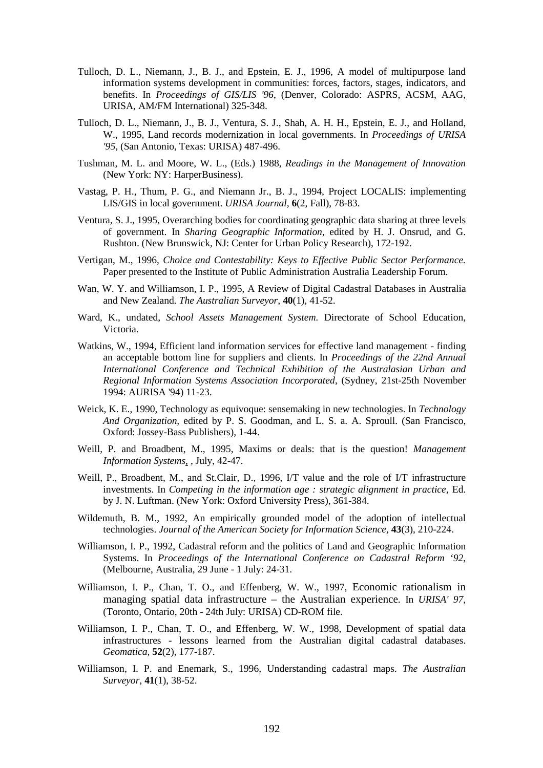- Tulloch, D. L., Niemann, J., B. J., and Epstein, E. J., 1996, A model of multipurpose land information systems development in communities: forces, factors, stages, indicators, and benefits. In *Proceedings of GIS/LIS '96*, (Denver, Colorado: ASPRS, ACSM, AAG, URISA, AM/FM International) 325-348.
- Tulloch, D. L., Niemann, J., B. J., Ventura, S. J., Shah, A. H. H., Epstein, E. J., and Holland, W., 1995, Land records modernization in local governments. In *Proceedings of URISA '95*, (San Antonio, Texas: URISA) 487-496.
- Tushman, M. L. and Moore, W. L., (Eds.) 1988, *Readings in the Management of Innovation* (New York: NY: HarperBusiness).
- Vastag, P. H., Thum, P. G., and Niemann Jr., B. J., 1994, Project LOCALIS: implementing LIS/GIS in local government. *URISA Journal,* **6**(2, Fall), 78-83.
- Ventura, S. J., 1995, Overarching bodies for coordinating geographic data sharing at three levels of government. In *Sharing Geographic Information,* edited by H. J. Onsrud, and G. Rushton. (New Brunswick, NJ: Center for Urban Policy Research), 172-192.
- Vertigan, M., 1996, *Choice and Contestability: Keys to Effective Public Sector Performance.* Paper presented to the Institute of Public Administration Australia Leadership Forum.
- Wan, W. Y. and Williamson, I. P., 1995. A Review of Digital Cadastral Databases in Australia and New Zealand. *The Australian Surveyor,* **40**(1), 41-52.
- Ward, K., undated, *School Assets Management System.* Directorate of School Education, Victoria.
- Watkins, W., 1994, Efficient land information services for effective land management finding an acceptable bottom line for suppliers and clients. In *Proceedings of the 22nd Annual International Conference and Technical Exhibition of the Australasian Urban and Regional Information Systems Association Incorporated*, (Sydney, 21st-25th November 1994: AURISA '94) 11-23.
- Weick, K. E., 1990, Technology as equivoque: sensemaking in new technologies. In *Technology And Organization,* edited by P. S. Goodman, and L. S. a. A. Sproull. (San Francisco, Oxford: Jossey-Bass Publishers), 1-44.
- Weill, P. and Broadbent, M., 1995, Maxims or deals: that is the question! *Management Information Systems*, , July, 42-47.
- Weill, P., Broadbent, M., and St.Clair, D., 1996, I/T value and the role of I/T infrastructure investments. In *Competing in the information age : strategic alignment in practice,* Ed. by J. N. Luftman. (New York: Oxford University Press), 361-384.
- Wildemuth, B. M., 1992, An empirically grounded model of the adoption of intellectual technologies. *Journal of the American Society for Information Science,* **43**(3), 210-224.
- Williamson, I. P., 1992, Cadastral reform and the politics of Land and Geographic Information Systems. In *Proceedings of the International Conference on Cadastral Reform '92*, (Melbourne, Australia, 29 June - 1 July: 24-31.
- Williamson, I. P., Chan, T. O., and Effenberg, W. W., 1997, Economic rationalism in managing spatial data infrastructure – the Australian experience. In *URISA' 97*, (Toronto, Ontario, 20th - 24th July: URISA) CD-ROM file.
- Williamson, I. P., Chan, T. O., and Effenberg, W. W., 1998, Development of spatial data infrastructures - lessons learned from the Australian digital cadastral databases. *Geomatica,* **52**(2), 177-187.
- Williamson, I. P. and Enemark, S., 1996, Understanding cadastral maps. *The Australian Surveyor,* **41**(1), 38-52.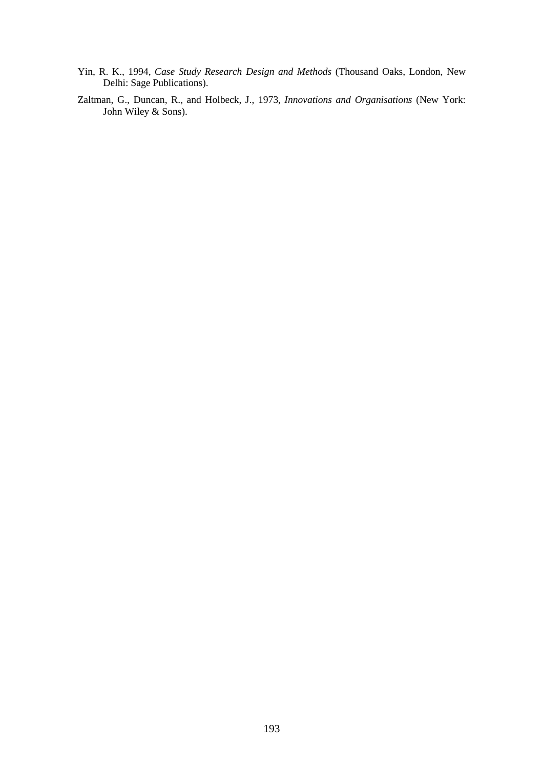- Yin, R. K., 1994, *Case Study Research Design and Methods* (Thousand Oaks, London, New Delhi: Sage Publications).
- Zaltman, G., Duncan, R., and Holbeck, J., 1973, *Innovations and Organisations* (New York: John Wiley & Sons).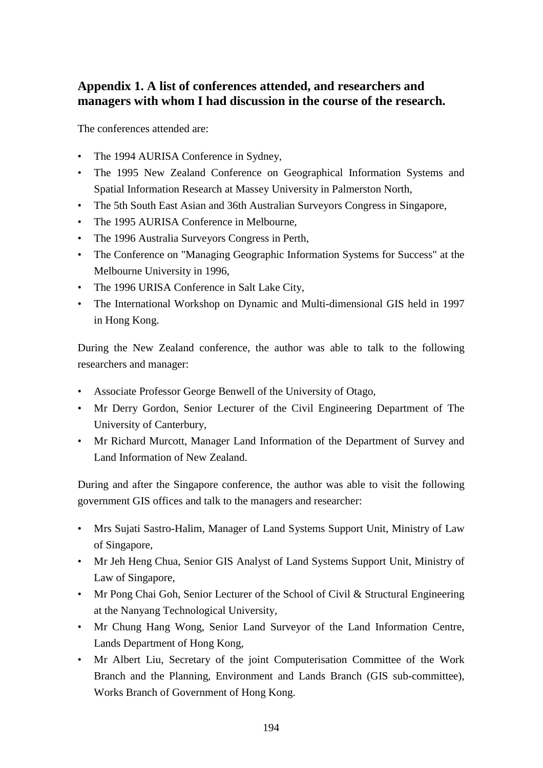## **Appendix 1. A list of conferences attended, and researchers and managers with whom I had discussion in the course of the research.**

The conferences attended are:

- The 1994 AURISA Conference in Sydney,
- The 1995 New Zealand Conference on Geographical Information Systems and Spatial Information Research at Massey University in Palmerston North,
- The 5th South East Asian and 36th Australian Surveyors Congress in Singapore,
- The 1995 AURISA Conference in Melbourne,
- The 1996 Australia Surveyors Congress in Perth,
- The Conference on "Managing Geographic Information Systems for Success" at the Melbourne University in 1996,
- The 1996 URISA Conference in Salt Lake City,
- The International Workshop on Dynamic and Multi-dimensional GIS held in 1997 in Hong Kong.

During the New Zealand conference, the author was able to talk to the following researchers and manager:

- Associate Professor George Benwell of the University of Otago,
- Mr Derry Gordon, Senior Lecturer of the Civil Engineering Department of The University of Canterbury,
- Mr Richard Murcott, Manager Land Information of the Department of Survey and Land Information of New Zealand.

During and after the Singapore conference, the author was able to visit the following government GIS offices and talk to the managers and researcher:

- Mrs Sujati Sastro-Halim, Manager of Land Systems Support Unit, Ministry of Law of Singapore,
- Mr Jeh Heng Chua, Senior GIS Analyst of Land Systems Support Unit, Ministry of Law of Singapore,
- Mr Pong Chai Goh, Senior Lecturer of the School of Civil & Structural Engineering at the Nanyang Technological University,
- Mr Chung Hang Wong, Senior Land Surveyor of the Land Information Centre, Lands Department of Hong Kong,
- Mr Albert Liu, Secretary of the joint Computerisation Committee of the Work Branch and the Planning, Environment and Lands Branch (GIS sub-committee), Works Branch of Government of Hong Kong.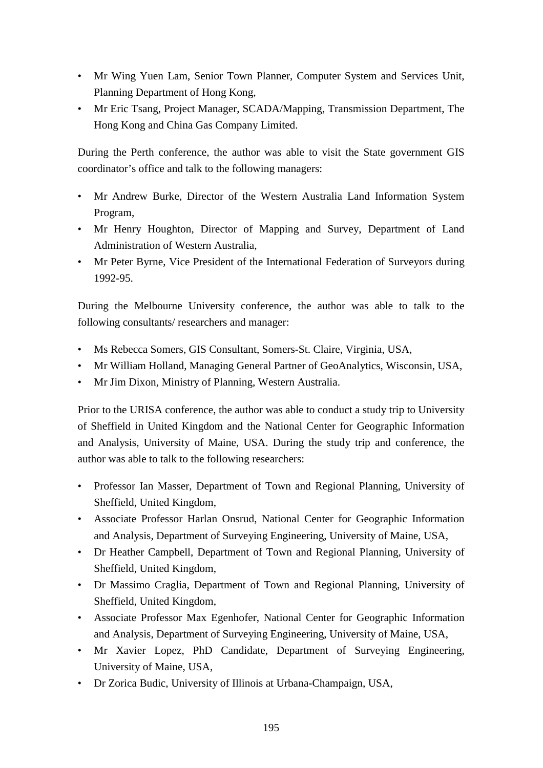- Mr Wing Yuen Lam, Senior Town Planner, Computer System and Services Unit, Planning Department of Hong Kong,
- Mr Eric Tsang, Project Manager, SCADA/Mapping, Transmission Department, The Hong Kong and China Gas Company Limited.

During the Perth conference, the author was able to visit the State government GIS coordinator's office and talk to the following managers:

- Mr Andrew Burke, Director of the Western Australia Land Information System Program,
- Mr Henry Houghton, Director of Mapping and Survey, Department of Land Administration of Western Australia,
- Mr Peter Byrne, Vice President of the International Federation of Surveyors during 1992-95.

During the Melbourne University conference, the author was able to talk to the following consultants/ researchers and manager:

- Ms Rebecca Somers, GIS Consultant, Somers-St. Claire, Virginia, USA,
- Mr William Holland, Managing General Partner of GeoAnalytics, Wisconsin, USA,
- Mr Jim Dixon, Ministry of Planning, Western Australia.

Prior to the URISA conference, the author was able to conduct a study trip to University of Sheffield in United Kingdom and the National Center for Geographic Information and Analysis, University of Maine, USA. During the study trip and conference, the author was able to talk to the following researchers:

- Professor Ian Masser, Department of Town and Regional Planning, University of Sheffield, United Kingdom,
- Associate Professor Harlan Onsrud, National Center for Geographic Information and Analysis, Department of Surveying Engineering, University of Maine, USA,
- Dr Heather Campbell, Department of Town and Regional Planning, University of Sheffield, United Kingdom,
- Dr Massimo Craglia, Department of Town and Regional Planning, University of Sheffield, United Kingdom,
- Associate Professor Max Egenhofer, National Center for Geographic Information and Analysis, Department of Surveying Engineering, University of Maine, USA,
- Mr Xavier Lopez, PhD Candidate, Department of Surveying Engineering, University of Maine, USA,
- Dr Zorica Budic, University of Illinois at Urbana-Champaign, USA,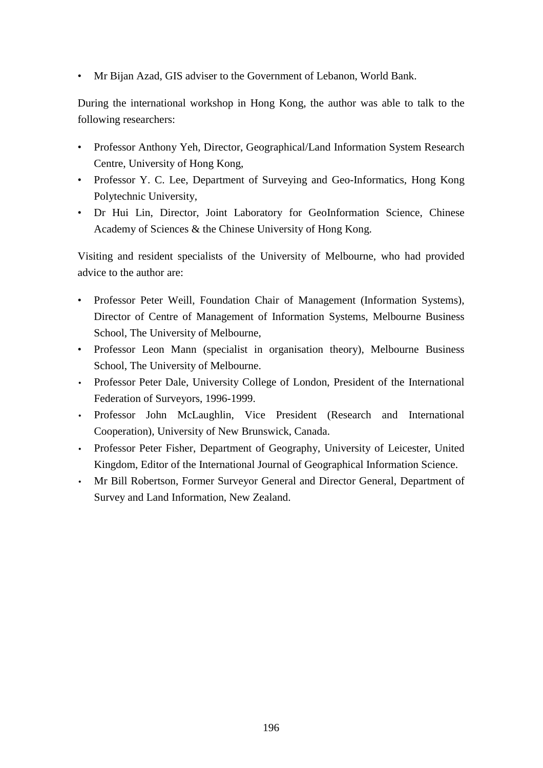• Mr Bijan Azad, GIS adviser to the Government of Lebanon, World Bank.

During the international workshop in Hong Kong, the author was able to talk to the following researchers:

- Professor Anthony Yeh, Director, Geographical/Land Information System Research Centre, University of Hong Kong,
- Professor Y. C. Lee, Department of Surveying and Geo-Informatics, Hong Kong Polytechnic University,
- Dr Hui Lin, Director, Joint Laboratory for GeoInformation Science, Chinese Academy of Sciences & the Chinese University of Hong Kong.

Visiting and resident specialists of the University of Melbourne, who had provided advice to the author are:

- Professor Peter Weill, Foundation Chair of Management (Information Systems), Director of Centre of Management of Information Systems, Melbourne Business School, The University of Melbourne,
- Professor Leon Mann (specialist in organisation theory), Melbourne Business School, The University of Melbourne.
- Professor Peter Dale, University College of London, President of the International Federation of Surveyors, 1996-1999.
- Professor John McLaughlin, Vice President (Research and International Cooperation), University of New Brunswick, Canada.
- Professor Peter Fisher, Department of Geography, University of Leicester, United Kingdom, Editor of the International Journal of Geographical Information Science.
- Mr Bill Robertson, Former Surveyor General and Director General, Department of Survey and Land Information, New Zealand.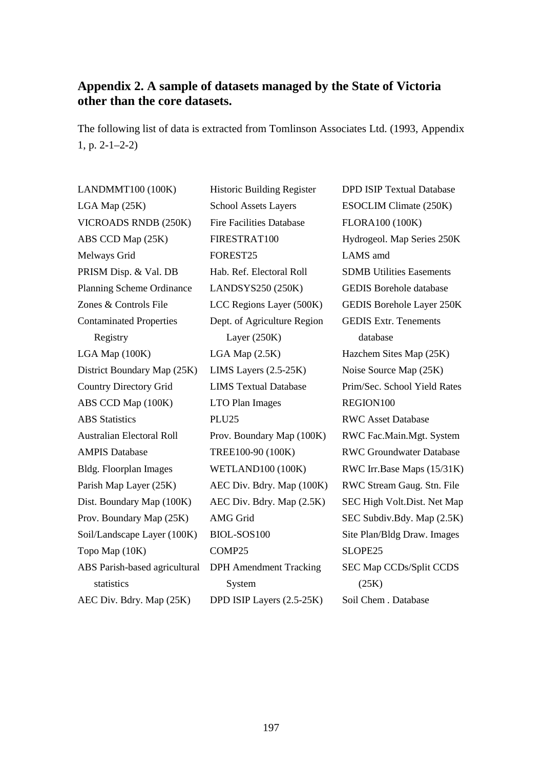## **Appendix 2. A sample of datasets managed by the State of Victoria other than the core datasets.**

The following list of data is extracted from Tomlinson Associates Ltd. (1993, Appendix 1, p. 2-1–2-2)

LANDMMT100 (100K) Historic Building Register DPD ISIP Textual Database LGA Map (25K) School Assets Layers ESOCLIM Climate (250K) VICROADS RNDB (250K) Fire Facilities Database FLORA100 (100K) ABS CCD Map (25K) FIRESTRAT100 Hydrogeol. Map Series 250K Melways Grid FOREST25 LAMS amd PRISM Disp. & Val. DB Hab. Ref. Electoral Roll SDMB Utilities Easements Planning Scheme Ordinance LANDSYS250 (250K) GEDIS Borehole database Zones & Controls File LCC Regions Layer (500K) GEDIS Borehole Layer 250K Contaminated Properties Registry LGA Map (100K) LGA Map (2.5K) Hazchem Sites Map (25K) District Boundary Map (25K) LIMS Layers (2.5-25K) Noise Source Map (25K) Country Directory Grid LIMS Textual Database Prim/Sec. School Yield Rates ABS CCD Map (100K) LTO Plan Images REGION100 ABS Statistics PLU25 RWC Asset Database Australian Electoral Roll Prov. Boundary Map (100K) RWC Fac.Main.Mgt. System AMPIS Database TREE100-90 (100K) RWC Groundwater Database Bldg. Floorplan Images WETLAND100 (100K) RWC Irr.Base Maps (15/31K) Parish Map Layer (25K) AEC Div. Bdry. Map (100K) RWC Stream Gaug. Stn. File Dist. Boundary Map (100K) AEC Div. Bdry. Map (2.5K) SEC High Volt. Dist. Net Map Prov. Boundary Map (25K) AMG Grid SEC Subdiv.Bdy. Map (2.5K) Soil/Landscape Layer (100K) BIOL-SOS100 Site Plan/Bldg Draw. Images Topo Map (10K) COMP25 SLOPE25 ABS Parish-based agricultural statistics AEC Div. Bdry. Map (25K) DPD ISIP Layers (2.5-25K) Soil Chem . Database

Dept. of Agriculture Region Layer (250K) DPH Amendment Tracking System

GEDIS Extr. Tenements database SEC Map CCDs/Split CCDS (25K)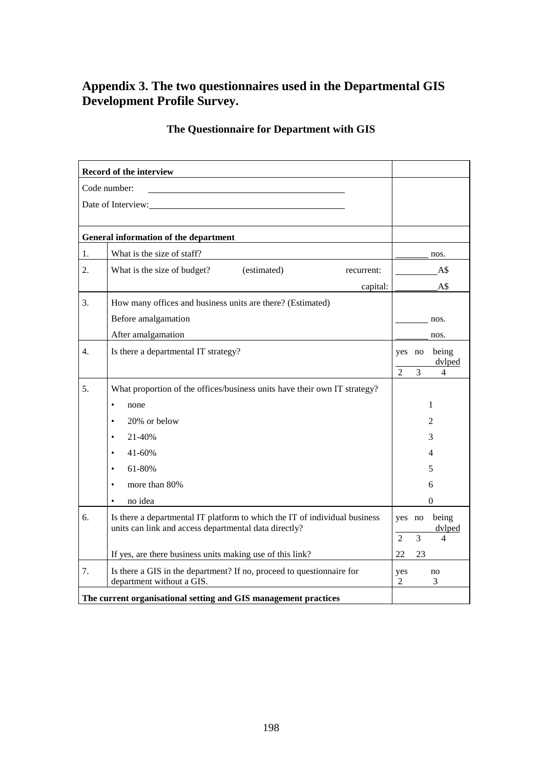## **Appendix 3. The two questionnaires used in the Departmental GIS Development Profile Survey.**

# **The Questionnaire for Department with GIS**

|    | Record of the interview                                                                                                             |                                    |
|----|-------------------------------------------------------------------------------------------------------------------------------------|------------------------------------|
|    | Code number:                                                                                                                        |                                    |
|    | Date of Interview:                                                                                                                  |                                    |
|    |                                                                                                                                     |                                    |
|    | General information of the department                                                                                               |                                    |
| 1. | What is the size of staff?                                                                                                          | nos.                               |
| 2. | What is the size of budget?<br>(estimated)<br>recurrent:                                                                            | A\$                                |
|    | capital:                                                                                                                            | A\$                                |
| 3. | How many offices and business units are there? (Estimated)                                                                          |                                    |
|    | Before amalgamation                                                                                                                 | nos.                               |
|    | After amalgamation                                                                                                                  | nos.                               |
| 4. | Is there a departmental IT strategy?                                                                                                | being<br>yes no                    |
|    |                                                                                                                                     | dvlped<br>3<br>$\mathfrak{D}$<br>4 |
| 5. | What proportion of the offices/business units have their own IT strategy?                                                           |                                    |
|    | none<br>$\bullet$                                                                                                                   | 1                                  |
|    | 20% or below<br>$\bullet$                                                                                                           | $\overline{2}$                     |
|    | 21-40%<br>$\bullet$                                                                                                                 | 3                                  |
|    | $41 - 60%$<br>$\bullet$                                                                                                             | 4                                  |
|    | 61-80%                                                                                                                              | 5                                  |
|    | more than 80%<br>$\bullet$                                                                                                          | 6                                  |
|    | no idea                                                                                                                             | $\theta$                           |
| 6. | Is there a departmental IT platform to which the IT of individual business<br>units can link and access departmental data directly? | being<br>yes no<br>dvlped          |
|    |                                                                                                                                     | 3<br>2<br>4                        |
|    | If yes, are there business units making use of this link?                                                                           | 22<br>23                           |
| 7. | Is there a GIS in the department? If no, proceed to questionnaire for<br>department without a GIS.                                  | yes<br>no<br>3<br>2                |
|    | The current organisational setting and GIS management practices                                                                     |                                    |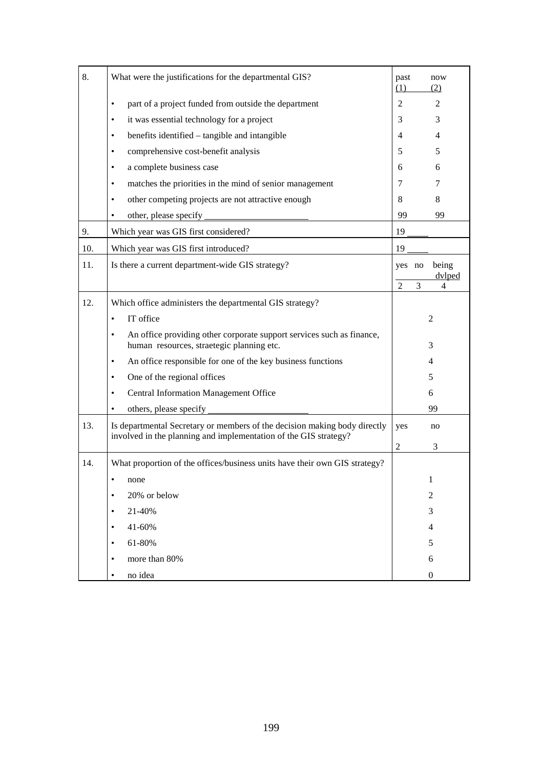| 8.  | What were the justifications for the departmental GIS?                                                                                        | past<br>(1)    |   | now<br>(2)       |
|-----|-----------------------------------------------------------------------------------------------------------------------------------------------|----------------|---|------------------|
|     | part of a project funded from outside the department<br>٠                                                                                     | 2              |   | 2                |
|     | it was essential technology for a project<br>٠                                                                                                | 3              |   | 3                |
|     | benefits identified – tangible and intangible<br>$\bullet$                                                                                    | 4              |   | 4                |
|     | comprehensive cost-benefit analysis<br>$\bullet$                                                                                              | 5              |   | 5                |
|     | a complete business case<br>٠                                                                                                                 | 6              |   | 6                |
|     | matches the priorities in the mind of senior management<br>٠                                                                                  | 7              |   | 7                |
|     | other competing projects are not attractive enough<br>٠                                                                                       | 8              |   | 8                |
|     | other, please specify                                                                                                                         | 99             |   | 99               |
| 9.  | Which year was GIS first considered?                                                                                                          | 19             |   |                  |
| 10. | Which year was GIS first introduced?                                                                                                          | 19             |   |                  |
| 11. | Is there a current department-wide GIS strategy?                                                                                              | yes no         |   | being<br>dvlped  |
|     |                                                                                                                                               | $\overline{c}$ | 3 | 4                |
| 12. | Which office administers the departmental GIS strategy?                                                                                       |                |   |                  |
|     | IT office<br>$\bullet$                                                                                                                        |                |   | $\overline{2}$   |
|     | An office providing other corporate support services such as finance,<br>$\bullet$<br>human resources, straetegic planning etc.               |                |   | 3                |
|     | An office responsible for one of the key business functions<br>٠                                                                              |                |   | $\overline{4}$   |
|     | One of the regional offices<br>٠                                                                                                              |                |   | 5                |
|     | <b>Central Information Management Office</b><br>$\bullet$                                                                                     |                |   | 6                |
|     | others, please specify<br>$\bullet$                                                                                                           |                |   | 99               |
| 13. | Is departmental Secretary or members of the decision making body directly<br>involved in the planning and implementation of the GIS strategy? | yes            |   | no               |
|     |                                                                                                                                               | $\overline{2}$ |   | 3                |
| 14. | What proportion of the offices/business units have their own GIS strategy?                                                                    |                |   |                  |
|     | ٠<br>none                                                                                                                                     |                |   | 1                |
|     | 20% or below<br>٠                                                                                                                             |                |   | 2                |
|     | 21-40%<br>٠                                                                                                                                   |                |   | 3                |
|     | 41-60%                                                                                                                                        |                |   | $\overline{4}$   |
|     | 61-80%                                                                                                                                        |                |   | 5                |
|     | more than 80%<br>$\bullet$                                                                                                                    |                |   | 6                |
|     | no idea<br>$\bullet$                                                                                                                          |                |   | $\boldsymbol{0}$ |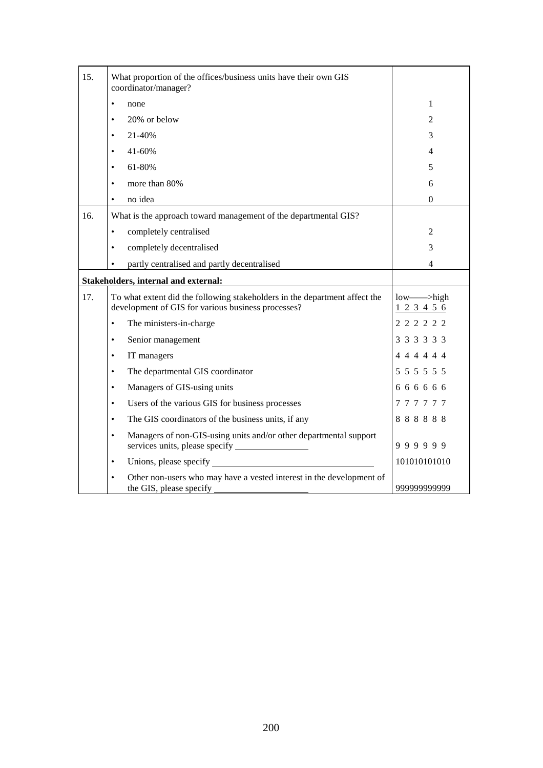| 15. | What proportion of the offices/business units have their own GIS<br>coordinator/manager?                                         |                          |
|-----|----------------------------------------------------------------------------------------------------------------------------------|--------------------------|
|     | $\bullet$<br>none                                                                                                                | 1                        |
|     | 20% or below<br>$\bullet$                                                                                                        | 2                        |
|     | 21-40%<br>٠                                                                                                                      | 3                        |
|     | 41-60%<br>$\bullet$                                                                                                              | 4                        |
|     | 61-80%<br>$\bullet$                                                                                                              | 5                        |
|     | more than 80%<br>$\bullet$                                                                                                       | 6                        |
|     | no idea                                                                                                                          | $\theta$                 |
| 16. | What is the approach toward management of the departmental GIS?                                                                  |                          |
|     | completely centralised<br>$\bullet$                                                                                              | $\overline{2}$           |
|     | completely decentralised<br>٠                                                                                                    | 3                        |
|     | partly centralised and partly decentralised                                                                                      | 4                        |
|     | Stakeholders, internal and external:                                                                                             |                          |
| 17. | To what extent did the following stakeholders in the department affect the<br>development of GIS for various business processes? | low->high<br>1 2 3 4 5 6 |
|     | The ministers-in-charge<br>٠                                                                                                     | 2 2 2 2 2 2              |
|     | Senior management<br>$\bullet$                                                                                                   | 3 3 3 3 3 3              |
|     | IT managers<br>$\bullet$                                                                                                         | 4 4 4 4 4 4              |
|     | The departmental GIS coordinator<br>$\bullet$                                                                                    | 5 5 5 5 5 5 5            |
|     | Managers of GIS-using units<br>$\bullet$                                                                                         | 666666                   |
|     | Users of the various GIS for business processes<br>$\bullet$                                                                     | 777777                   |
|     | The GIS coordinators of the business units, if any<br>$\bullet$                                                                  | 888888                   |
|     | Managers of non-GIS-using units and/or other departmental support<br>$\bullet$<br>services units, please specify                 | 999999                   |
|     | Unions, please specify<br>$\bullet$                                                                                              | 101010101010             |
|     | Other non-users who may have a vested interest in the development of<br>the GIS, please specify                                  | 999999999999             |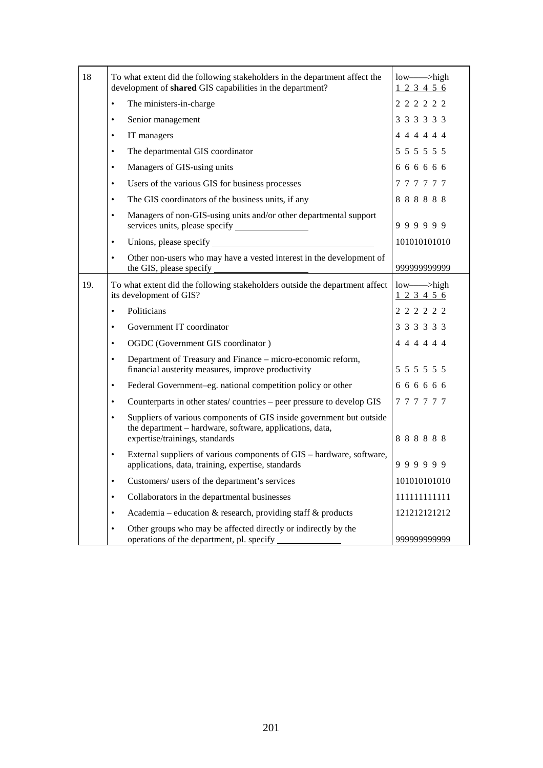| 18  | To what extent did the following stakeholders in the department affect the<br>development of shared GIS capabilities in the department?                                         | low---->high<br>123456      |
|-----|---------------------------------------------------------------------------------------------------------------------------------------------------------------------------------|-----------------------------|
|     | The ministers-in-charge<br>$\bullet$                                                                                                                                            | 2 2 2 2 2 2                 |
|     | Senior management<br>$\bullet$                                                                                                                                                  | 3 3 3 3 3 3                 |
|     | IT managers<br>$\bullet$                                                                                                                                                        | 4 4 4 4 4 4                 |
|     | The departmental GIS coordinator<br>$\bullet$                                                                                                                                   | 5 5 5 5 5 5 5               |
|     | Managers of GIS-using units<br>$\bullet$                                                                                                                                        | 6 6 6 6 6 6                 |
|     | Users of the various GIS for business processes<br>$\bullet$                                                                                                                    | 777777                      |
|     | The GIS coordinators of the business units, if any<br>$\bullet$                                                                                                                 | 888888                      |
|     | Managers of non-GIS-using units and/or other departmental support<br>$\bullet$                                                                                                  | 999999                      |
|     | $\bullet$                                                                                                                                                                       | 101010101010                |
|     | Other non-users who may have a vested interest in the development of<br>$\bullet$<br>the GIS, please specify                                                                    | 999999999999                |
| 19. | To what extent did the following stakeholders outside the department affect<br>its development of GIS?                                                                          | $low$ —>high<br>1 2 3 4 5 6 |
|     | Politicians<br>$\bullet$                                                                                                                                                        | 2 2 2 2 2 2                 |
|     | Government IT coordinator<br>$\bullet$                                                                                                                                          | 3 3 3 3 3 3                 |
|     | OGDC (Government GIS coordinator)<br>$\bullet$                                                                                                                                  | 4 4 4 4 4 4                 |
|     | Department of Treasury and Finance - micro-economic reform,<br>$\bullet$<br>financial austerity measures, improve productivity                                                  | 5 5 5 5 5 5                 |
|     | Federal Government-eg. national competition policy or other<br>$\bullet$                                                                                                        | 6 6 6 6 6 6                 |
|     | Counterparts in other states/countries – peer pressure to develop GIS<br>$\bullet$                                                                                              | 777777                      |
|     | Suppliers of various components of GIS inside government but outside<br>$\bullet$<br>the department - hardware, software, applications, data,<br>expertise/trainings, standards | 888888                      |
|     | External suppliers of various components of GIS - hardware, software,<br>$\bullet$<br>applications, data, training, expertise, standards                                        | 999999                      |
|     | Customers/ users of the department's services<br>$\bullet$                                                                                                                      | 101010101010                |
|     | Collaborators in the departmental businesses<br>$\bullet$                                                                                                                       | 111111111111                |
|     | Academia – education & research, providing staff $\&$ products<br>$\bullet$                                                                                                     | 121212121212                |
|     | Other groups who may be affected directly or indirectly by the<br>$\bullet$<br>operations of the department, pl. specify                                                        | 99999999999                 |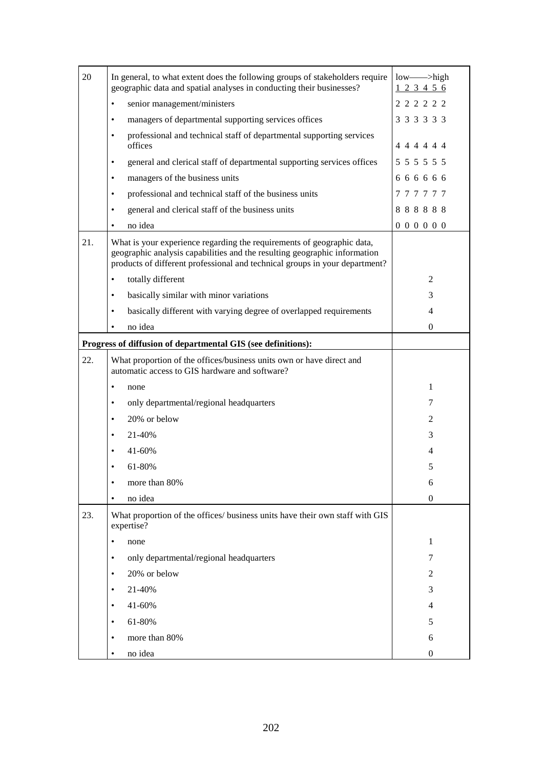| 20  | In general, to what extent does the following groups of stakeholders require<br>geographic data and spatial analyses in conducting their businesses?                                                                               | low---->high<br>123456 |
|-----|------------------------------------------------------------------------------------------------------------------------------------------------------------------------------------------------------------------------------------|------------------------|
|     | senior management/ministers<br>$\bullet$                                                                                                                                                                                           | 2 2 2 2 2 2            |
|     | managers of departmental supporting services offices<br>$\bullet$                                                                                                                                                                  | 3 3 3 3 3 3            |
|     | professional and technical staff of departmental supporting services<br>$\bullet$<br>offices                                                                                                                                       | 4 4 4 4 4 4            |
|     | general and clerical staff of departmental supporting services offices<br>$\bullet$                                                                                                                                                | 5 5 5 5 5 5 5          |
|     | managers of the business units<br>٠                                                                                                                                                                                                | 666666                 |
|     | professional and technical staff of the business units<br>٠                                                                                                                                                                        | 777777                 |
|     | general and clerical staff of the business units<br>٠                                                                                                                                                                              | 888888                 |
|     | no idea                                                                                                                                                                                                                            | 000000                 |
| 21. | What is your experience regarding the requirements of geographic data,<br>geographic analysis capabilities and the resulting geographic information<br>products of different professional and technical groups in your department? |                        |
|     | totally different<br>$\bullet$                                                                                                                                                                                                     | 2                      |
|     | basically similar with minor variations<br>٠                                                                                                                                                                                       | 3                      |
|     | basically different with varying degree of overlapped requirements<br>$\bullet$                                                                                                                                                    | 4                      |
|     | no idea                                                                                                                                                                                                                            | 0                      |
|     | Progress of diffusion of departmental GIS (see definitions):                                                                                                                                                                       |                        |
| 22. | What proportion of the offices/business units own or have direct and<br>automatic access to GIS hardware and software?                                                                                                             |                        |
|     | none<br>٠                                                                                                                                                                                                                          | $\mathbf{1}$           |
|     | only departmental/regional headquarters<br>٠                                                                                                                                                                                       | 7                      |
|     | 20% or below<br>$\bullet$                                                                                                                                                                                                          | 2                      |
|     | 21-40%                                                                                                                                                                                                                             | 3                      |
|     | 41-60%                                                                                                                                                                                                                             | 4                      |
|     | 61-80%                                                                                                                                                                                                                             | 5                      |
|     | more than 80%                                                                                                                                                                                                                      | 6                      |
|     | no idea<br>$\bullet$                                                                                                                                                                                                               | $\boldsymbol{0}$       |
| 23. | What proportion of the offices/ business units have their own staff with GIS<br>expertise?                                                                                                                                         |                        |
|     | none                                                                                                                                                                                                                               | 1                      |
|     | only departmental/regional headquarters<br>٠                                                                                                                                                                                       | 7                      |
|     | 20% or below                                                                                                                                                                                                                       | 2                      |
|     | 21-40%                                                                                                                                                                                                                             | 3                      |
|     | 41-60%<br>٠                                                                                                                                                                                                                        | 4                      |
|     | 61-80%<br>٠                                                                                                                                                                                                                        | 5                      |
|     | more than 80%                                                                                                                                                                                                                      | 6                      |
|     | no idea<br>٠                                                                                                                                                                                                                       | $\boldsymbol{0}$       |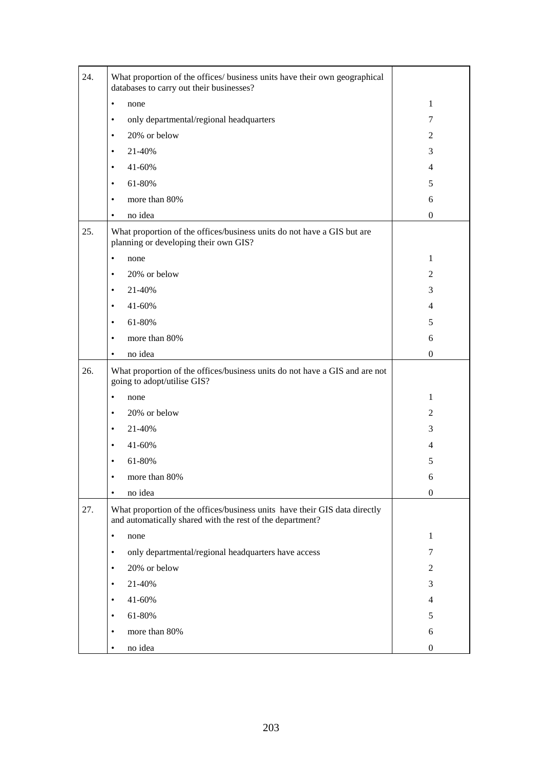| 24. | What proportion of the offices/ business units have their own geographical<br>databases to carry out their businesses?                  |                  |
|-----|-----------------------------------------------------------------------------------------------------------------------------------------|------------------|
|     | none<br>$\bullet$                                                                                                                       | $\mathbf{1}$     |
|     | only departmental/regional headquarters<br>٠                                                                                            | 7                |
|     | 20% or below<br>$\bullet$                                                                                                               | 2                |
|     | 21-40%<br>$\bullet$                                                                                                                     | 3                |
|     | 41-60%<br>$\bullet$                                                                                                                     | $\overline{4}$   |
|     | 61-80%<br>٠                                                                                                                             | 5                |
|     | more than 80%<br>٠                                                                                                                      | 6                |
|     | no idea<br>٠                                                                                                                            | $\boldsymbol{0}$ |
| 25. | What proportion of the offices/business units do not have a GIS but are<br>planning or developing their own GIS?                        |                  |
|     | none<br>٠                                                                                                                               | $\mathbf{1}$     |
|     | 20% or below<br>$\bullet$                                                                                                               | $\overline{2}$   |
|     | 21-40%<br>$\bullet$                                                                                                                     | 3                |
|     | 41-60%<br>٠                                                                                                                             | $\overline{4}$   |
|     | 61-80%<br>$\bullet$                                                                                                                     | 5                |
|     | more than 80%<br>٠                                                                                                                      | 6                |
|     | no idea<br>$\bullet$                                                                                                                    | $\boldsymbol{0}$ |
| 26. | What proportion of the offices/business units do not have a GIS and are not<br>going to adopt/utilise GIS?                              |                  |
|     | $\bullet$<br>none                                                                                                                       | $\mathbf{1}$     |
|     | 20% or below<br>٠                                                                                                                       | 2                |
|     | 21-40%<br>٠                                                                                                                             | 3                |
|     | 41-60%<br>٠                                                                                                                             | 4                |
|     | 61-80%<br>٠                                                                                                                             | 5                |
|     | more than 80%                                                                                                                           | 6                |
|     | no idea<br>$\bullet$                                                                                                                    | $\mathbf{0}$     |
| 27. | What proportion of the offices/business units have their GIS data directly<br>and automatically shared with the rest of the department? |                  |
|     | none<br>$\bullet$                                                                                                                       | 1                |
|     | only departmental/regional headquarters have access<br>$\bullet$                                                                        | 7                |
|     | 20% or below<br>$\bullet$                                                                                                               | 2                |
|     | 21-40%<br>٠                                                                                                                             | 3                |
|     | 41-60%<br>$\bullet$                                                                                                                     | $\overline{4}$   |
|     |                                                                                                                                         |                  |
|     | 61-80%<br>٠                                                                                                                             | 5                |
|     | more than 80%<br>$\bullet$                                                                                                              | 6                |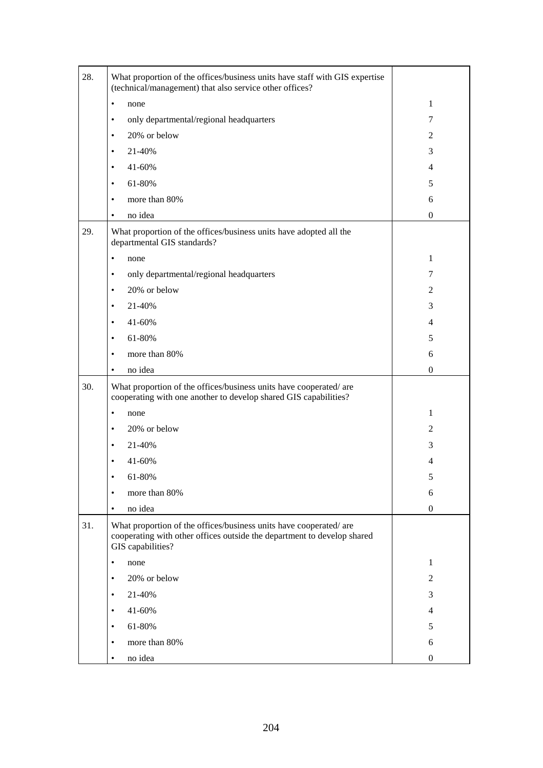| 28. | What proportion of the offices/business units have staff with GIS expertise<br>(technical/management) that also service other offices?                            |                  |
|-----|-------------------------------------------------------------------------------------------------------------------------------------------------------------------|------------------|
|     | none<br>$\bullet$                                                                                                                                                 | 1                |
|     | only departmental/regional headquarters<br>٠                                                                                                                      | 7                |
|     | 20% or below<br>$\bullet$                                                                                                                                         | 2                |
|     | 21-40%<br>$\bullet$                                                                                                                                               | 3                |
|     | 41-60%<br>٠                                                                                                                                                       | 4                |
|     | 61-80%<br>٠                                                                                                                                                       | 5                |
|     | more than 80%<br>٠                                                                                                                                                | 6                |
|     | no idea<br>٠                                                                                                                                                      | $\boldsymbol{0}$ |
| 29. | What proportion of the offices/business units have adopted all the<br>departmental GIS standards?                                                                 |                  |
|     | none<br>$\bullet$                                                                                                                                                 | $\mathbf{1}$     |
|     | only departmental/regional headquarters<br>٠                                                                                                                      | 7                |
|     | 20% or below<br>٠                                                                                                                                                 | 2                |
|     | 21-40%<br>$\bullet$                                                                                                                                               | 3                |
|     | 41-60%<br>$\bullet$                                                                                                                                               | $\overline{4}$   |
|     | 61-80%<br>٠                                                                                                                                                       | 5                |
|     | more than 80%<br>$\bullet$                                                                                                                                        | 6                |
|     | no idea<br>٠                                                                                                                                                      | $\mathbf{0}$     |
| 30. | What proportion of the offices/business units have cooperated/are<br>cooperating with one another to develop shared GIS capabilities?                             |                  |
|     | none<br>٠                                                                                                                                                         | 1                |
|     | 20% or below<br>٠                                                                                                                                                 | $\overline{c}$   |
|     | 21-40%<br>٠                                                                                                                                                       | 3                |
|     | 41-60%                                                                                                                                                            | 4                |
|     | 61-80%                                                                                                                                                            | 5                |
|     | more than 80%<br>$\bullet$                                                                                                                                        | 6                |
|     | no idea<br>$\bullet$                                                                                                                                              | $\boldsymbol{0}$ |
| 31. | What proportion of the offices/business units have cooperated/are<br>cooperating with other offices outside the department to develop shared<br>GIS capabilities? |                  |
|     | none<br>٠                                                                                                                                                         | 1                |
|     | 20% or below<br>$\bullet$                                                                                                                                         | 2                |
|     | 21-40%<br>٠                                                                                                                                                       | 3                |
|     | 41-60%<br>$\bullet$                                                                                                                                               | 4                |
|     | 61-80%<br>$\bullet$                                                                                                                                               | 5                |
|     | more than 80%<br>٠                                                                                                                                                | 6                |
|     | no idea<br>٠                                                                                                                                                      | $\boldsymbol{0}$ |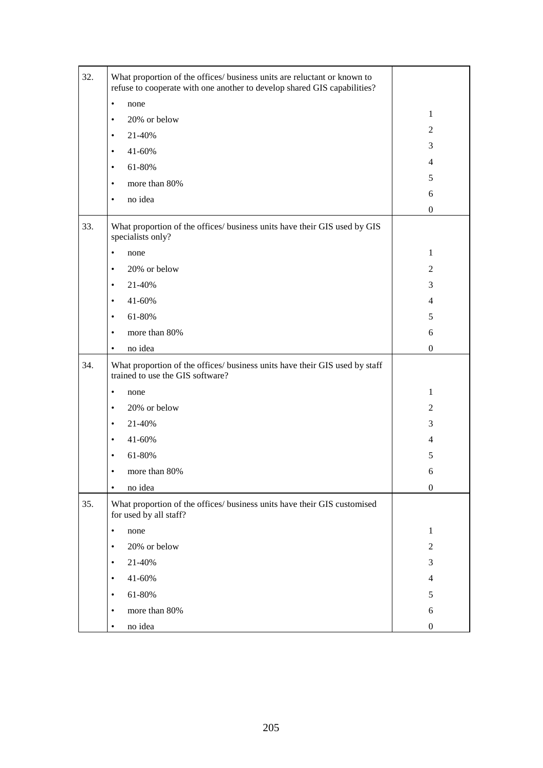| 32. | What proportion of the offices/ business units are reluctant or known to<br>refuse to cooperate with one another to develop shared GIS capabilities? |                  |
|-----|------------------------------------------------------------------------------------------------------------------------------------------------------|------------------|
|     | none<br>$\bullet$                                                                                                                                    |                  |
|     | 20% or below<br>$\bullet$                                                                                                                            | $\mathbf{1}$     |
|     | 21-40%<br>$\bullet$                                                                                                                                  | $\overline{2}$   |
|     | 41-60%<br>$\bullet$                                                                                                                                  | 3                |
|     | 61-80%<br>$\bullet$                                                                                                                                  | $\overline{4}$   |
|     | more than 80%                                                                                                                                        | 5                |
|     | $\bullet$                                                                                                                                            | 6                |
|     | no idea<br>$\bullet$                                                                                                                                 | $\boldsymbol{0}$ |
| 33. | What proportion of the offices/ business units have their GIS used by GIS<br>specialists only?                                                       |                  |
|     | none<br>$\bullet$                                                                                                                                    | 1                |
|     | 20% or below<br>٠                                                                                                                                    | $\overline{2}$   |
|     | 21-40%<br>$\bullet$                                                                                                                                  | 3                |
|     | 41-60%<br>$\bullet$                                                                                                                                  | $\overline{4}$   |
|     | 61-80%<br>$\bullet$                                                                                                                                  | 5                |
|     | more than 80%<br>$\bullet$                                                                                                                           | 6                |
|     | no idea<br>$\bullet$                                                                                                                                 | $\boldsymbol{0}$ |
| 34. | What proportion of the offices/ business units have their GIS used by staff<br>trained to use the GIS software?                                      |                  |
|     | none<br>٠                                                                                                                                            | $\mathbf{1}$     |
|     | 20% or below<br>$\bullet$                                                                                                                            | $\overline{2}$   |
|     | 21-40%<br>$\bullet$                                                                                                                                  | 3                |
|     | 41-60%<br>$\bullet$                                                                                                                                  | $\overline{4}$   |
|     | 61-80%<br>٠                                                                                                                                          | 5                |
|     | more than 80%                                                                                                                                        | 6                |
|     | no idea<br>$\bullet$                                                                                                                                 | $\boldsymbol{0}$ |
| 35. | What proportion of the offices/ business units have their GIS customised<br>for used by all staff?                                                   |                  |
|     | $\bullet$<br>none                                                                                                                                    | $\mathbf{1}$     |
|     | 20% or below<br>٠                                                                                                                                    | 2                |
|     | 21-40%<br>$\bullet$                                                                                                                                  | 3                |
|     | 41-60%<br>$\bullet$                                                                                                                                  | 4                |
|     | 61-80%<br>٠                                                                                                                                          | 5                |
|     | more than 80%<br>$\bullet$                                                                                                                           | 6                |
|     | no idea<br>٠                                                                                                                                         | $\boldsymbol{0}$ |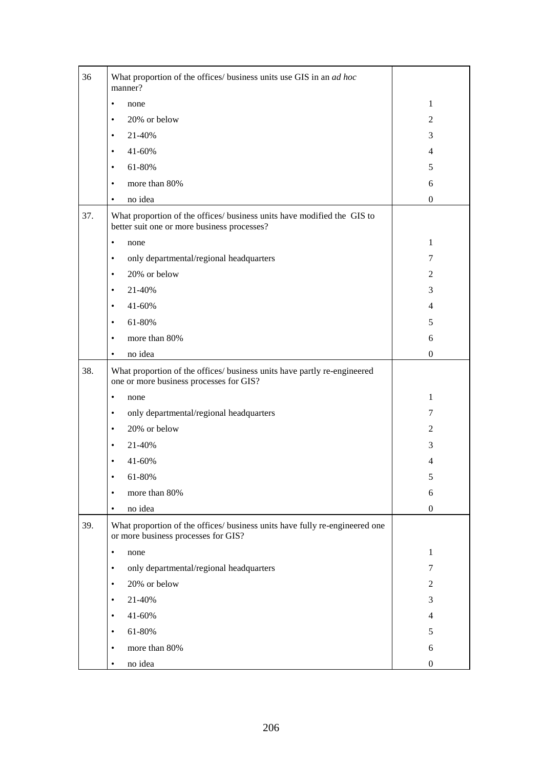| 36  | What proportion of the offices/ business units use GIS in an ad hoc<br>manner?                                         |                  |
|-----|------------------------------------------------------------------------------------------------------------------------|------------------|
|     | none<br>$\bullet$                                                                                                      | 1                |
|     | 20% or below<br>$\bullet$                                                                                              | 2                |
|     | 21-40%<br>$\bullet$                                                                                                    | 3                |
|     | 41-60%<br>$\bullet$                                                                                                    | $\overline{4}$   |
|     | 61-80%<br>$\bullet$                                                                                                    | 5                |
|     | more than 80%<br>$\bullet$                                                                                             | 6                |
|     | no idea<br>٠                                                                                                           | $\boldsymbol{0}$ |
| 37. | What proportion of the offices/ business units have modified the GIS to<br>better suit one or more business processes? |                  |
|     | none<br>$\bullet$                                                                                                      | 1                |
|     | only departmental/regional headquarters<br>٠                                                                           | 7                |
|     | 20% or below<br>$\bullet$                                                                                              | 2                |
|     | 21-40%<br>$\bullet$                                                                                                    | 3                |
|     | 41-60%<br>$\bullet$                                                                                                    | $\overline{4}$   |
|     | 61-80%<br>$\bullet$                                                                                                    | 5                |
|     | more than 80%<br>$\bullet$                                                                                             | 6                |
|     | no idea<br>٠                                                                                                           | $\boldsymbol{0}$ |
| 38. | What proportion of the offices/ business units have partly re-engineered<br>one or more business processes for GIS?    |                  |
|     | none<br>$\bullet$                                                                                                      | 1                |
|     | only departmental/regional headquarters<br>٠                                                                           | 7                |
|     | 20% or below<br>$\bullet$                                                                                              | 2                |
|     | 21-40%<br>٠                                                                                                            | 3                |
|     | 41-60%                                                                                                                 | 4                |
|     | 61-80%                                                                                                                 | C                |
|     | more than 80%<br>$\bullet$                                                                                             | 6                |
|     | no idea<br>$\bullet$                                                                                                   | $\boldsymbol{0}$ |
| 39. | What proportion of the offices/ business units have fully re-engineered one<br>or more business processes for GIS?     |                  |
|     | none<br>$\bullet$                                                                                                      | $\mathbf{1}$     |
|     | only departmental/regional headquarters<br>$\bullet$                                                                   | 7                |
|     | 20% or below<br>$\bullet$                                                                                              | $\mathfrak{2}$   |
|     | 21-40%<br>$\bullet$                                                                                                    | 3                |
|     | 41-60%<br>$\bullet$                                                                                                    | 4                |
|     | 61-80%<br>$\bullet$                                                                                                    | 5                |
|     | more than 80%<br>٠                                                                                                     | 6                |
|     | no idea<br>$\bullet$                                                                                                   | $\boldsymbol{0}$ |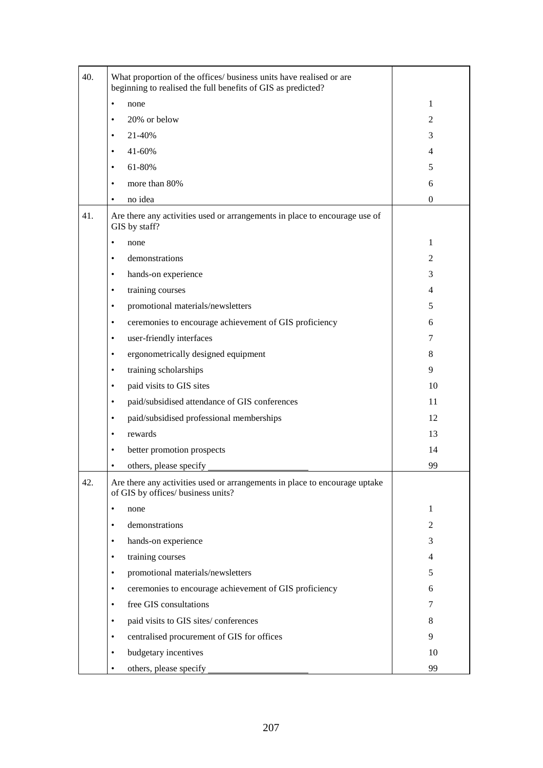| 40. | What proportion of the offices/ business units have realised or are<br>beginning to realised the full benefits of GIS as predicted? |                |
|-----|-------------------------------------------------------------------------------------------------------------------------------------|----------------|
|     | none<br>$\bullet$                                                                                                                   | 1              |
|     | 20% or below<br>٠                                                                                                                   | $\overline{c}$ |
|     | 21-40%<br>$\bullet$                                                                                                                 | 3              |
|     | 41-60%<br>$\bullet$                                                                                                                 | 4              |
|     | 61-80%<br>$\bullet$                                                                                                                 | 5              |
|     | more than 80%<br>٠                                                                                                                  | 6              |
|     | no idea<br>٠                                                                                                                        | $\theta$       |
| 41. | Are there any activities used or arrangements in place to encourage use of<br>GIS by staff?                                         |                |
|     | ٠<br>none                                                                                                                           | 1              |
|     | demonstrations<br>$\bullet$                                                                                                         | 2              |
|     | hands-on experience<br>$\bullet$                                                                                                    | 3              |
|     | training courses<br>$\bullet$                                                                                                       | 4              |
|     | promotional materials/newsletters<br>$\bullet$                                                                                      | 5              |
|     | ceremonies to encourage achievement of GIS proficiency<br>$\bullet$                                                                 | 6              |
|     | user-friendly interfaces<br>$\bullet$                                                                                               | 7              |
|     | ergonometrically designed equipment<br>$\bullet$                                                                                    | 8              |
|     | training scholarships<br>$\bullet$                                                                                                  | 9              |
|     | paid visits to GIS sites<br>$\bullet$                                                                                               | 10             |
|     | paid/subsidised attendance of GIS conferences<br>٠                                                                                  | 11             |
|     | paid/subsidised professional memberships<br>٠                                                                                       | 12             |
|     | rewards<br>٠                                                                                                                        | 13             |
|     | better promotion prospects<br>٠                                                                                                     | 14             |
|     | others, please specify<br>٠                                                                                                         | 99             |
| 42. | Are there any activities used or arrangements in place to encourage uptake<br>of GIS by offices/ business units?                    |                |
|     | none<br>٠                                                                                                                           | 1              |
|     | demonstrations<br>$\bullet$                                                                                                         | 2              |
|     | hands-on experience<br>$\bullet$                                                                                                    | 3              |
|     | training courses<br>٠                                                                                                               | 4              |
|     | promotional materials/newsletters<br>$\bullet$                                                                                      | 5              |
|     | ceremonies to encourage achievement of GIS proficiency<br>$\bullet$                                                                 | 6              |
|     | free GIS consultations<br>٠                                                                                                         | 7              |
|     | paid visits to GIS sites/ conferences<br>٠                                                                                          | 8              |
|     | centralised procurement of GIS for offices<br>٠                                                                                     | 9              |
|     | budgetary incentives<br>٠                                                                                                           | 10             |
|     | others, please specify<br>٠                                                                                                         | 99             |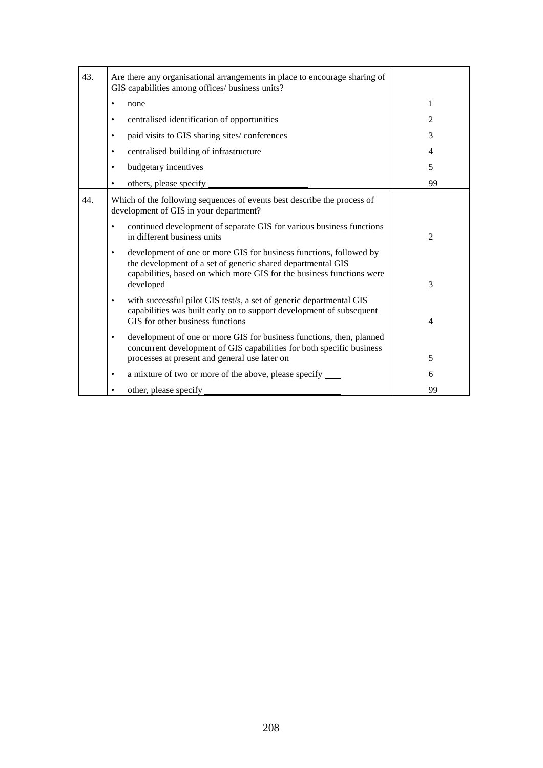| 43. | Are there any organisational arrangements in place to encourage sharing of<br>GIS capabilities among offices/ business units?                                                                                                |                |
|-----|------------------------------------------------------------------------------------------------------------------------------------------------------------------------------------------------------------------------------|----------------|
|     | none                                                                                                                                                                                                                         | 1              |
|     | centralised identification of opportunities<br>٠                                                                                                                                                                             | 2              |
|     | paid visits to GIS sharing sites/conferences<br>٠                                                                                                                                                                            | 3              |
|     | centralised building of infrastructure                                                                                                                                                                                       | 4              |
|     | budgetary incentives                                                                                                                                                                                                         | 5              |
|     | others, please specify                                                                                                                                                                                                       | 99             |
| 44. | Which of the following sequences of events best describe the process of<br>development of GIS in your department?                                                                                                            |                |
|     | continued development of separate GIS for various business functions<br>٠<br>in different business units                                                                                                                     | $\overline{2}$ |
|     | development of one or more GIS for business functions, followed by<br>٠<br>the development of a set of generic shared departmental GIS<br>capabilities, based on which more GIS for the business functions were<br>developed | 3              |
|     | with successful pilot GIS test/s, a set of generic departmental GIS<br>٠<br>capabilities was built early on to support development of subsequent<br>GIS for other business functions                                         | $\overline{4}$ |
|     | development of one or more GIS for business functions, then, planned<br>٠<br>concurrent development of GIS capabilities for both specific business<br>processes at present and general use later on                          | 5              |
|     | a mixture of two or more of the above, please specify _______<br>٠                                                                                                                                                           | 6              |
|     | other, please specify                                                                                                                                                                                                        | 99             |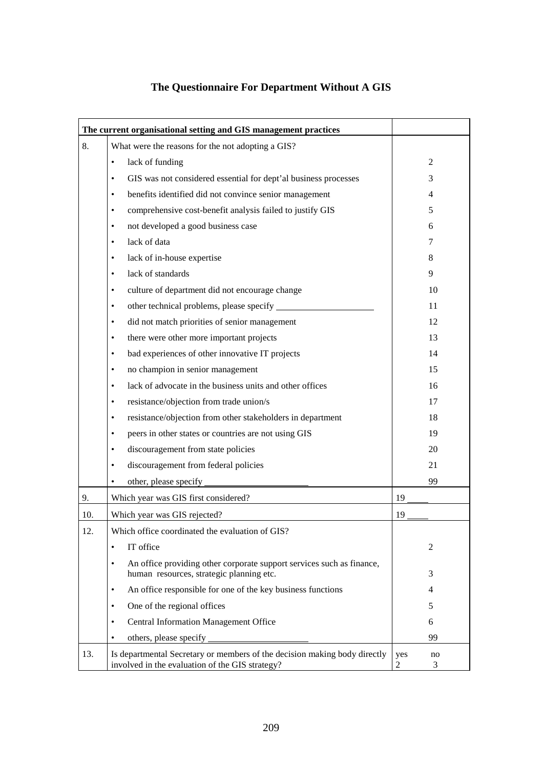# **The Questionnaire For Department Without A GIS**

|                                                         | The current organisational setting and GIS management practices                                                              |                     |  |  |
|---------------------------------------------------------|------------------------------------------------------------------------------------------------------------------------------|---------------------|--|--|
| 8.<br>What were the reasons for the not adopting a GIS? |                                                                                                                              |                     |  |  |
|                                                         | lack of funding<br>٠                                                                                                         | $\overline{2}$      |  |  |
|                                                         | GIS was not considered essential for dept'al business processes<br>٠                                                         | 3                   |  |  |
|                                                         | benefits identified did not convince senior management<br>٠                                                                  | 4                   |  |  |
|                                                         | comprehensive cost-benefit analysis failed to justify GIS<br>٠                                                               | 5                   |  |  |
|                                                         | not developed a good business case<br>$\bullet$                                                                              | 6                   |  |  |
|                                                         | lack of data<br>$\bullet$                                                                                                    | 7                   |  |  |
|                                                         | lack of in-house expertise<br>$\bullet$                                                                                      | 8                   |  |  |
|                                                         | lack of standards<br>$\bullet$                                                                                               | 9                   |  |  |
|                                                         | culture of department did not encourage change<br>$\bullet$                                                                  | 10                  |  |  |
|                                                         | ٠                                                                                                                            | 11                  |  |  |
|                                                         | did not match priorities of senior management<br>$\bullet$                                                                   | 12                  |  |  |
|                                                         | there were other more important projects<br>$\bullet$                                                                        | 13                  |  |  |
|                                                         | bad experiences of other innovative IT projects<br>٠                                                                         | 14                  |  |  |
|                                                         | no champion in senior management<br>٠                                                                                        | 15                  |  |  |
|                                                         | lack of advocate in the business units and other offices<br>٠                                                                | 16                  |  |  |
|                                                         | resistance/objection from trade union/s<br>٠                                                                                 | 17                  |  |  |
|                                                         | resistance/objection from other stakeholders in department<br>$\bullet$                                                      | 18                  |  |  |
|                                                         | peers in other states or countries are not using GIS<br>$\bullet$                                                            | 19                  |  |  |
|                                                         | discouragement from state policies<br>٠                                                                                      | 20                  |  |  |
|                                                         | discouragement from federal policies<br>$\bullet$                                                                            | 21                  |  |  |
|                                                         | other, please specify<br>٠                                                                                                   | 99                  |  |  |
| 9.                                                      | Which year was GIS first considered?                                                                                         | 19                  |  |  |
| 10.                                                     | Which year was GIS rejected?                                                                                                 | 19                  |  |  |
| 12.                                                     | Which office coordinated the evaluation of GIS?                                                                              |                     |  |  |
|                                                         | IT office<br>$\bullet$                                                                                                       | 2                   |  |  |
|                                                         | An office providing other corporate support services such as finance,<br>$\bullet$                                           |                     |  |  |
|                                                         | human resources, strategic planning etc.                                                                                     | 3                   |  |  |
|                                                         | An office responsible for one of the key business functions<br>٠                                                             | 4                   |  |  |
|                                                         | One of the regional offices<br>٠                                                                                             | 5                   |  |  |
|                                                         | <b>Central Information Management Office</b><br>٠                                                                            | 6                   |  |  |
|                                                         | others, please specify<br>٠                                                                                                  | 99                  |  |  |
| 13.                                                     | Is departmental Secretary or members of the decision making body directly<br>involved in the evaluation of the GIS strategy? | yes<br>no<br>2<br>3 |  |  |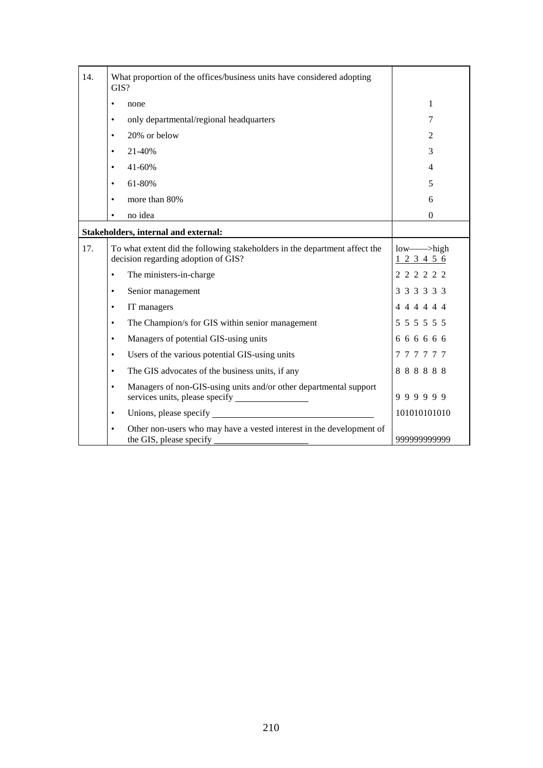| 14.                                  | What proportion of the offices/business units have considered adopting<br>GIS?                                    |                        |
|--------------------------------------|-------------------------------------------------------------------------------------------------------------------|------------------------|
|                                      | none<br>$\bullet$                                                                                                 | 1                      |
|                                      | only departmental/regional headquarters<br>$\bullet$                                                              | 7                      |
|                                      | 20% or below<br>$\bullet$                                                                                         | $\overline{2}$         |
|                                      | 21-40%<br>$\bullet$                                                                                               | 3                      |
|                                      | 41-60%<br>$\bullet$                                                                                               | $\overline{4}$         |
|                                      | 61-80%<br>$\bullet$                                                                                               | 5                      |
|                                      | more than 80%<br>$\bullet$                                                                                        | 6                      |
|                                      | no idea<br>٠                                                                                                      | $\mathbf{0}$           |
| Stakeholders, internal and external: |                                                                                                                   |                        |
| 17.                                  | To what extent did the following stakeholders in the department affect the<br>decision regarding adoption of GIS? | $low$ —>high<br>123456 |
|                                      | The ministers-in-charge<br>$\bullet$                                                                              | 2 2 2 2 2 2            |
|                                      | Senior management<br>$\bullet$                                                                                    | 3 3 3 3 3 3            |
|                                      | IT managers<br>$\bullet$                                                                                          | 4 4 4 4 4 4            |
|                                      | The Champion/s for GIS within senior management<br>$\bullet$                                                      | 5 5 5 5 5 5            |
|                                      | Managers of potential GIS-using units<br>$\bullet$                                                                | 6 6 6 6 6 6            |
|                                      | Users of the various potential GIS-using units<br>$\bullet$                                                       | 777777                 |
|                                      | The GIS advocates of the business units, if any<br>$\bullet$                                                      | 888888                 |
|                                      | Managers of non-GIS-using units and/or other departmental support<br>$\bullet$                                    | 999999                 |
|                                      | $\bullet$                                                                                                         | 101010101010           |
|                                      | Other non-users who may have a vested interest in the development of<br>$\bullet$<br>the GIS, please specify      | 999999999999           |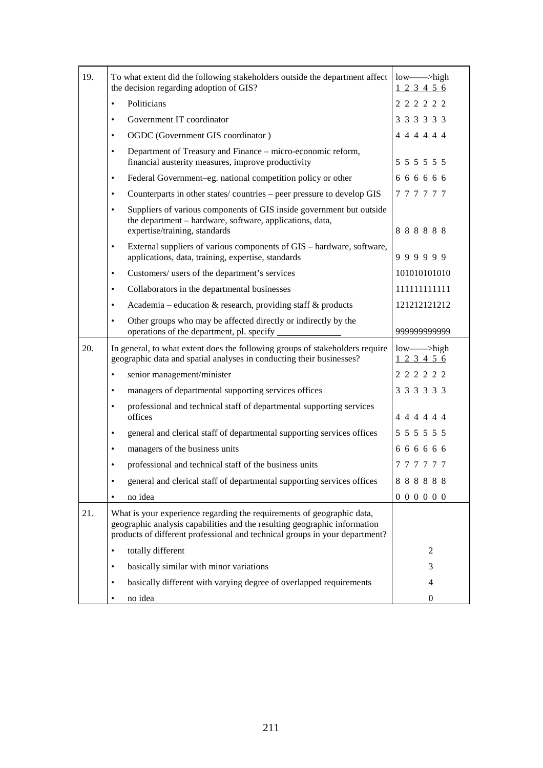| 19. | To what extent did the following stakeholders outside the department affect<br>the decision regarding adoption of GIS?                                                                                                             | $low$ —>high<br>123456 |
|-----|------------------------------------------------------------------------------------------------------------------------------------------------------------------------------------------------------------------------------------|------------------------|
|     | Politicians<br>$\bullet$                                                                                                                                                                                                           | 2 2 2 2 2 2            |
|     | Government IT coordinator<br>$\bullet$                                                                                                                                                                                             | 3 3 3 3 3 3            |
|     | OGDC (Government GIS coordinator)<br>$\bullet$                                                                                                                                                                                     | 4 4 4 4 4 4            |
|     | Department of Treasury and Finance – micro-economic reform,<br>$\bullet$<br>financial austerity measures, improve productivity                                                                                                     | 5 5 5 5 5 5 5          |
|     | Federal Government-eg. national competition policy or other<br>$\bullet$                                                                                                                                                           | 6 6 6 6 6 6            |
|     | Counterparts in other states/countries – peer pressure to develop GIS<br>$\bullet$                                                                                                                                                 | 777777                 |
|     | Suppliers of various components of GIS inside government but outside<br>$\bullet$<br>the department - hardware, software, applications, data,<br>expertise/training, standards                                                     | 888888                 |
|     | External suppliers of various components of GIS – hardware, software,<br>$\bullet$<br>applications, data, training, expertise, standards                                                                                           | 999999                 |
|     | Customers/ users of the department's services<br>$\bullet$                                                                                                                                                                         | 101010101010           |
|     | Collaborators in the departmental businesses<br>$\bullet$                                                                                                                                                                          | 111111111111           |
|     | Academia – education $\&$ research, providing staff $\&$ products<br>$\bullet$                                                                                                                                                     | 121212121212           |
|     | Other groups who may be affected directly or indirectly by the<br>$\bullet$                                                                                                                                                        |                        |
|     | operations of the department, pl. specify                                                                                                                                                                                          | 999999999999           |
| 20. | In general, to what extent does the following groups of stakeholders require<br>geographic data and spatial analyses in conducting their businesses?                                                                               | $low$ —>high<br>123456 |
|     | senior management/minister<br>$\bullet$                                                                                                                                                                                            | 2 2 2 2 2 2            |
|     | managers of departmental supporting services offices<br>$\bullet$                                                                                                                                                                  | 3 3 3 3 3 3            |
|     | professional and technical staff of departmental supporting services<br>$\bullet$<br>offices                                                                                                                                       | 444444                 |
|     | general and clerical staff of departmental supporting services offices<br>$\bullet$                                                                                                                                                | 5 5 5 5 5 5 5          |
|     | managers of the business units<br>$\bullet$                                                                                                                                                                                        | 666666                 |
|     | professional and technical staff of the business units<br>$\bullet$                                                                                                                                                                | 777777                 |
|     | general and clerical staff of departmental supporting services offices<br>$\bullet$                                                                                                                                                | 888888                 |
|     | no idea<br>$\bullet$                                                                                                                                                                                                               | 000000                 |
| 21. | What is your experience regarding the requirements of geographic data,<br>geographic analysis capabilities and the resulting geographic information<br>products of different professional and technical groups in your department? |                        |
|     | totally different                                                                                                                                                                                                                  | 2                      |
|     | basically similar with minor variations<br>٠                                                                                                                                                                                       | 3                      |
|     | basically different with varying degree of overlapped requirements<br>٠                                                                                                                                                            | $\overline{4}$         |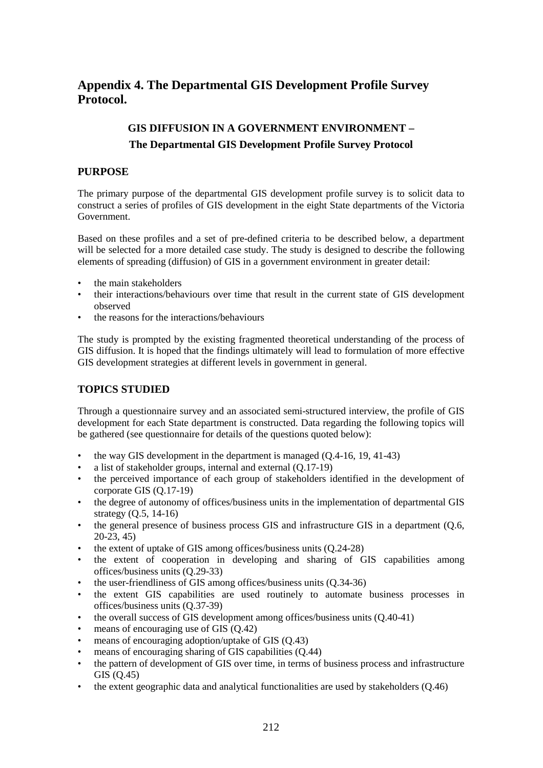## **Appendix 4. The Departmental GIS Development Profile Survey Protocol.**

# **GIS DIFFUSION IN A GOVERNMENT ENVIRONMENT – The Departmental GIS Development Profile Survey Protocol**

### **PURPOSE**

The primary purpose of the departmental GIS development profile survey is to solicit data to construct a series of profiles of GIS development in the eight State departments of the Victoria Government.

Based on these profiles and a set of pre-defined criteria to be described below, a department will be selected for a more detailed case study. The study is designed to describe the following elements of spreading (diffusion) of GIS in a government environment in greater detail:

- the main stakeholders
- their interactions/behaviours over time that result in the current state of GIS development observed
- the reasons for the interactions/behaviours

The study is prompted by the existing fragmented theoretical understanding of the process of GIS diffusion. It is hoped that the findings ultimately will lead to formulation of more effective GIS development strategies at different levels in government in general.

### **TOPICS STUDIED**

Through a questionnaire survey and an associated semi-structured interview, the profile of GIS development for each State department is constructed. Data regarding the following topics will be gathered (see questionnaire for details of the questions quoted below):

- the way GIS development in the department is managed  $(0.4-16, 19, 41-43)$
- a list of stakeholder groups, internal and external (Q.17-19)
- the perceived importance of each group of stakeholders identified in the development of corporate GIS (Q.17-19)
- the degree of autonomy of offices/business units in the implementation of departmental GIS strategy (Q.5, 14-16)
- the general presence of business process GIS and infrastructure GIS in a department (Q.6, 20-23, 45)
- the extent of uptake of GIS among offices/business units (Q.24-28)
- the extent of cooperation in developing and sharing of GIS capabilities among offices/business units (Q.29-33)
- the user-friendliness of GIS among offices/business units (Q.34-36)
- the extent GIS capabilities are used routinely to automate business processes in offices/business units (Q.37-39)
- the overall success of GIS development among offices/business units (Q.40-41)
- means of encouraging use of GIS  $(Q.42)$
- means of encouraging adoption/uptake of GIS (Q.43)
- means of encouraging sharing of GIS capabilities (Q.44)
- the pattern of development of GIS over time, in terms of business process and infrastructure GIS (Q.45)
- the extent geographic data and analytical functionalities are used by stakeholders (O.46)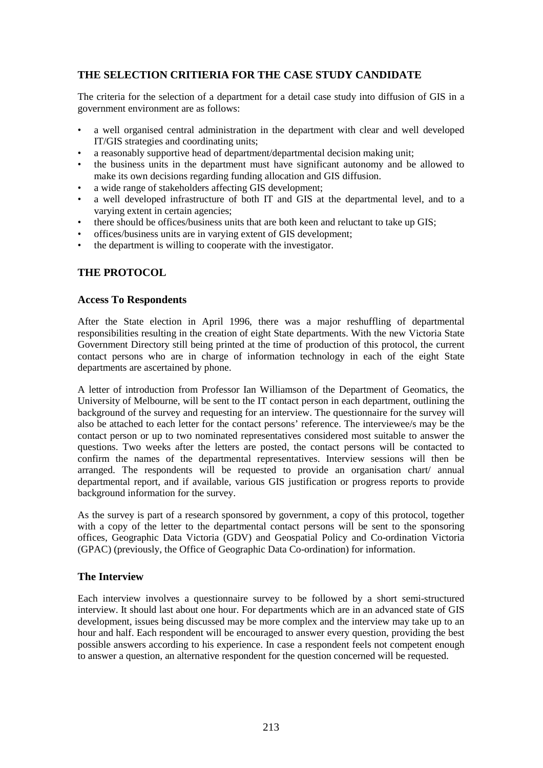## **THE SELECTION CRITIERIA FOR THE CASE STUDY CANDIDATE**

The criteria for the selection of a department for a detail case study into diffusion of GIS in a government environment are as follows:

- a well organised central administration in the department with clear and well developed IT/GIS strategies and coordinating units;
- a reasonably supportive head of department/departmental decision making unit;
- the business units in the department must have significant autonomy and be allowed to make its own decisions regarding funding allocation and GIS diffusion.
- a wide range of stakeholders affecting GIS development:
- a well developed infrastructure of both IT and GIS at the departmental level, and to a varying extent in certain agencies;
- there should be offices/business units that are both keen and reluctant to take up GIS;
- offices/business units are in varying extent of GIS development;
- the department is willing to cooperate with the investigator.

#### **THE PROTOCOL**

#### **Access To Respondents**

After the State election in April 1996, there was a major reshuffling of departmental responsibilities resulting in the creation of eight State departments. With the new Victoria State Government Directory still being printed at the time of production of this protocol, the current contact persons who are in charge of information technology in each of the eight State departments are ascertained by phone.

A letter of introduction from Professor Ian Williamson of the Department of Geomatics, the University of Melbourne, will be sent to the IT contact person in each department, outlining the background of the survey and requesting for an interview. The questionnaire for the survey will also be attached to each letter for the contact persons' reference. The interviewee/s may be the contact person or up to two nominated representatives considered most suitable to answer the questions. Two weeks after the letters are posted, the contact persons will be contacted to confirm the names of the departmental representatives. Interview sessions will then be arranged. The respondents will be requested to provide an organisation chart/ annual departmental report, and if available, various GIS justification or progress reports to provide background information for the survey.

As the survey is part of a research sponsored by government, a copy of this protocol, together with a copy of the letter to the departmental contact persons will be sent to the sponsoring offices, Geographic Data Victoria (GDV) and Geospatial Policy and Co-ordination Victoria (GPAC) (previously, the Office of Geographic Data Co-ordination) for information.

#### **The Interview**

Each interview involves a questionnaire survey to be followed by a short semi-structured interview. It should last about one hour. For departments which are in an advanced state of GIS development, issues being discussed may be more complex and the interview may take up to an hour and half. Each respondent will be encouraged to answer every question, providing the best possible answers according to his experience. In case a respondent feels not competent enough to answer a question, an alternative respondent for the question concerned will be requested.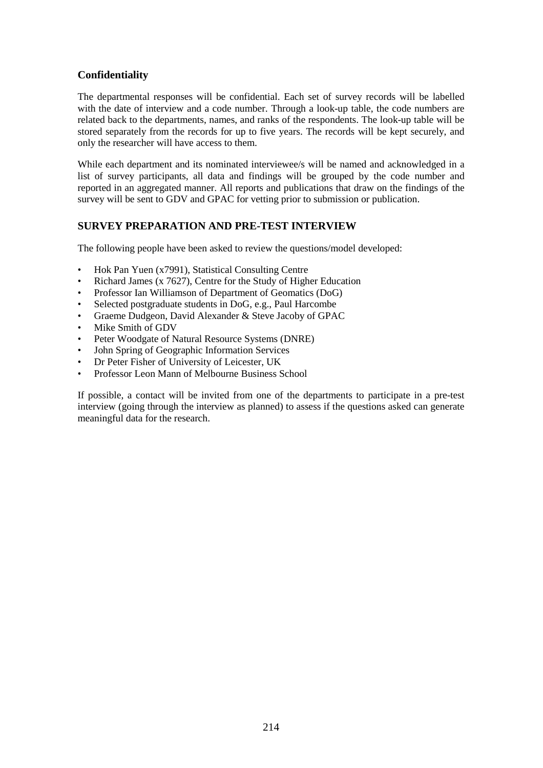### **Confidentiality**

The departmental responses will be confidential. Each set of survey records will be labelled with the date of interview and a code number. Through a look-up table, the code numbers are related back to the departments, names, and ranks of the respondents. The look-up table will be stored separately from the records for up to five years. The records will be kept securely, and only the researcher will have access to them.

While each department and its nominated interviewee/s will be named and acknowledged in a list of survey participants, all data and findings will be grouped by the code number and reported in an aggregated manner. All reports and publications that draw on the findings of the survey will be sent to GDV and GPAC for vetting prior to submission or publication.

#### **SURVEY PREPARATION AND PRE-TEST INTERVIEW**

The following people have been asked to review the questions/model developed:

- Hok Pan Yuen (x7991), Statistical Consulting Centre
- Richard James (x 7627), Centre for the Study of Higher Education
- Professor Ian Williamson of Department of Geomatics (DoG)
- Selected postgraduate students in DoG, e.g., Paul Harcombe
- Graeme Dudgeon, David Alexander & Steve Jacoby of GPAC
- Mike Smith of GDV
- Peter Woodgate of Natural Resource Systems (DNRE)
- John Spring of Geographic Information Services
- Dr Peter Fisher of University of Leicester, UK
- Professor Leon Mann of Melbourne Business School

If possible, a contact will be invited from one of the departments to participate in a pre-test interview (going through the interview as planned) to assess if the questions asked can generate meaningful data for the research.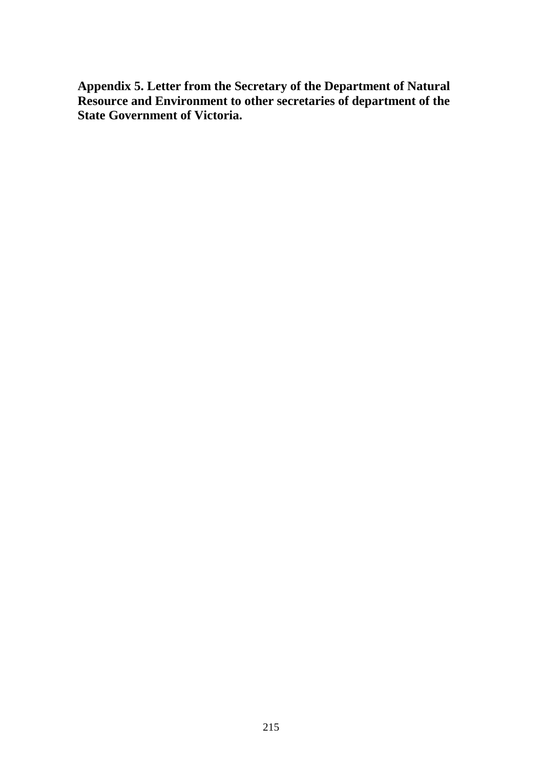**Appendix 5. Letter from the Secretary of the Department of Natural Resource and Environment to other secretaries of department of the State Government of Victoria.**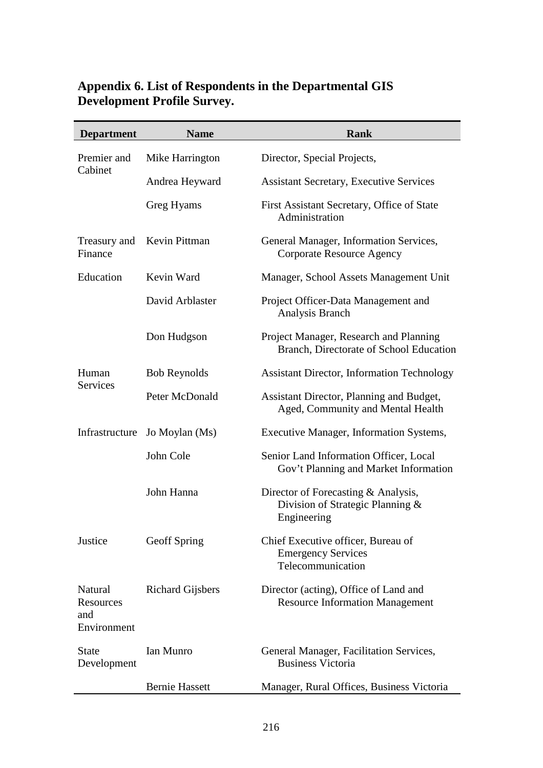## **Appendix 6. List of Respondents in the Departmental GIS Development Profile Survey.**

| <b>Department</b>                          | <b>Name</b>             | <b>Rank</b>                                                                            |
|--------------------------------------------|-------------------------|----------------------------------------------------------------------------------------|
| Premier and                                | Mike Harrington         | Director, Special Projects,                                                            |
| Cabinet                                    | Andrea Heyward          | <b>Assistant Secretary, Executive Services</b>                                         |
|                                            | Greg Hyams              | First Assistant Secretary, Office of State<br>Administration                           |
| Treasury and<br>Finance                    | Kevin Pittman           | General Manager, Information Services,<br>Corporate Resource Agency                    |
| Education                                  | Kevin Ward              | Manager, School Assets Management Unit                                                 |
|                                            | David Arblaster         | Project Officer-Data Management and<br>Analysis Branch                                 |
|                                            | Don Hudgson             | Project Manager, Research and Planning<br>Branch, Directorate of School Education      |
| Human                                      | <b>Bob Reynolds</b>     | <b>Assistant Director, Information Technology</b>                                      |
| <b>Services</b>                            | Peter McDonald          | Assistant Director, Planning and Budget,<br>Aged, Community and Mental Health          |
| Infrastructure                             | Jo Moylan (Ms)          | Executive Manager, Information Systems,                                                |
|                                            | John Cole               | Senior Land Information Officer, Local<br>Gov't Planning and Market Information        |
|                                            | John Hanna              | Director of Forecasting & Analysis,<br>Division of Strategic Planning &<br>Engineering |
| Justice                                    | Geoff Spring            | Chief Executive officer, Bureau of<br><b>Emergency Services</b><br>Telecommunication   |
| Natural<br>Resources<br>and<br>Environment | <b>Richard Gijsbers</b> | Director (acting), Office of Land and<br><b>Resource Information Management</b>        |
| <b>State</b><br>Development                | Ian Munro               | General Manager, Facilitation Services,<br><b>Business Victoria</b>                    |
|                                            | <b>Bernie Hassett</b>   | Manager, Rural Offices, Business Victoria                                              |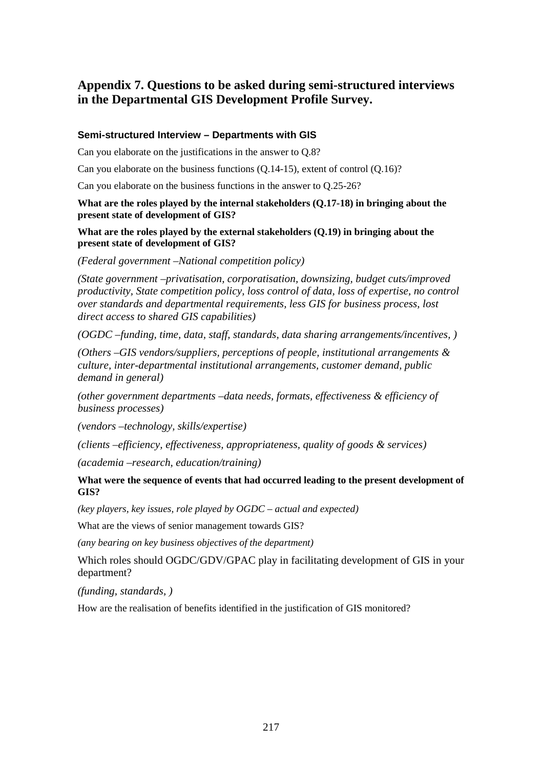# **Appendix 7. Questions to be asked during semi-structured interviews in the Departmental GIS Development Profile Survey.**

#### **Semi-structured Interview – Departments with GIS**

Can you elaborate on the justifications in the answer to Q.8?

Can you elaborate on the business functions (Q.14-15), extent of control (Q.16)?

Can you elaborate on the business functions in the answer to Q.25-26?

#### **What are the roles played by the internal stakeholders (Q.17-18) in bringing about the present state of development of GIS?**

**What are the roles played by the external stakeholders (Q.19) in bringing about the present state of development of GIS?**

*(Federal government –National competition policy)*

*(State government –privatisation, corporatisation, downsizing, budget cuts/improved productivity, State competition policy, loss control of data, loss of expertise, no control over standards and departmental requirements, less GIS for business process, lost direct access to shared GIS capabilities)*

*(OGDC –funding, time, data, staff, standards, data sharing arrangements/incentives, )*

*(Others –GIS vendors/suppliers, perceptions of people, institutional arrangements & culture, inter-departmental institutional arrangements, customer demand, public demand in general)*

*(other government departments –data needs, formats, effectiveness & efficiency of business processes)*

*(vendors –technology, skills/expertise)*

*(clients –efficiency, effectiveness, appropriateness, quality of goods & services)*

*(academia –research, education/training)*

**What were the sequence of events that had occurred leading to the present development of GIS?**

*(key players, key issues, role played by OGDC – actual and expected)*

What are the views of senior management towards GIS?

*(any bearing on key business objectives of the department)*

Which roles should OGDC/GDV/GPAC play in facilitating development of GIS in your department?

*(funding, standards, )*

How are the realisation of benefits identified in the justification of GIS monitored?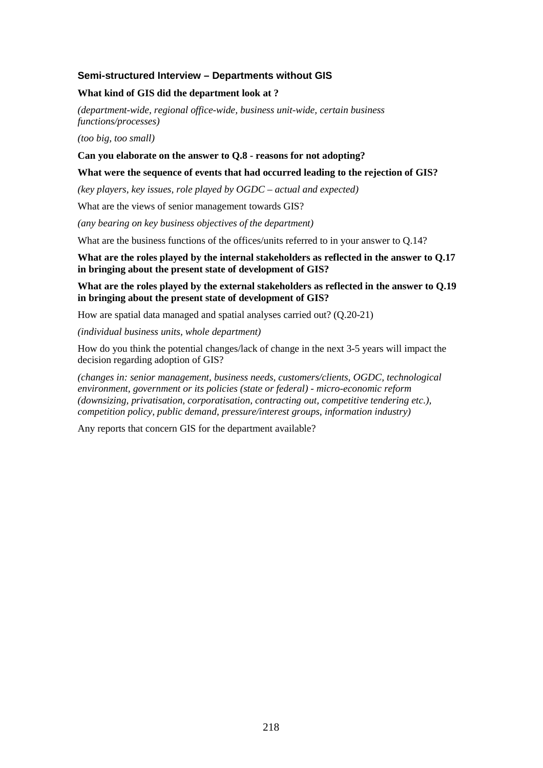#### **Semi-structured Interview – Departments without GIS**

#### **What kind of GIS did the department look at ?**

*(department-wide, regional office-wide, business unit-wide, certain business functions/processes)*

*(too big, too small)*

#### **Can you elaborate on the answer to Q.8 - reasons for not adopting?**

#### **What were the sequence of events that had occurred leading to the rejection of GIS?**

*(key players, key issues, role played by OGDC – actual and expected)*

What are the views of senior management towards GIS?

*(any bearing on key business objectives of the department)*

What are the business functions of the offices/units referred to in your answer to  $Q.14$ ?

#### **What are the roles played by the internal stakeholders as reflected in the answer to Q.17 in bringing about the present state of development of GIS?**

**What are the roles played by the external stakeholders as reflected in the answer to Q.19 in bringing about the present state of development of GIS?**

How are spatial data managed and spatial analyses carried out? (Q.20-21)

*(individual business units, whole department)*

How do you think the potential changes/lack of change in the next 3-5 years will impact the decision regarding adoption of GIS?

*(changes in: senior management, business needs, customers/clients, OGDC, technological environment, government or its policies (state or federal) - micro-economic reform (downsizing, privatisation, corporatisation, contracting out, competitive tendering etc.), competition policy, public demand, pressure/interest groups, information industry)*

Any reports that concern GIS for the department available?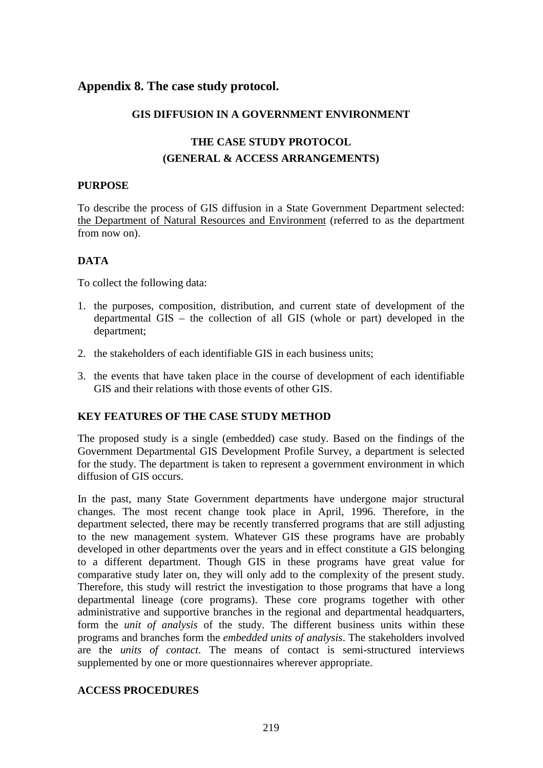# **Appendix 8. The case study protocol.**

#### **GIS DIFFUSION IN A GOVERNMENT ENVIRONMENT**

# **THE CASE STUDY PROTOCOL (GENERAL & ACCESS ARRANGEMENTS)**

#### **PURPOSE**

To describe the process of GIS diffusion in a State Government Department selected: the Department of Natural Resources and Environment (referred to as the department from now on).

# **DATA**

To collect the following data:

- 1. the purposes, composition, distribution, and current state of development of the departmental GIS – the collection of all GIS (whole or part) developed in the department;
- 2. the stakeholders of each identifiable GIS in each business units;
- 3. the events that have taken place in the course of development of each identifiable GIS and their relations with those events of other GIS.

## **KEY FEATURES OF THE CASE STUDY METHOD**

The proposed study is a single (embedded) case study. Based on the findings of the Government Departmental GIS Development Profile Survey, a department is selected for the study. The department is taken to represent a government environment in which diffusion of GIS occurs.

In the past, many State Government departments have undergone major structural changes. The most recent change took place in April, 1996. Therefore, in the department selected, there may be recently transferred programs that are still adjusting to the new management system. Whatever GIS these programs have are probably developed in other departments over the years and in effect constitute a GIS belonging to a different department. Though GIS in these programs have great value for comparative study later on, they will only add to the complexity of the present study. Therefore, this study will restrict the investigation to those programs that have a long departmental lineage (core programs). These core programs together with other administrative and supportive branches in the regional and departmental headquarters, form the *unit of analysis* of the study. The different business units within these programs and branches form the *embedded units of analysis*. The stakeholders involved are the *units of contact*. The means of contact is semi-structured interviews supplemented by one or more questionnaires wherever appropriate.

#### **ACCESS PROCEDURES**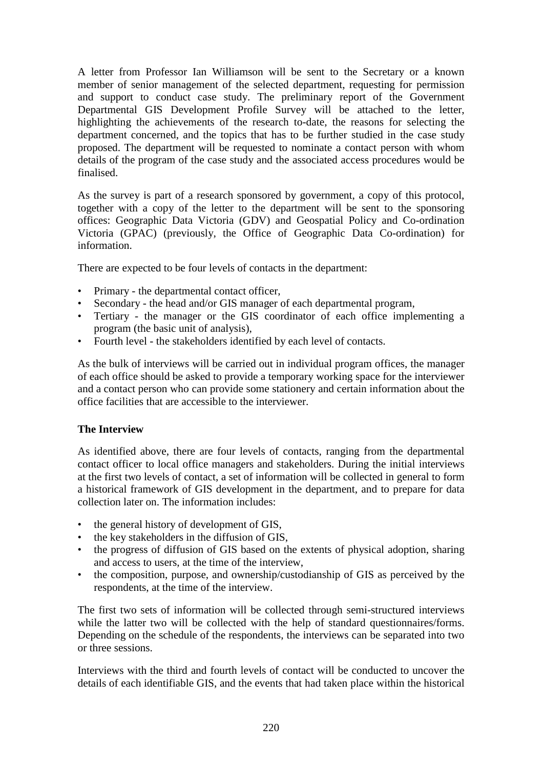A letter from Professor Ian Williamson will be sent to the Secretary or a known member of senior management of the selected department, requesting for permission and support to conduct case study. The preliminary report of the Government Departmental GIS Development Profile Survey will be attached to the letter, highlighting the achievements of the research to-date, the reasons for selecting the department concerned, and the topics that has to be further studied in the case study proposed. The department will be requested to nominate a contact person with whom details of the program of the case study and the associated access procedures would be finalised.

As the survey is part of a research sponsored by government, a copy of this protocol, together with a copy of the letter to the department will be sent to the sponsoring offices: Geographic Data Victoria (GDV) and Geospatial Policy and Co-ordination Victoria (GPAC) (previously, the Office of Geographic Data Co-ordination) for information.

There are expected to be four levels of contacts in the department:

- Primary the departmental contact officer,
- Secondary the head and/or GIS manager of each departmental program,
- Tertiary the manager or the GIS coordinator of each office implementing a program (the basic unit of analysis),
- Fourth level the stakeholders identified by each level of contacts.

As the bulk of interviews will be carried out in individual program offices, the manager of each office should be asked to provide a temporary working space for the interviewer and a contact person who can provide some stationery and certain information about the office facilities that are accessible to the interviewer.

## **The Interview**

As identified above, there are four levels of contacts, ranging from the departmental contact officer to local office managers and stakeholders. During the initial interviews at the first two levels of contact, a set of information will be collected in general to form a historical framework of GIS development in the department, and to prepare for data collection later on. The information includes:

- the general history of development of GIS,
- the key stakeholders in the diffusion of GIS,
- the progress of diffusion of GIS based on the extents of physical adoption, sharing and access to users, at the time of the interview,
- the composition, purpose, and ownership/custodianship of GIS as perceived by the respondents, at the time of the interview.

The first two sets of information will be collected through semi-structured interviews while the latter two will be collected with the help of standard questionnaires/forms. Depending on the schedule of the respondents, the interviews can be separated into two or three sessions.

Interviews with the third and fourth levels of contact will be conducted to uncover the details of each identifiable GIS, and the events that had taken place within the historical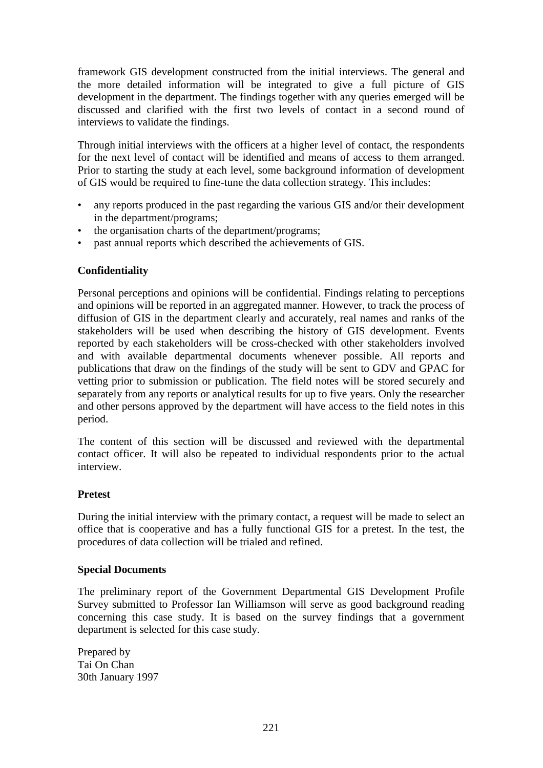framework GIS development constructed from the initial interviews. The general and the more detailed information will be integrated to give a full picture of GIS development in the department. The findings together with any queries emerged will be discussed and clarified with the first two levels of contact in a second round of interviews to validate the findings.

Through initial interviews with the officers at a higher level of contact, the respondents for the next level of contact will be identified and means of access to them arranged. Prior to starting the study at each level, some background information of development of GIS would be required to fine-tune the data collection strategy. This includes:

- any reports produced in the past regarding the various GIS and/or their development in the department/programs;
- the organisation charts of the department/programs;
- past annual reports which described the achievements of GIS.

# **Confidentiality**

Personal perceptions and opinions will be confidential. Findings relating to perceptions and opinions will be reported in an aggregated manner. However, to track the process of diffusion of GIS in the department clearly and accurately, real names and ranks of the stakeholders will be used when describing the history of GIS development. Events reported by each stakeholders will be cross-checked with other stakeholders involved and with available departmental documents whenever possible. All reports and publications that draw on the findings of the study will be sent to GDV and GPAC for vetting prior to submission or publication. The field notes will be stored securely and separately from any reports or analytical results for up to five years. Only the researcher and other persons approved by the department will have access to the field notes in this period.

The content of this section will be discussed and reviewed with the departmental contact officer. It will also be repeated to individual respondents prior to the actual interview.

## **Pretest**

During the initial interview with the primary contact, a request will be made to select an office that is cooperative and has a fully functional GIS for a pretest. In the test, the procedures of data collection will be trialed and refined.

## **Special Documents**

The preliminary report of the Government Departmental GIS Development Profile Survey submitted to Professor Ian Williamson will serve as good background reading concerning this case study. It is based on the survey findings that a government department is selected for this case study.

Prepared by Tai On Chan 30th January 1997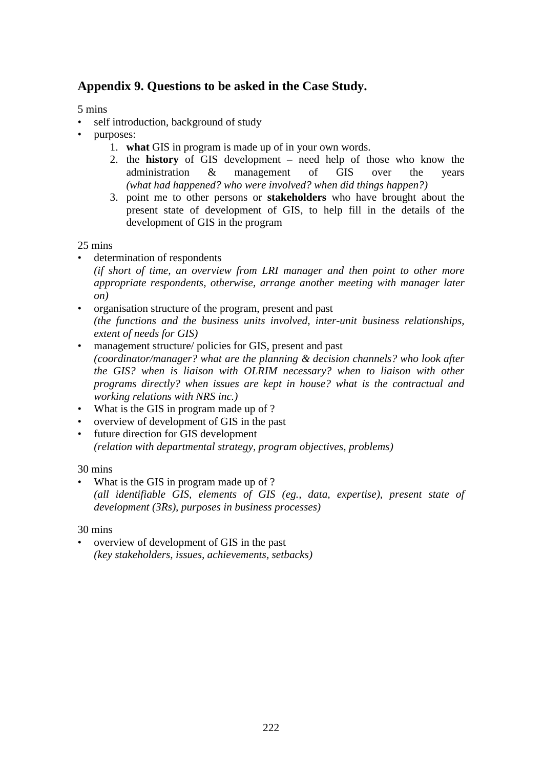# **Appendix 9. Questions to be asked in the Case Study.**

5 mins

- self introduction, background of study
- purposes:
	- 1. **what** GIS in program is made up of in your own words.
	- 2. the **history** of GIS development need help of those who know the administration & management of GIS over the years *(what had happened? who were involved? when did things happen?)*
	- 3. point me to other persons or **stakeholders** who have brought about the present state of development of GIS, to help fill in the details of the development of GIS in the program

25 mins

- determination of respondents *(if short of time, an overview from LRI manager and then point to other more appropriate respondents, otherwise, arrange another meeting with manager later*
	- *on)*
- organisation structure of the program, present and past *(the functions and the business units involved, inter-unit business relationships, extent of needs for GIS)*
- management structure/ policies for GIS, present and past *(coordinator/manager? what are the planning & decision channels? who look after the GIS? when is liaison with OLRIM necessary? when to liaison with other programs directly? when issues are kept in house? what is the contractual and working relations with NRS inc.)*
- What is the GIS in program made up of ?
- overview of development of GIS in the past
- future direction for GIS development *(relation with departmental strategy, program objectives, problems)*

30 mins

What is the GIS in program made up of ? *(all identifiable GIS, elements of GIS (eg., data, expertise), present state of development (3Rs), purposes in business processes)*

30 mins

• overview of development of GIS in the past *(key stakeholders, issues, achievements, setbacks)*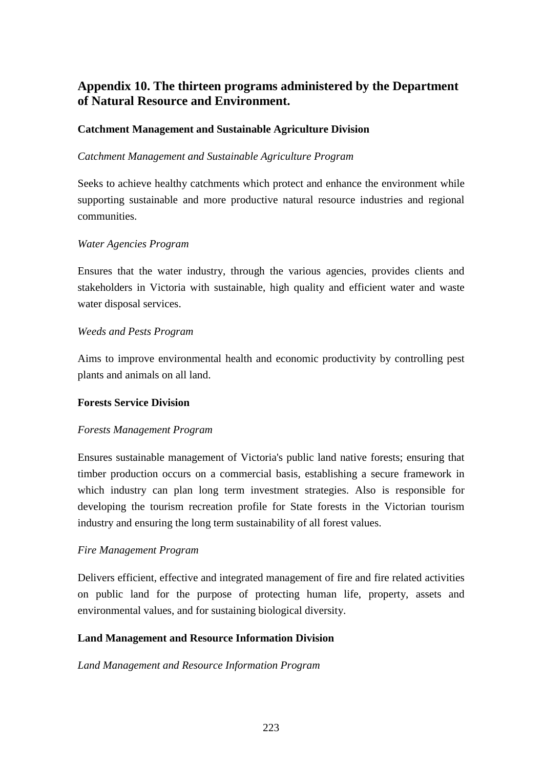# **Appendix 10. The thirteen programs administered by the Department of Natural Resource and Environment.**

# **Catchment Management and Sustainable Agriculture Division**

## *Catchment Management and Sustainable Agriculture Program*

Seeks to achieve healthy catchments which protect and enhance the environment while supporting sustainable and more productive natural resource industries and regional communities.

#### *Water Agencies Program*

Ensures that the water industry, through the various agencies, provides clients and stakeholders in Victoria with sustainable, high quality and efficient water and waste water disposal services.

#### *Weeds and Pests Program*

Aims to improve environmental health and economic productivity by controlling pest plants and animals on all land.

#### **Forests Service Division**

## *Forests Management Program*

Ensures sustainable management of Victoria's public land native forests; ensuring that timber production occurs on a commercial basis, establishing a secure framework in which industry can plan long term investment strategies. Also is responsible for developing the tourism recreation profile for State forests in the Victorian tourism industry and ensuring the long term sustainability of all forest values.

## *Fire Management Program*

Delivers efficient, effective and integrated management of fire and fire related activities on public land for the purpose of protecting human life, property, assets and environmental values, and for sustaining biological diversity.

## **Land Management and Resource Information Division**

#### *Land Management and Resource Information Program*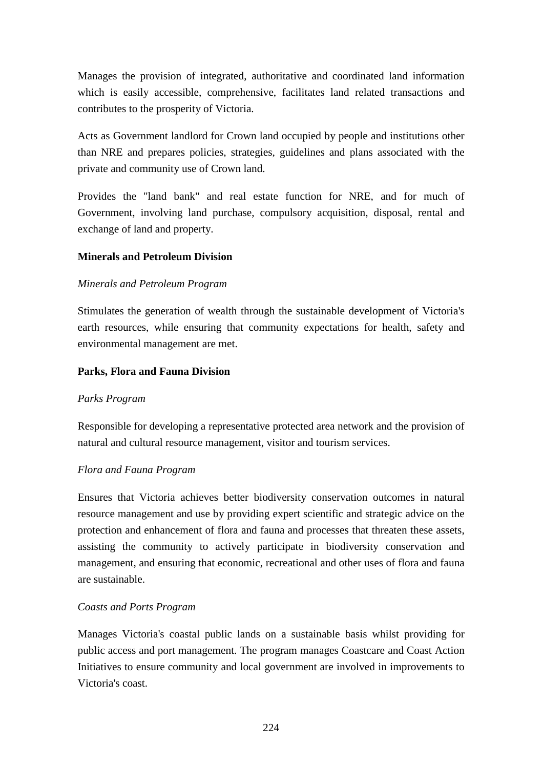Manages the provision of integrated, authoritative and coordinated land information which is easily accessible, comprehensive, facilitates land related transactions and contributes to the prosperity of Victoria.

Acts as Government landlord for Crown land occupied by people and institutions other than NRE and prepares policies, strategies, guidelines and plans associated with the private and community use of Crown land.

Provides the "land bank" and real estate function for NRE, and for much of Government, involving land purchase, compulsory acquisition, disposal, rental and exchange of land and property.

# **Minerals and Petroleum Division**

## *Minerals and Petroleum Program*

Stimulates the generation of wealth through the sustainable development of Victoria's earth resources, while ensuring that community expectations for health, safety and environmental management are met.

## **Parks, Flora and Fauna Division**

## *Parks Program*

Responsible for developing a representative protected area network and the provision of natural and cultural resource management, visitor and tourism services.

## *Flora and Fauna Program*

Ensures that Victoria achieves better biodiversity conservation outcomes in natural resource management and use by providing expert scientific and strategic advice on the protection and enhancement of flora and fauna and processes that threaten these assets, assisting the community to actively participate in biodiversity conservation and management, and ensuring that economic, recreational and other uses of flora and fauna are sustainable.

## *Coasts and Ports Program*

Manages Victoria's coastal public lands on a sustainable basis whilst providing for public access and port management. The program manages Coastcare and Coast Action Initiatives to ensure community and local government are involved in improvements to Victoria's coast.